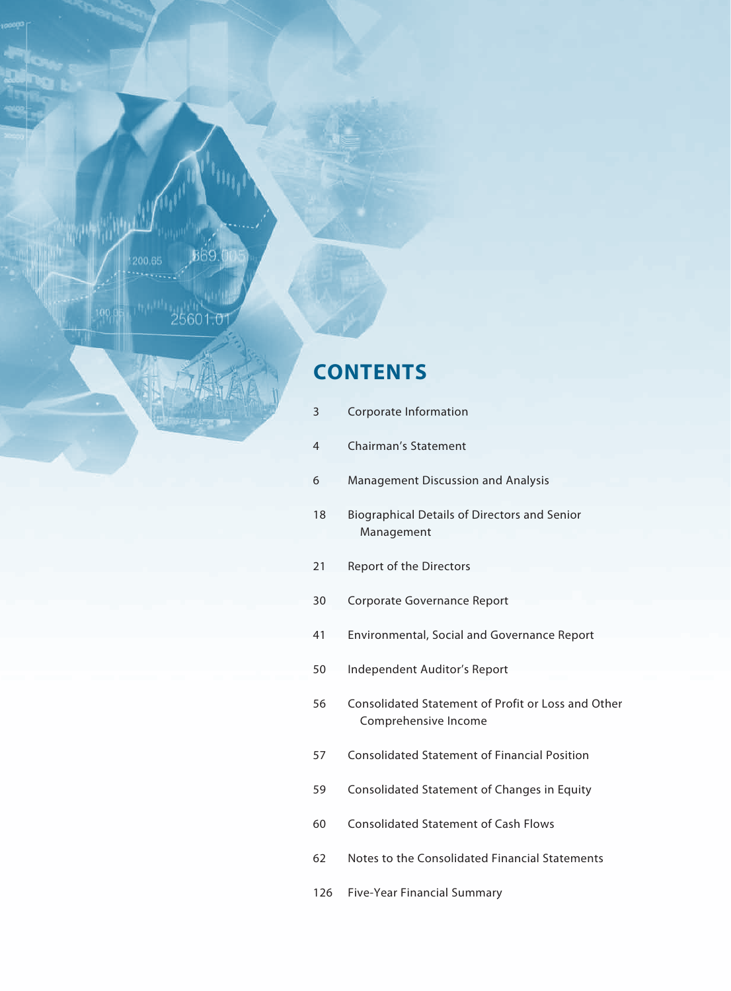# **CONTENTS**

569.00

200.65

| 3              | Corporate Information                                                      |
|----------------|----------------------------------------------------------------------------|
| $\overline{4}$ | Chairman's Statement                                                       |
| 6              | <b>Management Discussion and Analysis</b>                                  |
| 18             | Biographical Details of Directors and Senior<br>Management                 |
| 21             | Report of the Directors                                                    |
| 30             | Corporate Governance Report                                                |
| 41             | Environmental, Social and Governance Report                                |
| 50             | Independent Auditor's Report                                               |
| 56             | Consolidated Statement of Profit or Loss and Other<br>Comprehensive Income |
| 57             | <b>Consolidated Statement of Financial Position</b>                        |
| 59             | Consolidated Statement of Changes in Equity                                |
| 60             | <b>Consolidated Statement of Cash Flows</b>                                |
| 62             | Notes to the Consolidated Financial Statements                             |

Five-Year Financial Summary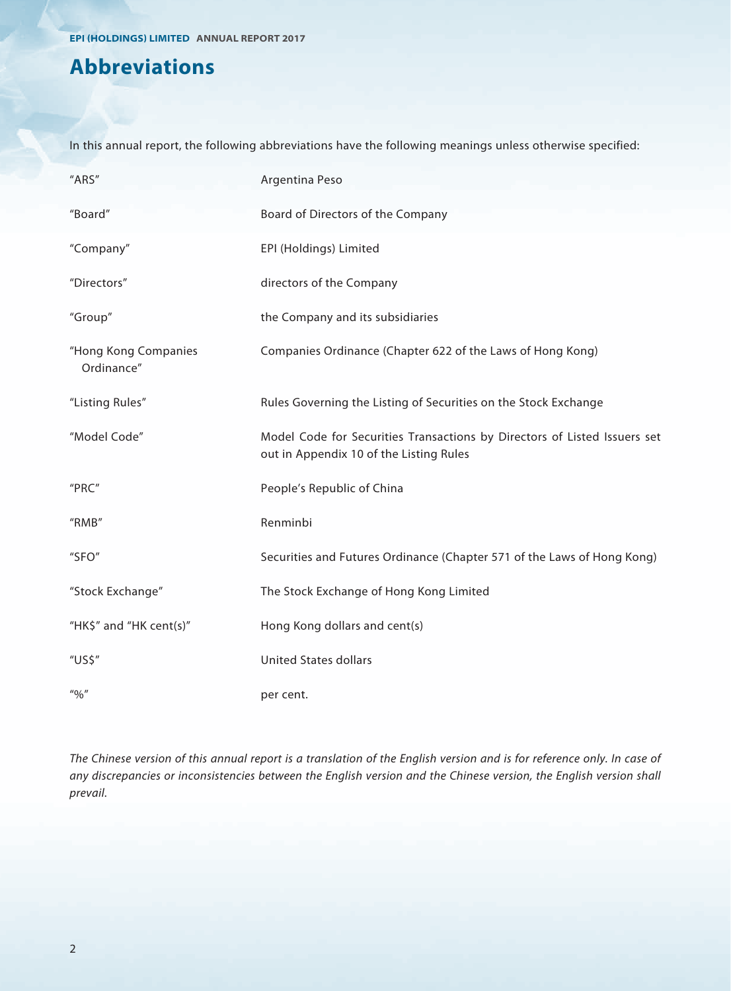# **Abbreviations**

In this annual report, the following abbreviations have the following meanings unless otherwise specified:

| "ARS"                              | Argentina Peso                                                                                                       |
|------------------------------------|----------------------------------------------------------------------------------------------------------------------|
| "Board"                            | Board of Directors of the Company                                                                                    |
| "Company"                          | EPI (Holdings) Limited                                                                                               |
| "Directors"                        | directors of the Company                                                                                             |
| "Group"                            | the Company and its subsidiaries                                                                                     |
| "Hong Kong Companies<br>Ordinance" | Companies Ordinance (Chapter 622 of the Laws of Hong Kong)                                                           |
| "Listing Rules"                    | Rules Governing the Listing of Securities on the Stock Exchange                                                      |
| "Model Code"                       | Model Code for Securities Transactions by Directors of Listed Issuers set<br>out in Appendix 10 of the Listing Rules |
| "PRC"                              | People's Republic of China                                                                                           |
| "RMB"                              | Renminbi                                                                                                             |
| "SFO"                              | Securities and Futures Ordinance (Chapter 571 of the Laws of Hong Kong)                                              |
| "Stock Exchange"                   | The Stock Exchange of Hong Kong Limited                                                                              |
| "HK\$" and "HK cent(s)"            | Hong Kong dollars and cent(s)                                                                                        |
| "US\$"                             | <b>United States dollars</b>                                                                                         |
| 10/0''                             | per cent.                                                                                                            |

*The Chinese version of this annual report is a translation of the English version and is for reference only. In case of any discrepancies or inconsistencies between the English version and the Chinese version, the English version shall prevail.*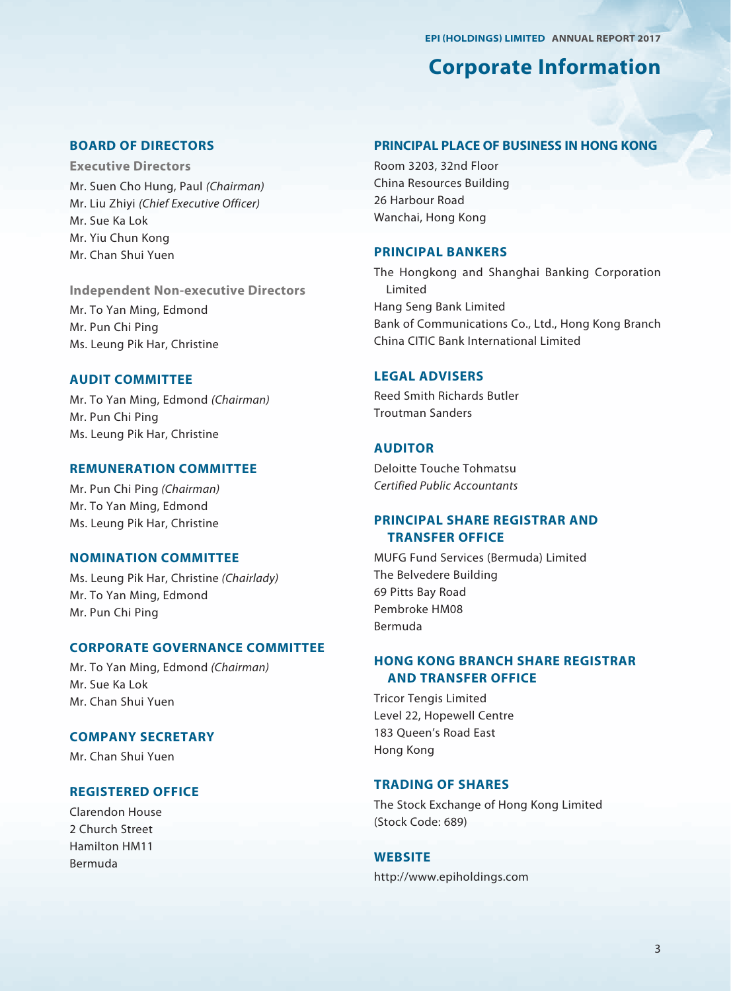## **Corporate Information**

## **BOARD OF DIRECTORS**

**Executive Directors** Mr. Suen Cho Hung, Paul *(Chairman)* Mr. Liu Zhiyi *(Chief Executive Officer)* Mr. Sue Ka Lok Mr. Yiu Chun Kong Mr. Chan Shui Yuen

**Independent Non-executive Directors** Mr. To Yan Ming, Edmond Mr. Pun Chi Ping Ms. Leung Pik Har, Christine

## **AUDIT COMMITTEE**

Mr. To Yan Ming, Edmond *(Chairman)* Mr. Pun Chi Ping Ms. Leung Pik Har, Christine

## **REMUNERATION COMMITTEE**

Mr. Pun Chi Ping *(Chairman)* Mr. To Yan Ming, Edmond Ms. Leung Pik Har, Christine

#### **NOMINATION COMMITTEE**

Ms. Leung Pik Har, Christine *(Chairlady)* Mr. To Yan Ming, Edmond Mr. Pun Chi Ping

### **CORPORATE GOVERNANCE COMMITTEE**

Mr. To Yan Ming, Edmond *(Chairman)* Mr. Sue Ka Lok Mr. Chan Shui Yuen

## **COMPANY SECRETARY**

Mr. Chan Shui Yuen

## **REGISTERED OFFICE**

Clarendon House 2 Church Street Hamilton HM11 Bermuda

## **PRINCIPAL PLACE OF BUSINESS IN HONG KONG**

Room 3203, 32nd Floor China Resources Building 26 Harbour Road Wanchai, Hong Kong

## **PRINCIPAL BANKERS**

The Hongkong and Shanghai Banking Corporation Limited Hang Seng Bank Limited Bank of Communications Co., Ltd., Hong Kong Branch China CITIC Bank International Limited

## **legal advisers**

Reed Smith Richards Butler Troutman Sanders

## **AUDITOR**

Deloitte Touche Tohmatsu *Certified Public Accountants*

## **PRINCIPAL SHARE REGISTRAR and transfer office**

MUFG Fund Services (Bermuda) Limited The Belvedere Building 69 Pitts Bay Road Pembroke HM08 Bermuda

## **HONG KONG BRANCH SHARE REGISTRAR AND TRANSFER OFFICE**

Tricor Tengis Limited Level 22, Hopewell Centre 183 Queen's Road East Hong Kong

#### **trading of shares**

The Stock Exchange of Hong Kong Limited (Stock Code: 689)

#### **WEBSITE**

http://www.epiholdings.com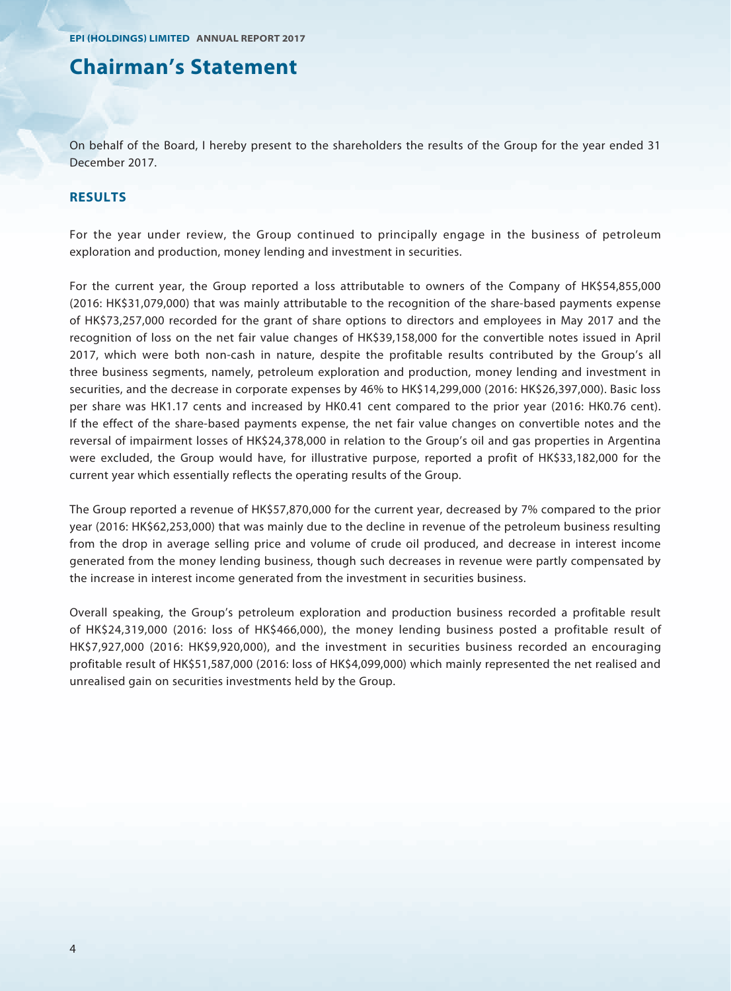# **Chairman's Statement**

On behalf of the Board, I hereby present to the shareholders the results of the Group for the year ended 31 December 2017.

## **RESULTS**

For the year under review, the Group continued to principally engage in the business of petroleum exploration and production, money lending and investment in securities.

For the current year, the Group reported a loss attributable to owners of the Company of HK\$54,855,000 (2016: HK\$31,079,000) that was mainly attributable to the recognition of the share-based payments expense of HK\$73,257,000 recorded for the grant of share options to directors and employees in May 2017 and the recognition of loss on the net fair value changes of HK\$39,158,000 for the convertible notes issued in April 2017, which were both non-cash in nature, despite the profitable results contributed by the Group's all three business segments, namely, petroleum exploration and production, money lending and investment in securities, and the decrease in corporate expenses by 46% to HK\$14,299,000 (2016: HK\$26,397,000). Basic loss per share was HK1.17 cents and increased by HK0.41 cent compared to the prior year (2016: HK0.76 cent). If the effect of the share-based payments expense, the net fair value changes on convertible notes and the reversal of impairment losses of HK\$24,378,000 in relation to the Group's oil and gas properties in Argentina were excluded, the Group would have, for illustrative purpose, reported a profit of HK\$33,182,000 for the current year which essentially reflects the operating results of the Group.

The Group reported a revenue of HK\$57,870,000 for the current year, decreased by 7% compared to the prior year (2016: HK\$62,253,000) that was mainly due to the decline in revenue of the petroleum business resulting from the drop in average selling price and volume of crude oil produced, and decrease in interest income generated from the money lending business, though such decreases in revenue were partly compensated by the increase in interest income generated from the investment in securities business.

Overall speaking, the Group's petroleum exploration and production business recorded a profitable result of HK\$24,319,000 (2016: loss of HK\$466,000), the money lending business posted a profitable result of HK\$7,927,000 (2016: HK\$9,920,000), and the investment in securities business recorded an encouraging profitable result of HK\$51,587,000 (2016: loss of HK\$4,099,000) which mainly represented the net realised and unrealised gain on securities investments held by the Group.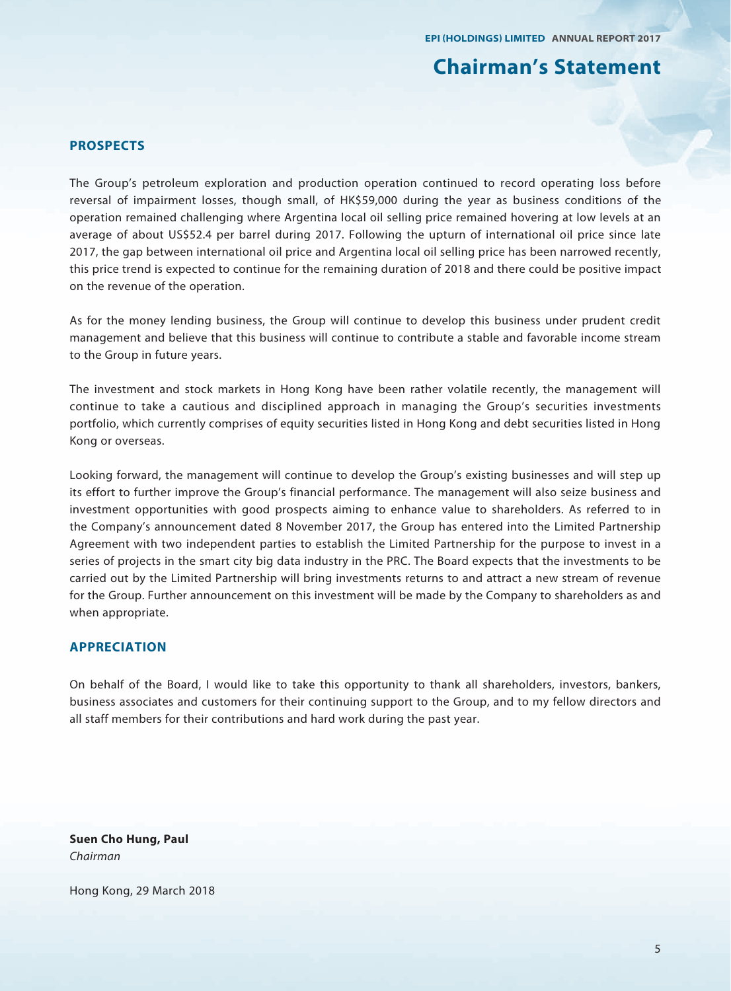# **Chairman's Statement**

## **PROSPECTS**

The Group's petroleum exploration and production operation continued to record operating loss before reversal of impairment losses, though small, of HK\$59,000 during the year as business conditions of the operation remained challenging where Argentina local oil selling price remained hovering at low levels at an average of about US\$52.4 per barrel during 2017. Following the upturn of international oil price since late 2017, the gap between international oil price and Argentina local oil selling price has been narrowed recently, this price trend is expected to continue for the remaining duration of 2018 and there could be positive impact on the revenue of the operation.

As for the money lending business, the Group will continue to develop this business under prudent credit management and believe that this business will continue to contribute a stable and favorable income stream to the Group in future years.

The investment and stock markets in Hong Kong have been rather volatile recently, the management will continue to take a cautious and disciplined approach in managing the Group's securities investments portfolio, which currently comprises of equity securities listed in Hong Kong and debt securities listed in Hong Kong or overseas.

Looking forward, the management will continue to develop the Group's existing businesses and will step up its effort to further improve the Group's financial performance. The management will also seize business and investment opportunities with good prospects aiming to enhance value to shareholders. As referred to in the Company's announcement dated 8 November 2017, the Group has entered into the Limited Partnership Agreement with two independent parties to establish the Limited Partnership for the purpose to invest in a series of projects in the smart city big data industry in the PRC. The Board expects that the investments to be carried out by the Limited Partnership will bring investments returns to and attract a new stream of revenue for the Group. Further announcement on this investment will be made by the Company to shareholders as and when appropriate.

#### **Appreciation**

On behalf of the Board, I would like to take this opportunity to thank all shareholders, investors, bankers, business associates and customers for their continuing support to the Group, and to my fellow directors and all staff members for their contributions and hard work during the past year.

**Suen Cho Hung, Paul** *Chairman*

Hong Kong, 29 March 2018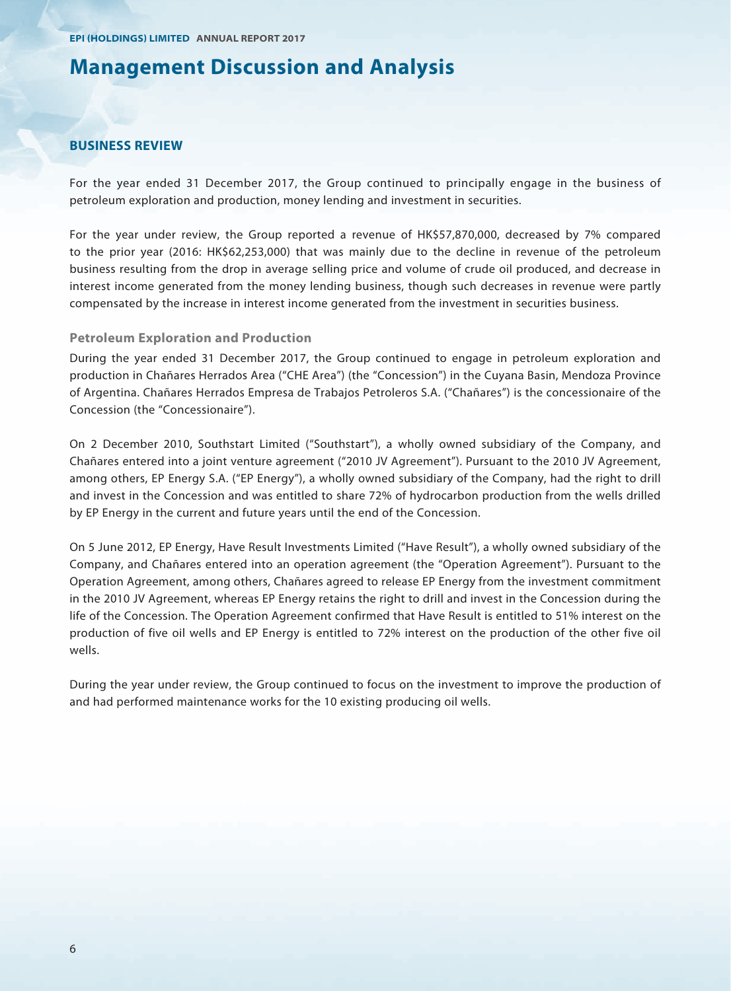## **BUSINESS REVIEW**

For the year ended 31 December 2017, the Group continued to principally engage in the business of petroleum exploration and production, money lending and investment in securities.

For the year under review, the Group reported a revenue of HK\$57,870,000, decreased by 7% compared to the prior year (2016: HK\$62,253,000) that was mainly due to the decline in revenue of the petroleum business resulting from the drop in average selling price and volume of crude oil produced, and decrease in interest income generated from the money lending business, though such decreases in revenue were partly compensated by the increase in interest income generated from the investment in securities business.

#### **Petroleum Exploration and Production**

During the year ended 31 December 2017, the Group continued to engage in petroleum exploration and production in Chañares Herrados Area ("CHE Area") (the "Concession") in the Cuyana Basin, Mendoza Province of Argentina. Chañares Herrados Empresa de Trabajos Petroleros S.A. ("Chañares") is the concessionaire of the Concession (the "Concessionaire").

On 2 December 2010, Southstart Limited ("Southstart"), a wholly owned subsidiary of the Company, and Chañares entered into a joint venture agreement ("2010 JV Agreement"). Pursuant to the 2010 JV Agreement, among others, EP Energy S.A. ("EP Energy"), a wholly owned subsidiary of the Company, had the right to drill and invest in the Concession and was entitled to share 72% of hydrocarbon production from the wells drilled by EP Energy in the current and future years until the end of the Concession.

On 5 June 2012, EP Energy, Have Result Investments Limited ("Have Result"), a wholly owned subsidiary of the Company, and Chañares entered into an operation agreement (the "Operation Agreement"). Pursuant to the Operation Agreement, among others, Chañares agreed to release EP Energy from the investment commitment in the 2010 JV Agreement, whereas EP Energy retains the right to drill and invest in the Concession during the life of the Concession. The Operation Agreement confirmed that Have Result is entitled to 51% interest on the production of five oil wells and EP Energy is entitled to 72% interest on the production of the other five oil wells.

During the year under review, the Group continued to focus on the investment to improve the production of and had performed maintenance works for the 10 existing producing oil wells.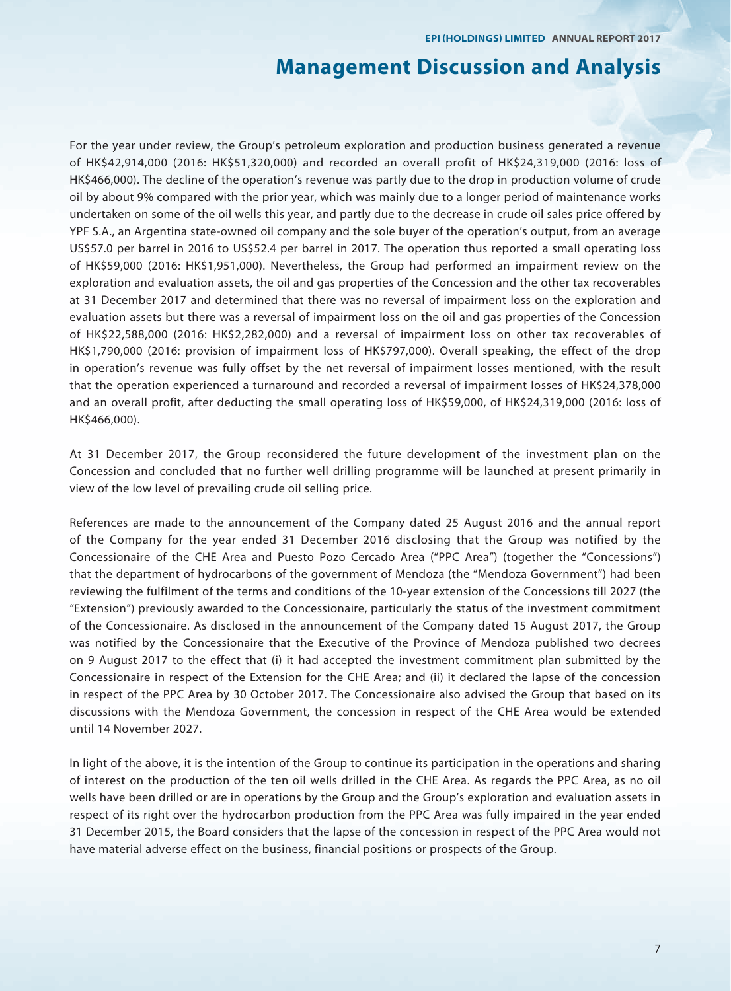For the year under review, the Group's petroleum exploration and production business generated a revenue of HK\$42,914,000 (2016: HK\$51,320,000) and recorded an overall profit of HK\$24,319,000 (2016: loss of HK\$466,000). The decline of the operation's revenue was partly due to the drop in production volume of crude oil by about 9% compared with the prior year, which was mainly due to a longer period of maintenance works undertaken on some of the oil wells this year, and partly due to the decrease in crude oil sales price offered by YPF S.A., an Argentina state-owned oil company and the sole buyer of the operation's output, from an average US\$57.0 per barrel in 2016 to US\$52.4 per barrel in 2017. The operation thus reported a small operating loss of HK\$59,000 (2016: HK\$1,951,000). Nevertheless, the Group had performed an impairment review on the exploration and evaluation assets, the oil and gas properties of the Concession and the other tax recoverables at 31 December 2017 and determined that there was no reversal of impairment loss on the exploration and evaluation assets but there was a reversal of impairment loss on the oil and gas properties of the Concession of HK\$22,588,000 (2016: HK\$2,282,000) and a reversal of impairment loss on other tax recoverables of HK\$1,790,000 (2016: provision of impairment loss of HK\$797,000). Overall speaking, the effect of the drop in operation's revenue was fully offset by the net reversal of impairment losses mentioned, with the result that the operation experienced a turnaround and recorded a reversal of impairment losses of HK\$24,378,000 and an overall profit, after deducting the small operating loss of HK\$59,000, of HK\$24,319,000 (2016: loss of HK\$466,000).

At 31 December 2017, the Group reconsidered the future development of the investment plan on the Concession and concluded that no further well drilling programme will be launched at present primarily in view of the low level of prevailing crude oil selling price.

References are made to the announcement of the Company dated 25 August 2016 and the annual report of the Company for the year ended 31 December 2016 disclosing that the Group was notified by the Concessionaire of the CHE Area and Puesto Pozo Cercado Area ("PPC Area") (together the "Concessions") that the department of hydrocarbons of the government of Mendoza (the "Mendoza Government") had been reviewing the fulfilment of the terms and conditions of the 10-year extension of the Concessions till 2027 (the "Extension") previously awarded to the Concessionaire, particularly the status of the investment commitment of the Concessionaire. As disclosed in the announcement of the Company dated 15 August 2017, the Group was notified by the Concessionaire that the Executive of the Province of Mendoza published two decrees on 9 August 2017 to the effect that (i) it had accepted the investment commitment plan submitted by the Concessionaire in respect of the Extension for the CHE Area; and (ii) it declared the lapse of the concession in respect of the PPC Area by 30 October 2017. The Concessionaire also advised the Group that based on its discussions with the Mendoza Government, the concession in respect of the CHE Area would be extended until 14 November 2027.

In light of the above, it is the intention of the Group to continue its participation in the operations and sharing of interest on the production of the ten oil wells drilled in the CHE Area. As regards the PPC Area, as no oil wells have been drilled or are in operations by the Group and the Group's exploration and evaluation assets in respect of its right over the hydrocarbon production from the PPC Area was fully impaired in the year ended 31 December 2015, the Board considers that the lapse of the concession in respect of the PPC Area would not have material adverse effect on the business, financial positions or prospects of the Group.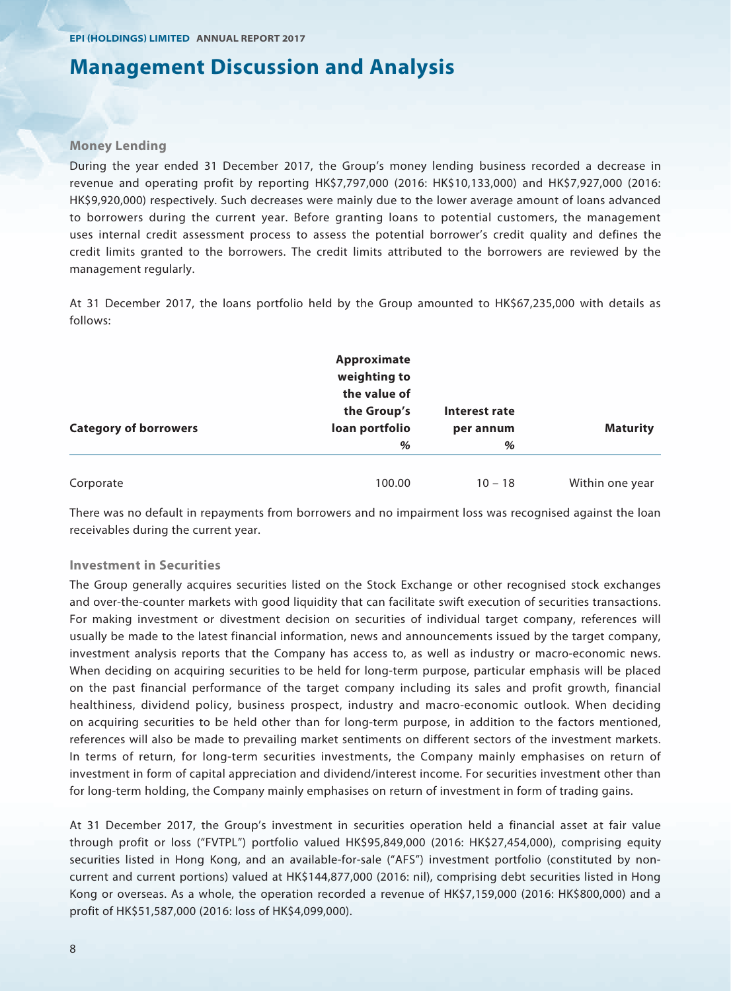#### **Money Lending**

During the year ended 31 December 2017, the Group's money lending business recorded a decrease in revenue and operating profit by reporting HK\$7,797,000 (2016: HK\$10,133,000) and HK\$7,927,000 (2016: HK\$9,920,000) respectively. Such decreases were mainly due to the lower average amount of loans advanced to borrowers during the current year. Before granting loans to potential customers, the management uses internal credit assessment process to assess the potential borrower's credit quality and defines the credit limits granted to the borrowers. The credit limits attributed to the borrowers are reviewed by the management regularly.

At 31 December 2017, the loans portfolio held by the Group amounted to HK\$67,235,000 with details as follows:

|                              | Approximate<br>weighting to<br>the value of |                            |                 |
|------------------------------|---------------------------------------------|----------------------------|-----------------|
| <b>Category of borrowers</b> | the Group's<br>loan portfolio               | Interest rate<br>per annum | <b>Maturity</b> |
|                              | %                                           | $\%$                       |                 |
| Corporate                    | 100.00                                      | $10 - 18$                  | Within one year |

There was no default in repayments from borrowers and no impairment loss was recognised against the loan receivables during the current year.

#### **Investment in Securities**

The Group generally acquires securities listed on the Stock Exchange or other recognised stock exchanges and over-the-counter markets with good liquidity that can facilitate swift execution of securities transactions. For making investment or divestment decision on securities of individual target company, references will usually be made to the latest financial information, news and announcements issued by the target company, investment analysis reports that the Company has access to, as well as industry or macro-economic news. When deciding on acquiring securities to be held for long-term purpose, particular emphasis will be placed on the past financial performance of the target company including its sales and profit growth, financial healthiness, dividend policy, business prospect, industry and macro-economic outlook. When deciding on acquiring securities to be held other than for long-term purpose, in addition to the factors mentioned, references will also be made to prevailing market sentiments on different sectors of the investment markets. In terms of return, for long-term securities investments, the Company mainly emphasises on return of investment in form of capital appreciation and dividend/interest income. For securities investment other than for long-term holding, the Company mainly emphasises on return of investment in form of trading gains.

At 31 December 2017, the Group's investment in securities operation held a financial asset at fair value through profit or loss ("FVTPL") portfolio valued HK\$95,849,000 (2016: HK\$27,454,000), comprising equity securities listed in Hong Kong, and an available-for-sale ("AFS") investment portfolio (constituted by noncurrent and current portions) valued at HK\$144,877,000 (2016: nil), comprising debt securities listed in Hong Kong or overseas. As a whole, the operation recorded a revenue of HK\$7,159,000 (2016: HK\$800,000) and a profit of HK\$51,587,000 (2016: loss of HK\$4,099,000).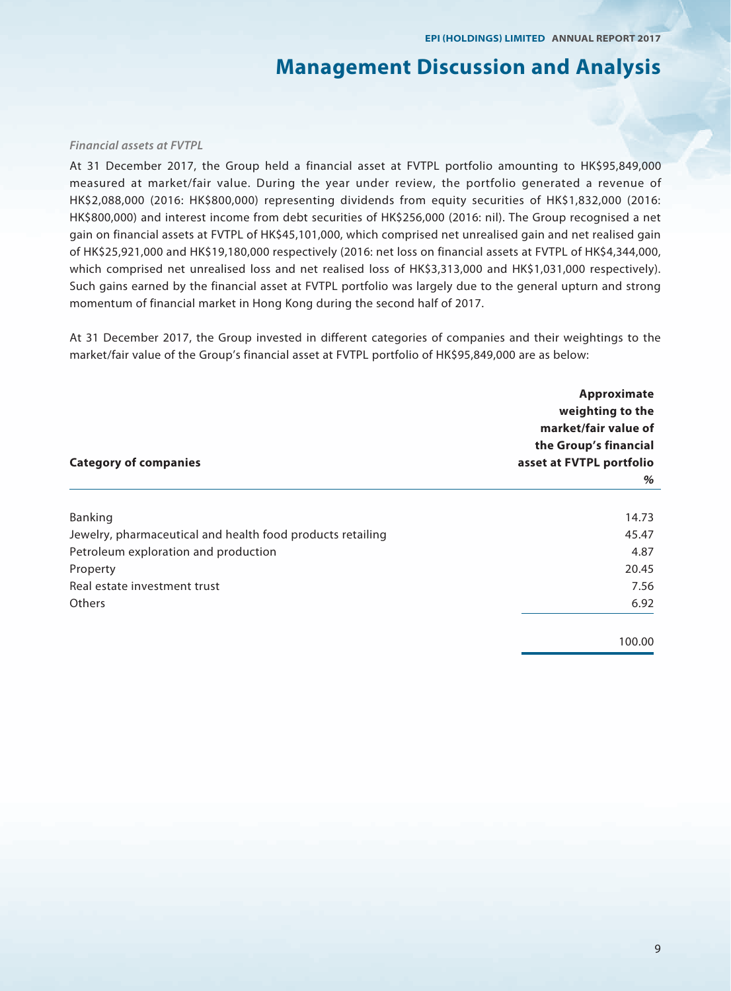#### *Financial assets at FVTPL*

At 31 December 2017, the Group held a financial asset at FVTPL portfolio amounting to HK\$95,849,000 measured at market/fair value. During the year under review, the portfolio generated a revenue of HK\$2,088,000 (2016: HK\$800,000) representing dividends from equity securities of HK\$1,832,000 (2016: HK\$800,000) and interest income from debt securities of HK\$256,000 (2016: nil). The Group recognised a net gain on financial assets at FVTPL of HK\$45,101,000, which comprised net unrealised gain and net realised gain of HK\$25,921,000 and HK\$19,180,000 respectively (2016: net loss on financial assets at FVTPL of HK\$4,344,000, which comprised net unrealised loss and net realised loss of HK\$3,313,000 and HK\$1,031,000 respectively). Such gains earned by the financial asset at FVTPL portfolio was largely due to the general upturn and strong momentum of financial market in Hong Kong during the second half of 2017.

At 31 December 2017, the Group invested in different categories of companies and their weightings to the market/fair value of the Group's financial asset at FVTPL portfolio of HK\$95,849,000 are as below:

| <b>Category of companies</b>                               | Approximate<br>weighting to the<br>market/fair value of<br>the Group's financial<br>asset at FVTPL portfolio<br>% |
|------------------------------------------------------------|-------------------------------------------------------------------------------------------------------------------|
|                                                            |                                                                                                                   |
| Banking                                                    | 14.73                                                                                                             |
| Jewelry, pharmaceutical and health food products retailing | 45.47                                                                                                             |
| Petroleum exploration and production                       | 4.87                                                                                                              |
| Property                                                   | 20.45                                                                                                             |
| Real estate investment trust                               | 7.56                                                                                                              |
| Others                                                     | 6.92                                                                                                              |
|                                                            | 100.00                                                                                                            |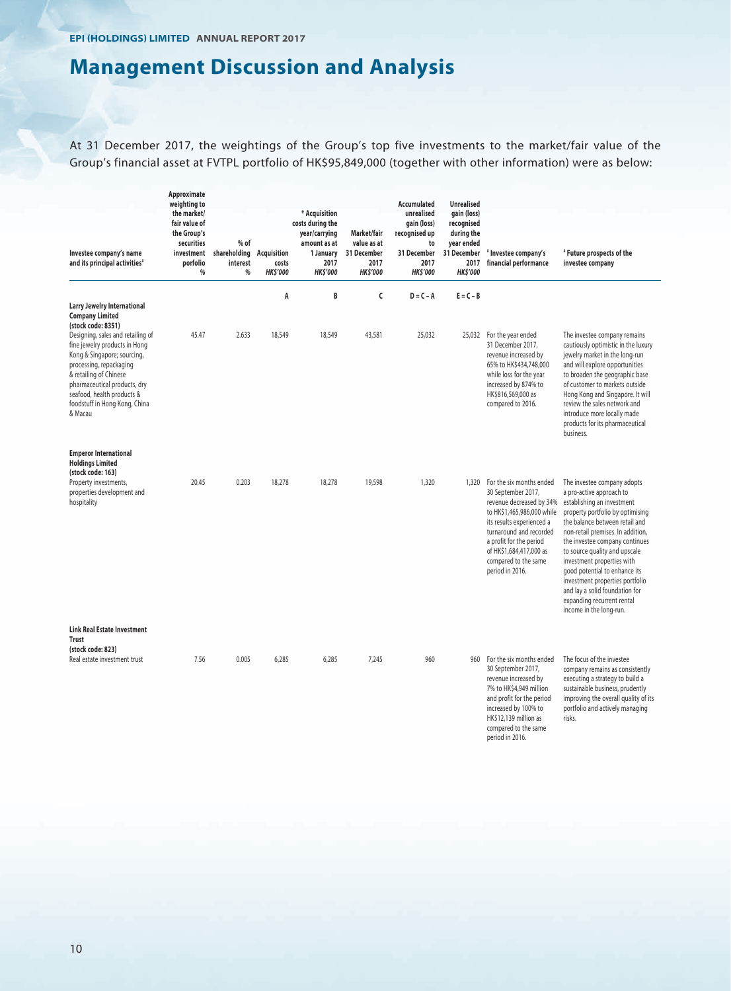At 31 December 2017, the weightings of the Group's top five investments to the market/fair value of the Group's financial asset at FVTPL portfolio of HK\$95,849,000 (together with other information) were as below:

| Investee company's name<br>and its principal activities <sup>#</sup>                                                                                                                                                                                                                                             | Approximate<br>weighting to<br>the market/<br>fair value of<br>the Group's<br>securities<br>investment<br>porfolio<br>% | % of<br>shareholding<br>interest<br>$\%$ | Acquisition<br>costs<br><b>HK\$'000</b> | * Acquisition<br>costs during the<br>year/carrying<br>amount as at<br>1 January<br>2017<br><b>HK\$'000</b> | Market/fair<br>value as at<br>31 December<br>2017<br><b>HK\$'000</b> | Accumulated<br>unrealised<br>gain (loss)<br>recognised up<br>to<br>31 December<br>2017<br><b>HK\$'000</b> | <b>Unrealised</b><br>gain (loss)<br>recognised<br>during the<br>year ended<br>31 December<br>2017<br><b>HK\$'000</b> | # Investee company's<br>financial performance                                                                                                                                                                                                                           | * Future prospects of the<br>investee company                                                                                                                                                                                                                                                                                                                                                                                                                    |
|------------------------------------------------------------------------------------------------------------------------------------------------------------------------------------------------------------------------------------------------------------------------------------------------------------------|-------------------------------------------------------------------------------------------------------------------------|------------------------------------------|-----------------------------------------|------------------------------------------------------------------------------------------------------------|----------------------------------------------------------------------|-----------------------------------------------------------------------------------------------------------|----------------------------------------------------------------------------------------------------------------------|-------------------------------------------------------------------------------------------------------------------------------------------------------------------------------------------------------------------------------------------------------------------------|------------------------------------------------------------------------------------------------------------------------------------------------------------------------------------------------------------------------------------------------------------------------------------------------------------------------------------------------------------------------------------------------------------------------------------------------------------------|
| Larry Jewelry International                                                                                                                                                                                                                                                                                      |                                                                                                                         |                                          | A                                       | B                                                                                                          | C                                                                    | $D = C - A$                                                                                               | $E = C - B$                                                                                                          |                                                                                                                                                                                                                                                                         |                                                                                                                                                                                                                                                                                                                                                                                                                                                                  |
| <b>Company Limited</b><br>(stock code: 8351)<br>Designing, sales and retailing of<br>fine jewelry products in Hong<br>Kong & Singapore; sourcing,<br>processing, repackaging<br>& retailing of Chinese<br>pharmaceutical products, dry<br>seafood, health products &<br>foodstuff in Hong Kong, China<br>& Macau | 45.47                                                                                                                   | 2.633                                    | 18,549                                  | 18,549                                                                                                     | 43,581                                                               | 25,032                                                                                                    |                                                                                                                      | 25,032 For the year ended<br>31 December 2017,<br>revenue increased by<br>65% to HK\$434,748,000<br>while loss for the year<br>increased by 874% to<br>HK\$816,569,000 as<br>compared to 2016.                                                                          | The investee company remains<br>cautiously optimistic in the luxury<br>jewelry market in the long-run<br>and will explore opportunities<br>to broaden the geographic base<br>of customer to markets outside<br>Hong Kong and Singapore. It will<br>review the sales network and<br>introduce more locally made<br>products for its pharmaceutical<br>business.                                                                                                   |
| <b>Emperor International</b><br><b>Holdings Limited</b><br>(stock code: 163)<br>Property investments,<br>properties development and<br>hospitality                                                                                                                                                               | 20.45                                                                                                                   | 0.203                                    | 18,278                                  | 18,278                                                                                                     | 19,598                                                               | 1,320                                                                                                     |                                                                                                                      | 1.320 For the six months ended<br>30 September 2017,<br>revenue decreased by 34%<br>to HK\$1,465,986,000 while<br>its results experienced a<br>turnaround and recorded<br>a profit for the period<br>of HK\$1,684,417,000 as<br>compared to the same<br>period in 2016. | The investee company adopts<br>a pro-active approach to<br>establishing an investment<br>property portfolio by optimising<br>the balance between retail and<br>non-retail premises. In addition,<br>the investee company continues<br>to source quality and upscale<br>investment properties with<br>good potential to enhance its<br>investment properties portfolio<br>and lay a solid foundation for<br>expanding recurrent rental<br>income in the long-run. |
| <b>Link Real Estate Investment</b><br><b>Trust</b><br>(stock code: 823)<br>Real estate investment trust                                                                                                                                                                                                          | 7.56                                                                                                                    | 0.005                                    | 6.285                                   | 6.285                                                                                                      | 7.245                                                                | 960                                                                                                       | 960                                                                                                                  | For the six months ended<br>30 September 2017,<br>revenue increased by<br>7% to HK\$4,949 million<br>and profit for the period<br>increased by 100% to<br>HK\$12,139 million as<br>compared to the same<br>period in 2016.                                              | The focus of the investee<br>company remains as consistently<br>executing a strategy to build a<br>sustainable business, prudently<br>improving the overall quality of its<br>portfolio and actively managing<br>risks.                                                                                                                                                                                                                                          |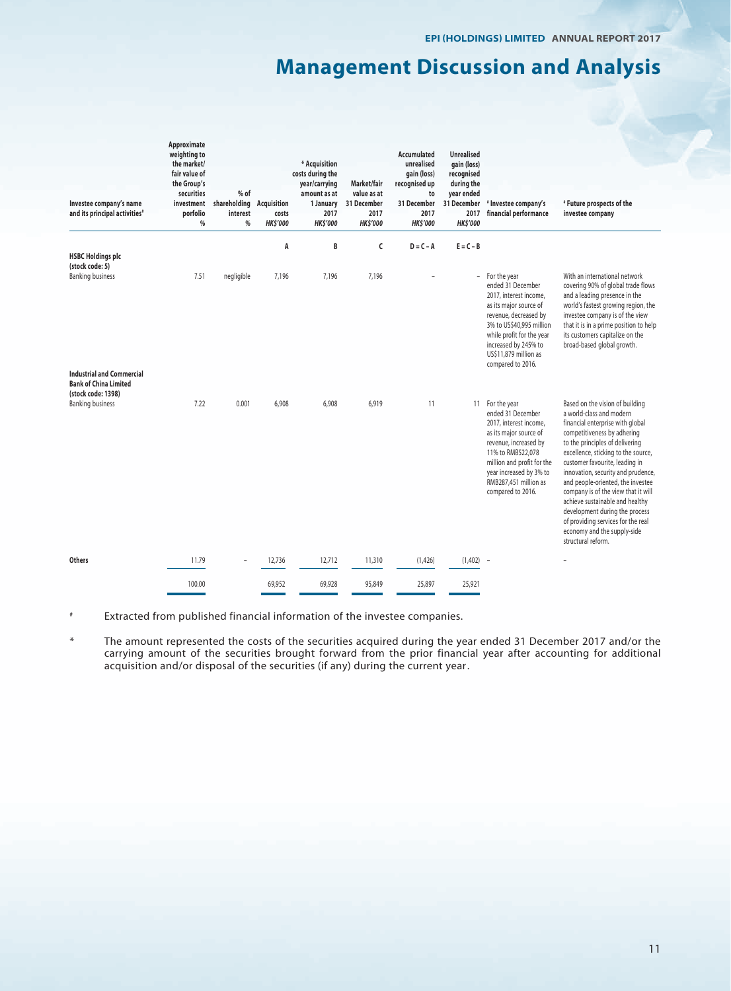|                                                             | Approximate<br>weighting to<br>the market/<br>fair value of<br>the Group's<br>securities | $%$ of                        |                                                | * Acquisition<br>costs during the<br>year/carrying<br>amount as at | Market/fair<br>value as at             | Accumulated<br>unrealised<br>gain (loss)<br>recognised up<br>to | <b>Unrealised</b><br>gain (loss)<br>recognised<br>during the<br>year ended |                                                                                                                                                                                                                                               |                                                                                                                                                                                                                                                                                                                                                                                                                                                                                                                              |
|-------------------------------------------------------------|------------------------------------------------------------------------------------------|-------------------------------|------------------------------------------------|--------------------------------------------------------------------|----------------------------------------|-----------------------------------------------------------------|----------------------------------------------------------------------------|-----------------------------------------------------------------------------------------------------------------------------------------------------------------------------------------------------------------------------------------------|------------------------------------------------------------------------------------------------------------------------------------------------------------------------------------------------------------------------------------------------------------------------------------------------------------------------------------------------------------------------------------------------------------------------------------------------------------------------------------------------------------------------------|
| Investee company's name<br>and its principal activities*    | investment<br>porfolio<br>$\%$                                                           | shareholding<br>interest<br>% | <b>Acquisition</b><br>costs<br><b>HK\$'000</b> | 1 January<br>2017<br><b>HK\$'000</b>                               | 31 December<br>2017<br><b>HK\$'000</b> | 31 December<br>2017<br><b>HK\$'000</b>                          | 31 December<br>2017<br><b>HK\$'000</b>                                     | # Investee company's<br>financial performance                                                                                                                                                                                                 | * Future prospects of the<br>investee company                                                                                                                                                                                                                                                                                                                                                                                                                                                                                |
| <b>HSBC Holdings plc</b><br>(stock code: 5)                 |                                                                                          |                               | A                                              | B                                                                  | C                                      | $D = C - A$                                                     | $E = C - B$                                                                |                                                                                                                                                                                                                                               |                                                                                                                                                                                                                                                                                                                                                                                                                                                                                                                              |
| <b>Banking business</b><br><b>Industrial and Commercial</b> | 7.51                                                                                     | negligible                    | 7,196                                          | 7,196                                                              | 7,196                                  |                                                                 | $\sim$                                                                     | For the year<br>ended 31 December<br>2017, interest income,<br>as its major source of<br>revenue, decreased by<br>3% to US\$40,995 million<br>while profit for the year<br>increased by 245% to<br>US\$11.879 million as<br>compared to 2016. | With an international network<br>covering 90% of global trade flows<br>and a leading presence in the<br>world's fastest growing region, the<br>investee company is of the view<br>that it is in a prime position to help<br>its customers capitalize on the<br>broad-based global growth.                                                                                                                                                                                                                                    |
| <b>Bank of China Limited</b><br>(stock code: 1398)          |                                                                                          |                               |                                                |                                                                    |                                        |                                                                 |                                                                            |                                                                                                                                                                                                                                               |                                                                                                                                                                                                                                                                                                                                                                                                                                                                                                                              |
| <b>Banking business</b>                                     | 7.22                                                                                     | 0.001                         | 6,908                                          | 6,908                                                              | 6,919                                  | 11                                                              |                                                                            | 11 For the year<br>ended 31 December<br>2017, interest income,<br>as its major source of<br>revenue, increased by<br>11% to RMB522.078<br>million and profit for the<br>year increased by 3% to<br>RMB287.451 million as<br>compared to 2016. | Based on the vision of building<br>a world-class and modern<br>financial enterprise with global<br>competitiveness by adhering<br>to the principles of delivering<br>excellence, sticking to the source,<br>customer favourite, leading in<br>innovation, security and prudence,<br>and people-oriented, the investee<br>company is of the view that it will<br>achieve sustainable and healthy<br>development during the process<br>of providing services for the real<br>economy and the supply-side<br>structural reform. |
| <b>Others</b>                                               | 11.79                                                                                    |                               | 12,736                                         | 12,712                                                             | 11,310                                 | (1,426)                                                         | $(1,402)$ -                                                                |                                                                                                                                                                                                                                               |                                                                                                                                                                                                                                                                                                                                                                                                                                                                                                                              |
|                                                             | 100.00                                                                                   |                               | 69,952                                         | 69,928                                                             | 95,849                                 | 25,897                                                          | 25,921                                                                     |                                                                                                                                                                                                                                               |                                                                                                                                                                                                                                                                                                                                                                                                                                                                                                                              |

Extracted from published financial information of the investee companies.

\* The amount represented the costs of the securities acquired during the year ended 31 December 2017 and/or the carrying amount of the securities brought forward from the prior financial year after accounting for additional acquisition and/or disposal of the securities (if any) during the current year.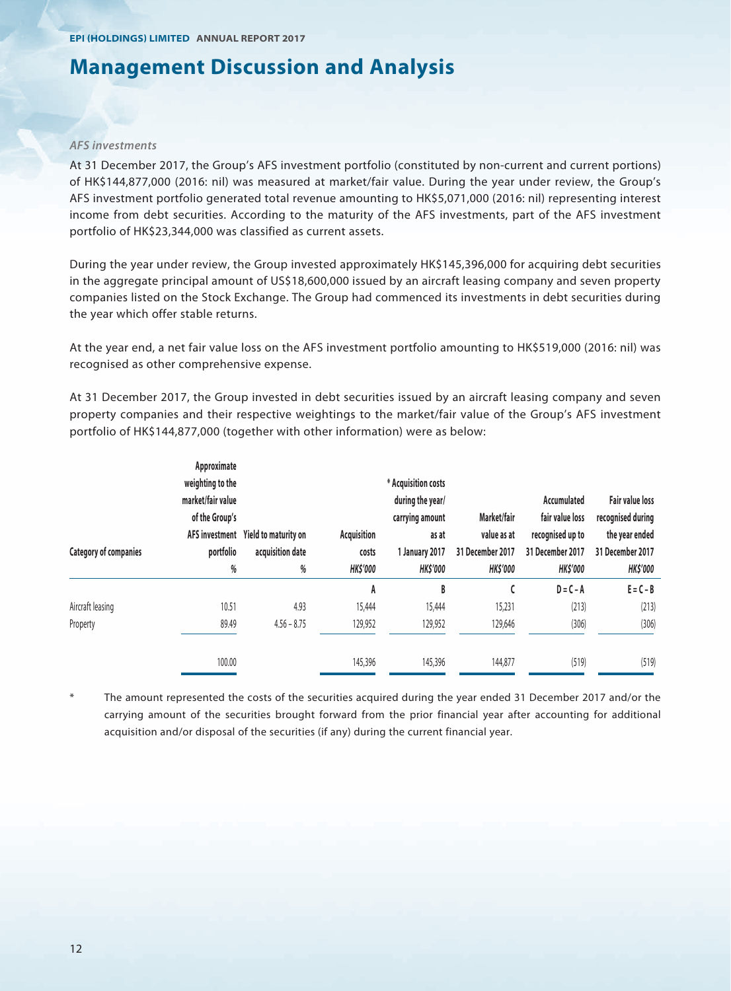#### *AFS investments*

At 31 December 2017, the Group's AFS investment portfolio (constituted by non-current and current portions) of HK\$144,877,000 (2016: nil) was measured at market/fair value. During the year under review, the Group's AFS investment portfolio generated total revenue amounting to HK\$5,071,000 (2016: nil) representing interest income from debt securities. According to the maturity of the AFS investments, part of the AFS investment portfolio of HK\$23,344,000 was classified as current assets.

During the year under review, the Group invested approximately HK\$145,396,000 for acquiring debt securities in the aggregate principal amount of US\$18,600,000 issued by an aircraft leasing company and seven property companies listed on the Stock Exchange. The Group had commenced its investments in debt securities during the year which offer stable returns.

At the year end, a net fair value loss on the AFS investment portfolio amounting to HK\$519,000 (2016: nil) was recognised as other comprehensive expense.

At 31 December 2017, the Group invested in debt securities issued by an aircraft leasing company and seven property companies and their respective weightings to the market/fair value of the Group's AFS investment portfolio of HK\$144,877,000 (together with other information) were as below:

| <b>Category of companies</b> | Approximate<br>weighting to the<br>market/fair value<br>of the Group's<br>portfolio<br>% | AFS investment Yield to maturity on<br>acquisition date<br>% | Acquisition<br>costs<br><b>HK\$'000</b> | * Acquisition costs<br>during the year/<br>carrying amount<br>as at<br>1 January 2017<br><b>HK\$'000</b> | Market/fair<br>value as at<br>31 December 2017<br><b>HK\$'000</b> | Accumulated<br>fair value loss<br>recognised up to<br>31 December 2017<br><b>HK\$'000</b> | <b>Fair value loss</b><br>recognised during<br>the year ended<br>31 December 2017<br><b>HK\$'000</b> |
|------------------------------|------------------------------------------------------------------------------------------|--------------------------------------------------------------|-----------------------------------------|----------------------------------------------------------------------------------------------------------|-------------------------------------------------------------------|-------------------------------------------------------------------------------------------|------------------------------------------------------------------------------------------------------|
|                              |                                                                                          |                                                              | A                                       | B                                                                                                        |                                                                   | $D = C - A$                                                                               | $E = C - B$                                                                                          |
| Aircraft leasing             | 10.51                                                                                    | 4.93                                                         | 15,444                                  | 15,444                                                                                                   | 15,231                                                            | (213)                                                                                     | (213)                                                                                                |
| Property                     | 89.49                                                                                    | $4.56 - 8.75$                                                | 129,952                                 | 129,952                                                                                                  | 129,646                                                           | (306)                                                                                     | (306)                                                                                                |
|                              | 100.00                                                                                   |                                                              | 145,396                                 | 145,396                                                                                                  | 144,877                                                           | (519)                                                                                     | (519)                                                                                                |

The amount represented the costs of the securities acquired during the year ended 31 December 2017 and/or the carrying amount of the securities brought forward from the prior financial year after accounting for additional acquisition and/or disposal of the securities (if any) during the current financial year.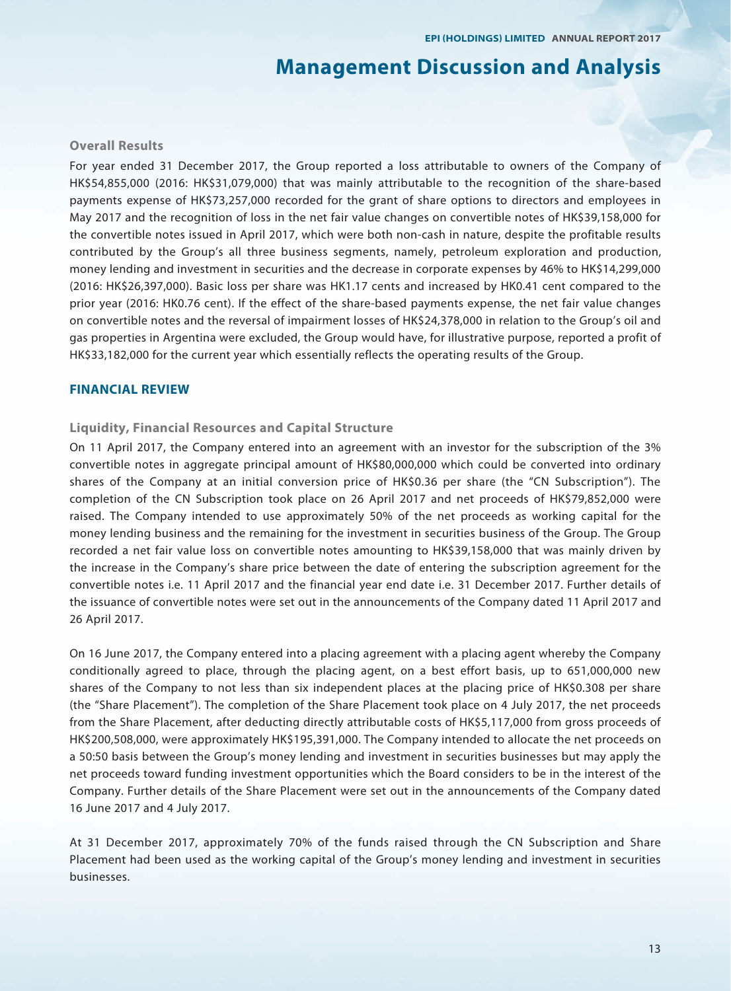#### **Overall Results**

For year ended 31 December 2017, the Group reported a loss attributable to owners of the Company of HK\$54,855,000 (2016: HK\$31,079,000) that was mainly attributable to the recognition of the share-based payments expense of HK\$73,257,000 recorded for the grant of share options to directors and employees in May 2017 and the recognition of loss in the net fair value changes on convertible notes of HK\$39,158,000 for the convertible notes issued in April 2017, which were both non-cash in nature, despite the profitable results contributed by the Group's all three business segments, namely, petroleum exploration and production, money lending and investment in securities and the decrease in corporate expenses by 46% to HK\$14,299,000 (2016: HK\$26,397,000). Basic loss per share was HK1.17 cents and increased by HK0.41 cent compared to the prior year (2016: HK0.76 cent). If the effect of the share-based payments expense, the net fair value changes on convertible notes and the reversal of impairment losses of HK\$24,378,000 in relation to the Group's oil and gas properties in Argentina were excluded, the Group would have, for illustrative purpose, reported a profit of HK\$33,182,000 for the current year which essentially reflects the operating results of the Group.

## **FINANCIAL REVIEW**

#### **Liquidity, Financial Resources and Capital Structure**

On 11 April 2017, the Company entered into an agreement with an investor for the subscription of the 3% convertible notes in aggregate principal amount of HK\$80,000,000 which could be converted into ordinary shares of the Company at an initial conversion price of HK\$0.36 per share (the "CN Subscription"). The completion of the CN Subscription took place on 26 April 2017 and net proceeds of HK\$79,852,000 were raised. The Company intended to use approximately 50% of the net proceeds as working capital for the money lending business and the remaining for the investment in securities business of the Group. The Group recorded a net fair value loss on convertible notes amounting to HK\$39,158,000 that was mainly driven by the increase in the Company's share price between the date of entering the subscription agreement for the convertible notes i.e. 11 April 2017 and the financial year end date i.e. 31 December 2017. Further details of the issuance of convertible notes were set out in the announcements of the Company dated 11 April 2017 and 26 April 2017.

On 16 June 2017, the Company entered into a placing agreement with a placing agent whereby the Company conditionally agreed to place, through the placing agent, on a best effort basis, up to 651,000,000 new shares of the Company to not less than six independent places at the placing price of HK\$0.308 per share (the "Share Placement"). The completion of the Share Placement took place on 4 July 2017, the net proceeds from the Share Placement, after deducting directly attributable costs of HK\$5,117,000 from gross proceeds of HK\$200,508,000, were approximately HK\$195,391,000. The Company intended to allocate the net proceeds on a 50:50 basis between the Group's money lending and investment in securities businesses but may apply the net proceeds toward funding investment opportunities which the Board considers to be in the interest of the Company. Further details of the Share Placement were set out in the announcements of the Company dated 16 June 2017 and 4 July 2017.

At 31 December 2017, approximately 70% of the funds raised through the CN Subscription and Share Placement had been used as the working capital of the Group's money lending and investment in securities businesses.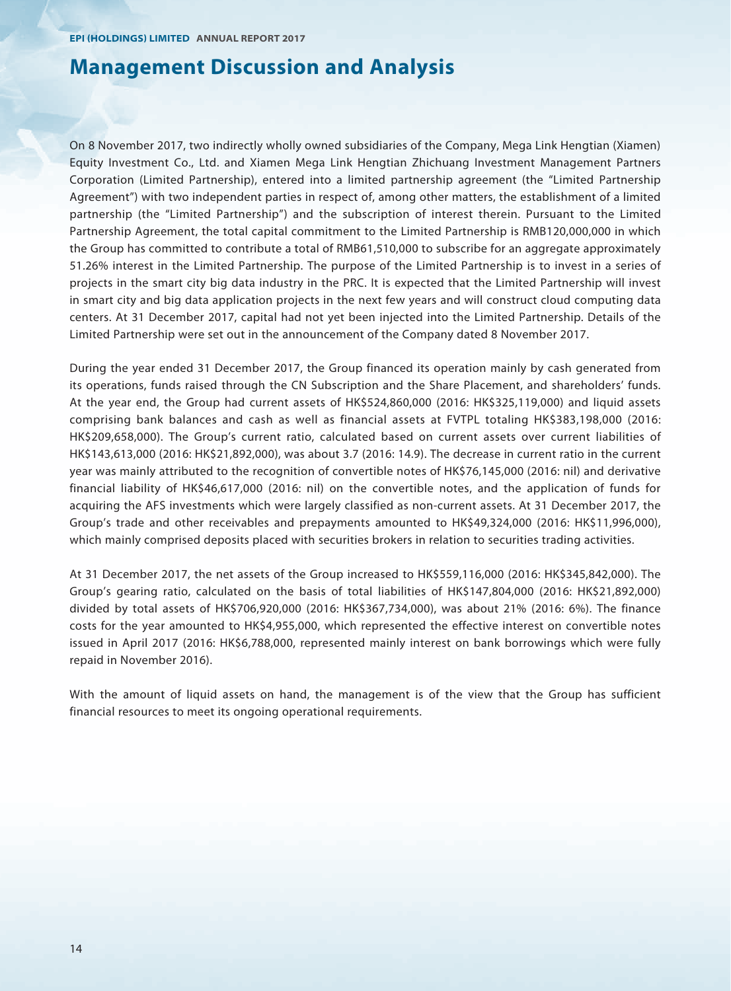On 8 November 2017, two indirectly wholly owned subsidiaries of the Company, Mega Link Hengtian (Xiamen) Equity Investment Co., Ltd. and Xiamen Mega Link Hengtian Zhichuang Investment Management Partners Corporation (Limited Partnership), entered into a limited partnership agreement (the "Limited Partnership Agreement") with two independent parties in respect of, among other matters, the establishment of a limited partnership (the "Limited Partnership") and the subscription of interest therein. Pursuant to the Limited Partnership Agreement, the total capital commitment to the Limited Partnership is RMB120,000,000 in which the Group has committed to contribute a total of RMB61,510,000 to subscribe for an aggregate approximately 51.26% interest in the Limited Partnership. The purpose of the Limited Partnership is to invest in a series of projects in the smart city big data industry in the PRC. It is expected that the Limited Partnership will invest in smart city and big data application projects in the next few years and will construct cloud computing data centers. At 31 December 2017, capital had not yet been injected into the Limited Partnership. Details of the Limited Partnership were set out in the announcement of the Company dated 8 November 2017.

During the year ended 31 December 2017, the Group financed its operation mainly by cash generated from its operations, funds raised through the CN Subscription and the Share Placement, and shareholders' funds. At the year end, the Group had current assets of HK\$524,860,000 (2016: HK\$325,119,000) and liquid assets comprising bank balances and cash as well as financial assets at FVTPL totaling HK\$383,198,000 (2016: HK\$209,658,000). The Group's current ratio, calculated based on current assets over current liabilities of HK\$143,613,000 (2016: HK\$21,892,000), was about 3.7 (2016: 14.9). The decrease in current ratio in the current year was mainly attributed to the recognition of convertible notes of HK\$76,145,000 (2016: nil) and derivative financial liability of HK\$46,617,000 (2016: nil) on the convertible notes, and the application of funds for acquiring the AFS investments which were largely classified as non-current assets. At 31 December 2017, the Group's trade and other receivables and prepayments amounted to HK\$49,324,000 (2016: HK\$11,996,000), which mainly comprised deposits placed with securities brokers in relation to securities trading activities.

At 31 December 2017, the net assets of the Group increased to HK\$559,116,000 (2016: HK\$345,842,000). The Group's gearing ratio, calculated on the basis of total liabilities of HK\$147,804,000 (2016: HK\$21,892,000) divided by total assets of HK\$706,920,000 (2016: HK\$367,734,000), was about 21% (2016: 6%). The finance costs for the year amounted to HK\$4,955,000, which represented the effective interest on convertible notes issued in April 2017 (2016: HK\$6,788,000, represented mainly interest on bank borrowings which were fully repaid in November 2016).

With the amount of liquid assets on hand, the management is of the view that the Group has sufficient financial resources to meet its ongoing operational requirements.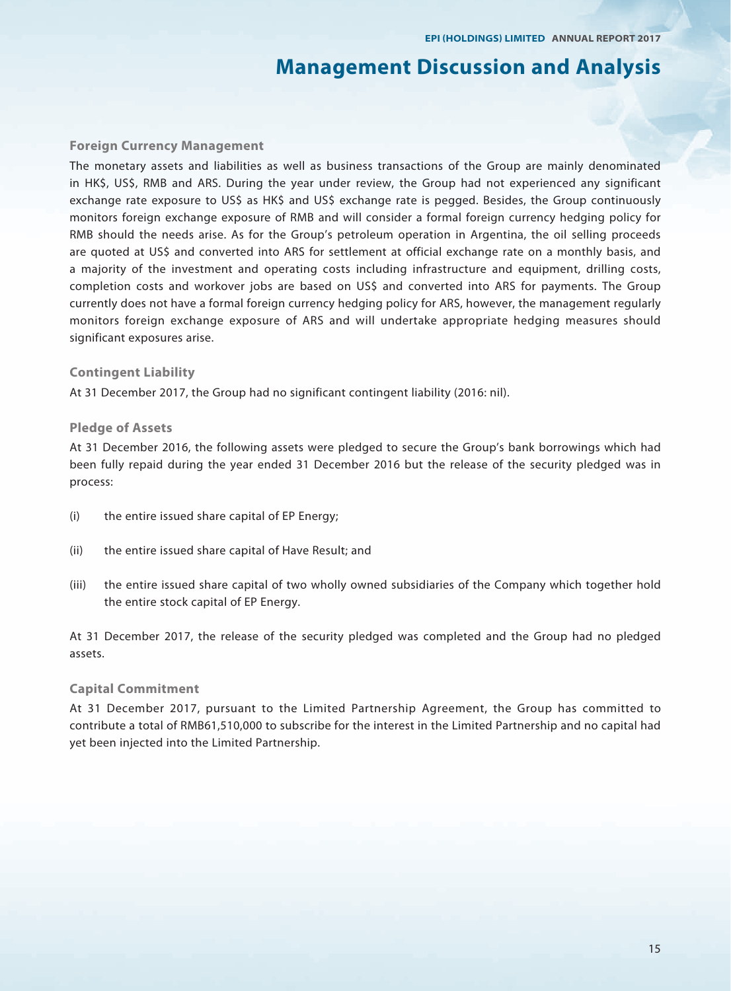#### **Foreign Currency Management**

The monetary assets and liabilities as well as business transactions of the Group are mainly denominated in HK\$, US\$, RMB and ARS. During the year under review, the Group had not experienced any significant exchange rate exposure to US\$ as HK\$ and US\$ exchange rate is pegged. Besides, the Group continuously monitors foreign exchange exposure of RMB and will consider a formal foreign currency hedging policy for RMB should the needs arise. As for the Group's petroleum operation in Argentina, the oil selling proceeds are quoted at US\$ and converted into ARS for settlement at official exchange rate on a monthly basis, and a majority of the investment and operating costs including infrastructure and equipment, drilling costs, completion costs and workover jobs are based on US\$ and converted into ARS for payments. The Group currently does not have a formal foreign currency hedging policy for ARS, however, the management regularly monitors foreign exchange exposure of ARS and will undertake appropriate hedging measures should significant exposures arise.

#### **Contingent Liability**

At 31 December 2017, the Group had no significant contingent liability (2016: nil).

#### **Pledge of Assets**

At 31 December 2016, the following assets were pledged to secure the Group's bank borrowings which had been fully repaid during the year ended 31 December 2016 but the release of the security pledged was in process:

- (i) the entire issued share capital of EP Energy;
- (ii) the entire issued share capital of Have Result; and
- (iii) the entire issued share capital of two wholly owned subsidiaries of the Company which together hold the entire stock capital of EP Energy.

At 31 December 2017, the release of the security pledged was completed and the Group had no pledged assets.

#### **Capital Commitment**

At 31 December 2017, pursuant to the Limited Partnership Agreement, the Group has committed to contribute a total of RMB61,510,000 to subscribe for the interest in the Limited Partnership and no capital had yet been injected into the Limited Partnership.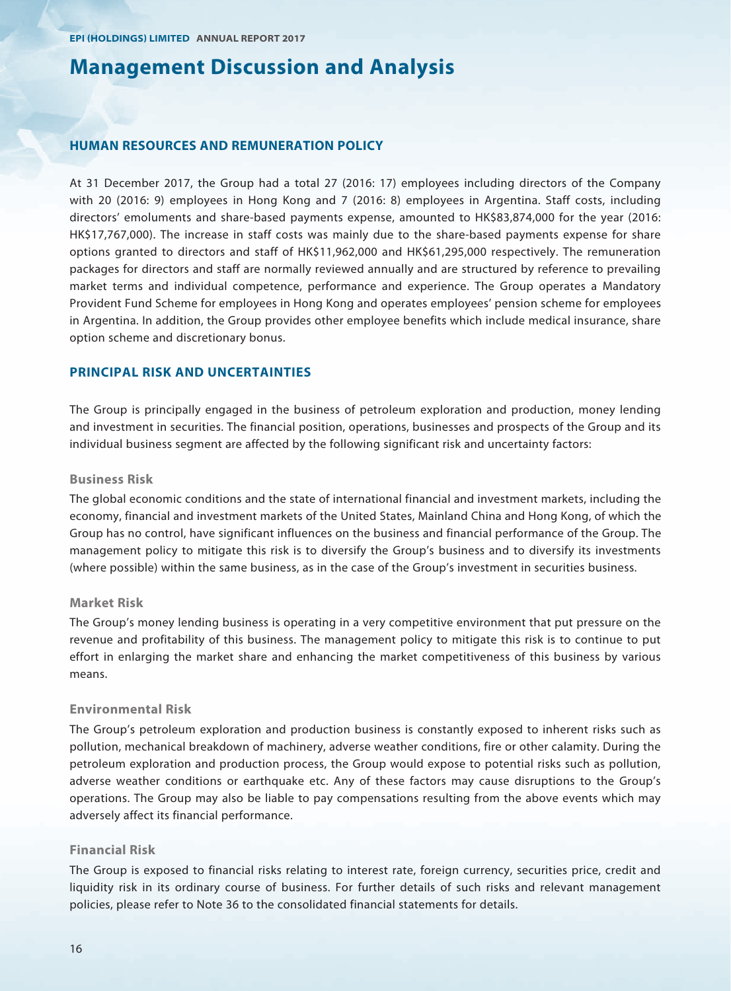## **HUMAN RESOURCES AND REMUNERATION POLICY**

At 31 December 2017, the Group had a total 27 (2016: 17) employees including directors of the Company with 20 (2016: 9) employees in Hong Kong and 7 (2016: 8) employees in Argentina. Staff costs, including directors' emoluments and share-based payments expense, amounted to HK\$83,874,000 for the year (2016: HK\$17,767,000). The increase in staff costs was mainly due to the share-based payments expense for share options granted to directors and staff of HK\$11,962,000 and HK\$61,295,000 respectively. The remuneration packages for directors and staff are normally reviewed annually and are structured by reference to prevailing market terms and individual competence, performance and experience. The Group operates a Mandatory Provident Fund Scheme for employees in Hong Kong and operates employees' pension scheme for employees in Argentina. In addition, the Group provides other employee benefits which include medical insurance, share option scheme and discretionary bonus.

## **PRINCIPAL RISK AND UNCERTAINTIES**

The Group is principally engaged in the business of petroleum exploration and production, money lending and investment in securities. The financial position, operations, businesses and prospects of the Group and its individual business segment are affected by the following significant risk and uncertainty factors:

#### **Business Risk**

The global economic conditions and the state of international financial and investment markets, including the economy, financial and investment markets of the United States, Mainland China and Hong Kong, of which the Group has no control, have significant influences on the business and financial performance of the Group. The management policy to mitigate this risk is to diversify the Group's business and to diversify its investments (where possible) within the same business, as in the case of the Group's investment in securities business.

#### **Market Risk**

The Group's money lending business is operating in a very competitive environment that put pressure on the revenue and profitability of this business. The management policy to mitigate this risk is to continue to put effort in enlarging the market share and enhancing the market competitiveness of this business by various means.

#### **Environmental Risk**

The Group's petroleum exploration and production business is constantly exposed to inherent risks such as pollution, mechanical breakdown of machinery, adverse weather conditions, fire or other calamity. During the petroleum exploration and production process, the Group would expose to potential risks such as pollution, adverse weather conditions or earthquake etc. Any of these factors may cause disruptions to the Group's operations. The Group may also be liable to pay compensations resulting from the above events which may adversely affect its financial performance.

## **Financial Risk**

The Group is exposed to financial risks relating to interest rate, foreign currency, securities price, credit and liquidity risk in its ordinary course of business. For further details of such risks and relevant management policies, please refer to Note 36 to the consolidated financial statements for details.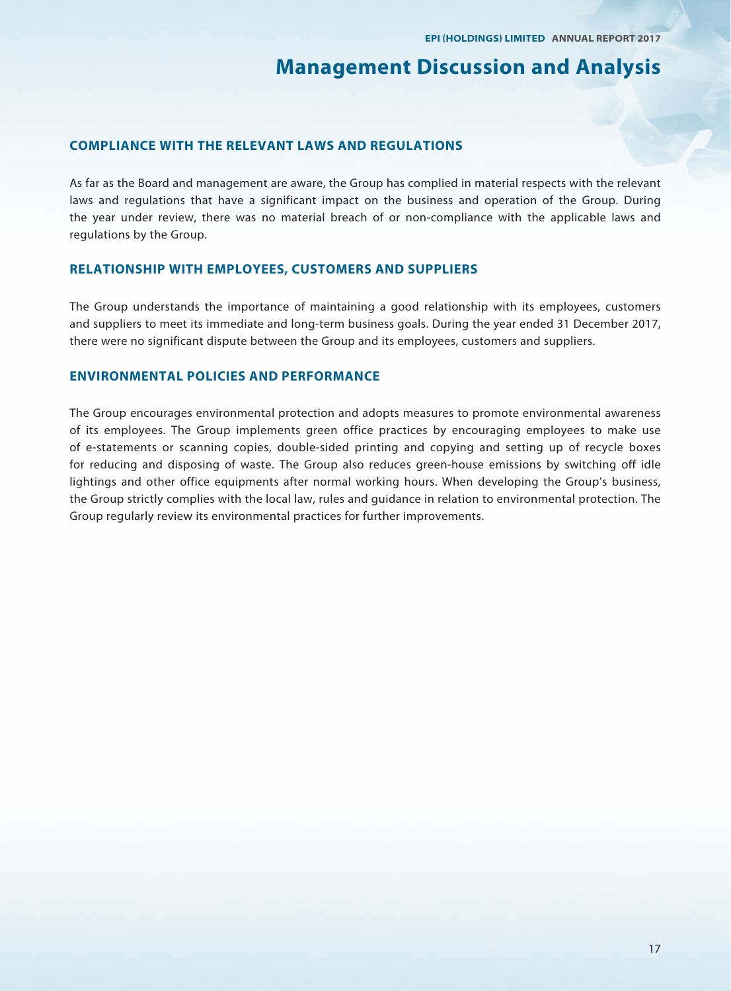## **COMPLIANCE WITH THE RELEVANT LAWS AND REGULATIONS**

As far as the Board and management are aware, the Group has complied in material respects with the relevant laws and regulations that have a significant impact on the business and operation of the Group. During the year under review, there was no material breach of or non-compliance with the applicable laws and regulations by the Group.

### **RELATIONSHIP WITH EMPLOYEES, CUSTOMERS AND SUPPLIERS**

The Group understands the importance of maintaining a good relationship with its employees, customers and suppliers to meet its immediate and long-term business goals. During the year ended 31 December 2017, there were no significant dispute between the Group and its employees, customers and suppliers.

## **ENVIRONMENTAL POLICIES AND PERFORMANCE**

The Group encourages environmental protection and adopts measures to promote environmental awareness of its employees. The Group implements green office practices by encouraging employees to make use of e-statements or scanning copies, double-sided printing and copying and setting up of recycle boxes for reducing and disposing of waste. The Group also reduces green-house emissions by switching off idle lightings and other office equipments after normal working hours. When developing the Group's business, the Group strictly complies with the local law, rules and guidance in relation to environmental protection. The Group regularly review its environmental practices for further improvements.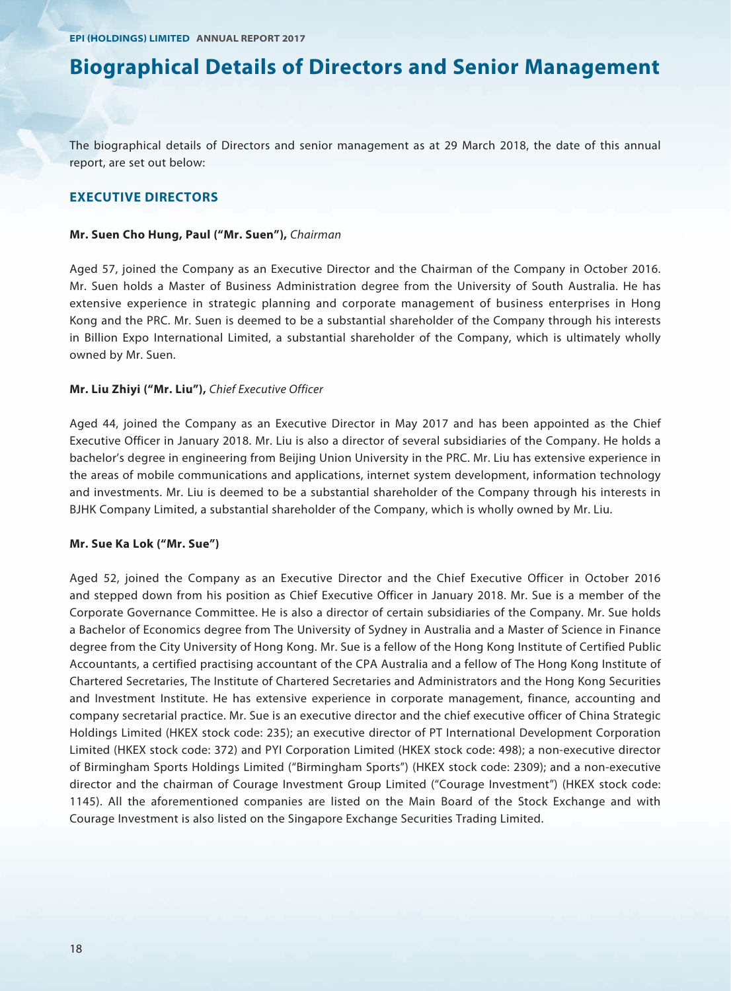## **Biographical Details of Directors and Senior Management**

The biographical details of Directors and senior management as at 29 March 2018, the date of this annual report, are set out below:

## **EXECUTIVE DIRECTORS**

#### **Mr. Suen Cho Hung, Paul ("Mr. Suen"),** *Chairman*

Aged 57, joined the Company as an Executive Director and the Chairman of the Company in October 2016. Mr. Suen holds a Master of Business Administration degree from the University of South Australia. He has extensive experience in strategic planning and corporate management of business enterprises in Hong Kong and the PRC. Mr. Suen is deemed to be a substantial shareholder of the Company through his interests in Billion Expo International Limited, a substantial shareholder of the Company, which is ultimately wholly owned by Mr. Suen.

#### **Mr. Liu Zhiyi ("Mr. Liu"),** *Chief Executive Officer*

Aged 44, joined the Company as an Executive Director in May 2017 and has been appointed as the Chief Executive Officer in January 2018. Mr. Liu is also a director of several subsidiaries of the Company. He holds a bachelor's degree in engineering from Beijing Union University in the PRC. Mr. Liu has extensive experience in the areas of mobile communications and applications, internet system development, information technology and investments. Mr. Liu is deemed to be a substantial shareholder of the Company through his interests in BJHK Company Limited, a substantial shareholder of the Company, which is wholly owned by Mr. Liu.

## **Mr. Sue Ka Lok ("Mr. Sue")**

Aged 52, joined the Company as an Executive Director and the Chief Executive Officer in October 2016 and stepped down from his position as Chief Executive Officer in January 2018. Mr. Sue is a member of the Corporate Governance Committee. He is also a director of certain subsidiaries of the Company. Mr. Sue holds a Bachelor of Economics degree from The University of Sydney in Australia and a Master of Science in Finance degree from the City University of Hong Kong. Mr. Sue is a fellow of the Hong Kong Institute of Certified Public Accountants, a certified practising accountant of the CPA Australia and a fellow of The Hong Kong Institute of Chartered Secretaries, The Institute of Chartered Secretaries and Administrators and the Hong Kong Securities and Investment Institute. He has extensive experience in corporate management, finance, accounting and company secretarial practice. Mr. Sue is an executive director and the chief executive officer of China Strategic Holdings Limited (HKEX stock code: 235); an executive director of PT International Development Corporation Limited (HKEX stock code: 372) and PYI Corporation Limited (HKEX stock code: 498); a non-executive director of Birmingham Sports Holdings Limited ("Birmingham Sports") (HKEX stock code: 2309); and a non-executive director and the chairman of Courage Investment Group Limited ("Courage Investment") (HKEX stock code: 1145). All the aforementioned companies are listed on the Main Board of the Stock Exchange and with Courage Investment is also listed on the Singapore Exchange Securities Trading Limited.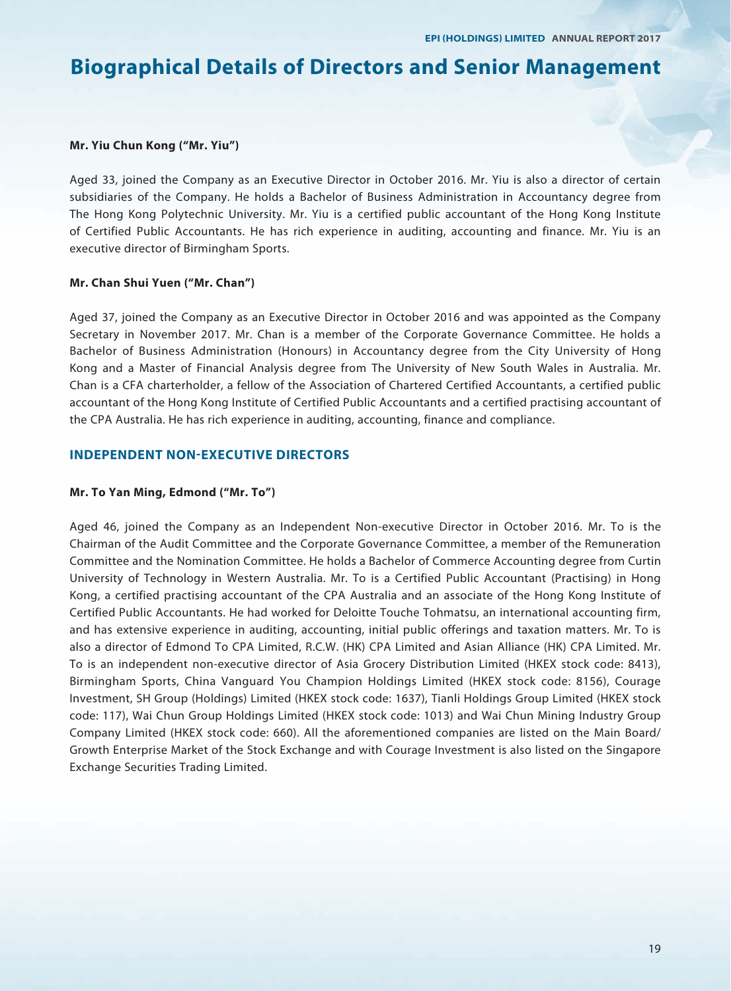# **Biographical Details of Directors and Senior Management**

#### **Mr. Yiu Chun Kong ("Mr. Yiu")**

Aged 33, joined the Company as an Executive Director in October 2016. Mr. Yiu is also a director of certain subsidiaries of the Company. He holds a Bachelor of Business Administration in Accountancy degree from The Hong Kong Polytechnic University. Mr. Yiu is a certified public accountant of the Hong Kong Institute of Certified Public Accountants. He has rich experience in auditing, accounting and finance. Mr. Yiu is an executive director of Birmingham Sports.

#### **Mr. Chan Shui Yuen ("Mr. Chan")**

Aged 37, joined the Company as an Executive Director in October 2016 and was appointed as the Company Secretary in November 2017. Mr. Chan is a member of the Corporate Governance Committee. He holds a Bachelor of Business Administration (Honours) in Accountancy degree from the City University of Hong Kong and a Master of Financial Analysis degree from The University of New South Wales in Australia. Mr. Chan is a CFA charterholder, a fellow of the Association of Chartered Certified Accountants, a certified public accountant of the Hong Kong Institute of Certified Public Accountants and a certified practising accountant of the CPA Australia. He has rich experience in auditing, accounting, finance and compliance.

## **INDEPENDENT NON-EXECUTIVE DIRECTORS**

#### **Mr. To Yan Ming, Edmond ("Mr. To")**

Aged 46, joined the Company as an Independent Non-executive Director in October 2016. Mr. To is the Chairman of the Audit Committee and the Corporate Governance Committee, a member of the Remuneration Committee and the Nomination Committee. He holds a Bachelor of Commerce Accounting degree from Curtin University of Technology in Western Australia. Mr. To is a Certified Public Accountant (Practising) in Hong Kong, a certified practising accountant of the CPA Australia and an associate of the Hong Kong Institute of Certified Public Accountants. He had worked for Deloitte Touche Tohmatsu, an international accounting firm, and has extensive experience in auditing, accounting, initial public offerings and taxation matters. Mr. To is also a director of Edmond To CPA Limited, R.C.W. (HK) CPA Limited and Asian Alliance (HK) CPA Limited. Mr. To is an independent non-executive director of Asia Grocery Distribution Limited (HKEX stock code: 8413), Birmingham Sports, China Vanguard You Champion Holdings Limited (HKEX stock code: 8156), Courage Investment, SH Group (Holdings) Limited (HKEX stock code: 1637), Tianli Holdings Group Limited (HKEX stock code: 117), Wai Chun Group Holdings Limited (HKEX stock code: 1013) and Wai Chun Mining Industry Group Company Limited (HKEX stock code: 660). All the aforementioned companies are listed on the Main Board/ Growth Enterprise Market of the Stock Exchange and with Courage Investment is also listed on the Singapore Exchange Securities Trading Limited.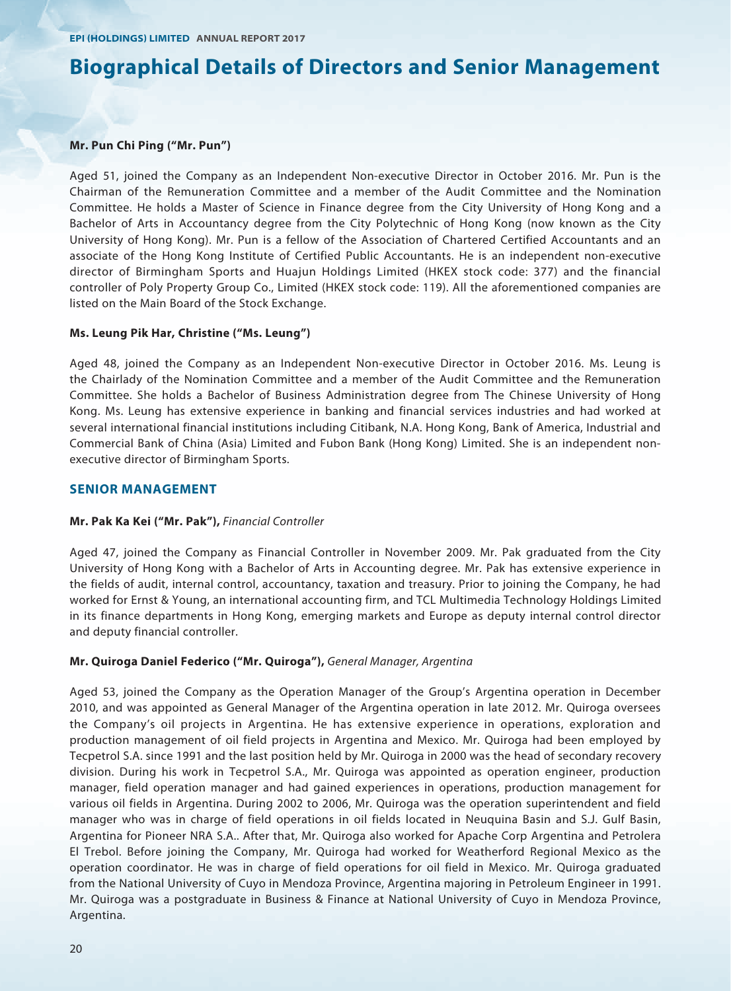# **Biographical Details of Directors and Senior Management**

#### **Mr. Pun Chi Ping ("Mr. Pun")**

Aged 51, joined the Company as an Independent Non-executive Director in October 2016. Mr. Pun is the Chairman of the Remuneration Committee and a member of the Audit Committee and the Nomination Committee. He holds a Master of Science in Finance degree from the City University of Hong Kong and a Bachelor of Arts in Accountancy degree from the City Polytechnic of Hong Kong (now known as the City University of Hong Kong). Mr. Pun is a fellow of the Association of Chartered Certified Accountants and an associate of the Hong Kong Institute of Certified Public Accountants. He is an independent non-executive director of Birmingham Sports and Huajun Holdings Limited (HKEX stock code: 377) and the financial controller of Poly Property Group Co., Limited (HKEX stock code: 119). All the aforementioned companies are listed on the Main Board of the Stock Exchange.

#### **Ms. Leung Pik Har, Christine ("Ms. Leung")**

Aged 48, joined the Company as an Independent Non-executive Director in October 2016. Ms. Leung is the Chairlady of the Nomination Committee and a member of the Audit Committee and the Remuneration Committee. She holds a Bachelor of Business Administration degree from The Chinese University of Hong Kong. Ms. Leung has extensive experience in banking and financial services industries and had worked at several international financial institutions including Citibank, N.A. Hong Kong, Bank of America, Industrial and Commercial Bank of China (Asia) Limited and Fubon Bank (Hong Kong) Limited. She is an independent nonexecutive director of Birmingham Sports.

#### **SENIOR MANAGEMENT**

#### **Mr. Pak Ka Kei ("Mr. Pak"),** *Financial Controller*

Aged 47, joined the Company as Financial Controller in November 2009. Mr. Pak graduated from the City University of Hong Kong with a Bachelor of Arts in Accounting degree. Mr. Pak has extensive experience in the fields of audit, internal control, accountancy, taxation and treasury. Prior to joining the Company, he had worked for Ernst & Young, an international accounting firm, and TCL Multimedia Technology Holdings Limited in its finance departments in Hong Kong, emerging markets and Europe as deputy internal control director and deputy financial controller.

#### **Mr. Quiroga Daniel Federico ("Mr. Quiroga"),** *General Manager, Argentina*

Aged 53, joined the Company as the Operation Manager of the Group's Argentina operation in December 2010, and was appointed as General Manager of the Argentina operation in late 2012. Mr. Quiroga oversees the Company's oil projects in Argentina. He has extensive experience in operations, exploration and production management of oil field projects in Argentina and Mexico. Mr. Quiroga had been employed by Tecpetrol S.A. since 1991 and the last position held by Mr. Quiroga in 2000 was the head of secondary recovery division. During his work in Tecpetrol S.A., Mr. Quiroga was appointed as operation engineer, production manager, field operation manager and had gained experiences in operations, production management for various oil fields in Argentina. During 2002 to 2006, Mr. Quiroga was the operation superintendent and field manager who was in charge of field operations in oil fields located in Neuquina Basin and S.J. Gulf Basin, Argentina for Pioneer NRA S.A.. After that, Mr. Quiroga also worked for Apache Corp Argentina and Petrolera El Trebol. Before joining the Company, Mr. Quiroga had worked for Weatherford Regional Mexico as the operation coordinator. He was in charge of field operations for oil field in Mexico. Mr. Quiroga graduated from the National University of Cuyo in Mendoza Province, Argentina majoring in Petroleum Engineer in 1991. Mr. Quiroga was a postgraduate in Business & Finance at National University of Cuyo in Mendoza Province, Argentina.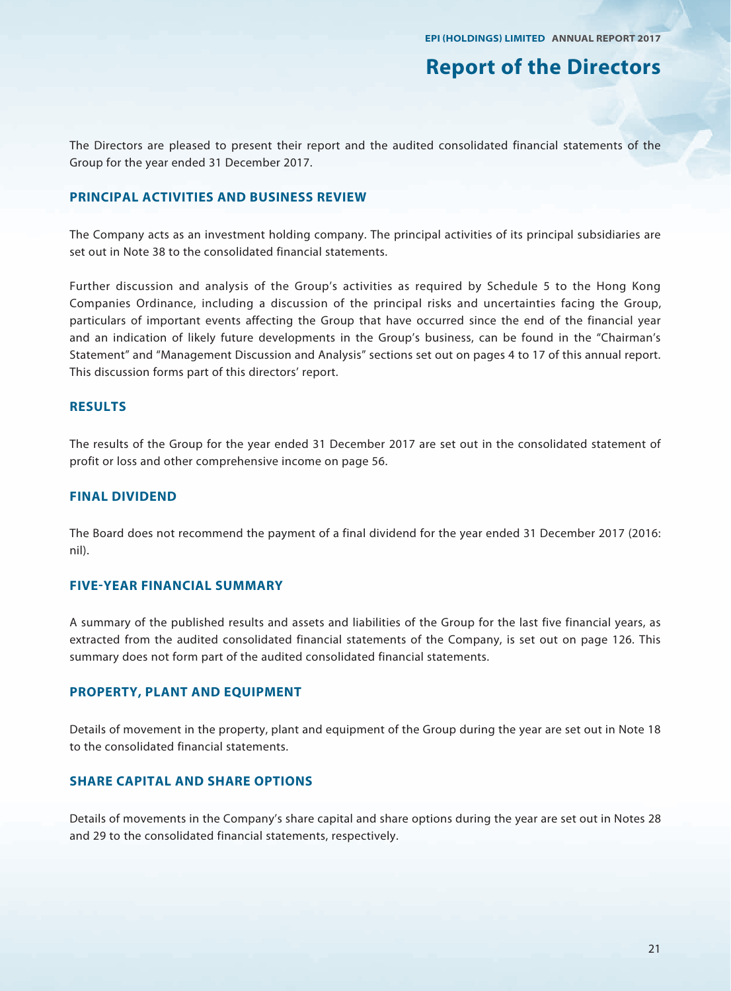The Directors are pleased to present their report and the audited consolidated financial statements of the Group for the year ended 31 December 2017.

## **PRINCIPAL ACTIVITIES AND BUSINESS REVIEW**

The Company acts as an investment holding company. The principal activities of its principal subsidiaries are set out in Note 38 to the consolidated financial statements.

Further discussion and analysis of the Group's activities as required by Schedule 5 to the Hong Kong Companies Ordinance, including a discussion of the principal risks and uncertainties facing the Group, particulars of important events affecting the Group that have occurred since the end of the financial year and an indication of likely future developments in the Group's business, can be found in the "Chairman's Statement" and "Management Discussion and Analysis" sections set out on pages 4 to 17 of this annual report. This discussion forms part of this directors' report.

### **RESULTS**

The results of the Group for the year ended 31 December 2017 are set out in the consolidated statement of profit or loss and other comprehensive income on page 56.

## **FINAL DIVIDEND**

The Board does not recommend the payment of a final dividend for the year ended 31 December 2017 (2016: nil).

### **FIVE-YEAR FINANCIAL SUMMARY**

A summary of the published results and assets and liabilities of the Group for the last five financial years, as extracted from the audited consolidated financial statements of the Company, is set out on page 126. This summary does not form part of the audited consolidated financial statements.

#### **PROPERTY, PLANT AND EQUIPMENT**

Details of movement in the property, plant and equipment of the Group during the year are set out in Note 18 to the consolidated financial statements.

## **SHARE CAPITAL AND SHARE OPTIONS**

Details of movements in the Company's share capital and share options during the year are set out in Notes 28 and 29 to the consolidated financial statements, respectively.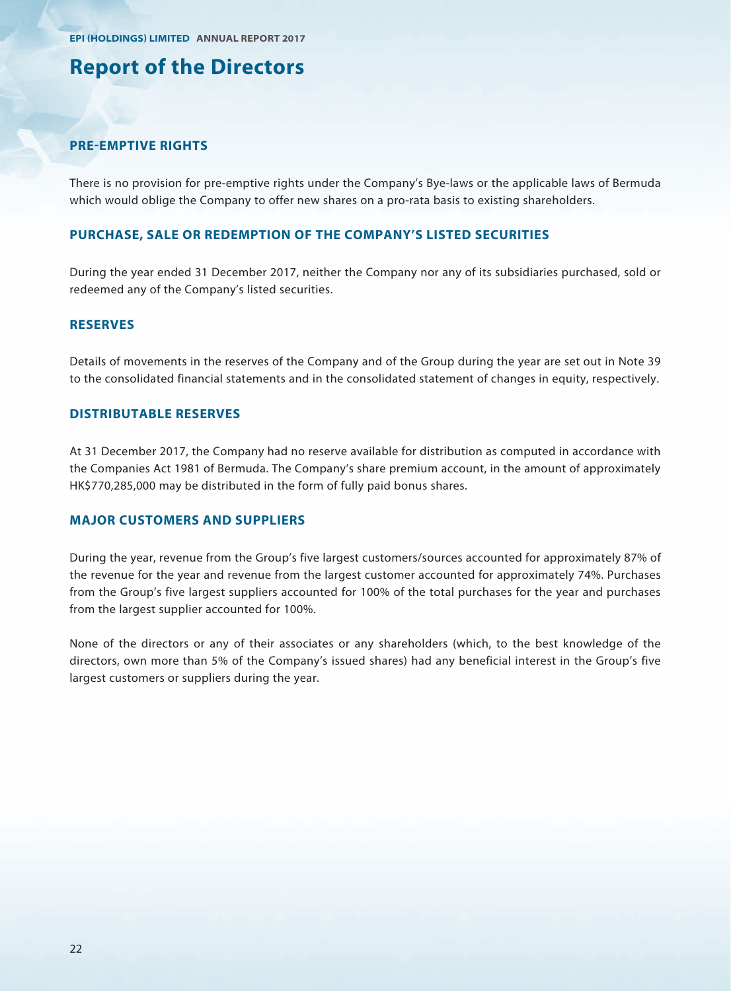## **PRE-EMPTIVE RIGHTS**

There is no provision for pre-emptive rights under the Company's Bye-laws or the applicable laws of Bermuda which would oblige the Company to offer new shares on a pro-rata basis to existing shareholders.

## **PURCHASE, SALE OR REDEMPTION OF THE COMPANY'S LISTED SECURITIES**

During the year ended 31 December 2017, neither the Company nor any of its subsidiaries purchased, sold or redeemed any of the Company's listed securities.

### **RESERVES**

Details of movements in the reserves of the Company and of the Group during the year are set out in Note 39 to the consolidated financial statements and in the consolidated statement of changes in equity, respectively.

## **DISTRIBUTABLE RESERVES**

At 31 December 2017, the Company had no reserve available for distribution as computed in accordance with the Companies Act 1981 of Bermuda. The Company's share premium account, in the amount of approximately HK\$770,285,000 may be distributed in the form of fully paid bonus shares.

## **MAJOR CUSTOMERS AND SUPPLIERS**

During the year, revenue from the Group's five largest customers/sources accounted for approximately 87% of the revenue for the year and revenue from the largest customer accounted for approximately 74%. Purchases from the Group's five largest suppliers accounted for 100% of the total purchases for the year and purchases from the largest supplier accounted for 100%.

None of the directors or any of their associates or any shareholders (which, to the best knowledge of the directors, own more than 5% of the Company's issued shares) had any beneficial interest in the Group's five largest customers or suppliers during the year.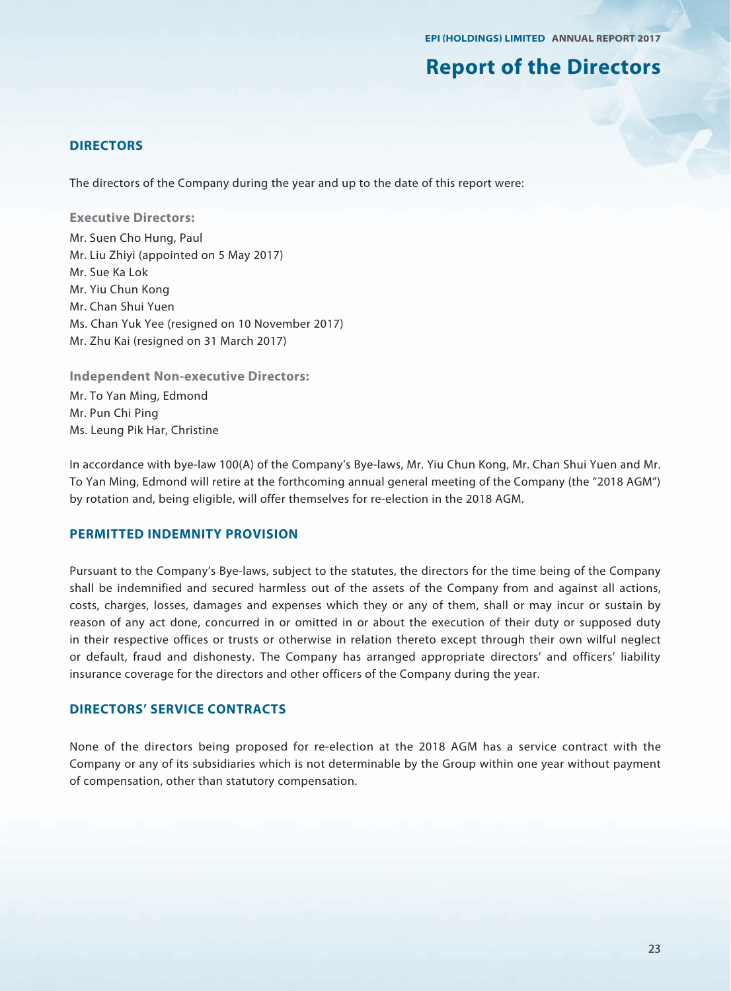## **Report of the Directors**

## **DIRECTORS**

The directors of the Company during the year and up to the date of this report were:

**Executive Directors:** Mr. Suen Cho Hung, Paul Mr. Liu Zhiyi (appointed on 5 May 2017) Mr. Sue Ka Lok Mr. Yiu Chun Kong Mr. Chan Shui Yuen Ms. Chan Yuk Yee (resigned on 10 November 2017) Mr. Zhu Kai (resigned on 31 March 2017)

**Independent Non-executive Directors:** Mr. To Yan Ming, Edmond Mr. Pun Chi Ping Ms. Leung Pik Har, Christine

In accordance with bye-law 100(A) of the Company's Bye-laws, Mr. Yiu Chun Kong, Mr. Chan Shui Yuen and Mr. To Yan Ming, Edmond will retire at the forthcoming annual general meeting of the Company (the "2018 AGM") by rotation and, being eligible, will offer themselves for re-election in the 2018 AGM.

## **PERMITTED INDEMNITY PROVISION**

Pursuant to the Company's Bye-laws, subject to the statutes, the directors for the time being of the Company shall be indemnified and secured harmless out of the assets of the Company from and against all actions, costs, charges, losses, damages and expenses which they or any of them, shall or may incur or sustain by reason of any act done, concurred in or omitted in or about the execution of their duty or supposed duty in their respective offices or trusts or otherwise in relation thereto except through their own wilful neglect or default, fraud and dishonesty. The Company has arranged appropriate directors' and officers' liability insurance coverage for the directors and other officers of the Company during the year.

## **DIRECTORS' SERVICE CONTRACTS**

None of the directors being proposed for re-election at the 2018 AGM has a service contract with the Company or any of its subsidiaries which is not determinable by the Group within one year without payment of compensation, other than statutory compensation.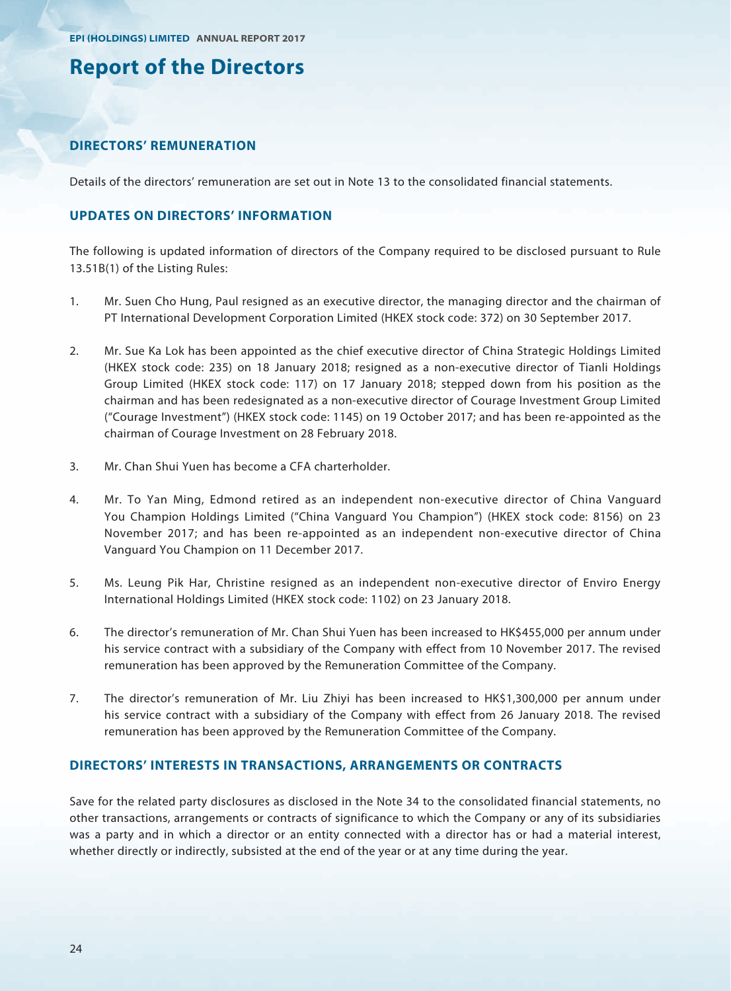## **DIRECTORS' REMUNERATION**

Details of the directors' remuneration are set out in Note 13 to the consolidated financial statements.

#### **UPDATES ON DIRECTORS' INFORMATION**

The following is updated information of directors of the Company required to be disclosed pursuant to Rule 13.51B(1) of the Listing Rules:

- 1. Mr. Suen Cho Hung, Paul resigned as an executive director, the managing director and the chairman of PT International Development Corporation Limited (HKEX stock code: 372) on 30 September 2017.
- 2. Mr. Sue Ka Lok has been appointed as the chief executive director of China Strategic Holdings Limited (HKEX stock code: 235) on 18 January 2018; resigned as a non-executive director of Tianli Holdings Group Limited (HKEX stock code: 117) on 17 January 2018; stepped down from his position as the chairman and has been redesignated as a non-executive director of Courage Investment Group Limited ("Courage Investment") (HKEX stock code: 1145) on 19 October 2017; and has been re-appointed as the chairman of Courage Investment on 28 February 2018.
- 3. Mr. Chan Shui Yuen has become a CFA charterholder.
- 4. Mr. To Yan Ming, Edmond retired as an independent non-executive director of China Vanguard You Champion Holdings Limited ("China Vanguard You Champion") (HKEX stock code: 8156) on 23 November 2017; and has been re-appointed as an independent non-executive director of China Vanguard You Champion on 11 December 2017.
- 5. Ms. Leung Pik Har, Christine resigned as an independent non-executive director of Enviro Energy International Holdings Limited (HKEX stock code: 1102) on 23 January 2018.
- 6. The director's remuneration of Mr. Chan Shui Yuen has been increased to HK\$455,000 per annum under his service contract with a subsidiary of the Company with effect from 10 November 2017. The revised remuneration has been approved by the Remuneration Committee of the Company.
- 7. The director's remuneration of Mr. Liu Zhiyi has been increased to HK\$1,300,000 per annum under his service contract with a subsidiary of the Company with effect from 26 January 2018. The revised remuneration has been approved by the Remuneration Committee of the Company.

#### **DIRECTORS' INTERESTS IN TRANSACTIONS, ARRANGEMENTS OR CONTRACTS**

Save for the related party disclosures as disclosed in the Note 34 to the consolidated financial statements, no other transactions, arrangements or contracts of significance to which the Company or any of its subsidiaries was a party and in which a director or an entity connected with a director has or had a material interest, whether directly or indirectly, subsisted at the end of the year or at any time during the year.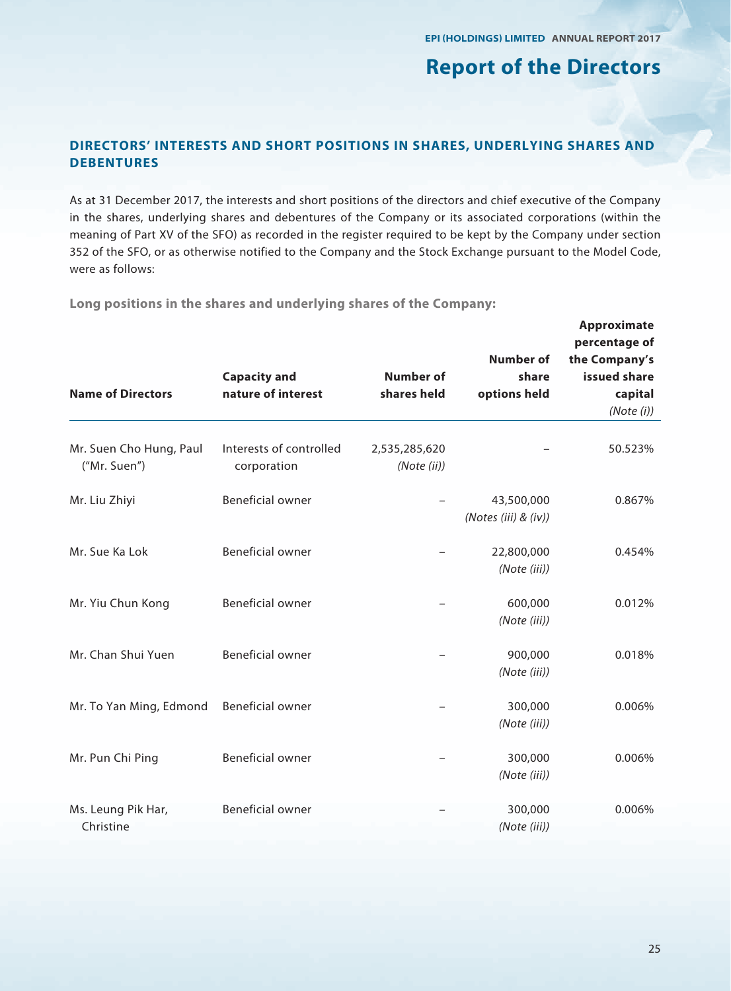## **DIRECTORS' INTERESTS AND SHORT POSITIONS IN SHARES, UNDERLYING SHARES AND DEBENTURES**

As at 31 December 2017, the interests and short positions of the directors and chief executive of the Company in the shares, underlying shares and debentures of the Company or its associated corporations (within the meaning of Part XV of the SFO) as recorded in the register required to be kept by the Company under section 352 of the SFO, or as otherwise notified to the Company and the Stock Exchange pursuant to the Model Code, were as follows:

**Long positions in the shares and underlying shares of the Company:**

| <b>Name of Directors</b>                | <b>Capacity and</b><br>nature of interest | <b>Number of</b><br>shares held | <b>Number of</b><br>share<br>options held | Approximate<br>percentage of<br>the Company's<br>issued share<br>capital<br>(Note (i)) |
|-----------------------------------------|-------------------------------------------|---------------------------------|-------------------------------------------|----------------------------------------------------------------------------------------|
| Mr. Suen Cho Hung, Paul<br>("Mr. Suen") | Interests of controlled<br>corporation    | 2,535,285,620<br>(Note (ii))    |                                           | 50.523%                                                                                |
| Mr. Liu Zhiyi                           | <b>Beneficial owner</b>                   |                                 | 43,500,000<br>(Notes (iii) & (iv))        | 0.867%                                                                                 |
| Mr. Sue Ka Lok                          | <b>Beneficial owner</b>                   |                                 | 22,800,000<br>(Note (iii))                | 0.454%                                                                                 |
| Mr. Yiu Chun Kong                       | <b>Beneficial owner</b>                   |                                 | 600,000<br>(Note (iii))                   | 0.012%                                                                                 |
| Mr. Chan Shui Yuen                      | <b>Beneficial owner</b>                   |                                 | 900,000<br>(Note (iii))                   | 0.018%                                                                                 |
| Mr. To Yan Ming, Edmond                 | <b>Beneficial owner</b>                   |                                 | 300,000<br>(Note (iii))                   | 0.006%                                                                                 |
| Mr. Pun Chi Ping                        | <b>Beneficial owner</b>                   |                                 | 300,000<br>(Note (iii))                   | 0.006%                                                                                 |
| Ms. Leung Pik Har,<br>Christine         | <b>Beneficial owner</b>                   |                                 | 300,000<br>(Note (iii))                   | 0.006%                                                                                 |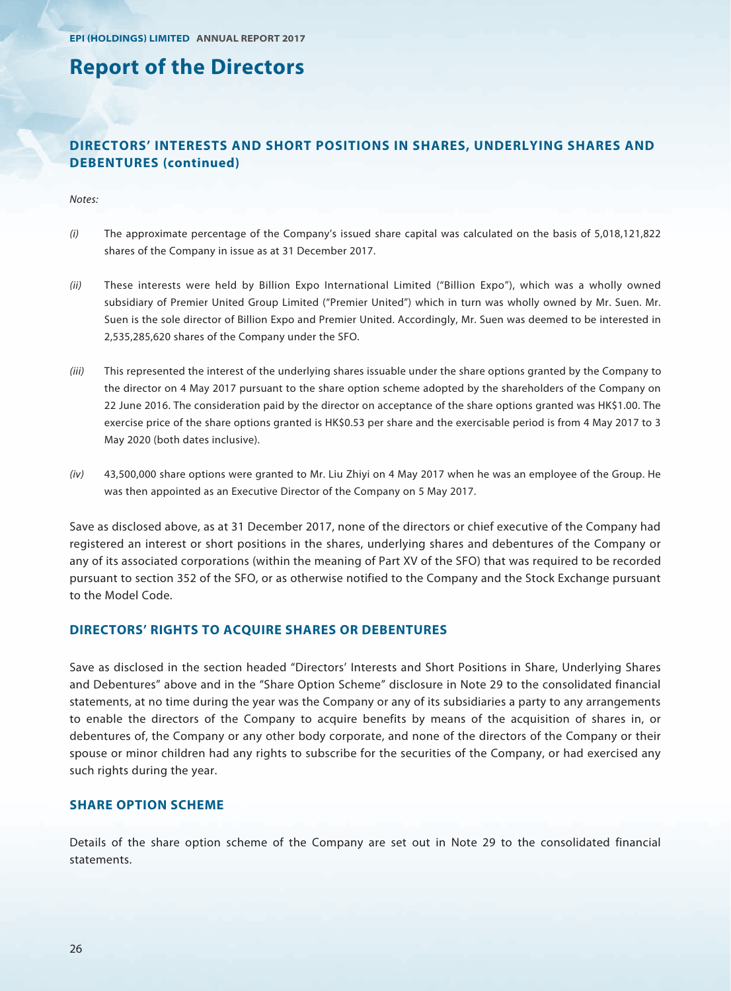## **DIRECTORS' INTERESTS AND SHORT POSITIONS IN SHARES, UNDERLYING SHARES AND DEBENTURES (continued)**

*Notes:*

- *(i)* The approximate percentage of the Company's issued share capital was calculated on the basis of 5,018,121,822 shares of the Company in issue as at 31 December 2017.
- *(ii)* These interests were held by Billion Expo International Limited ("Billion Expo"), which was a wholly owned subsidiary of Premier United Group Limited ("Premier United") which in turn was wholly owned by Mr. Suen. Mr. Suen is the sole director of Billion Expo and Premier United. Accordingly, Mr. Suen was deemed to be interested in 2,535,285,620 shares of the Company under the SFO.
- *(iii)* This represented the interest of the underlying shares issuable under the share options granted by the Company to the director on 4 May 2017 pursuant to the share option scheme adopted by the shareholders of the Company on 22 June 2016. The consideration paid by the director on acceptance of the share options granted was HK\$1.00. The exercise price of the share options granted is HK\$0.53 per share and the exercisable period is from 4 May 2017 to 3 May 2020 (both dates inclusive).
- *(iv)* 43,500,000 share options were granted to Mr. Liu Zhiyi on 4 May 2017 when he was an employee of the Group. He was then appointed as an Executive Director of the Company on 5 May 2017.

Save as disclosed above, as at 31 December 2017, none of the directors or chief executive of the Company had registered an interest or short positions in the shares, underlying shares and debentures of the Company or any of its associated corporations (within the meaning of Part XV of the SFO) that was required to be recorded pursuant to section 352 of the SFO, or as otherwise notified to the Company and the Stock Exchange pursuant to the Model Code.

### **DIRECTORS' RIGHTS TO ACQUIRE SHARES OR DEBENTURES**

Save as disclosed in the section headed "Directors' Interests and Short Positions in Share, Underlying Shares and Debentures" above and in the "Share Option Scheme" disclosure in Note 29 to the consolidated financial statements, at no time during the year was the Company or any of its subsidiaries a party to any arrangements to enable the directors of the Company to acquire benefits by means of the acquisition of shares in, or debentures of, the Company or any other body corporate, and none of the directors of the Company or their spouse or minor children had any rights to subscribe for the securities of the Company, or had exercised any such rights during the year.

#### **SHARE OPTION SCHEME**

Details of the share option scheme of the Company are set out in Note 29 to the consolidated financial statements.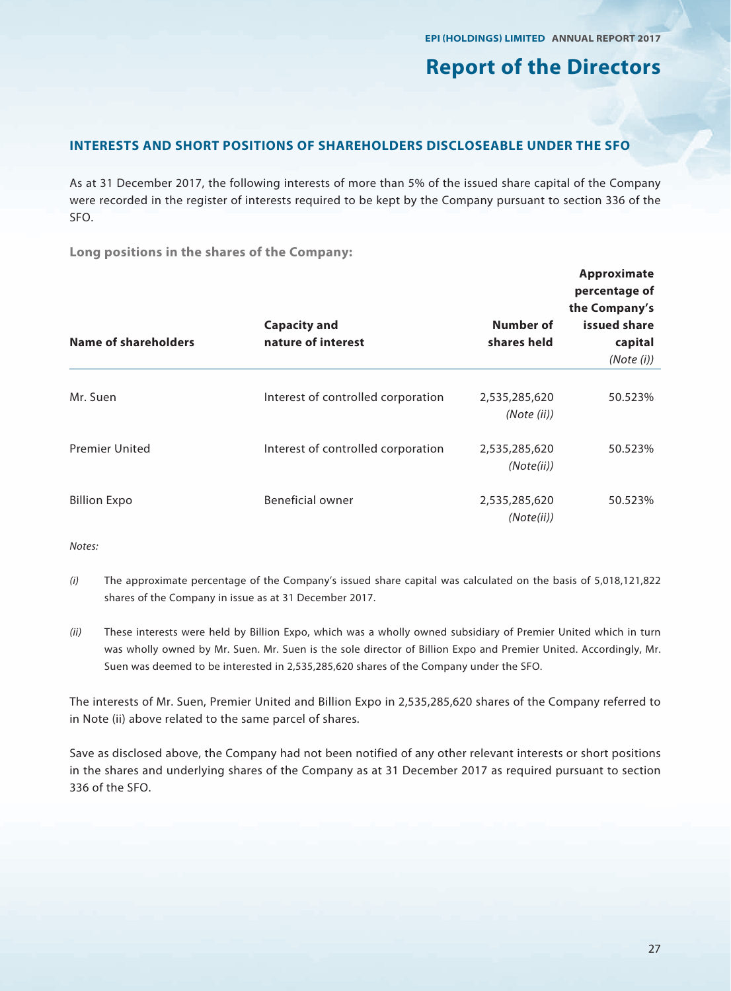## **INTERESTS AND SHORT POSITIONS OF SHAREHOLDERS DISCLOSEABLE UNDER THE SFO**

As at 31 December 2017, the following interests of more than 5% of the issued share capital of the Company were recorded in the register of interests required to be kept by the Company pursuant to section 336 of the SFO.

**Long positions in the shares of the Company:**

| Name of shareholders  | <b>Capacity and</b><br>nature of interest | Number of<br>shares held     | Approximate<br>percentage of<br>the Company's<br>issued share<br>capital |
|-----------------------|-------------------------------------------|------------------------------|--------------------------------------------------------------------------|
|                       |                                           |                              | (Note (i))                                                               |
| Mr. Suen              | Interest of controlled corporation        | 2,535,285,620<br>(Note (ii)) | 50.523%                                                                  |
| <b>Premier United</b> | Interest of controlled corporation        | 2,535,285,620<br>(Note(ii))  | 50.523%                                                                  |
| <b>Billion Expo</b>   | Beneficial owner                          | 2,535,285,620<br>(Note(ii))  | 50.523%                                                                  |

*Notes:*

- *(i)* The approximate percentage of the Company's issued share capital was calculated on the basis of 5,018,121,822 shares of the Company in issue as at 31 December 2017.
- *(ii)* These interests were held by Billion Expo, which was a wholly owned subsidiary of Premier United which in turn was wholly owned by Mr. Suen. Mr. Suen is the sole director of Billion Expo and Premier United. Accordingly, Mr. Suen was deemed to be interested in 2,535,285,620 shares of the Company under the SFO.

The interests of Mr. Suen, Premier United and Billion Expo in 2,535,285,620 shares of the Company referred to in Note (ii) above related to the same parcel of shares.

Save as disclosed above, the Company had not been notified of any other relevant interests or short positions in the shares and underlying shares of the Company as at 31 December 2017 as required pursuant to section 336 of the SFO.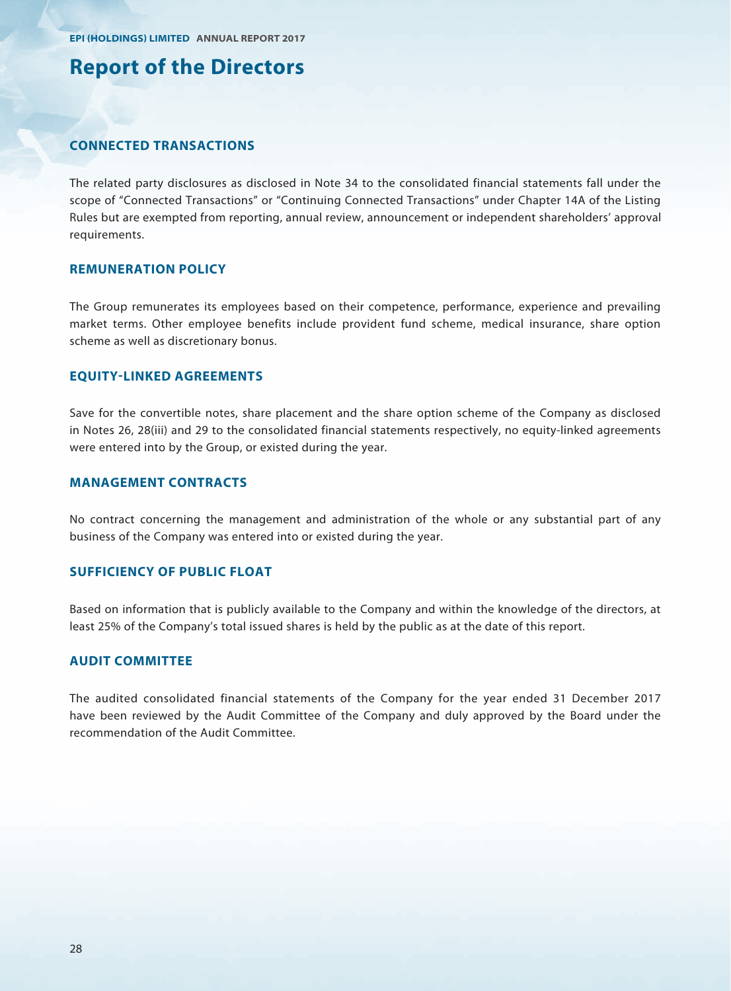## **Report of the Directors**

## **CONNECTED TRANSACTIONS**

The related party disclosures as disclosed in Note 34 to the consolidated financial statements fall under the scope of "Connected Transactions" or "Continuing Connected Transactions" under Chapter 14A of the Listing Rules but are exempted from reporting, annual review, announcement or independent shareholders' approval requirements.

## **REMUNERATION POLICY**

The Group remunerates its employees based on their competence, performance, experience and prevailing market terms. Other employee benefits include provident fund scheme, medical insurance, share option scheme as well as discretionary bonus.

#### **EQUITY-LINKED AGREEMENTS**

Save for the convertible notes, share placement and the share option scheme of the Company as disclosed in Notes 26, 28(iii) and 29 to the consolidated financial statements respectively, no equity-linked agreements were entered into by the Group, or existed during the year.

#### **MANAGEMENT CONTRACTS**

No contract concerning the management and administration of the whole or any substantial part of any business of the Company was entered into or existed during the year.

## **SUFFICIENCY OF PUBLIC FLOAT**

Based on information that is publicly available to the Company and within the knowledge of the directors, at least 25% of the Company's total issued shares is held by the public as at the date of this report.

## **AUDIT COMMITTEE**

The audited consolidated financial statements of the Company for the year ended 31 December 2017 have been reviewed by the Audit Committee of the Company and duly approved by the Board under the recommendation of the Audit Committee.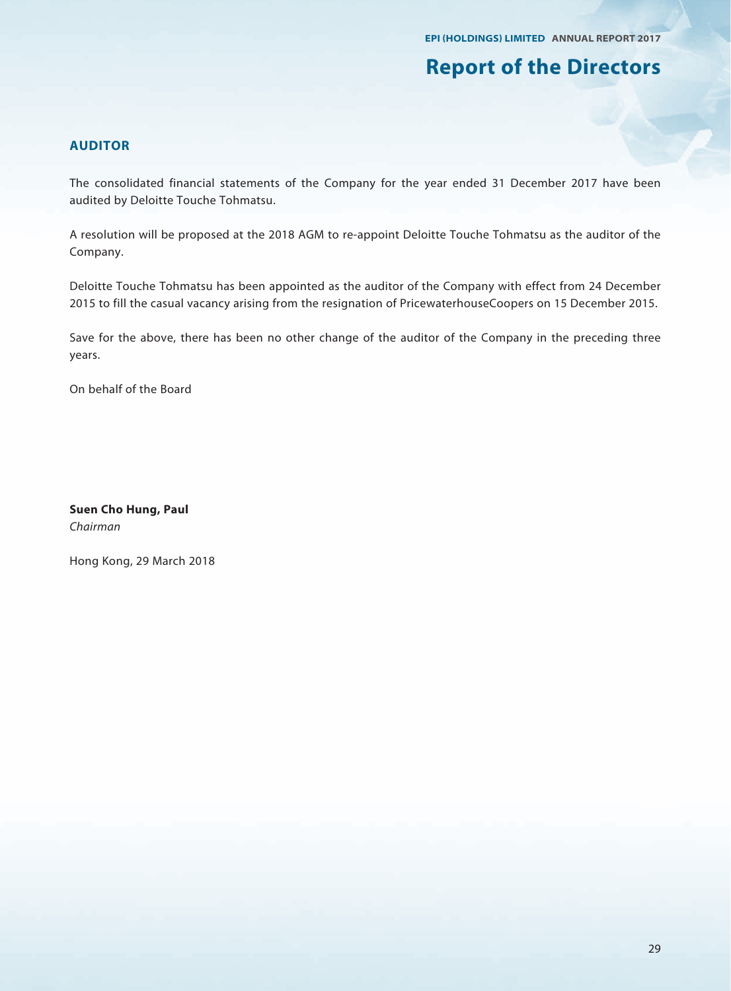## **AUDITOR**

The consolidated financial statements of the Company for the year ended 31 December 2017 have been audited by Deloitte Touche Tohmatsu.

A resolution will be proposed at the 2018 AGM to re-appoint Deloitte Touche Tohmatsu as the auditor of the Company.

Deloitte Touche Tohmatsu has been appointed as the auditor of the Company with effect from 24 December 2015 to fill the casual vacancy arising from the resignation of PricewaterhouseCoopers on 15 December 2015.

Save for the above, there has been no other change of the auditor of the Company in the preceding three years.

On behalf of the Board

**Suen Cho Hung, Paul** *Chairman*

Hong Kong, 29 March 2018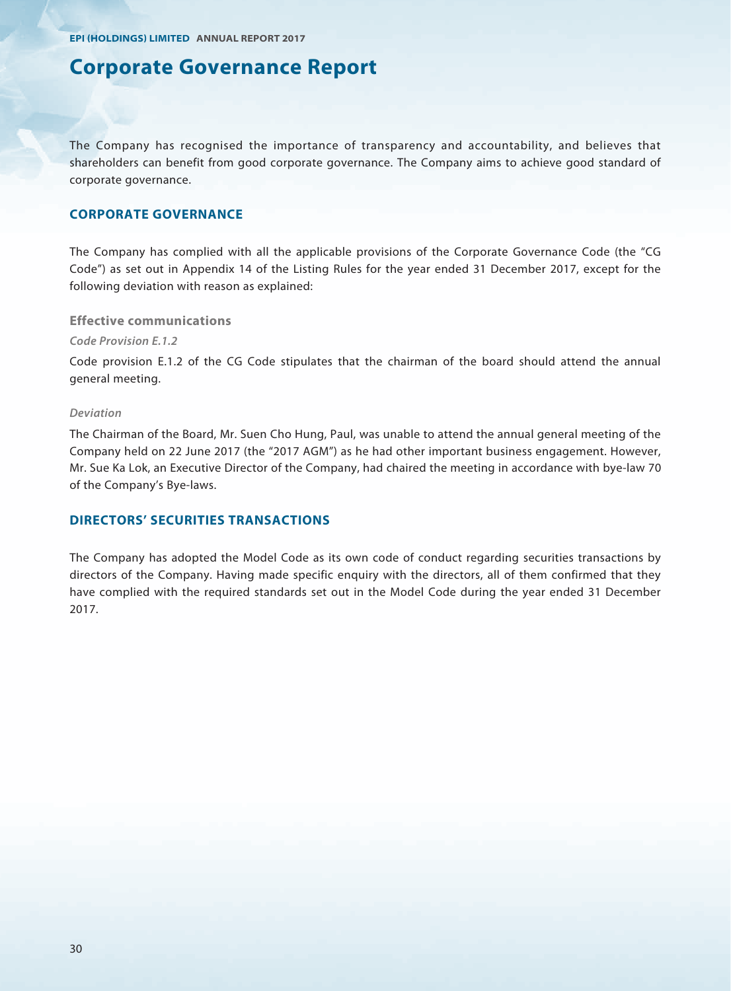The Company has recognised the importance of transparency and accountability, and believes that shareholders can benefit from good corporate governance. The Company aims to achieve good standard of corporate governance.

## **CORPORATE GOVERNANCE**

The Company has complied with all the applicable provisions of the Corporate Governance Code (the "CG Code") as set out in Appendix 14 of the Listing Rules for the year ended 31 December 2017, except for the following deviation with reason as explained:

#### **Effective communications**

#### *Code Provision E.1.2*

Code provision E.1.2 of the CG Code stipulates that the chairman of the board should attend the annual general meeting.

#### *Deviation*

The Chairman of the Board, Mr. Suen Cho Hung, Paul, was unable to attend the annual general meeting of the Company held on 22 June 2017 (the "2017 AGM") as he had other important business engagement. However, Mr. Sue Ka Lok, an Executive Director of the Company, had chaired the meeting in accordance with bye-law 70 of the Company's Bye-laws.

## **DIRECTORS' SECURITIES TRANSACTIONS**

The Company has adopted the Model Code as its own code of conduct regarding securities transactions by directors of the Company. Having made specific enquiry with the directors, all of them confirmed that they have complied with the required standards set out in the Model Code during the year ended 31 December 2017.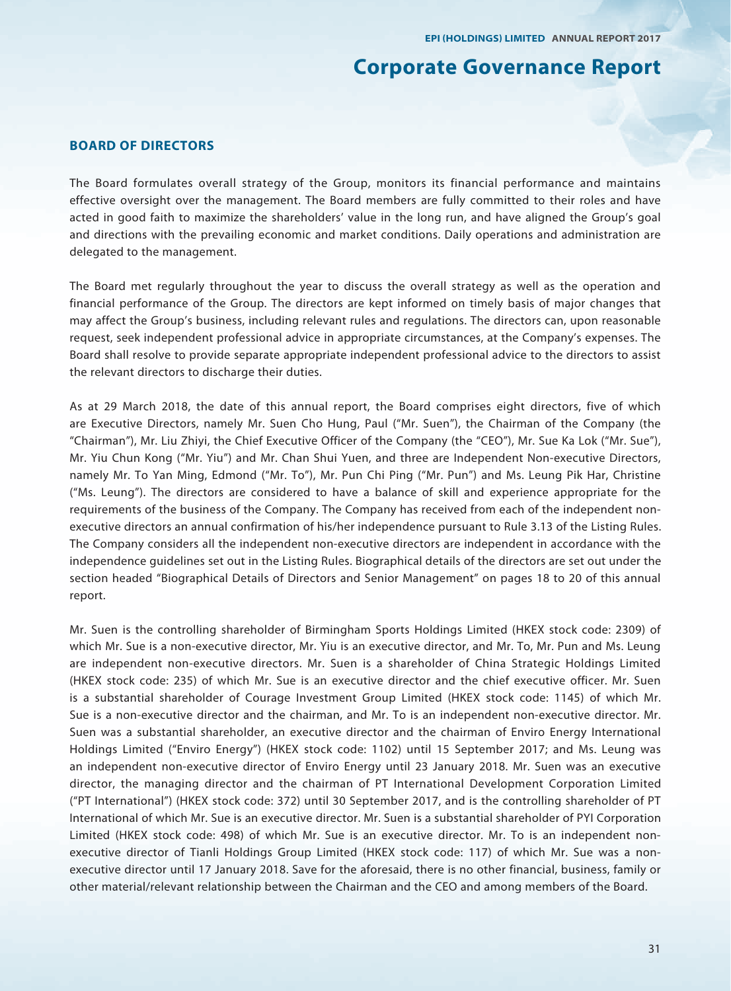## **BOARD OF DIRECTORS**

The Board formulates overall strategy of the Group, monitors its financial performance and maintains effective oversight over the management. The Board members are fully committed to their roles and have acted in good faith to maximize the shareholders' value in the long run, and have aligned the Group's goal and directions with the prevailing economic and market conditions. Daily operations and administration are delegated to the management.

The Board met regularly throughout the year to discuss the overall strategy as well as the operation and financial performance of the Group. The directors are kept informed on timely basis of major changes that may affect the Group's business, including relevant rules and regulations. The directors can, upon reasonable request, seek independent professional advice in appropriate circumstances, at the Company's expenses. The Board shall resolve to provide separate appropriate independent professional advice to the directors to assist the relevant directors to discharge their duties.

As at 29 March 2018, the date of this annual report, the Board comprises eight directors, five of which are Executive Directors, namely Mr. Suen Cho Hung, Paul ("Mr. Suen"), the Chairman of the Company (the "Chairman"), Mr. Liu Zhiyi, the Chief Executive Officer of the Company (the "CEO"), Mr. Sue Ka Lok ("Mr. Sue"), Mr. Yiu Chun Kong ("Mr. Yiu") and Mr. Chan Shui Yuen, and three are Independent Non-executive Directors, namely Mr. To Yan Ming, Edmond ("Mr. To"), Mr. Pun Chi Ping ("Mr. Pun") and Ms. Leung Pik Har, Christine ("Ms. Leung"). The directors are considered to have a balance of skill and experience appropriate for the requirements of the business of the Company. The Company has received from each of the independent nonexecutive directors an annual confirmation of his/her independence pursuant to Rule 3.13 of the Listing Rules. The Company considers all the independent non-executive directors are independent in accordance with the independence guidelines set out in the Listing Rules. Biographical details of the directors are set out under the section headed "Biographical Details of Directors and Senior Management" on pages 18 to 20 of this annual report.

Mr. Suen is the controlling shareholder of Birmingham Sports Holdings Limited (HKEX stock code: 2309) of which Mr. Sue is a non-executive director, Mr. Yiu is an executive director, and Mr. To, Mr. Pun and Ms. Leung are independent non-executive directors. Mr. Suen is a shareholder of China Strategic Holdings Limited (HKEX stock code: 235) of which Mr. Sue is an executive director and the chief executive officer. Mr. Suen is a substantial shareholder of Courage Investment Group Limited (HKEX stock code: 1145) of which Mr. Sue is a non-executive director and the chairman, and Mr. To is an independent non-executive director. Mr. Suen was a substantial shareholder, an executive director and the chairman of Enviro Energy International Holdings Limited ("Enviro Energy") (HKEX stock code: 1102) until 15 September 2017; and Ms. Leung was an independent non-executive director of Enviro Energy until 23 January 2018. Mr. Suen was an executive director, the managing director and the chairman of PT International Development Corporation Limited ("PT International") (HKEX stock code: 372) until 30 September 2017, and is the controlling shareholder of PT International of which Mr. Sue is an executive director. Mr. Suen is a substantial shareholder of PYI Corporation Limited (HKEX stock code: 498) of which Mr. Sue is an executive director. Mr. To is an independent nonexecutive director of Tianli Holdings Group Limited (HKEX stock code: 117) of which Mr. Sue was a nonexecutive director until 17 January 2018. Save for the aforesaid, there is no other financial, business, family or other material/relevant relationship between the Chairman and the CEO and among members of the Board.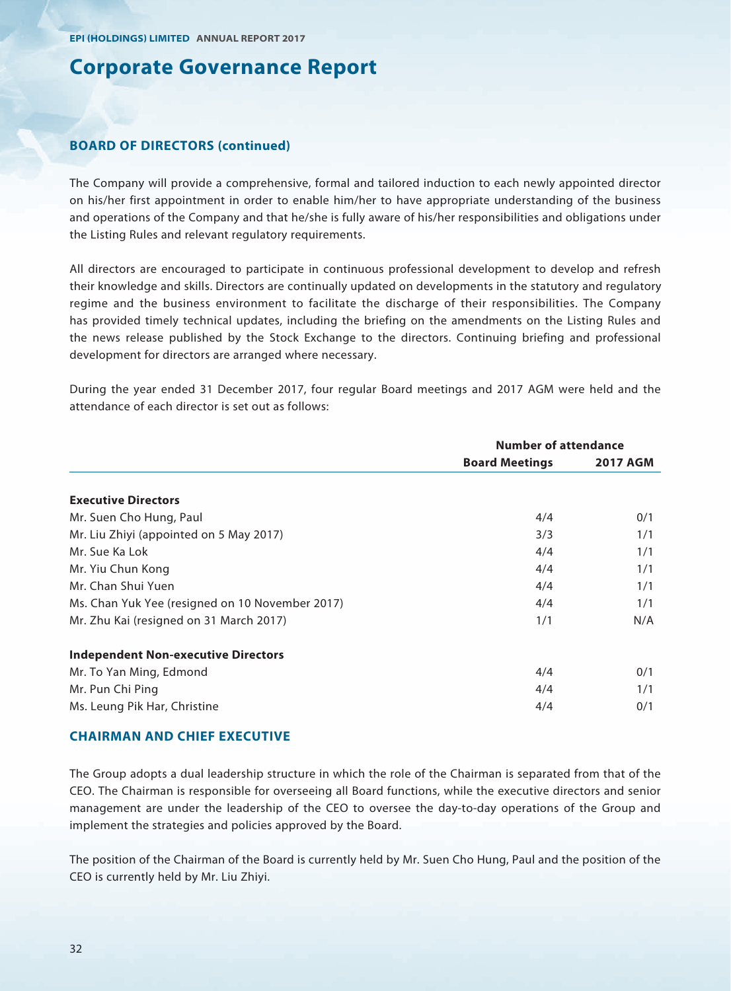## **Corporate Governance Report**

## **BOARD OF DIRECTORS (continued)**

The Company will provide a comprehensive, formal and tailored induction to each newly appointed director on his/her first appointment in order to enable him/her to have appropriate understanding of the business and operations of the Company and that he/she is fully aware of his/her responsibilities and obligations under the Listing Rules and relevant regulatory requirements.

All directors are encouraged to participate in continuous professional development to develop and refresh their knowledge and skills. Directors are continually updated on developments in the statutory and regulatory regime and the business environment to facilitate the discharge of their responsibilities. The Company has provided timely technical updates, including the briefing on the amendments on the Listing Rules and the news release published by the Stock Exchange to the directors. Continuing briefing and professional development for directors are arranged where necessary.

During the year ended 31 December 2017, four regular Board meetings and 2017 AGM were held and the attendance of each director is set out as follows:

|                                                 | <b>Number of attendance</b> |                 |  |
|-------------------------------------------------|-----------------------------|-----------------|--|
|                                                 | <b>Board Meetings</b>       | <b>2017 AGM</b> |  |
| <b>Executive Directors</b>                      |                             |                 |  |
| Mr. Suen Cho Hung, Paul                         | 4/4                         | 0/1             |  |
| Mr. Liu Zhiyi (appointed on 5 May 2017)         | 3/3                         | 1/1             |  |
| Mr. Sue Ka Lok                                  | 4/4                         | 1/1             |  |
| Mr. Yiu Chun Kong                               | 4/4                         | 1/1             |  |
| Mr. Chan Shui Yuen                              | 4/4                         | 1/1             |  |
| Ms. Chan Yuk Yee (resigned on 10 November 2017) | 4/4                         | 1/1             |  |
| Mr. Zhu Kai (resigned on 31 March 2017)         | 1/1                         | N/A             |  |
| <b>Independent Non-executive Directors</b>      |                             |                 |  |
| Mr. To Yan Ming, Edmond                         | 4/4                         | 0/1             |  |
| Mr. Pun Chi Ping                                | 4/4                         | 1/1             |  |
| Ms. Leung Pik Har, Christine                    | 4/4                         | 0/1             |  |

### **CHAIRMAN AND CHIEF EXECUTIVE**

The Group adopts a dual leadership structure in which the role of the Chairman is separated from that of the CEO. The Chairman is responsible for overseeing all Board functions, while the executive directors and senior management are under the leadership of the CEO to oversee the day-to-day operations of the Group and implement the strategies and policies approved by the Board.

The position of the Chairman of the Board is currently held by Mr. Suen Cho Hung, Paul and the position of the CEO is currently held by Mr. Liu Zhiyi.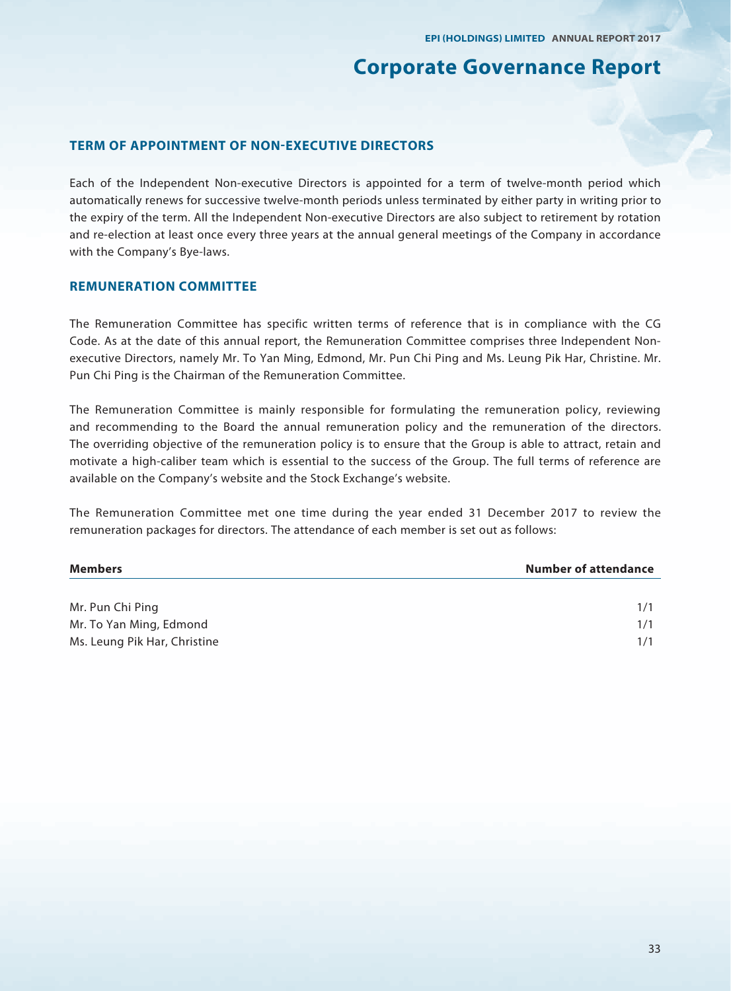#### **TERM OF APPOINTMENT OF NON-EXECUTIVE DIRECTORS**

Each of the Independent Non-executive Directors is appointed for a term of twelve-month period which automatically renews for successive twelve-month periods unless terminated by either party in writing prior to the expiry of the term. All the Independent Non-executive Directors are also subject to retirement by rotation and re-election at least once every three years at the annual general meetings of the Company in accordance with the Company's Bye-laws.

## **REMUNERATION COMMITTEE**

The Remuneration Committee has specific written terms of reference that is in compliance with the CG Code. As at the date of this annual report, the Remuneration Committee comprises three Independent Nonexecutive Directors, namely Mr. To Yan Ming, Edmond, Mr. Pun Chi Ping and Ms. Leung Pik Har, Christine. Mr. Pun Chi Ping is the Chairman of the Remuneration Committee.

The Remuneration Committee is mainly responsible for formulating the remuneration policy, reviewing and recommending to the Board the annual remuneration policy and the remuneration of the directors. The overriding objective of the remuneration policy is to ensure that the Group is able to attract, retain and motivate a high-caliber team which is essential to the success of the Group. The full terms of reference are available on the Company's website and the Stock Exchange's website.

The Remuneration Committee met one time during the year ended 31 December 2017 to review the remuneration packages for directors. The attendance of each member is set out as follows:

| <b>Members</b>               | <b>Number of attendance</b> |
|------------------------------|-----------------------------|
|                              |                             |
| Mr. Pun Chi Ping             | 1/1                         |
| Mr. To Yan Ming, Edmond      | 1/1                         |
| Ms. Leung Pik Har, Christine | 1/1                         |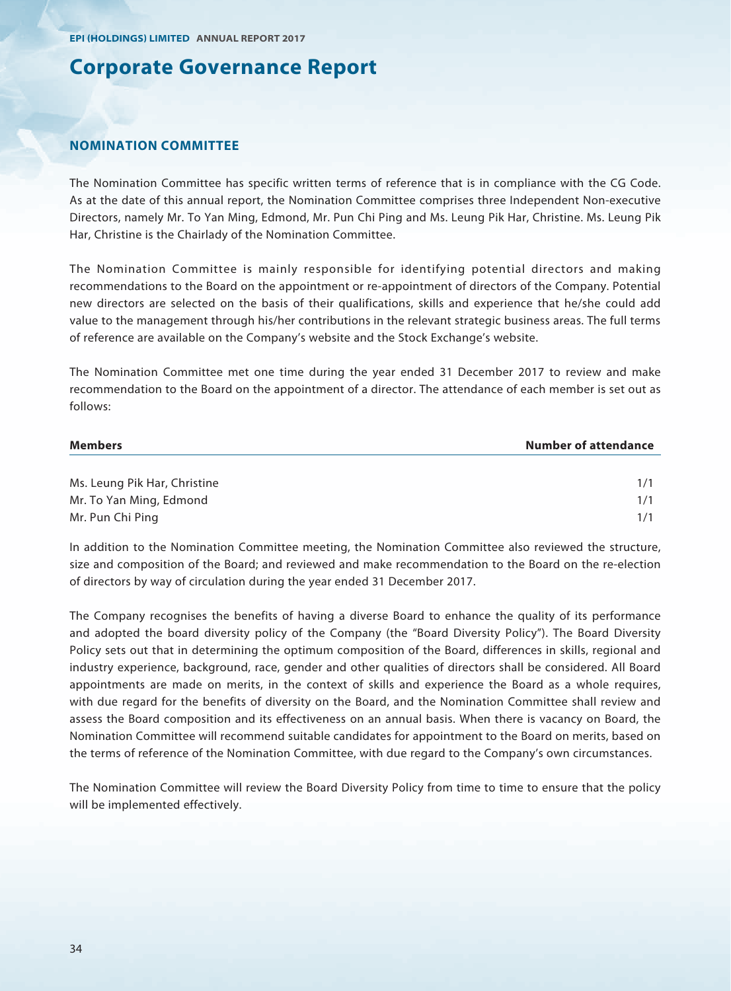## **NOMINATION COMMITTEE**

The Nomination Committee has specific written terms of reference that is in compliance with the CG Code. As at the date of this annual report, the Nomination Committee comprises three Independent Non-executive Directors, namely Mr. To Yan Ming, Edmond, Mr. Pun Chi Ping and Ms. Leung Pik Har, Christine. Ms. Leung Pik Har, Christine is the Chairlady of the Nomination Committee.

The Nomination Committee is mainly responsible for identifying potential directors and making recommendations to the Board on the appointment or re-appointment of directors of the Company. Potential new directors are selected on the basis of their qualifications, skills and experience that he/she could add value to the management through his/her contributions in the relevant strategic business areas. The full terms of reference are available on the Company's website and the Stock Exchange's website.

The Nomination Committee met one time during the year ended 31 December 2017 to review and make recommendation to the Board on the appointment of a director. The attendance of each member is set out as follows:

| <b>Members</b>               | <b>Number of attendance</b> |
|------------------------------|-----------------------------|
|                              |                             |
| Ms. Leung Pik Har, Christine | 1/1                         |
| Mr. To Yan Ming, Edmond      | 1/1                         |
| Mr. Pun Chi Ping             | 1/1                         |

In addition to the Nomination Committee meeting, the Nomination Committee also reviewed the structure, size and composition of the Board; and reviewed and make recommendation to the Board on the re-election of directors by way of circulation during the year ended 31 December 2017.

The Company recognises the benefits of having a diverse Board to enhance the quality of its performance and adopted the board diversity policy of the Company (the "Board Diversity Policy"). The Board Diversity Policy sets out that in determining the optimum composition of the Board, differences in skills, regional and industry experience, background, race, gender and other qualities of directors shall be considered. All Board appointments are made on merits, in the context of skills and experience the Board as a whole requires, with due regard for the benefits of diversity on the Board, and the Nomination Committee shall review and assess the Board composition and its effectiveness on an annual basis. When there is vacancy on Board, the Nomination Committee will recommend suitable candidates for appointment to the Board on merits, based on the terms of reference of the Nomination Committee, with due regard to the Company's own circumstances.

The Nomination Committee will review the Board Diversity Policy from time to time to ensure that the policy will be implemented effectively.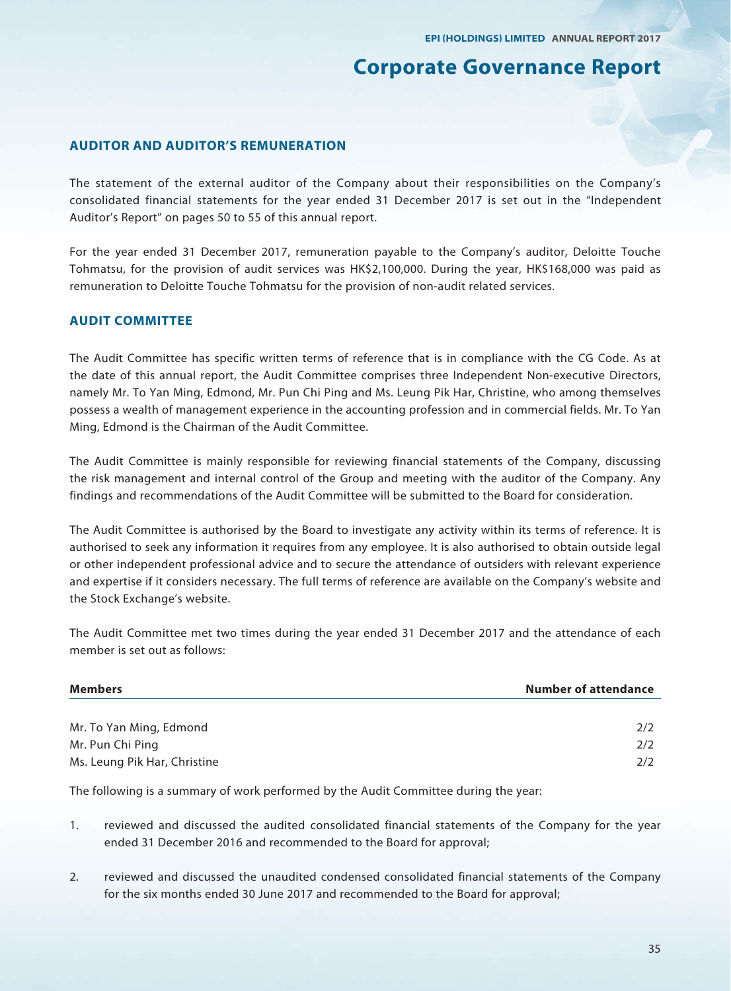#### **AUDITOR AND AUDITOR'S REMUNERATION**

The statement of the external auditor of the Company about their responsibilities on the Company's consolidated financial statements for the year ended 31 December 2017 is set out in the "Independent Auditor's Report" on pages 50 to 55 of this annual report.

For the year ended 31 December 2017, remuneration payable to the Company's auditor, Deloitte Touche Tohmatsu, for the provision of audit services was HK\$2,100,000. During the year, HK\$168,000 was paid as remuneration to Deloitte Touche Tohmatsu for the provision of non-audit related services.

#### **AUDIT COMMITTEE**

The Audit Committee has specific written terms of reference that is in compliance with the CG Code. As at the date of this annual report, the Audit Committee comprises three Independent Non-executive Directors, namely Mr. To Yan Ming, Edmond, Mr. Pun Chi Ping and Ms. Leung Pik Har, Christine, who among themselves possess a wealth of management experience in the accounting profession and in commercial fields. Mr. To Yan Ming, Edmond is the Chairman of the Audit Committee.

The Audit Committee is mainly responsible for reviewing financial statements of the Company, discussing the risk management and internal control of the Group and meeting with the auditor of the Company. Any findings and recommendations of the Audit Committee will be submitted to the Board for consideration.

The Audit Committee is authorised by the Board to investigate any activity within its terms of reference. It is authorised to seek any information it requires from any employee. It is also authorised to obtain outside legal or other independent professional advice and to secure the attendance of outsiders with relevant experience and expertise if it considers necessary. The full terms of reference are available on the Company's website and the Stock Exchange's website.

The Audit Committee met two times during the year ended 31 December 2017 and the attendance of each member is set out as follows:

| <b>Members</b>               | <b>Number of attendance</b> |
|------------------------------|-----------------------------|
|                              |                             |
| Mr. To Yan Ming, Edmond      | 2/2                         |
| Mr. Pun Chi Ping             | 2/2                         |
| Ms. Leung Pik Har, Christine | 2/2                         |

The following is a summary of work performed by the Audit Committee during the year:

- 1. reviewed and discussed the audited consolidated financial statements of the Company for the year ended 31 December 2016 and recommended to the Board for approval;
- 2. reviewed and discussed the unaudited condensed consolidated financial statements of the Company for the six months ended 30 June 2017 and recommended to the Board for approval;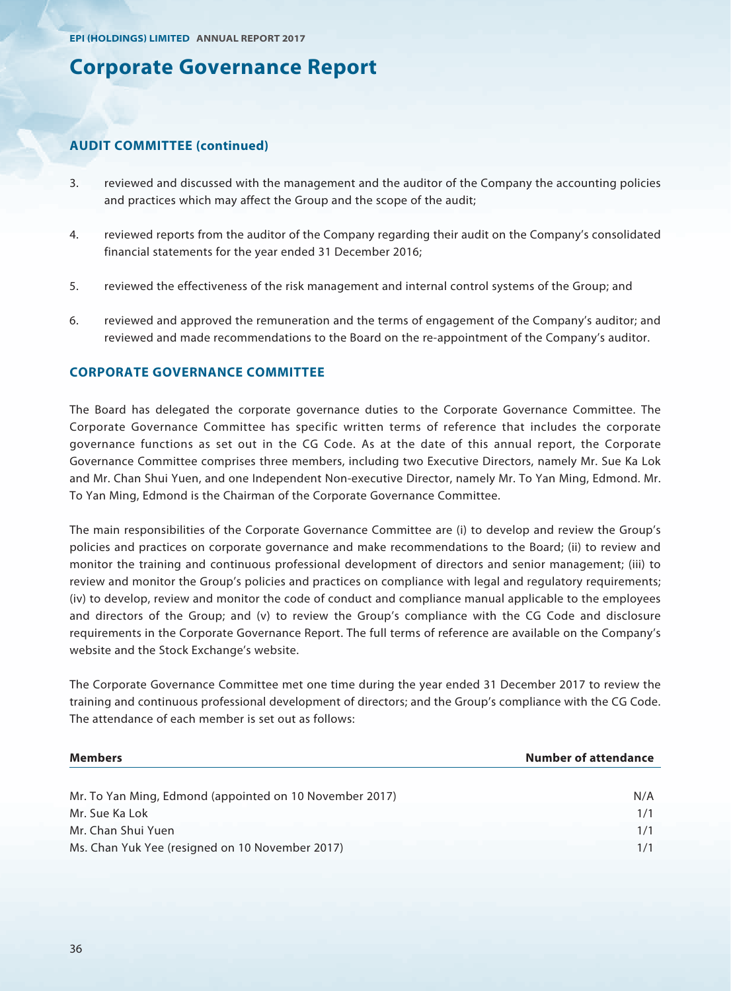# **AUDIT COMMITTEE (continued)**

- 3. reviewed and discussed with the management and the auditor of the Company the accounting policies and practices which may affect the Group and the scope of the audit;
- 4. reviewed reports from the auditor of the Company regarding their audit on the Company's consolidated financial statements for the year ended 31 December 2016;
- 5. reviewed the effectiveness of the risk management and internal control systems of the Group; and
- 6. reviewed and approved the remuneration and the terms of engagement of the Company's auditor; and reviewed and made recommendations to the Board on the re-appointment of the Company's auditor.

# **CORPORATE GOVERNANCE COMMITTEE**

The Board has delegated the corporate governance duties to the Corporate Governance Committee. The Corporate Governance Committee has specific written terms of reference that includes the corporate governance functions as set out in the CG Code. As at the date of this annual report, the Corporate Governance Committee comprises three members, including two Executive Directors, namely Mr. Sue Ka Lok and Mr. Chan Shui Yuen, and one Independent Non-executive Director, namely Mr. To Yan Ming, Edmond. Mr. To Yan Ming, Edmond is the Chairman of the Corporate Governance Committee.

The main responsibilities of the Corporate Governance Committee are (i) to develop and review the Group's policies and practices on corporate governance and make recommendations to the Board; (ii) to review and monitor the training and continuous professional development of directors and senior management; (iii) to review and monitor the Group's policies and practices on compliance with legal and regulatory requirements; (iv) to develop, review and monitor the code of conduct and compliance manual applicable to the employees and directors of the Group; and (v) to review the Group's compliance with the CG Code and disclosure requirements in the Corporate Governance Report. The full terms of reference are available on the Company's website and the Stock Exchange's website.

The Corporate Governance Committee met one time during the year ended 31 December 2017 to review the training and continuous professional development of directors; and the Group's compliance with the CG Code. The attendance of each member is set out as follows:

| <b>Members</b>                                          | <b>Number of attendance</b> |
|---------------------------------------------------------|-----------------------------|
|                                                         |                             |
| Mr. To Yan Ming, Edmond (appointed on 10 November 2017) | N/A                         |
| Mr. Sue Ka Lok                                          | 1/1                         |
| Mr. Chan Shui Yuen                                      | 1/1                         |
| Ms. Chan Yuk Yee (resigned on 10 November 2017)         | 1/1                         |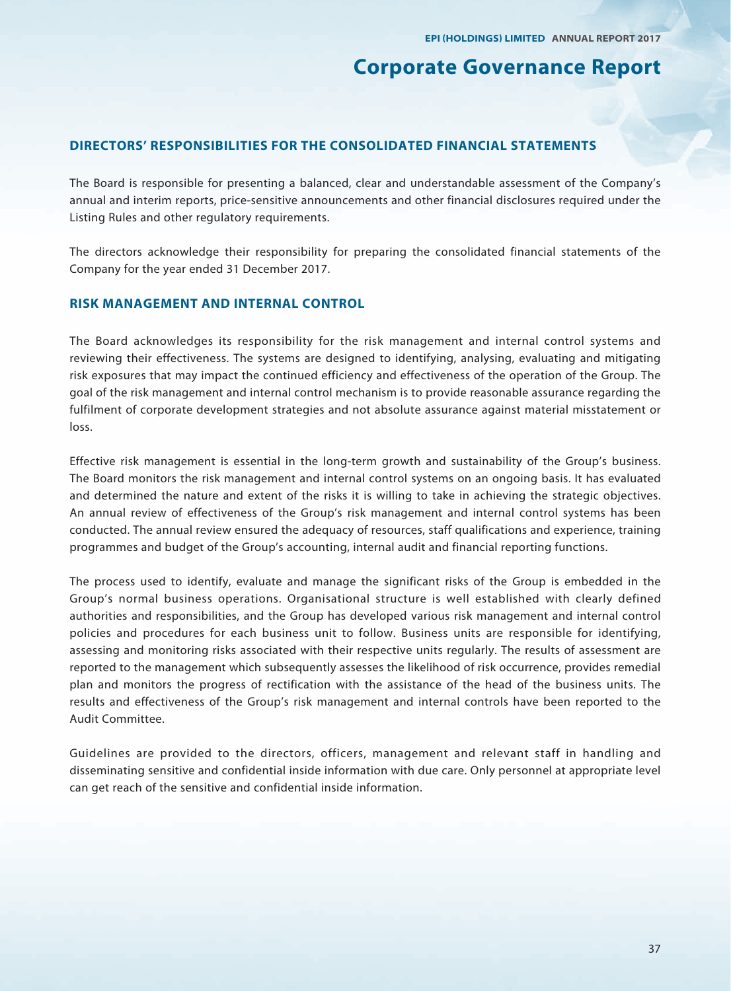### **DIRECTORS' RESPONSIBILITIES FOR THE CONSOLIDATED FINANCIAL STATEMENTS**

The Board is responsible for presenting a balanced, clear and understandable assessment of the Company's annual and interim reports, price-sensitive announcements and other financial disclosures required under the Listing Rules and other regulatory requirements.

The directors acknowledge their responsibility for preparing the consolidated financial statements of the Company for the year ended 31 December 2017.

### **RISK MANAGEMENT AND INTERNAL CONTROL**

The Board acknowledges its responsibility for the risk management and internal control systems and reviewing their effectiveness. The systems are designed to identifying, analysing, evaluating and mitigating risk exposures that may impact the continued efficiency and effectiveness of the operation of the Group. The goal of the risk management and internal control mechanism is to provide reasonable assurance regarding the fulfilment of corporate development strategies and not absolute assurance against material misstatement or loss.

Effective risk management is essential in the long-term growth and sustainability of the Group's business. The Board monitors the risk management and internal control systems on an ongoing basis. It has evaluated and determined the nature and extent of the risks it is willing to take in achieving the strategic objectives. An annual review of effectiveness of the Group's risk management and internal control systems has been conducted. The annual review ensured the adequacy of resources, staff qualifications and experience, training programmes and budget of the Group's accounting, internal audit and financial reporting functions.

The process used to identify, evaluate and manage the significant risks of the Group is embedded in the Group's normal business operations. Organisational structure is well established with clearly defined authorities and responsibilities, and the Group has developed various risk management and internal control policies and procedures for each business unit to follow. Business units are responsible for identifying, assessing and monitoring risks associated with their respective units regularly. The results of assessment are reported to the management which subsequently assesses the likelihood of risk occurrence, provides remedial plan and monitors the progress of rectification with the assistance of the head of the business units. The results and effectiveness of the Group's risk management and internal controls have been reported to the Audit Committee.

Guidelines are provided to the directors, officers, management and relevant staff in handling and disseminating sensitive and confidential inside information with due care. Only personnel at appropriate level can get reach of the sensitive and confidential inside information.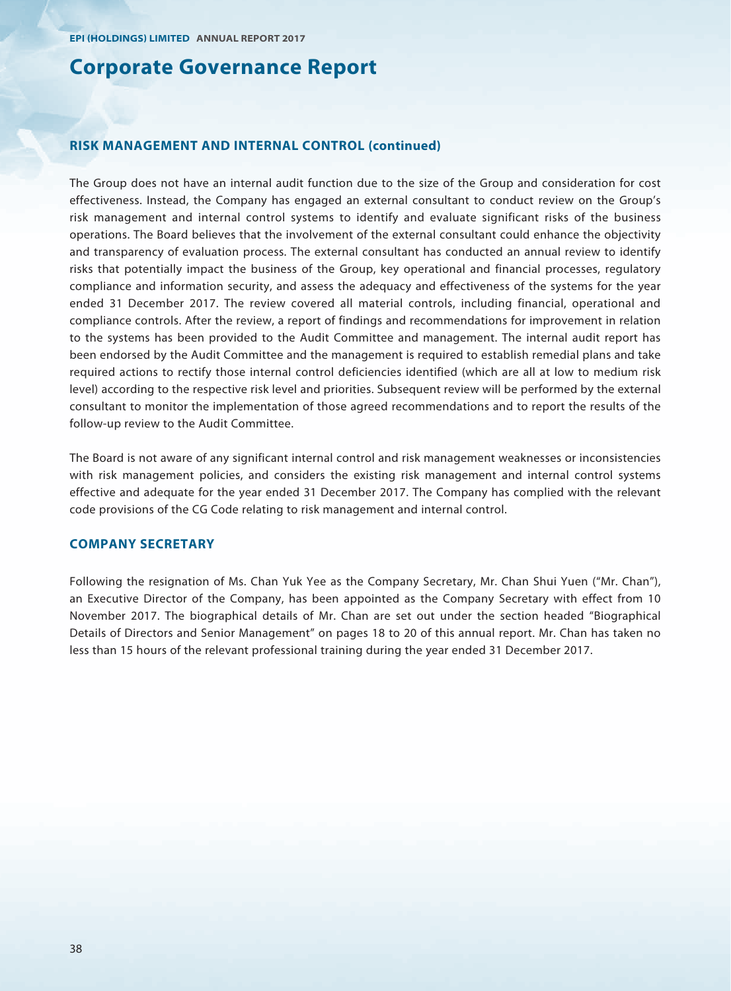### **RISK MANAGEMENT AND INTERNAL CONTROL (continued)**

The Group does not have an internal audit function due to the size of the Group and consideration for cost effectiveness. Instead, the Company has engaged an external consultant to conduct review on the Group's risk management and internal control systems to identify and evaluate significant risks of the business operations. The Board believes that the involvement of the external consultant could enhance the objectivity and transparency of evaluation process. The external consultant has conducted an annual review to identify risks that potentially impact the business of the Group, key operational and financial processes, regulatory compliance and information security, and assess the adequacy and effectiveness of the systems for the year ended 31 December 2017. The review covered all material controls, including financial, operational and compliance controls. After the review, a report of findings and recommendations for improvement in relation to the systems has been provided to the Audit Committee and management. The internal audit report has been endorsed by the Audit Committee and the management is required to establish remedial plans and take required actions to rectify those internal control deficiencies identified (which are all at low to medium risk level) according to the respective risk level and priorities. Subsequent review will be performed by the external consultant to monitor the implementation of those agreed recommendations and to report the results of the follow-up review to the Audit Committee.

The Board is not aware of any significant internal control and risk management weaknesses or inconsistencies with risk management policies, and considers the existing risk management and internal control systems effective and adequate for the year ended 31 December 2017. The Company has complied with the relevant code provisions of the CG Code relating to risk management and internal control.

# **COMPANY SECRETARY**

Following the resignation of Ms. Chan Yuk Yee as the Company Secretary, Mr. Chan Shui Yuen ("Mr. Chan"), an Executive Director of the Company, has been appointed as the Company Secretary with effect from 10 November 2017. The biographical details of Mr. Chan are set out under the section headed "Biographical Details of Directors and Senior Management" on pages 18 to 20 of this annual report. Mr. Chan has taken no less than 15 hours of the relevant professional training during the year ended 31 December 2017.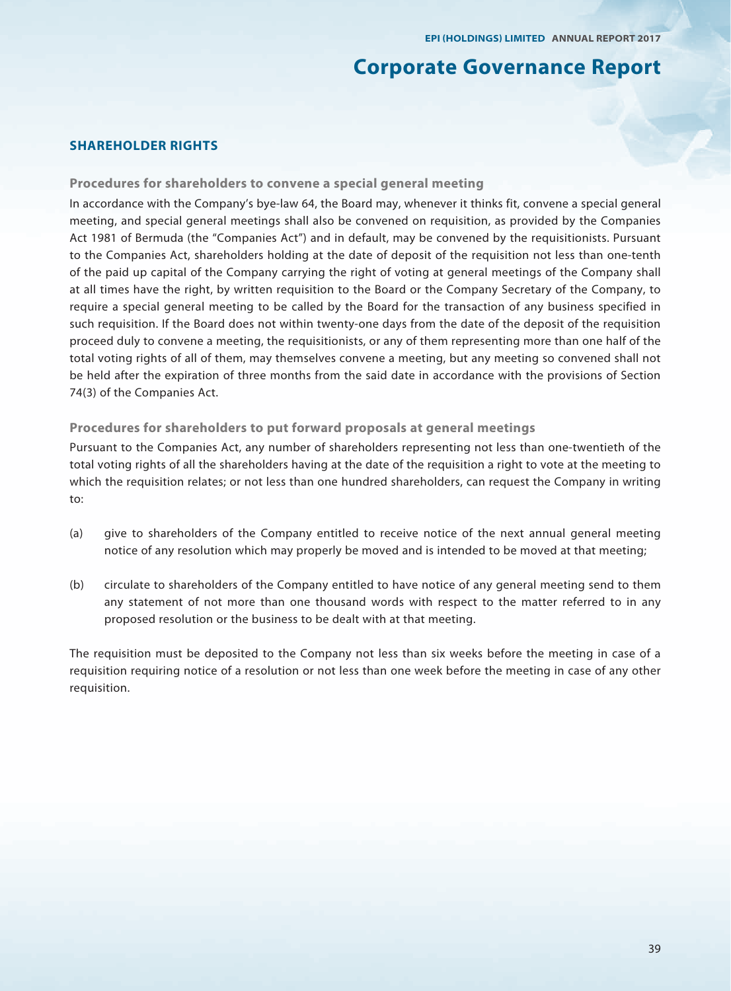### **SHAREHOLDER RIGHTS**

### **Procedures for shareholders to convene a special general meeting**

In accordance with the Company's bye-law 64, the Board may, whenever it thinks fit, convene a special general meeting, and special general meetings shall also be convened on requisition, as provided by the Companies Act 1981 of Bermuda (the "Companies Act") and in default, may be convened by the requisitionists. Pursuant to the Companies Act, shareholders holding at the date of deposit of the requisition not less than one-tenth of the paid up capital of the Company carrying the right of voting at general meetings of the Company shall at all times have the right, by written requisition to the Board or the Company Secretary of the Company, to require a special general meeting to be called by the Board for the transaction of any business specified in such requisition. If the Board does not within twenty-one days from the date of the deposit of the requisition proceed duly to convene a meeting, the requisitionists, or any of them representing more than one half of the total voting rights of all of them, may themselves convene a meeting, but any meeting so convened shall not be held after the expiration of three months from the said date in accordance with the provisions of Section 74(3) of the Companies Act.

### **Procedures for shareholders to put forward proposals at general meetings**

Pursuant to the Companies Act, any number of shareholders representing not less than one-twentieth of the total voting rights of all the shareholders having at the date of the requisition a right to vote at the meeting to which the requisition relates; or not less than one hundred shareholders, can request the Company in writing to:

- (a) give to shareholders of the Company entitled to receive notice of the next annual general meeting notice of any resolution which may properly be moved and is intended to be moved at that meeting;
- (b) circulate to shareholders of the Company entitled to have notice of any general meeting send to them any statement of not more than one thousand words with respect to the matter referred to in any proposed resolution or the business to be dealt with at that meeting.

The requisition must be deposited to the Company not less than six weeks before the meeting in case of a requisition requiring notice of a resolution or not less than one week before the meeting in case of any other requisition.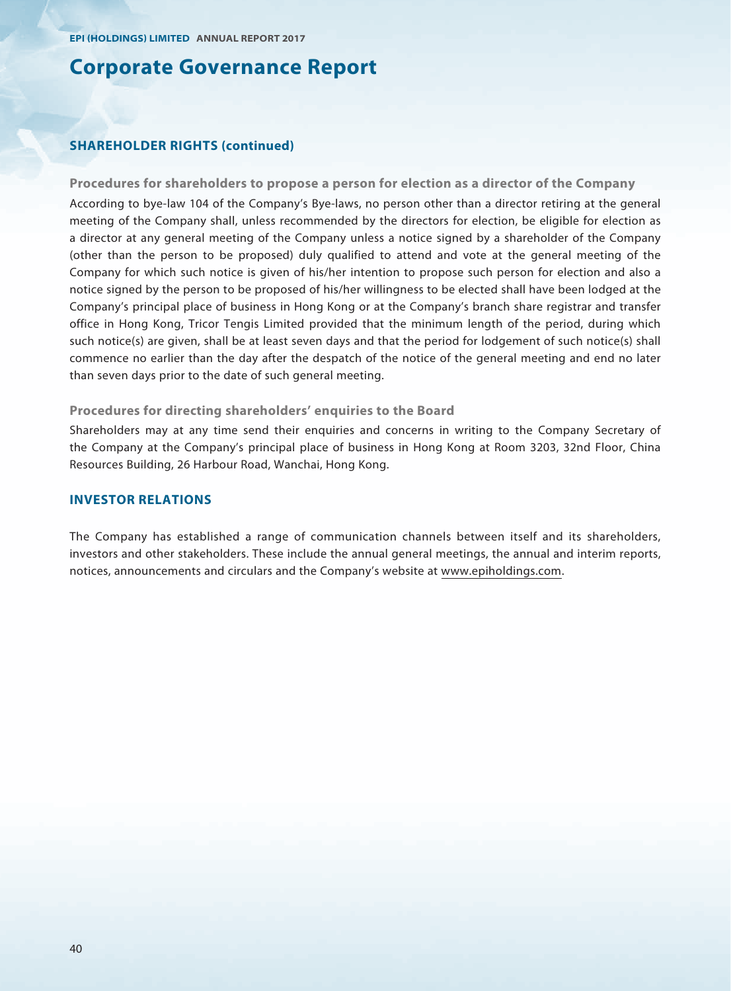### **SHAREHOLDER RIGHTS (continued)**

**Procedures for shareholders to propose a person for election as a director of the Company** According to bye-law 104 of the Company's Bye-laws, no person other than a director retiring at the general meeting of the Company shall, unless recommended by the directors for election, be eligible for election as a director at any general meeting of the Company unless a notice signed by a shareholder of the Company (other than the person to be proposed) duly qualified to attend and vote at the general meeting of the Company for which such notice is given of his/her intention to propose such person for election and also a notice signed by the person to be proposed of his/her willingness to be elected shall have been lodged at the Company's principal place of business in Hong Kong or at the Company's branch share registrar and transfer office in Hong Kong, Tricor Tengis Limited provided that the minimum length of the period, during which such notice(s) are given, shall be at least seven days and that the period for lodgement of such notice(s) shall commence no earlier than the day after the despatch of the notice of the general meeting and end no later than seven days prior to the date of such general meeting.

#### **Procedures for directing shareholders' enquiries to the Board**

Shareholders may at any time send their enquiries and concerns in writing to the Company Secretary of the Company at the Company's principal place of business in Hong Kong at Room 3203, 32nd Floor, China Resources Building, 26 Harbour Road, Wanchai, Hong Kong.

### **INVESTOR RELATIONS**

The Company has established a range of communication channels between itself and its shareholders, investors and other stakeholders. These include the annual general meetings, the annual and interim reports, notices, announcements and circulars and the Company's website at www.epiholdings.com.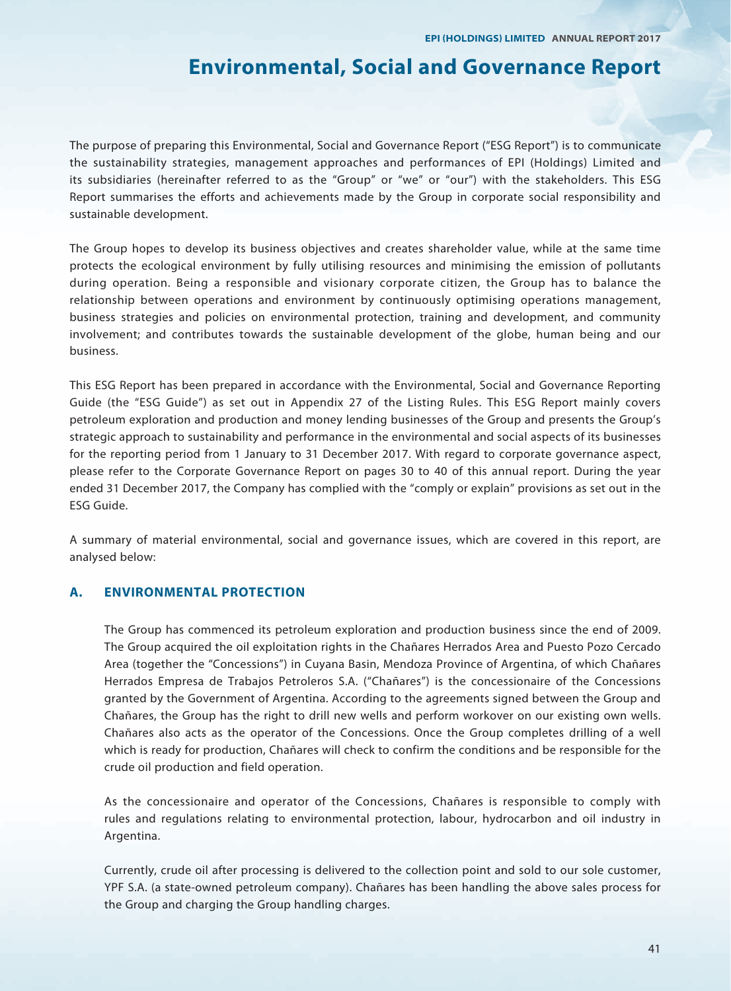The purpose of preparing this Environmental, Social and Governance Report ("ESG Report") is to communicate the sustainability strategies, management approaches and performances of EPI (Holdings) Limited and its subsidiaries (hereinafter referred to as the "Group" or "we" or "our") with the stakeholders. This ESG Report summarises the efforts and achievements made by the Group in corporate social responsibility and sustainable development.

The Group hopes to develop its business objectives and creates shareholder value, while at the same time protects the ecological environment by fully utilising resources and minimising the emission of pollutants during operation. Being a responsible and visionary corporate citizen, the Group has to balance the relationship between operations and environment by continuously optimising operations management, business strategies and policies on environmental protection, training and development, and community involvement; and contributes towards the sustainable development of the globe, human being and our business.

This ESG Report has been prepared in accordance with the Environmental, Social and Governance Reporting Guide (the "ESG Guide") as set out in Appendix 27 of the Listing Rules. This ESG Report mainly covers petroleum exploration and production and money lending businesses of the Group and presents the Group's strategic approach to sustainability and performance in the environmental and social aspects of its businesses for the reporting period from 1 January to 31 December 2017. With regard to corporate governance aspect, please refer to the Corporate Governance Report on pages 30 to 40 of this annual report. During the year ended 31 December 2017, the Company has complied with the "comply or explain" provisions as set out in the ESG Guide.

A summary of material environmental, social and governance issues, which are covered in this report, are analysed below:

### **A. ENVIRONMENTAL PROTECTION**

The Group has commenced its petroleum exploration and production business since the end of 2009. The Group acquired the oil exploitation rights in the Chañares Herrados Area and Puesto Pozo Cercado Area (together the "Concessions") in Cuyana Basin, Mendoza Province of Argentina, of which Chañares Herrados Empresa de Trabajos Petroleros S.A. ("Chañares") is the concessionaire of the Concessions granted by the Government of Argentina. According to the agreements signed between the Group and Chañares, the Group has the right to drill new wells and perform workover on our existing own wells. Chañares also acts as the operator of the Concessions. Once the Group completes drilling of a well which is ready for production, Chañares will check to confirm the conditions and be responsible for the crude oil production and field operation.

As the concessionaire and operator of the Concessions, Chañares is responsible to comply with rules and regulations relating to environmental protection, labour, hydrocarbon and oil industry in Argentina.

Currently, crude oil after processing is delivered to the collection point and sold to our sole customer, YPF S.A. (a state-owned petroleum company). Chañares has been handling the above sales process for the Group and charging the Group handling charges.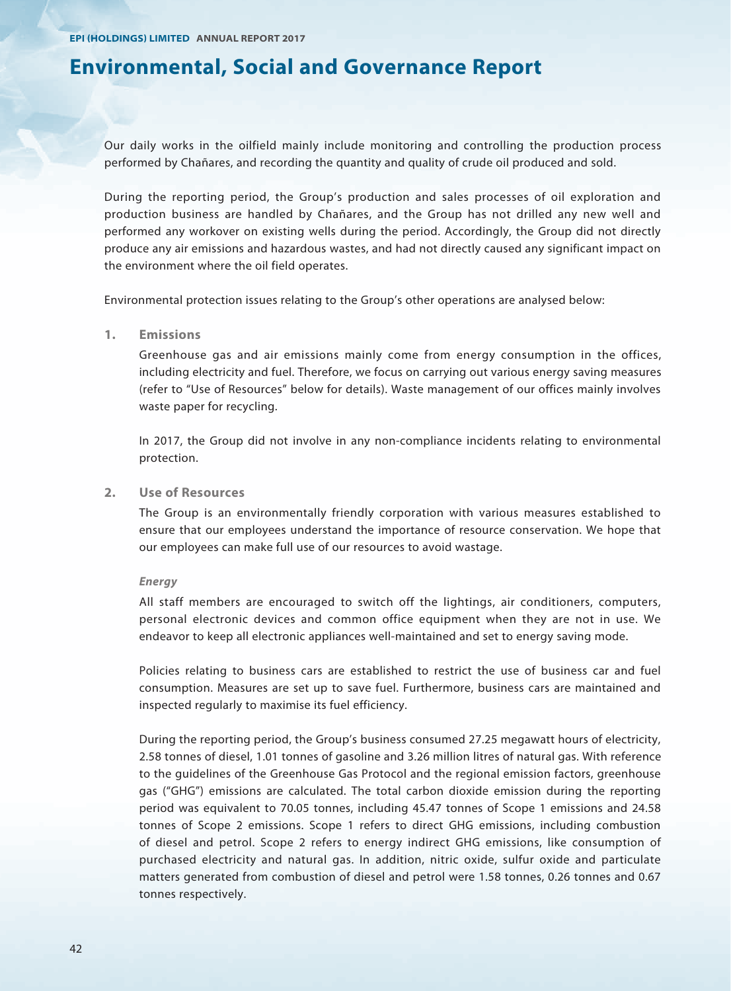Our daily works in the oilfield mainly include monitoring and controlling the production process performed by Chañares, and recording the quantity and quality of crude oil produced and sold.

During the reporting period, the Group's production and sales processes of oil exploration and production business are handled by Chañares, and the Group has not drilled any new well and performed any workover on existing wells during the period. Accordingly, the Group did not directly produce any air emissions and hazardous wastes, and had not directly caused any significant impact on the environment where the oil field operates.

Environmental protection issues relating to the Group's other operations are analysed below:

**1. Emissions**

Greenhouse gas and air emissions mainly come from energy consumption in the offices, including electricity and fuel. Therefore, we focus on carrying out various energy saving measures (refer to "Use of Resources" below for details). Waste management of our offices mainly involves waste paper for recycling.

In 2017, the Group did not involve in any non-compliance incidents relating to environmental protection.

#### **2. Use of Resources**

The Group is an environmentally friendly corporation with various measures established to ensure that our employees understand the importance of resource conservation. We hope that our employees can make full use of our resources to avoid wastage.

#### *Energy*

All staff members are encouraged to switch off the lightings, air conditioners, computers, personal electronic devices and common office equipment when they are not in use. We endeavor to keep all electronic appliances well-maintained and set to energy saving mode.

Policies relating to business cars are established to restrict the use of business car and fuel consumption. Measures are set up to save fuel. Furthermore, business cars are maintained and inspected regularly to maximise its fuel efficiency.

During the reporting period, the Group's business consumed 27.25 megawatt hours of electricity, 2.58 tonnes of diesel, 1.01 tonnes of gasoline and 3.26 million litres of natural gas. With reference to the guidelines of the Greenhouse Gas Protocol and the regional emission factors, greenhouse gas ("GHG") emissions are calculated. The total carbon dioxide emission during the reporting period was equivalent to 70.05 tonnes, including 45.47 tonnes of Scope 1 emissions and 24.58 tonnes of Scope 2 emissions. Scope 1 refers to direct GHG emissions, including combustion of diesel and petrol. Scope 2 refers to energy indirect GHG emissions, like consumption of purchased electricity and natural gas. In addition, nitric oxide, sulfur oxide and particulate matters generated from combustion of diesel and petrol were 1.58 tonnes, 0.26 tonnes and 0.67 tonnes respectively.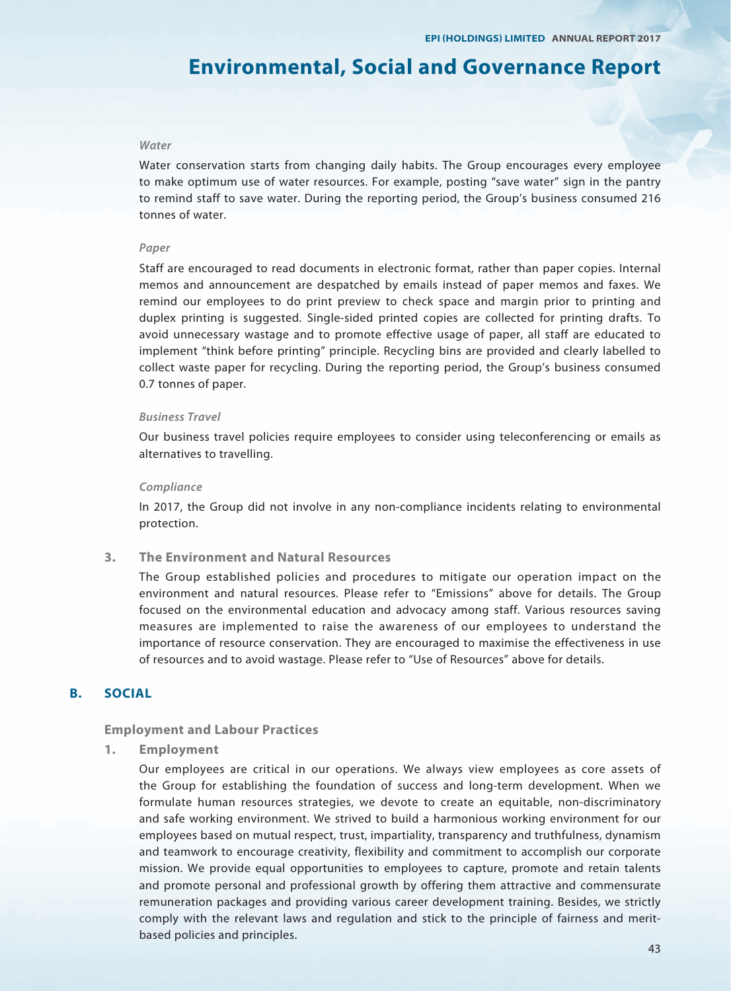#### *Water*

Water conservation starts from changing daily habits. The Group encourages every employee to make optimum use of water resources. For example, posting "save water" sign in the pantry to remind staff to save water. During the reporting period, the Group's business consumed 216 tonnes of water.

#### *Paper*

Staff are encouraged to read documents in electronic format, rather than paper copies. Internal memos and announcement are despatched by emails instead of paper memos and faxes. We remind our employees to do print preview to check space and margin prior to printing and duplex printing is suggested. Single-sided printed copies are collected for printing drafts. To avoid unnecessary wastage and to promote effective usage of paper, all staff are educated to implement "think before printing" principle. Recycling bins are provided and clearly labelled to collect waste paper for recycling. During the reporting period, the Group's business consumed 0.7 tonnes of paper.

#### *Business Travel*

Our business travel policies require employees to consider using teleconferencing or emails as alternatives to travelling.

#### *Compliance*

In 2017, the Group did not involve in any non-compliance incidents relating to environmental protection.

**3. The Environment and Natural Resources**

The Group established policies and procedures to mitigate our operation impact on the environment and natural resources. Please refer to "Emissions" above for details. The Group focused on the environmental education and advocacy among staff. Various resources saving measures are implemented to raise the awareness of our employees to understand the importance of resource conservation. They are encouraged to maximise the effectiveness in use of resources and to avoid wastage. Please refer to "Use of Resources" above for details.

### **B. SOCIAL**

**Employment and Labour Practices**

**1. Employment**

Our employees are critical in our operations. We always view employees as core assets of the Group for establishing the foundation of success and long-term development. When we formulate human resources strategies, we devote to create an equitable, non-discriminatory and safe working environment. We strived to build a harmonious working environment for our employees based on mutual respect, trust, impartiality, transparency and truthfulness, dynamism and teamwork to encourage creativity, flexibility and commitment to accomplish our corporate mission. We provide equal opportunities to employees to capture, promote and retain talents and promote personal and professional growth by offering them attractive and commensurate remuneration packages and providing various career development training. Besides, we strictly comply with the relevant laws and regulation and stick to the principle of fairness and meritbased policies and principles.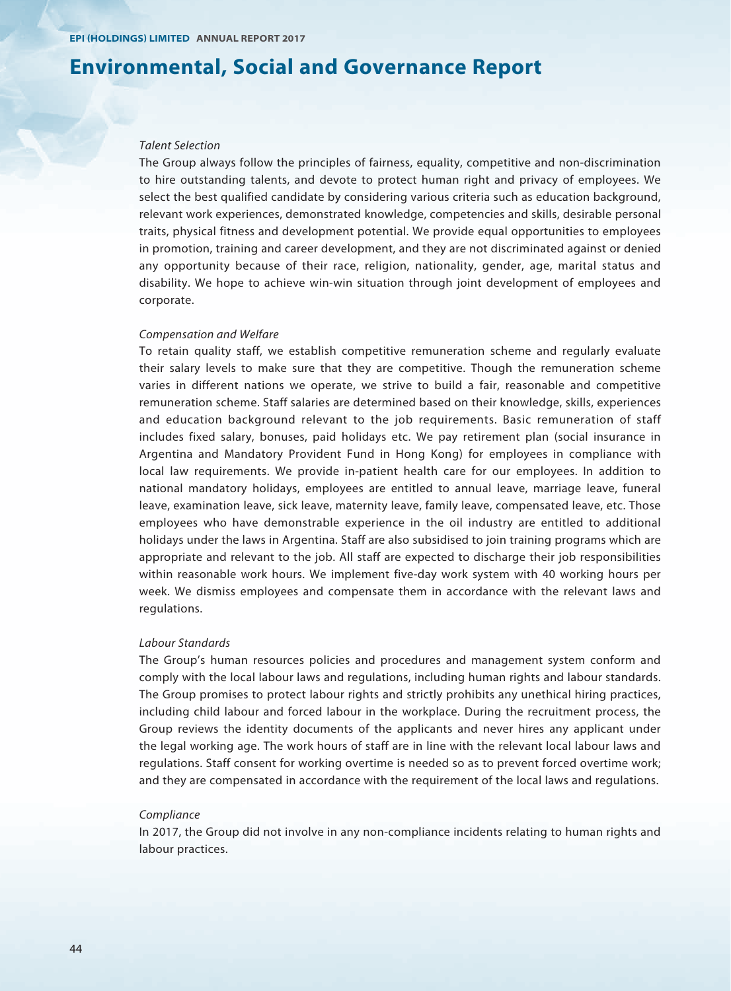#### *Talent Selection*

The Group always follow the principles of fairness, equality, competitive and non-discrimination to hire outstanding talents, and devote to protect human right and privacy of employees. We select the best qualified candidate by considering various criteria such as education background, relevant work experiences, demonstrated knowledge, competencies and skills, desirable personal traits, physical fitness and development potential. We provide equal opportunities to employees in promotion, training and career development, and they are not discriminated against or denied any opportunity because of their race, religion, nationality, gender, age, marital status and disability. We hope to achieve win-win situation through joint development of employees and corporate.

#### *Compensation and Welfare*

To retain quality staff, we establish competitive remuneration scheme and regularly evaluate their salary levels to make sure that they are competitive. Though the remuneration scheme varies in different nations we operate, we strive to build a fair, reasonable and competitive remuneration scheme. Staff salaries are determined based on their knowledge, skills, experiences and education background relevant to the job requirements. Basic remuneration of staff includes fixed salary, bonuses, paid holidays etc. We pay retirement plan (social insurance in Argentina and Mandatory Provident Fund in Hong Kong) for employees in compliance with local law requirements. We provide in-patient health care for our employees. In addition to national mandatory holidays, employees are entitled to annual leave, marriage leave, funeral leave, examination leave, sick leave, maternity leave, family leave, compensated leave, etc. Those employees who have demonstrable experience in the oil industry are entitled to additional holidays under the laws in Argentina. Staff are also subsidised to join training programs which are appropriate and relevant to the job. All staff are expected to discharge their job responsibilities within reasonable work hours. We implement five-day work system with 40 working hours per week. We dismiss employees and compensate them in accordance with the relevant laws and regulations.

#### *Labour Standards*

The Group's human resources policies and procedures and management system conform and comply with the local labour laws and regulations, including human rights and labour standards. The Group promises to protect labour rights and strictly prohibits any unethical hiring practices, including child labour and forced labour in the workplace. During the recruitment process, the Group reviews the identity documents of the applicants and never hires any applicant under the legal working age. The work hours of staff are in line with the relevant local labour laws and regulations. Staff consent for working overtime is needed so as to prevent forced overtime work; and they are compensated in accordance with the requirement of the local laws and regulations.

#### *Compliance*

In 2017, the Group did not involve in any non-compliance incidents relating to human rights and labour practices.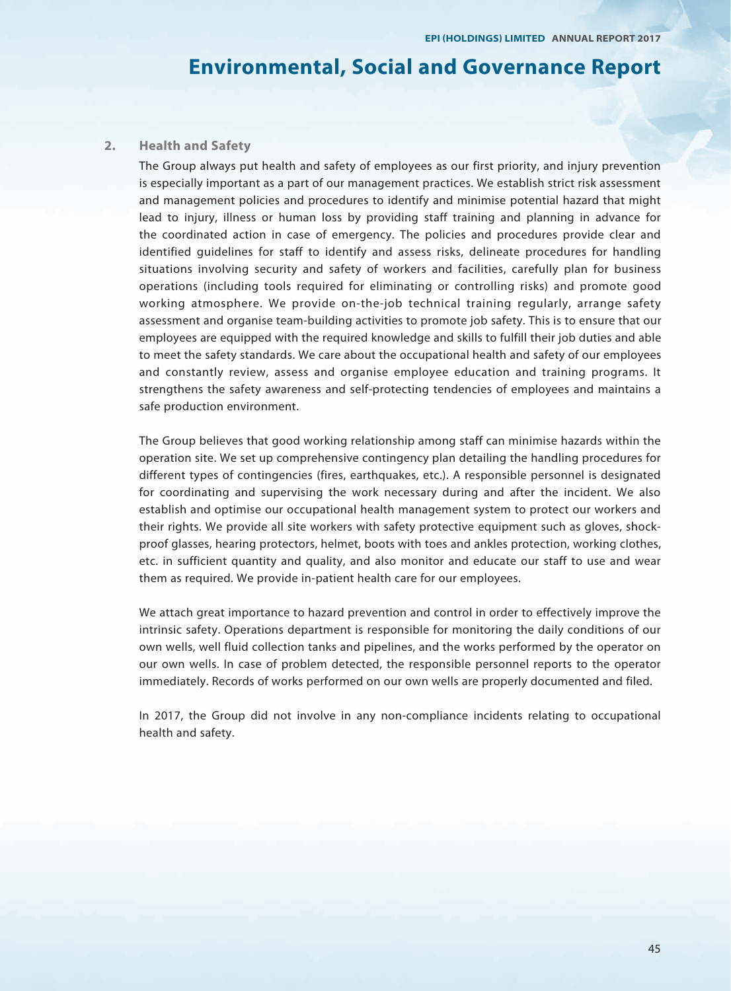### **2. Health and Safety**

The Group always put health and safety of employees as our first priority, and injury prevention is especially important as a part of our management practices. We establish strict risk assessment and management policies and procedures to identify and minimise potential hazard that might lead to injury, illness or human loss by providing staff training and planning in advance for the coordinated action in case of emergency. The policies and procedures provide clear and identified guidelines for staff to identify and assess risks, delineate procedures for handling situations involving security and safety of workers and facilities, carefully plan for business operations (including tools required for eliminating or controlling risks) and promote good working atmosphere. We provide on-the-job technical training regularly, arrange safety assessment and organise team-building activities to promote job safety. This is to ensure that our employees are equipped with the required knowledge and skills to fulfill their job duties and able to meet the safety standards. We care about the occupational health and safety of our employees and constantly review, assess and organise employee education and training programs. It strengthens the safety awareness and self-protecting tendencies of employees and maintains a safe production environment.

The Group believes that good working relationship among staff can minimise hazards within the operation site. We set up comprehensive contingency plan detailing the handling procedures for different types of contingencies (fires, earthquakes, etc.). A responsible personnel is designated for coordinating and supervising the work necessary during and after the incident. We also establish and optimise our occupational health management system to protect our workers and their rights. We provide all site workers with safety protective equipment such as gloves, shockproof glasses, hearing protectors, helmet, boots with toes and ankles protection, working clothes, etc. in sufficient quantity and quality, and also monitor and educate our staff to use and wear them as required. We provide in-patient health care for our employees.

We attach great importance to hazard prevention and control in order to effectively improve the intrinsic safety. Operations department is responsible for monitoring the daily conditions of our own wells, well fluid collection tanks and pipelines, and the works performed by the operator on our own wells. In case of problem detected, the responsible personnel reports to the operator immediately. Records of works performed on our own wells are properly documented and filed.

In 2017, the Group did not involve in any non-compliance incidents relating to occupational health and safety.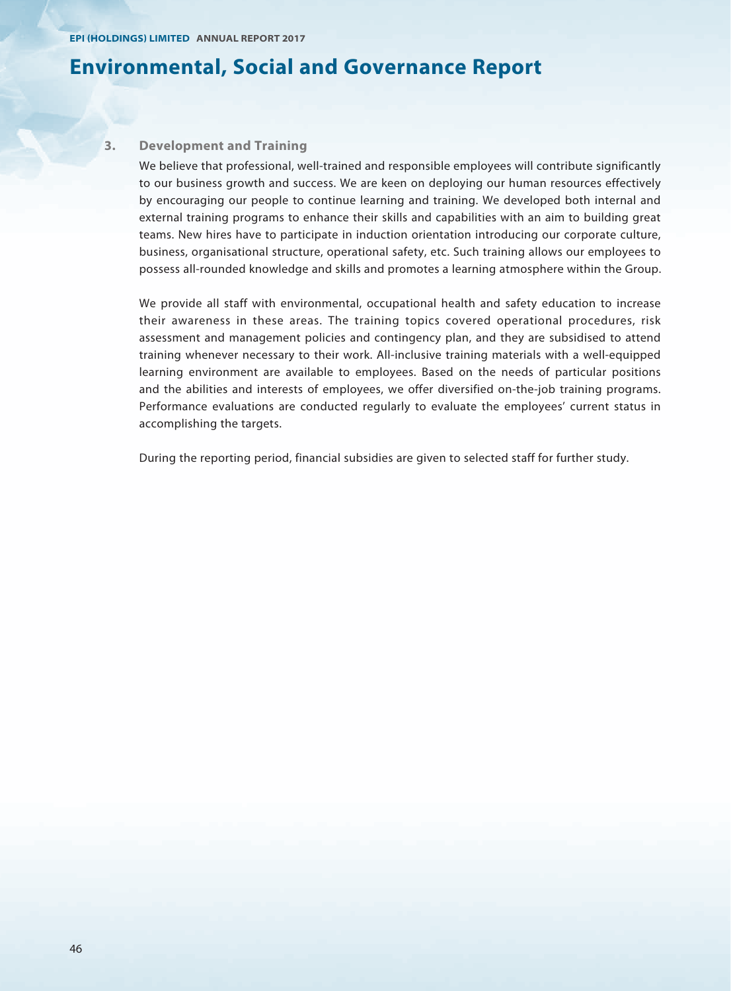### **3. Development and Training**

We believe that professional, well-trained and responsible employees will contribute significantly to our business growth and success. We are keen on deploying our human resources effectively by encouraging our people to continue learning and training. We developed both internal and external training programs to enhance their skills and capabilities with an aim to building great teams. New hires have to participate in induction orientation introducing our corporate culture, business, organisational structure, operational safety, etc. Such training allows our employees to possess all-rounded knowledge and skills and promotes a learning atmosphere within the Group.

We provide all staff with environmental, occupational health and safety education to increase their awareness in these areas. The training topics covered operational procedures, risk assessment and management policies and contingency plan, and they are subsidised to attend training whenever necessary to their work. All-inclusive training materials with a well-equipped learning environment are available to employees. Based on the needs of particular positions and the abilities and interests of employees, we offer diversified on-the-job training programs. Performance evaluations are conducted regularly to evaluate the employees' current status in accomplishing the targets.

During the reporting period, financial subsidies are given to selected staff for further study.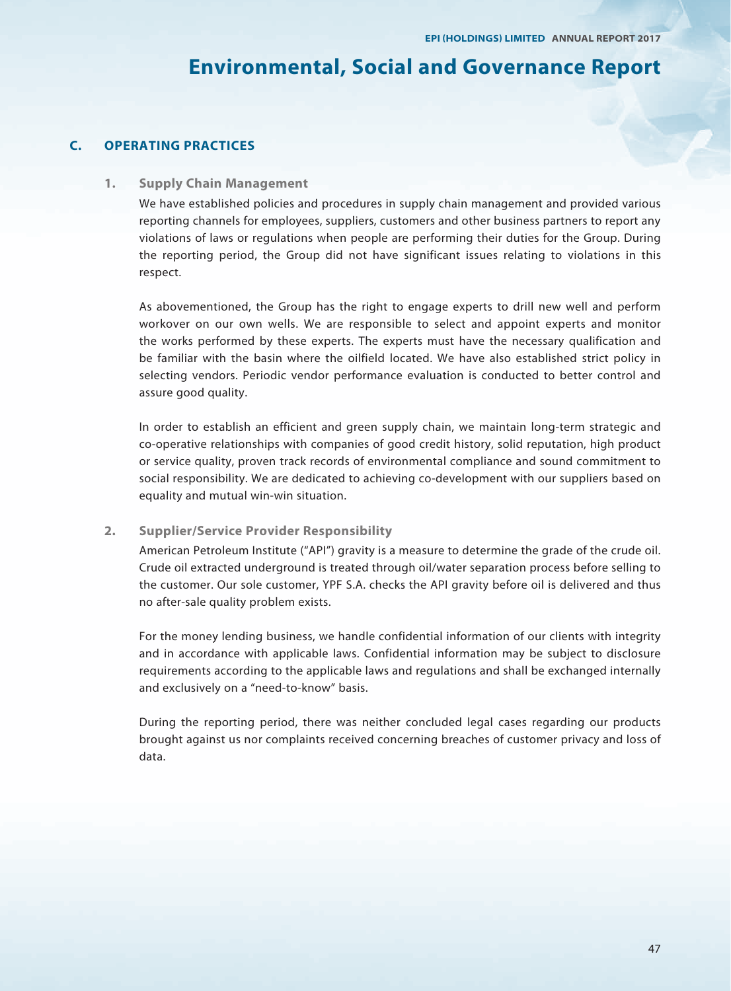# **C. OPERATING PRACTICES**

### **1. Supply Chain Management**

We have established policies and procedures in supply chain management and provided various reporting channels for employees, suppliers, customers and other business partners to report any violations of laws or regulations when people are performing their duties for the Group. During the reporting period, the Group did not have significant issues relating to violations in this respect.

As abovementioned, the Group has the right to engage experts to drill new well and perform workover on our own wells. We are responsible to select and appoint experts and monitor the works performed by these experts. The experts must have the necessary qualification and be familiar with the basin where the oilfield located. We have also established strict policy in selecting vendors. Periodic vendor performance evaluation is conducted to better control and assure good quality.

In order to establish an efficient and green supply chain, we maintain long-term strategic and co-operative relationships with companies of good credit history, solid reputation, high product or service quality, proven track records of environmental compliance and sound commitment to social responsibility. We are dedicated to achieving co-development with our suppliers based on equality and mutual win-win situation.

### **2. Supplier/Service Provider Responsibility**

American Petroleum Institute ("API") gravity is a measure to determine the grade of the crude oil. Crude oil extracted underground is treated through oil/water separation process before selling to the customer. Our sole customer, YPF S.A. checks the API gravity before oil is delivered and thus no after-sale quality problem exists.

For the money lending business, we handle confidential information of our clients with integrity and in accordance with applicable laws. Confidential information may be subject to disclosure requirements according to the applicable laws and regulations and shall be exchanged internally and exclusively on a "need-to-know" basis.

During the reporting period, there was neither concluded legal cases regarding our products brought against us nor complaints received concerning breaches of customer privacy and loss of data.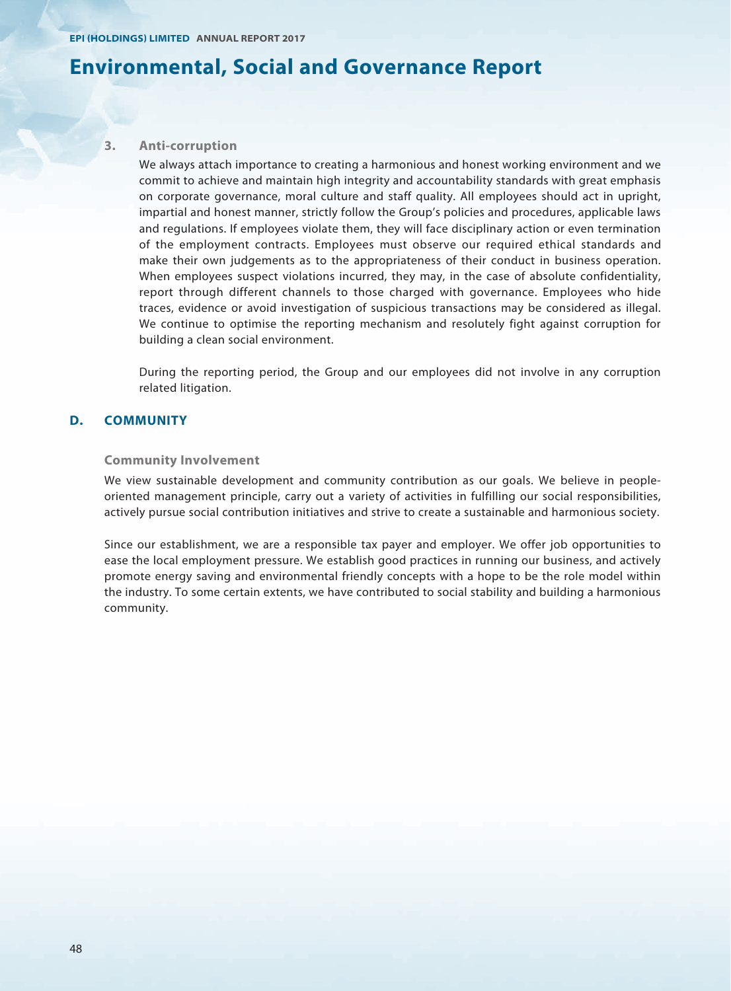#### **3. Anti-corruption**

We always attach importance to creating a harmonious and honest working environment and we commit to achieve and maintain high integrity and accountability standards with great emphasis on corporate governance, moral culture and staff quality. All employees should act in upright, impartial and honest manner, strictly follow the Group's policies and procedures, applicable laws and regulations. If employees violate them, they will face disciplinary action or even termination of the employment contracts. Employees must observe our required ethical standards and make their own judgements as to the appropriateness of their conduct in business operation. When employees suspect violations incurred, they may, in the case of absolute confidentiality, report through different channels to those charged with governance. Employees who hide traces, evidence or avoid investigation of suspicious transactions may be considered as illegal. We continue to optimise the reporting mechanism and resolutely fight against corruption for building a clean social environment.

During the reporting period, the Group and our employees did not involve in any corruption related litigation.

### **D. COMMUNITY**

#### **Community Involvement**

We view sustainable development and community contribution as our goals. We believe in peopleoriented management principle, carry out a variety of activities in fulfilling our social responsibilities, actively pursue social contribution initiatives and strive to create a sustainable and harmonious society.

Since our establishment, we are a responsible tax payer and employer. We offer job opportunities to ease the local employment pressure. We establish good practices in running our business, and actively promote energy saving and environmental friendly concepts with a hope to be the role model within the industry. To some certain extents, we have contributed to social stability and building a harmonious community.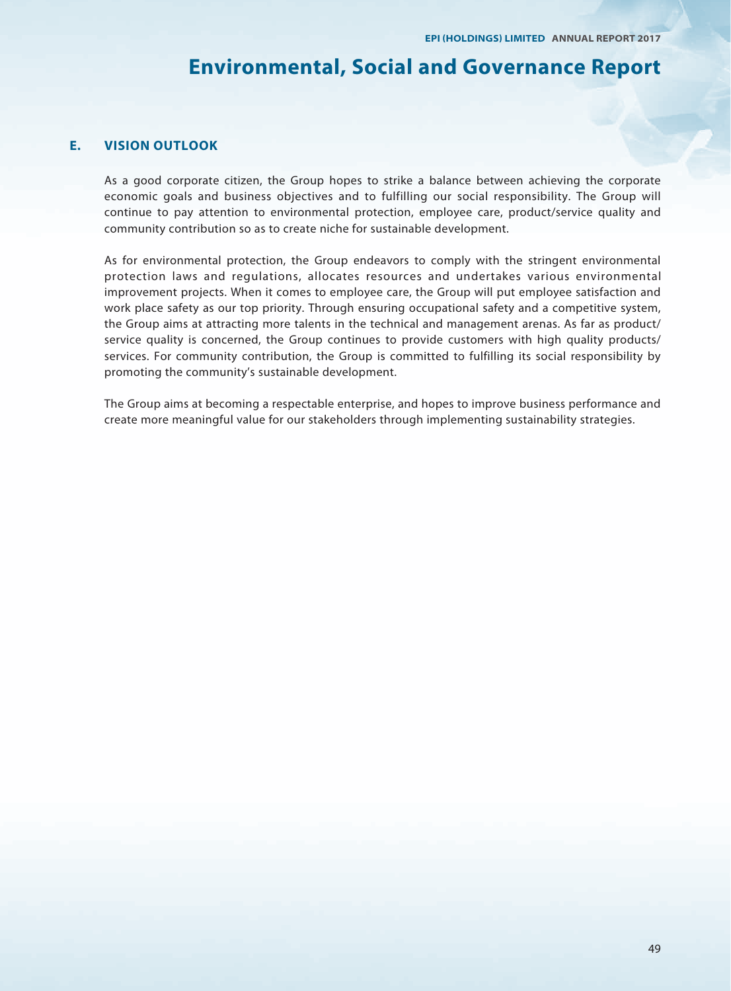### **E. VISION OUTLOOK**

As a good corporate citizen, the Group hopes to strike a balance between achieving the corporate economic goals and business objectives and to fulfilling our social responsibility. The Group will continue to pay attention to environmental protection, employee care, product/service quality and community contribution so as to create niche for sustainable development.

As for environmental protection, the Group endeavors to comply with the stringent environmental protection laws and regulations, allocates resources and undertakes various environmental improvement projects. When it comes to employee care, the Group will put employee satisfaction and work place safety as our top priority. Through ensuring occupational safety and a competitive system, the Group aims at attracting more talents in the technical and management arenas. As far as product/ service quality is concerned, the Group continues to provide customers with high quality products/ services. For community contribution, the Group is committed to fulfilling its social responsibility by promoting the community's sustainable development.

The Group aims at becoming a respectable enterprise, and hopes to improve business performance and create more meaningful value for our stakeholders through implementing sustainability strategies.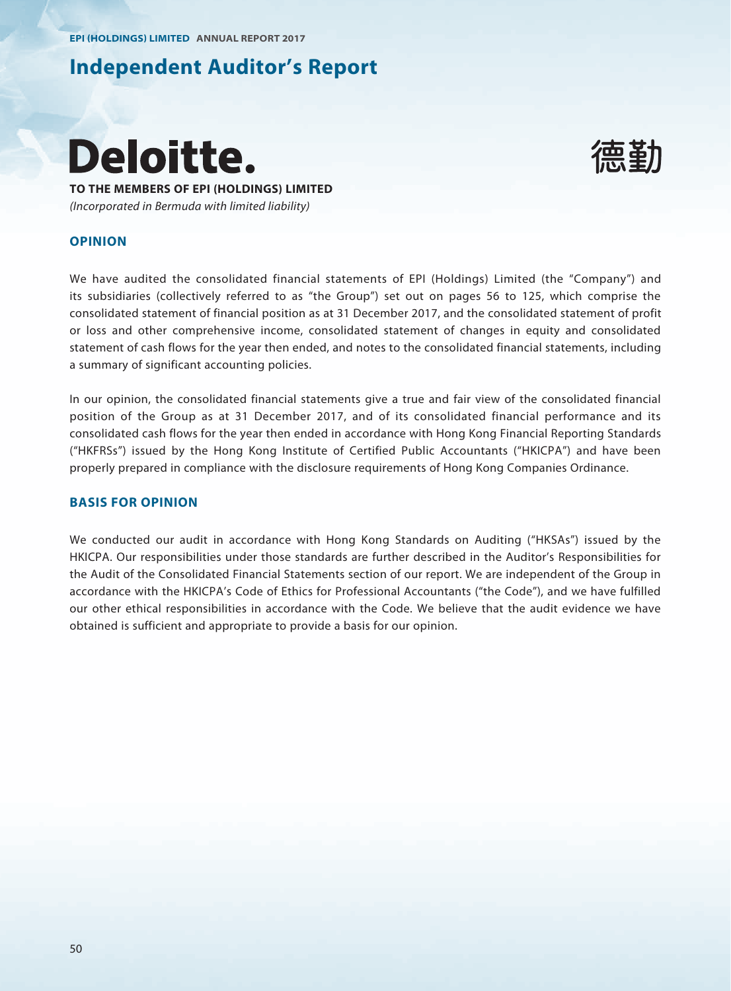**EPI (Holdings) Limited ANNUAL REPORT 2017**

# **Independent Auditor's Report**





**TO THE MEMBERS OF EPI (HOLDINGS) LIMITED** *(Incorporated in Bermuda with limited liability)*

### **Opinion**

We have audited the consolidated financial statements of EPI (Holdings) Limited (the "Company") and its subsidiaries (collectively referred to as "the Group") set out on pages 56 to 125, which comprise the consolidated statement of financial position as at 31 December 2017, and the consolidated statement of profit or loss and other comprehensive income, consolidated statement of changes in equity and consolidated statement of cash flows for the year then ended, and notes to the consolidated financial statements, including a summary of significant accounting policies.

In our opinion, the consolidated financial statements give a true and fair view of the consolidated financial position of the Group as at 31 December 2017, and of its consolidated financial performance and its consolidated cash flows for the year then ended in accordance with Hong Kong Financial Reporting Standards ("HKFRSs") issued by the Hong Kong Institute of Certified Public Accountants ("HKICPA") and have been properly prepared in compliance with the disclosure requirements of Hong Kong Companies Ordinance.

### **Basis for Opinion**

We conducted our audit in accordance with Hong Kong Standards on Auditing ("HKSAs") issued by the HKICPA. Our responsibilities under those standards are further described in the Auditor's Responsibilities for the Audit of the Consolidated Financial Statements section of our report. We are independent of the Group in accordance with the HKICPA's Code of Ethics for Professional Accountants ("the Code"), and we have fulfilled our other ethical responsibilities in accordance with the Code. We believe that the audit evidence we have obtained is sufficient and appropriate to provide a basis for our opinion.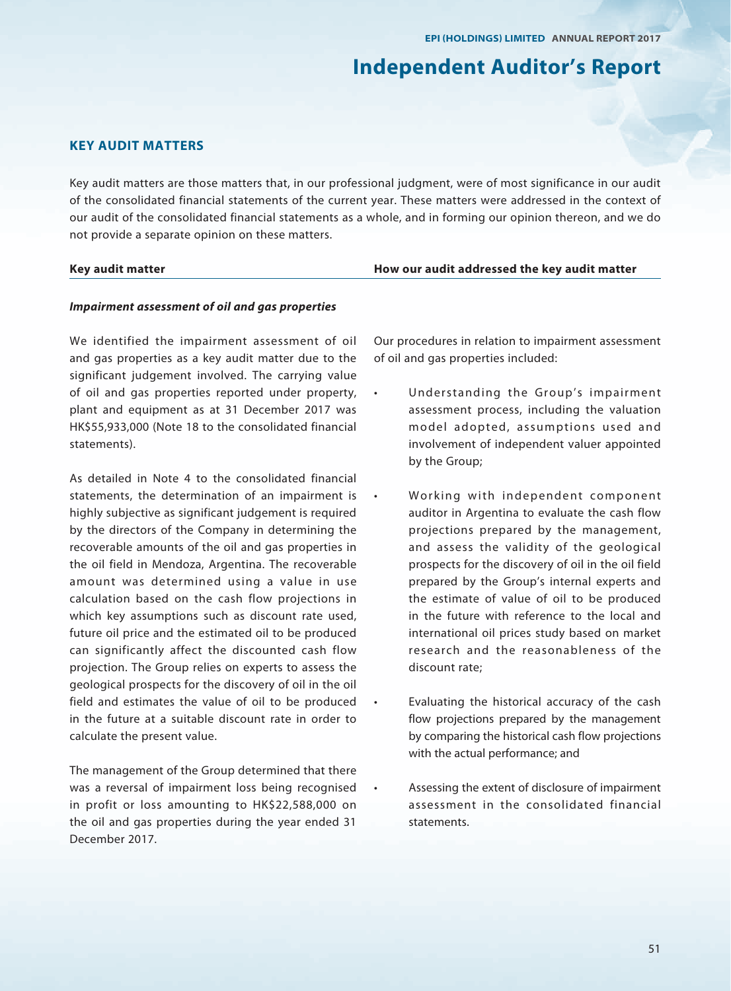**EPI (Holdings) Limited ANNUAL REPORT 2017**

# **Independent Auditor's Report**

### **Key Audit Matters**

Key audit matters are those matters that, in our professional judgment, were of most significance in our audit of the consolidated financial statements of the current year. These matters were addressed in the context of our audit of the consolidated financial statements as a whole, and in forming our opinion thereon, and we do not provide a separate opinion on these matters.

### **Key audit matter How our audit addressed the key audit matter**

#### *Impairment assessment of oil and gas properties*

We identified the impairment assessment of oil and gas properties as a key audit matter due to the significant judgement involved. The carrying value of oil and gas properties reported under property, plant and equipment as at 31 December 2017 was HK\$55,933,000 (Note 18 to the consolidated financial statements).

As detailed in Note 4 to the consolidated financial statements, the determination of an impairment is highly subjective as significant judgement is required by the directors of the Company in determining the recoverable amounts of the oil and gas properties in the oil field in Mendoza, Argentina. The recoverable amount was determined using a value in use calculation based on the cash flow projections in which key assumptions such as discount rate used, future oil price and the estimated oil to be produced can significantly affect the discounted cash flow projection. The Group relies on experts to assess the geological prospects for the discovery of oil in the oil field and estimates the value of oil to be produced in the future at a suitable discount rate in order to calculate the present value.

The management of the Group determined that there was a reversal of impairment loss being recognised in profit or loss amounting to HK\$22,588,000 on the oil and gas properties during the year ended 31 December 2017.

Our procedures in relation to impairment assessment of oil and gas properties included:

- Understanding the Group's impairment assessment process, including the valuation model adopted, assumptions used and involvement of independent valuer appointed by the Group;
- Working with independent component auditor in Argentina to evaluate the cash flow projections prepared by the management, and assess the validity of the geological prospects for the discovery of oil in the oil field prepared by the Group's internal experts and the estimate of value of oil to be produced in the future with reference to the local and international oil prices study based on market research and the reasonableness of the discount rate;
- Evaluating the historical accuracy of the cash flow projections prepared by the management by comparing the historical cash flow projections with the actual performance; and
- Assessing the extent of disclosure of impairment assessment in the consolidated financial statements.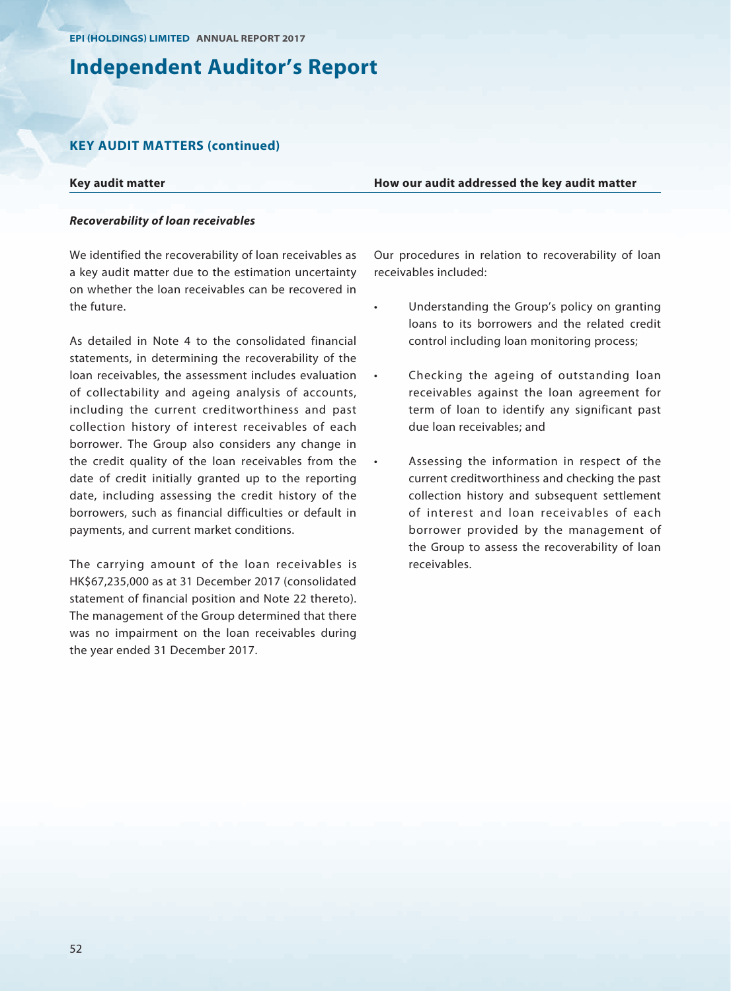### **KEY AUDIT MATTERS (continued)**

**Key audit matter How our audit addressed the key audit matter**

#### *Recoverability of loan receivables*

We identified the recoverability of loan receivables as a key audit matter due to the estimation uncertainty on whether the loan receivables can be recovered in the future.

As detailed in Note 4 to the consolidated financial statements, in determining the recoverability of the loan receivables, the assessment includes evaluation of collectability and ageing analysis of accounts, including the current creditworthiness and past collection history of interest receivables of each borrower. The Group also considers any change in the credit quality of the loan receivables from the date of credit initially granted up to the reporting date, including assessing the credit history of the borrowers, such as financial difficulties or default in payments, and current market conditions.

The carrying amount of the loan receivables is HK\$67,235,000 as at 31 December 2017 (consolidated statement of financial position and Note 22 thereto). The management of the Group determined that there was no impairment on the loan receivables during the year ended 31 December 2017.

Our procedures in relation to recoverability of loan receivables included:

- Understanding the Group's policy on granting loans to its borrowers and the related credit control including loan monitoring process;
- Checking the ageing of outstanding loan receivables against the loan agreement for term of loan to identify any significant past due loan receivables; and
- Assessing the information in respect of the current creditworthiness and checking the past collection history and subsequent settlement of interest and loan receivables of each borrower provided by the management of the Group to assess the recoverability of loan receivables.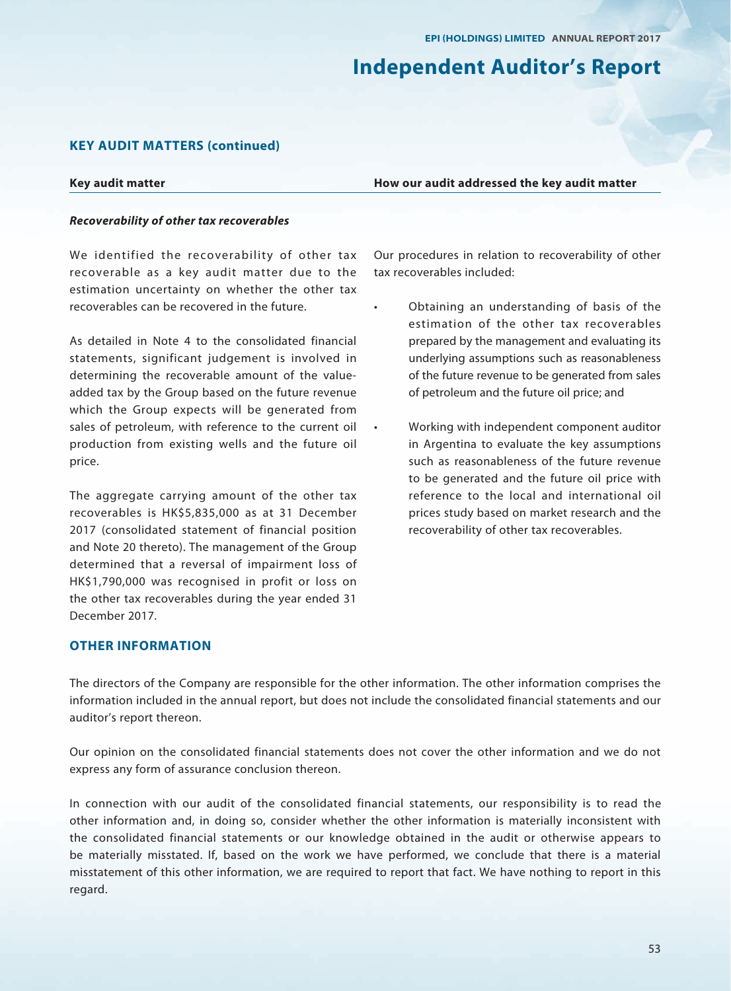### **KEY AUDIT MATTERS (continued)**

**Key audit matter How our audit addressed the key audit matter**

#### *Recoverability of other tax recoverables*

We identified the recoverability of other tax recoverable as a key audit matter due to the estimation uncertainty on whether the other tax recoverables can be recovered in the future.

As detailed in Note 4 to the consolidated financial statements, significant judgement is involved in determining the recoverable amount of the valueadded tax by the Group based on the future revenue which the Group expects will be generated from sales of petroleum, with reference to the current oil production from existing wells and the future oil price.

The aggregate carrying amount of the other tax recoverables is HK\$5,835,000 as at 31 December 2017 (consolidated statement of financial position and Note 20 thereto). The management of the Group determined that a reversal of impairment loss of HK\$1,790,000 was recognised in profit or loss on the other tax recoverables during the year ended 31 December 2017.

Our procedures in relation to recoverability of other tax recoverables included:

- Obtaining an understanding of basis of the estimation of the other tax recoverables prepared by the management and evaluating its underlying assumptions such as reasonableness of the future revenue to be generated from sales of petroleum and the future oil price; and
- Working with independent component auditor in Argentina to evaluate the key assumptions such as reasonableness of the future revenue to be generated and the future oil price with reference to the local and international oil prices study based on market research and the recoverability of other tax recoverables.

### **Other Information**

The directors of the Company are responsible for the other information. The other information comprises the information included in the annual report, but does not include the consolidated financial statements and our auditor's report thereon.

Our opinion on the consolidated financial statements does not cover the other information and we do not express any form of assurance conclusion thereon.

In connection with our audit of the consolidated financial statements, our responsibility is to read the other information and, in doing so, consider whether the other information is materially inconsistent with the consolidated financial statements or our knowledge obtained in the audit or otherwise appears to be materially misstated. If, based on the work we have performed, we conclude that there is a material misstatement of this other information, we are required to report that fact. We have nothing to report in this regard.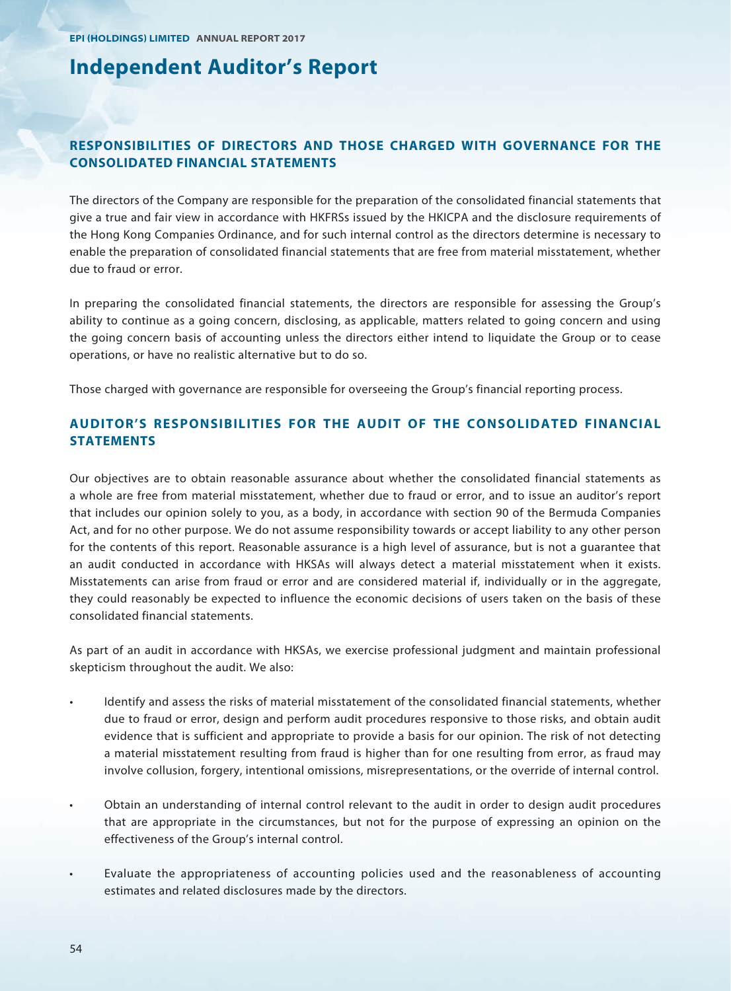# **Responsibilities of Directors and Those Charged with Governance for the Consolidated Financial Statements**

The directors of the Company are responsible for the preparation of the consolidated financial statements that give a true and fair view in accordance with HKFRSs issued by the HKICPA and the disclosure requirements of the Hong Kong Companies Ordinance, and for such internal control as the directors determine is necessary to enable the preparation of consolidated financial statements that are free from material misstatement, whether due to fraud or error.

In preparing the consolidated financial statements, the directors are responsible for assessing the Group's ability to continue as a going concern, disclosing, as applicable, matters related to going concern and using the going concern basis of accounting unless the directors either intend to liquidate the Group or to cease operations, or have no realistic alternative but to do so.

Those charged with governance are responsible for overseeing the Group's financial reporting process.

# **Auditor's Responsibilities for the Audit of the Consolidated Financial Statements**

Our objectives are to obtain reasonable assurance about whether the consolidated financial statements as a whole are free from material misstatement, whether due to fraud or error, and to issue an auditor's report that includes our opinion solely to you, as a body, in accordance with section 90 of the Bermuda Companies Act, and for no other purpose. We do not assume responsibility towards or accept liability to any other person for the contents of this report. Reasonable assurance is a high level of assurance, but is not a guarantee that an audit conducted in accordance with HKSAs will always detect a material misstatement when it exists. Misstatements can arise from fraud or error and are considered material if, individually or in the aggregate, they could reasonably be expected to influence the economic decisions of users taken on the basis of these consolidated financial statements.

As part of an audit in accordance with HKSAs, we exercise professional judgment and maintain professional skepticism throughout the audit. We also:

- Identify and assess the risks of material misstatement of the consolidated financial statements, whether due to fraud or error, design and perform audit procedures responsive to those risks, and obtain audit evidence that is sufficient and appropriate to provide a basis for our opinion. The risk of not detecting a material misstatement resulting from fraud is higher than for one resulting from error, as fraud may involve collusion, forgery, intentional omissions, misrepresentations, or the override of internal control.
- Obtain an understanding of internal control relevant to the audit in order to design audit procedures that are appropriate in the circumstances, but not for the purpose of expressing an opinion on the effectiveness of the Group's internal control.
- Evaluate the appropriateness of accounting policies used and the reasonableness of accounting estimates and related disclosures made by the directors.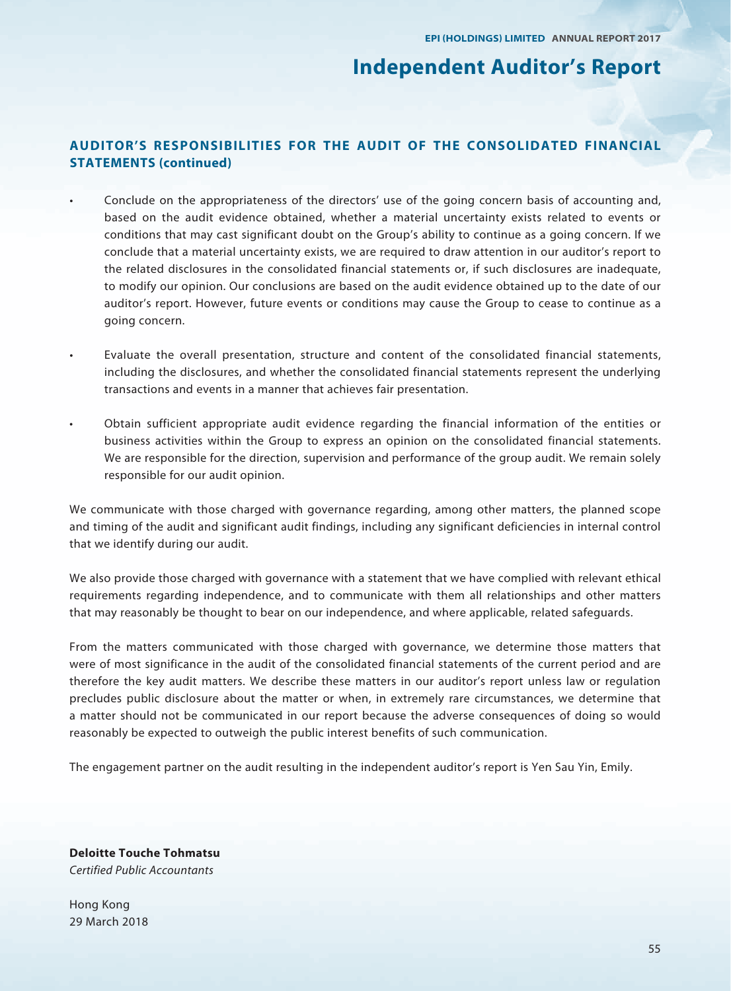# **Auditor's Responsibilities for the Audit of the Consolidated Financial Statements (continued)**

- Conclude on the appropriateness of the directors' use of the going concern basis of accounting and, based on the audit evidence obtained, whether a material uncertainty exists related to events or conditions that may cast significant doubt on the Group's ability to continue as a going concern. If we conclude that a material uncertainty exists, we are required to draw attention in our auditor's report to the related disclosures in the consolidated financial statements or, if such disclosures are inadequate, to modify our opinion. Our conclusions are based on the audit evidence obtained up to the date of our auditor's report. However, future events or conditions may cause the Group to cease to continue as a going concern.
- Evaluate the overall presentation, structure and content of the consolidated financial statements, including the disclosures, and whether the consolidated financial statements represent the underlying transactions and events in a manner that achieves fair presentation.
- Obtain sufficient appropriate audit evidence regarding the financial information of the entities or business activities within the Group to express an opinion on the consolidated financial statements. We are responsible for the direction, supervision and performance of the group audit. We remain solely responsible for our audit opinion.

We communicate with those charged with governance regarding, among other matters, the planned scope and timing of the audit and significant audit findings, including any significant deficiencies in internal control that we identify during our audit.

We also provide those charged with governance with a statement that we have complied with relevant ethical requirements regarding independence, and to communicate with them all relationships and other matters that may reasonably be thought to bear on our independence, and where applicable, related safeguards.

From the matters communicated with those charged with governance, we determine those matters that were of most significance in the audit of the consolidated financial statements of the current period and are therefore the key audit matters. We describe these matters in our auditor's report unless law or regulation precludes public disclosure about the matter or when, in extremely rare circumstances, we determine that a matter should not be communicated in our report because the adverse consequences of doing so would reasonably be expected to outweigh the public interest benefits of such communication.

The engagement partner on the audit resulting in the independent auditor's report is Yen Sau Yin, Emily.

**Deloitte Touche Tohmatsu** *Certified Public Accountants*

Hong Kong 29 March 2018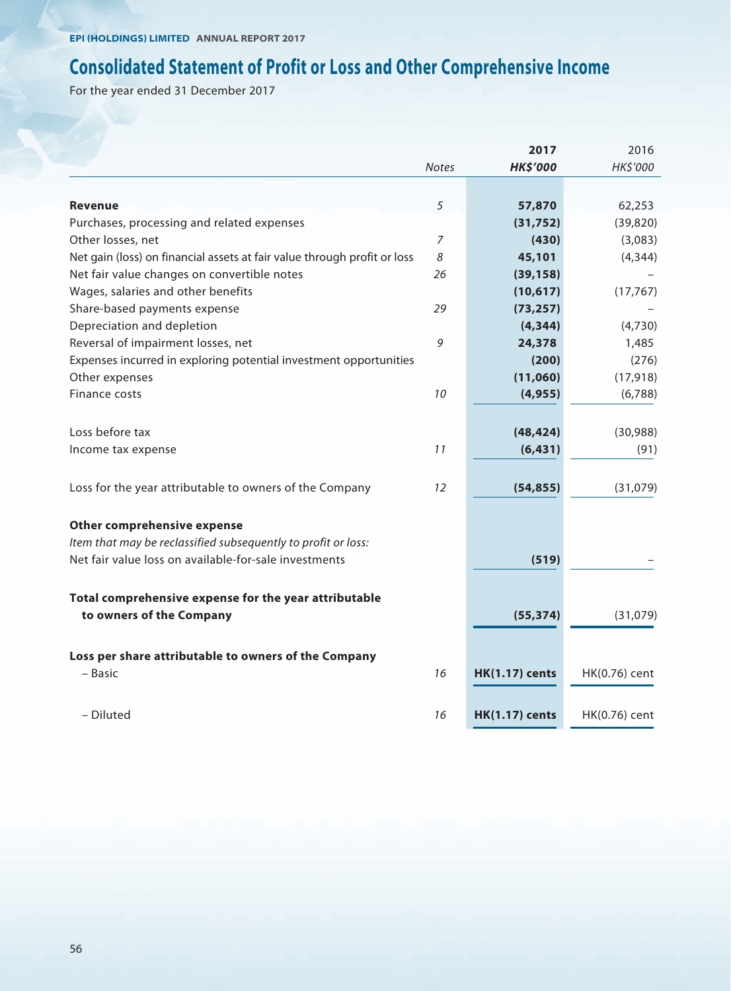# **Consolidated Statement of Profit or Loss and Other Comprehensive Income**

For the year ended 31 December 2017

|                                                                          |              | 2017                  | 2016          |
|--------------------------------------------------------------------------|--------------|-----------------------|---------------|
|                                                                          | <b>Notes</b> | <b>HK\$'000</b>       | HK\$'000      |
|                                                                          |              |                       |               |
| <b>Revenue</b>                                                           | 5            | 57,870                | 62,253        |
| Purchases, processing and related expenses                               |              | (31,752)              | (39, 820)     |
| Other losses, net                                                        | 7            | (430)                 | (3,083)       |
| Net gain (loss) on financial assets at fair value through profit or loss | 8            | 45,101                | (4, 344)      |
| Net fair value changes on convertible notes                              | 26           | (39, 158)             |               |
| Wages, salaries and other benefits                                       |              | (10, 617)             | (17, 767)     |
| Share-based payments expense                                             | 29           | (73, 257)             |               |
| Depreciation and depletion                                               |              | (4, 344)              | (4,730)       |
| Reversal of impairment losses, net                                       | 9            | 24,378                | 1,485         |
| Expenses incurred in exploring potential investment opportunities        |              | (200)                 | (276)         |
| Other expenses                                                           |              | (11,060)              | (17, 918)     |
| Finance costs                                                            | 10           | (4, 955)              | (6,788)       |
|                                                                          |              |                       |               |
| Loss before tax                                                          |              | (48, 424)             | (30, 988)     |
| Income tax expense                                                       | 11           | (6, 431)              | (91)          |
|                                                                          |              |                       |               |
| Loss for the year attributable to owners of the Company                  | 12           | (54, 855)             | (31,079)      |
|                                                                          |              |                       |               |
| Other comprehensive expense                                              |              |                       |               |
| Item that may be reclassified subsequently to profit or loss:            |              |                       |               |
| Net fair value loss on available-for-sale investments                    |              | (519)                 |               |
|                                                                          |              |                       |               |
| Total comprehensive expense for the year attributable                    |              |                       |               |
| to owners of the Company                                                 |              | (55, 374)             | (31,079)      |
|                                                                          |              |                       |               |
|                                                                          |              |                       |               |
| Loss per share attributable to owners of the Company                     | 16           |                       |               |
| - Basic                                                                  |              | <b>HK(1.17) cents</b> | HK(0.76) cent |
|                                                                          |              |                       |               |
| - Diluted                                                                | 16           | <b>HK(1.17) cents</b> | HK(0.76) cent |
|                                                                          |              |                       |               |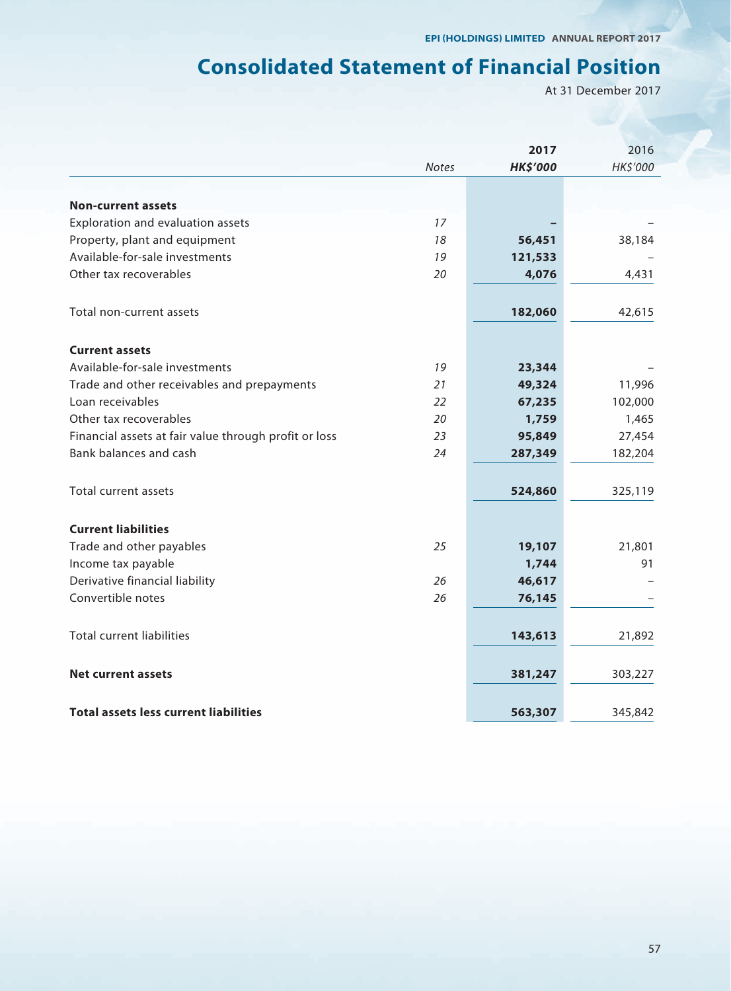# **Consolidated Statement of Financial Position**

At 31 December 2017

|                                                       |              | 2017            | 2016     |
|-------------------------------------------------------|--------------|-----------------|----------|
|                                                       | <b>Notes</b> | <b>HK\$'000</b> | HK\$'000 |
|                                                       |              |                 |          |
| <b>Non-current assets</b>                             |              |                 |          |
| Exploration and evaluation assets                     | 17           |                 |          |
| Property, plant and equipment                         | 18           | 56,451          | 38,184   |
| Available-for-sale investments                        | 19           | 121,533         |          |
| Other tax recoverables                                | 20           | 4,076           | 4,431    |
| Total non-current assets                              |              | 182,060         | 42,615   |
| <b>Current assets</b>                                 |              |                 |          |
| Available-for-sale investments                        | 19           | 23,344          |          |
| Trade and other receivables and prepayments           | 21           | 49,324          | 11,996   |
| Loan receivables                                      | 22           | 67,235          | 102,000  |
| Other tax recoverables                                | 20           | 1,759           | 1,465    |
| Financial assets at fair value through profit or loss | 23           | 95,849          | 27,454   |
| Bank balances and cash                                | 24           | 287,349         | 182,204  |
|                                                       |              |                 |          |
| Total current assets                                  |              | 524,860         | 325,119  |
| <b>Current liabilities</b>                            |              |                 |          |
| Trade and other payables                              | 25           | 19,107          | 21,801   |
| Income tax payable                                    |              | 1,744           | 91       |
| Derivative financial liability                        | 26           | 46,617          |          |
| Convertible notes                                     | 26           | 76,145          |          |
|                                                       |              |                 |          |
| <b>Total current liabilities</b>                      |              | 143,613         | 21,892   |
| <b>Net current assets</b>                             |              | 381,247         | 303,227  |
| <b>Total assets less current liabilities</b>          |              | 563,307         | 345,842  |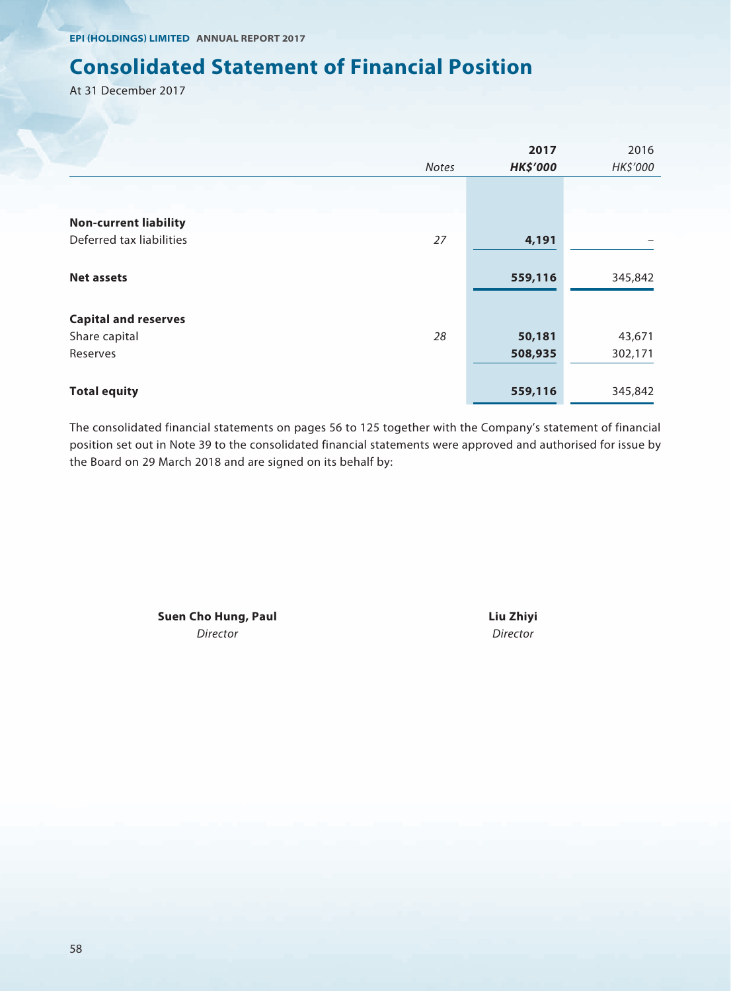# **Consolidated Statement of Financial Position**

At 31 December 2017

|                              |              | 2017            | 2016     |
|------------------------------|--------------|-----------------|----------|
|                              | <b>Notes</b> | <b>HK\$'000</b> | HK\$'000 |
|                              |              |                 |          |
|                              |              |                 |          |
| <b>Non-current liability</b> |              |                 |          |
| Deferred tax liabilities     | 27           | 4,191           |          |
|                              |              |                 |          |
| <b>Net assets</b>            |              | 559,116         | 345,842  |
|                              |              |                 |          |
|                              |              |                 |          |
| <b>Capital and reserves</b>  |              |                 |          |
| Share capital                | 28           | 50,181          | 43,671   |
| Reserves                     |              | 508,935         | 302,171  |
|                              |              |                 |          |
| <b>Total equity</b>          |              | 559,116         | 345,842  |

The consolidated financial statements on pages 56 to 125 together with the Company's statement of financial position set out in Note 39 to the consolidated financial statements were approved and authorised for issue by the Board on 29 March 2018 and are signed on its behalf by:

> **Suen Cho Hung, Paul Liu Zhiyi** *Director Director*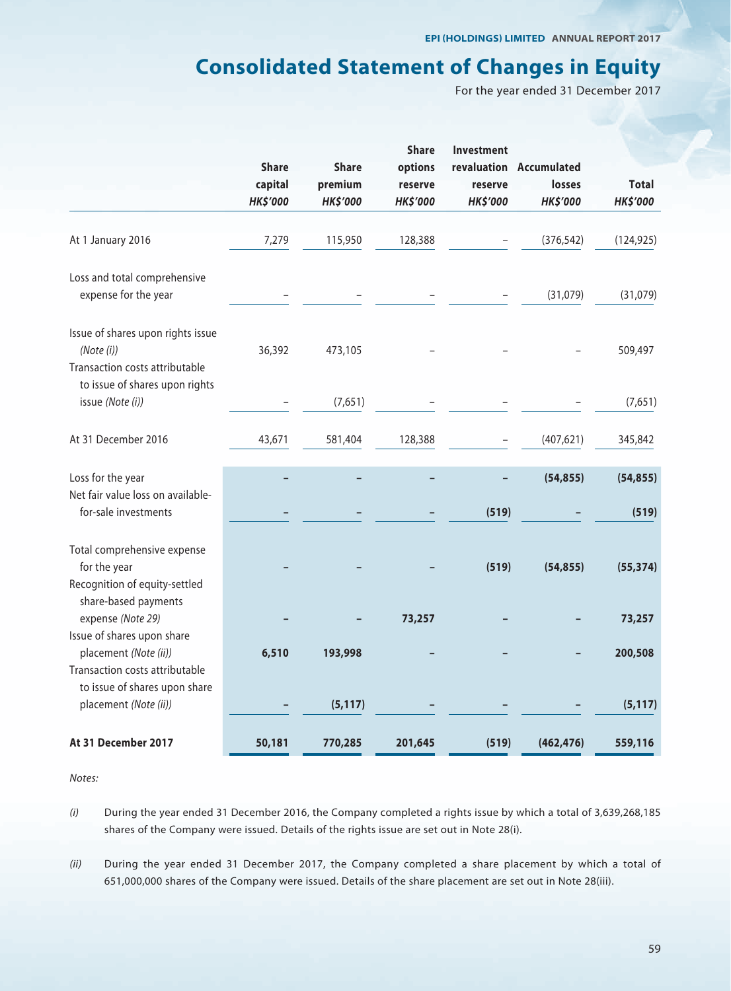**EPI (Holdings) Limited ANNUAL REPORT 2017**

# **Consolidated Statement of Changes in Equity**

For the year ended 31 December 2017

|                                                           |                 |                 | <b>Share</b>    | Investment      |                         |                 |
|-----------------------------------------------------------|-----------------|-----------------|-----------------|-----------------|-------------------------|-----------------|
|                                                           | <b>Share</b>    | <b>Share</b>    | options         |                 | revaluation Accumulated |                 |
|                                                           | capital         | premium         | reserve         | reserve         | losses                  | <b>Total</b>    |
|                                                           | <b>HK\$'000</b> | <b>HK\$'000</b> | <b>HK\$'000</b> | <b>HK\$'000</b> | <b>HK\$'000</b>         | <b>HK\$'000</b> |
|                                                           |                 |                 |                 |                 |                         |                 |
| At 1 January 2016                                         | 7,279           | 115,950         | 128,388         |                 | (376, 542)              | (124, 925)      |
| Loss and total comprehensive<br>expense for the year      |                 |                 |                 |                 | (31,079)                | (31,079)        |
|                                                           |                 |                 |                 |                 |                         |                 |
| Issue of shares upon rights issue<br>(Note (i))           | 36,392          | 473,105         |                 |                 |                         | 509,497         |
| Transaction costs attributable                            |                 |                 |                 |                 |                         |                 |
| to issue of shares upon rights<br>issue (Note (i))        |                 | (7,651)         |                 |                 |                         | (7,651)         |
|                                                           |                 |                 |                 |                 |                         |                 |
| At 31 December 2016                                       | 43,671          | 581,404         | 128,388         |                 | (407, 621)              | 345,842         |
| Loss for the year                                         |                 |                 |                 |                 | (54, 855)               | (54, 855)       |
| Net fair value loss on available-<br>for-sale investments |                 |                 |                 | (519)           |                         | (519)           |
|                                                           |                 |                 |                 |                 |                         |                 |
| Total comprehensive expense                               |                 |                 |                 |                 |                         |                 |
| for the year                                              |                 |                 |                 | (519)           | (54, 855)               | (55, 374)       |
| Recognition of equity-settled                             |                 |                 |                 |                 |                         |                 |
| share-based payments<br>expense (Note 29)                 |                 |                 | 73,257          |                 |                         | 73,257          |
| Issue of shares upon share                                |                 |                 |                 |                 |                         |                 |
| placement (Note (ii))                                     | 6,510           | 193,998         |                 |                 |                         | 200,508         |
| Transaction costs attributable                            |                 |                 |                 |                 |                         |                 |
| to issue of shares upon share                             |                 |                 |                 |                 |                         |                 |
| placement (Note (ii))                                     |                 | (5, 117)        |                 |                 |                         | (5, 117)        |
| At 31 December 2017                                       | 50,181          | 770,285         | 201,645         | (519)           | (462, 476)              | 559,116         |
|                                                           |                 |                 |                 |                 |                         |                 |

*Notes:*

*(i)* During the year ended 31 December 2016, the Company completed a rights issue by which a total of 3,639,268,185 shares of the Company were issued. Details of the rights issue are set out in Note 28(i).

*(ii)* During the year ended 31 December 2017, the Company completed a share placement by which a total of 651,000,000 shares of the Company were issued. Details of the share placement are set out in Note 28(iii).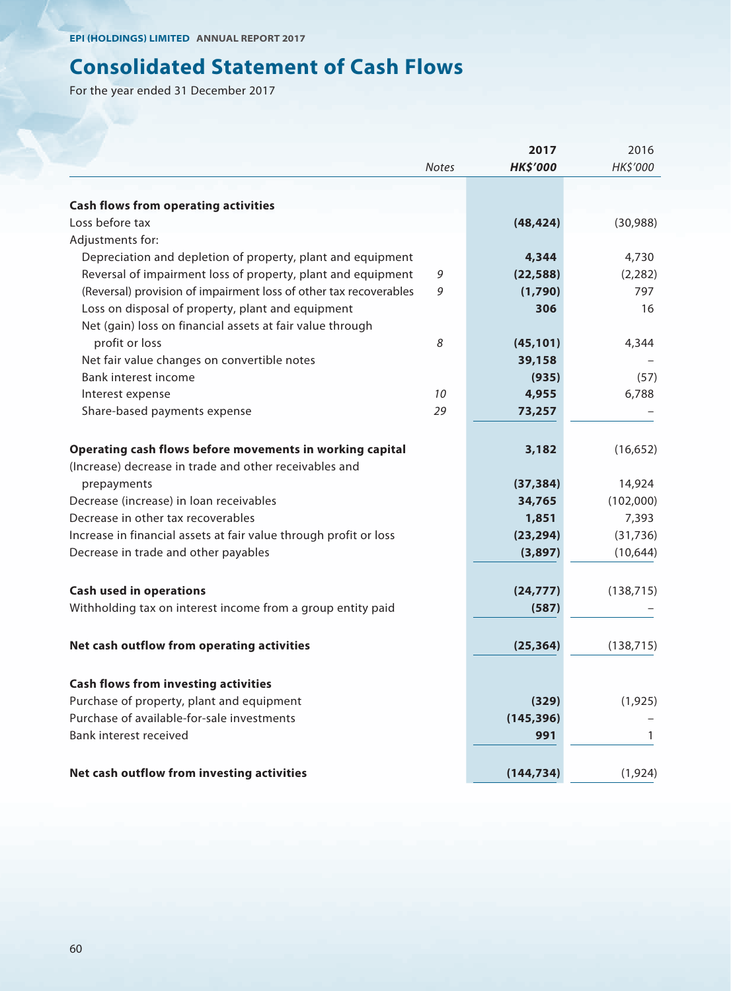# **Consolidated Statement of Cash Flows**

For the year ended 31 December 2017

|                                                                   |              | 2017            | 2016       |
|-------------------------------------------------------------------|--------------|-----------------|------------|
|                                                                   | <b>Notes</b> | <b>HK\$'000</b> | HK\$'000   |
|                                                                   |              |                 |            |
| <b>Cash flows from operating activities</b>                       |              |                 |            |
| Loss before tax                                                   |              | (48, 424)       | (30, 988)  |
| Adjustments for:                                                  |              |                 |            |
| Depreciation and depletion of property, plant and equipment       |              | 4,344           | 4,730      |
| Reversal of impairment loss of property, plant and equipment      | 9            | (22, 588)       | (2, 282)   |
| (Reversal) provision of impairment loss of other tax recoverables | 9            | (1,790)         | 797        |
| Loss on disposal of property, plant and equipment                 |              | 306             | 16         |
| Net (gain) loss on financial assets at fair value through         |              |                 |            |
| profit or loss                                                    | 8            | (45, 101)       | 4,344      |
| Net fair value changes on convertible notes                       |              | 39,158          |            |
| Bank interest income                                              |              | (935)           | (57)       |
| Interest expense                                                  | 10           | 4,955           | 6,788      |
| Share-based payments expense                                      | 29           | 73,257          |            |
| Operating cash flows before movements in working capital          |              | 3,182           | (16, 652)  |
| (Increase) decrease in trade and other receivables and            |              |                 |            |
| prepayments                                                       |              | (37, 384)       | 14,924     |
| Decrease (increase) in loan receivables                           |              | 34,765          | (102,000)  |
| Decrease in other tax recoverables                                |              | 1,851           | 7,393      |
| Increase in financial assets at fair value through profit or loss |              | (23, 294)       | (31, 736)  |
| Decrease in trade and other payables                              |              | (3,897)         | (10, 644)  |
| <b>Cash used in operations</b>                                    |              | (24, 777)       | (138, 715) |
| Withholding tax on interest income from a group entity paid       |              | (587)           |            |
| Net cash outflow from operating activities                        |              | (25, 364)       | (138, 715) |
|                                                                   |              |                 |            |
| <b>Cash flows from investing activities</b>                       |              |                 |            |
| Purchase of property, plant and equipment                         |              | (329)           | (1, 925)   |
| Purchase of available-for-sale investments                        |              | (145, 396)      |            |
| Bank interest received                                            |              | 991             | 1          |
| Net cash outflow from investing activities                        |              | (144, 734)      | (1, 924)   |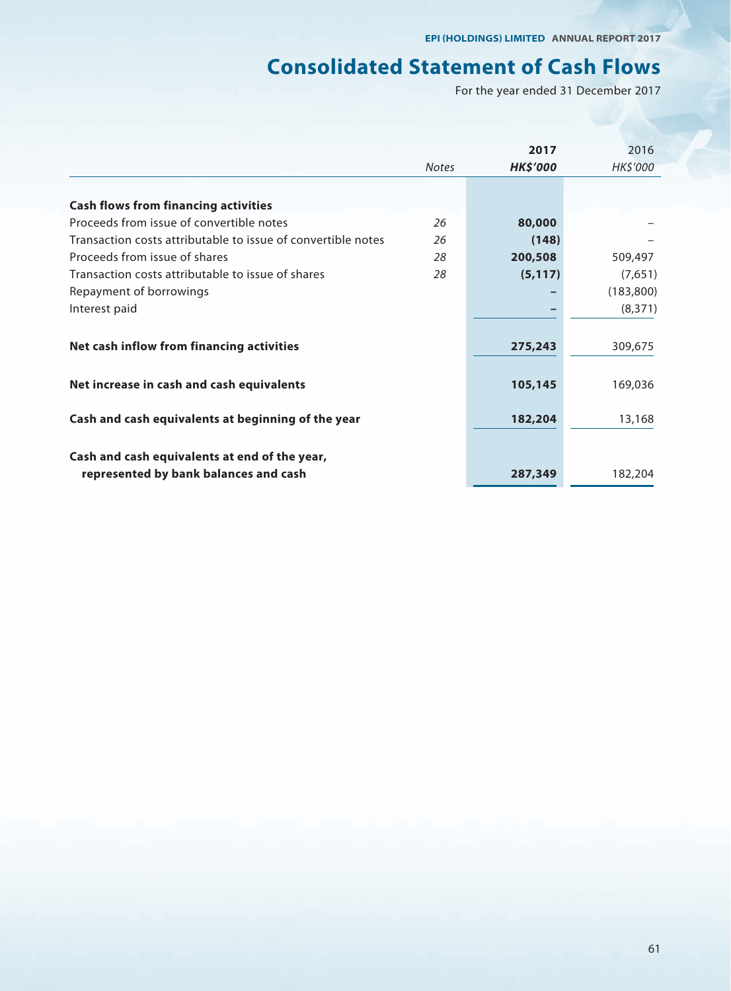# **Consolidated Statement of Cash Flows**

For the year ended 31 December 2017

|                                                              |              | 2017            | 2016            |
|--------------------------------------------------------------|--------------|-----------------|-----------------|
|                                                              | <b>Notes</b> | <b>HK\$'000</b> | <b>HK\$'000</b> |
|                                                              |              |                 |                 |
| <b>Cash flows from financing activities</b>                  |              |                 |                 |
| Proceeds from issue of convertible notes                     | 26           | 80,000          |                 |
| Transaction costs attributable to issue of convertible notes | 26           | (148)           |                 |
| Proceeds from issue of shares                                | 28           | 200,508         | 509,497         |
| Transaction costs attributable to issue of shares            | 28           | (5, 117)        | (7,651)         |
| Repayment of borrowings                                      |              |                 | (183, 800)      |
| Interest paid                                                |              |                 | (8, 371)        |
|                                                              |              |                 |                 |
| Net cash inflow from financing activities                    |              | 275,243         | 309,675         |
|                                                              |              |                 |                 |
| Net increase in cash and cash equivalents                    |              | 105,145         | 169,036         |
|                                                              |              |                 |                 |
| Cash and cash equivalents at beginning of the year           |              | 182,204         | 13,168          |
|                                                              |              |                 |                 |
| Cash and cash equivalents at end of the year,                |              |                 |                 |
| represented by bank balances and cash                        |              | 287,349         | 182,204         |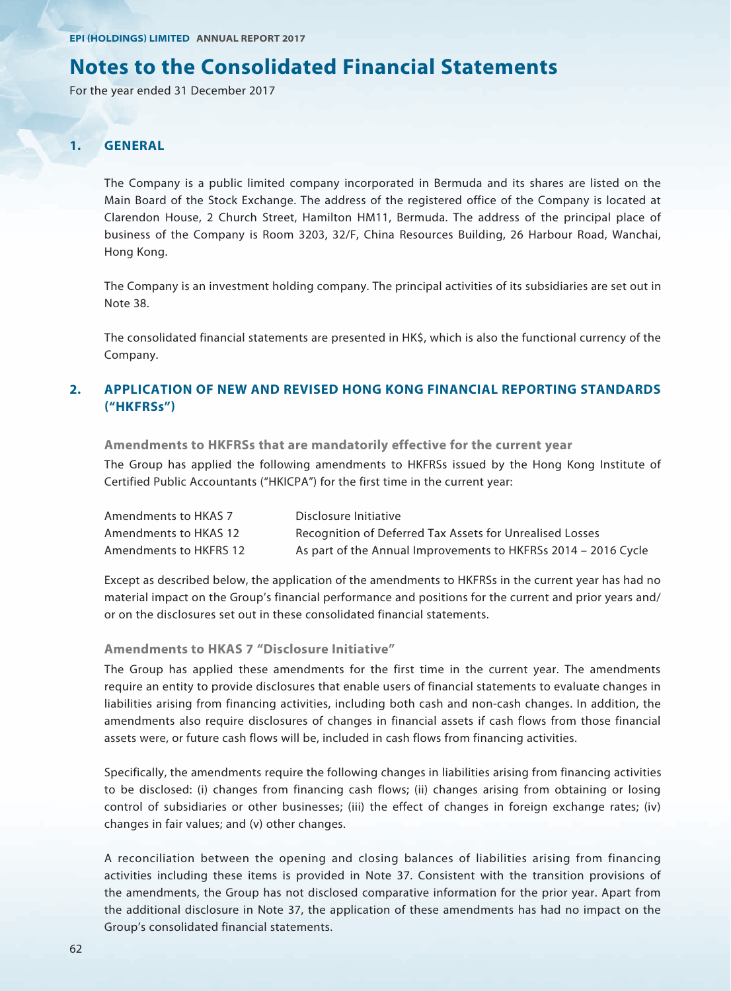For the year ended 31 December 2017

### **1. GENERAL**

The Company is a public limited company incorporated in Bermuda and its shares are listed on the Main Board of the Stock Exchange. The address of the registered office of the Company is located at Clarendon House, 2 Church Street, Hamilton HM11, Bermuda. The address of the principal place of business of the Company is Room 3203, 32/F, China Resources Building, 26 Harbour Road, Wanchai, Hong Kong.

The Company is an investment holding company. The principal activities of its subsidiaries are set out in Note 38.

The consolidated financial statements are presented in HK\$, which is also the functional currency of the Company.

# **2. APPLICATION OF NEW AND REVISED HONG KONG FINANCIAL REPORTING STANDARDS ("HKFRSs")**

**Amendments to HKFRSs that are mandatorily effective for the current year**

The Group has applied the following amendments to HKFRSs issued by the Hong Kong Institute of Certified Public Accountants ("HKICPA") for the first time in the current year:

| Amendments to HKAS 7   | Disclosure Initiative                                          |
|------------------------|----------------------------------------------------------------|
| Amendments to HKAS 12  | Recognition of Deferred Tax Assets for Unrealised Losses       |
| Amendments to HKFRS 12 | As part of the Annual Improvements to HKFRSs 2014 - 2016 Cycle |

Except as described below, the application of the amendments to HKFRSs in the current year has had no material impact on the Group's financial performance and positions for the current and prior years and/ or on the disclosures set out in these consolidated financial statements.

### **Amendments to HKAS 7 "Disclosure Initiative"**

The Group has applied these amendments for the first time in the current year. The amendments require an entity to provide disclosures that enable users of financial statements to evaluate changes in liabilities arising from financing activities, including both cash and non-cash changes. In addition, the amendments also require disclosures of changes in financial assets if cash flows from those financial assets were, or future cash flows will be, included in cash flows from financing activities.

Specifically, the amendments require the following changes in liabilities arising from financing activities to be disclosed: (i) changes from financing cash flows; (ii) changes arising from obtaining or losing control of subsidiaries or other businesses; (iii) the effect of changes in foreign exchange rates; (iv) changes in fair values; and (v) other changes.

A reconciliation between the opening and closing balances of liabilities arising from financing activities including these items is provided in Note 37. Consistent with the transition provisions of the amendments, the Group has not disclosed comparative information for the prior year. Apart from the additional disclosure in Note 37, the application of these amendments has had no impact on the Group's consolidated financial statements.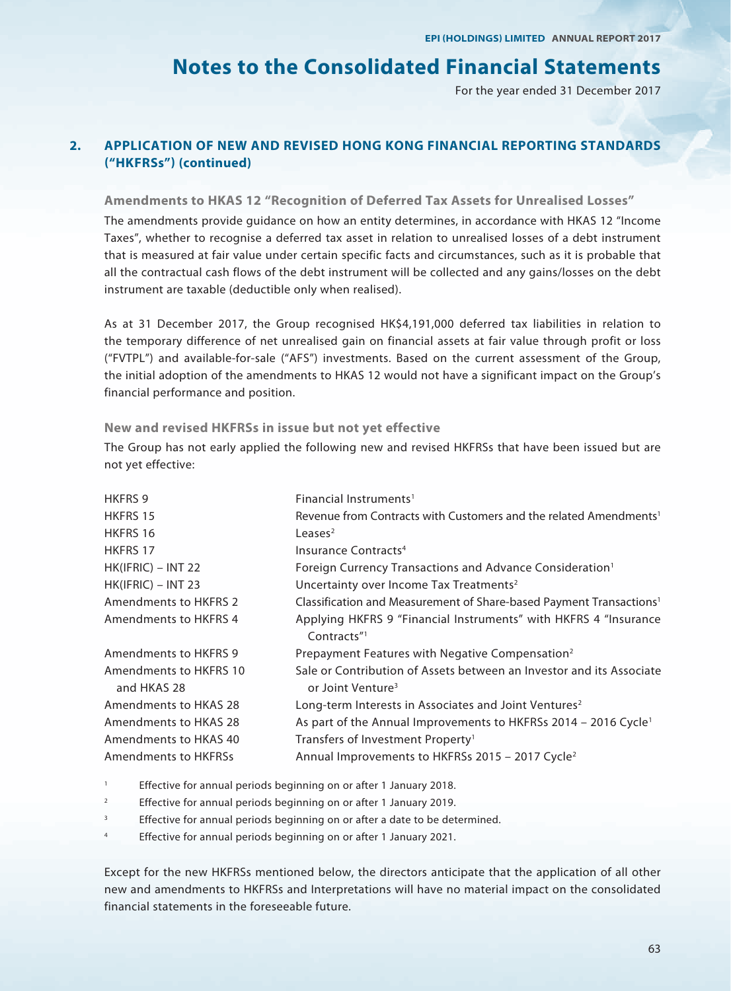For the year ended 31 December 2017

### **2. APPLICATION OF NEW AND REVISED HONG KONG FINANCIAL REPORTING STANDARDS ("HKFRSs") (continued)**

### **Amendments to HKAS 12 "Recognition of Deferred Tax Assets for Unrealised Losses"**

The amendments provide guidance on how an entity determines, in accordance with HKAS 12 "Income Taxes", whether to recognise a deferred tax asset in relation to unrealised losses of a debt instrument that is measured at fair value under certain specific facts and circumstances, such as it is probable that all the contractual cash flows of the debt instrument will be collected and any gains/losses on the debt instrument are taxable (deductible only when realised).

As at 31 December 2017, the Group recognised HK\$4,191,000 deferred tax liabilities in relation to the temporary difference of net unrealised gain on financial assets at fair value through profit or loss ("FVTPL") and available-for-sale ("AFS") investments. Based on the current assessment of the Group, the initial adoption of the amendments to HKAS 12 would not have a significant impact on the Group's financial performance and position.

**New and revised HKFRSs in issue but not yet effective**

The Group has not early applied the following new and revised HKFRSs that have been issued but are not yet effective:

| <b>HKFRS 9</b>                        | Financial Instruments <sup>1</sup>                                                                    |
|---------------------------------------|-------------------------------------------------------------------------------------------------------|
| <b>HKFRS 15</b>                       | Revenue from Contracts with Customers and the related Amendments <sup>1</sup>                         |
| HKFRS 16                              | Leases $2$                                                                                            |
| <b>HKFRS 17</b>                       | Insurance Contracts <sup>4</sup>                                                                      |
| $HK(IFRIC) - INT 22$                  | Foreign Currency Transactions and Advance Consideration <sup>1</sup>                                  |
| $HK(IFRIC) - INT 23$                  | Uncertainty over Income Tax Treatments <sup>2</sup>                                                   |
| Amendments to HKFRS 2                 | Classification and Measurement of Share-based Payment Transactions <sup>1</sup>                       |
| Amendments to HKFRS 4                 | Applying HKFRS 9 "Financial Instruments" with HKFRS 4 "Insurance<br>Contracts" <sup>1</sup>           |
| Amendments to HKFRS 9                 | Prepayment Features with Negative Compensation <sup>2</sup>                                           |
| Amendments to HKFRS 10<br>and HKAS 28 | Sale or Contribution of Assets between an Investor and its Associate<br>or Joint Venture <sup>3</sup> |
| Amendments to HKAS 28                 | Long-term Interests in Associates and Joint Ventures <sup>2</sup>                                     |
| Amendments to HKAS 28                 | As part of the Annual Improvements to HKFRSs 2014 - 2016 Cycle <sup>1</sup>                           |
| Amendments to HKAS 40                 | Transfers of Investment Property <sup>1</sup>                                                         |
| Amendments to HKFRSs                  | Annual Improvements to HKFRSs 2015 - 2017 Cycle <sup>2</sup>                                          |

- <sup>1</sup> Effective for annual periods beginning on or after 1 January 2018.
- <sup>2</sup> Effective for annual periods beginning on or after 1 January 2019.
- <sup>3</sup> Effective for annual periods beginning on or after a date to be determined.
- <sup>4</sup> Effective for annual periods beginning on or after 1 January 2021.

Except for the new HKFRSs mentioned below, the directors anticipate that the application of all other new and amendments to HKFRSs and Interpretations will have no material impact on the consolidated financial statements in the foreseeable future.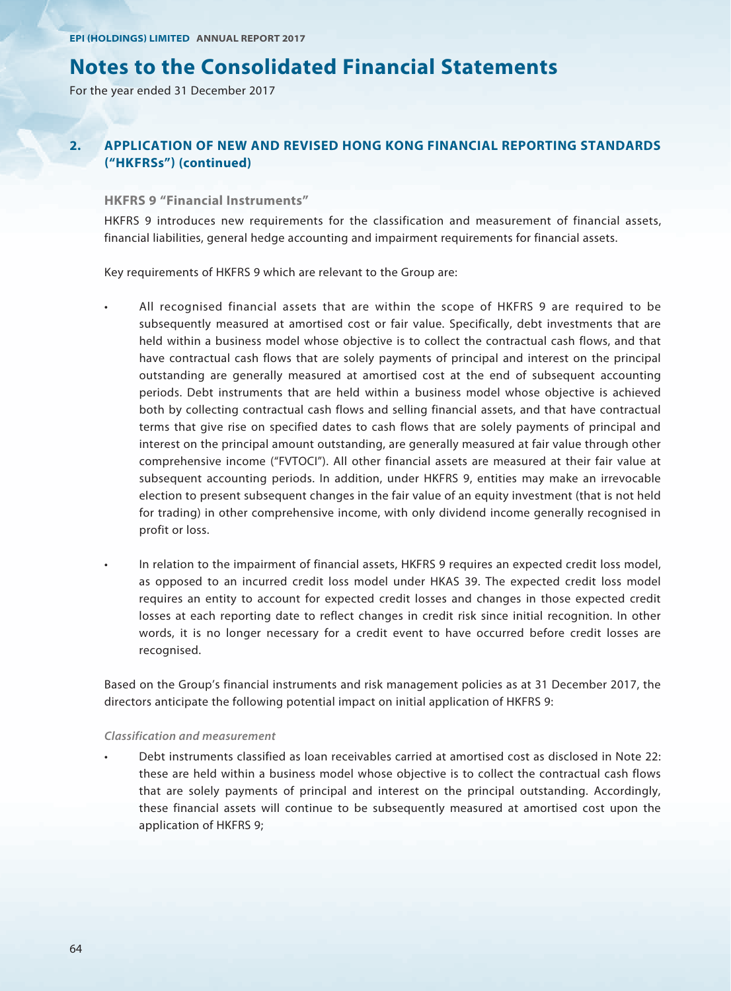For the year ended 31 December 2017

# **2. APPLICATION OF NEW AND REVISED HONG KONG FINANCIAL REPORTING STANDARDS ("HKFRSs") (continued)**

### **HKFRS 9 "Financial Instruments"**

HKFRS 9 introduces new requirements for the classification and measurement of financial assets, financial liabilities, general hedge accounting and impairment requirements for financial assets.

Key requirements of HKFRS 9 which are relevant to the Group are:

- All recognised financial assets that are within the scope of HKFRS 9 are required to be subsequently measured at amortised cost or fair value. Specifically, debt investments that are held within a business model whose objective is to collect the contractual cash flows, and that have contractual cash flows that are solely payments of principal and interest on the principal outstanding are generally measured at amortised cost at the end of subsequent accounting periods. Debt instruments that are held within a business model whose objective is achieved both by collecting contractual cash flows and selling financial assets, and that have contractual terms that give rise on specified dates to cash flows that are solely payments of principal and interest on the principal amount outstanding, are generally measured at fair value through other comprehensive income ("FVTOCI"). All other financial assets are measured at their fair value at subsequent accounting periods. In addition, under HKFRS 9, entities may make an irrevocable election to present subsequent changes in the fair value of an equity investment (that is not held for trading) in other comprehensive income, with only dividend income generally recognised in profit or loss.
- In relation to the impairment of financial assets, HKFRS 9 requires an expected credit loss model, as opposed to an incurred credit loss model under HKAS 39. The expected credit loss model requires an entity to account for expected credit losses and changes in those expected credit losses at each reporting date to reflect changes in credit risk since initial recognition. In other words, it is no longer necessary for a credit event to have occurred before credit losses are recognised.

Based on the Group's financial instruments and risk management policies as at 31 December 2017, the directors anticipate the following potential impact on initial application of HKFRS 9:

#### *Classification and measurement*

Debt instruments classified as loan receivables carried at amortised cost as disclosed in Note 22: these are held within a business model whose objective is to collect the contractual cash flows that are solely payments of principal and interest on the principal outstanding. Accordingly, these financial assets will continue to be subsequently measured at amortised cost upon the application of HKFRS 9;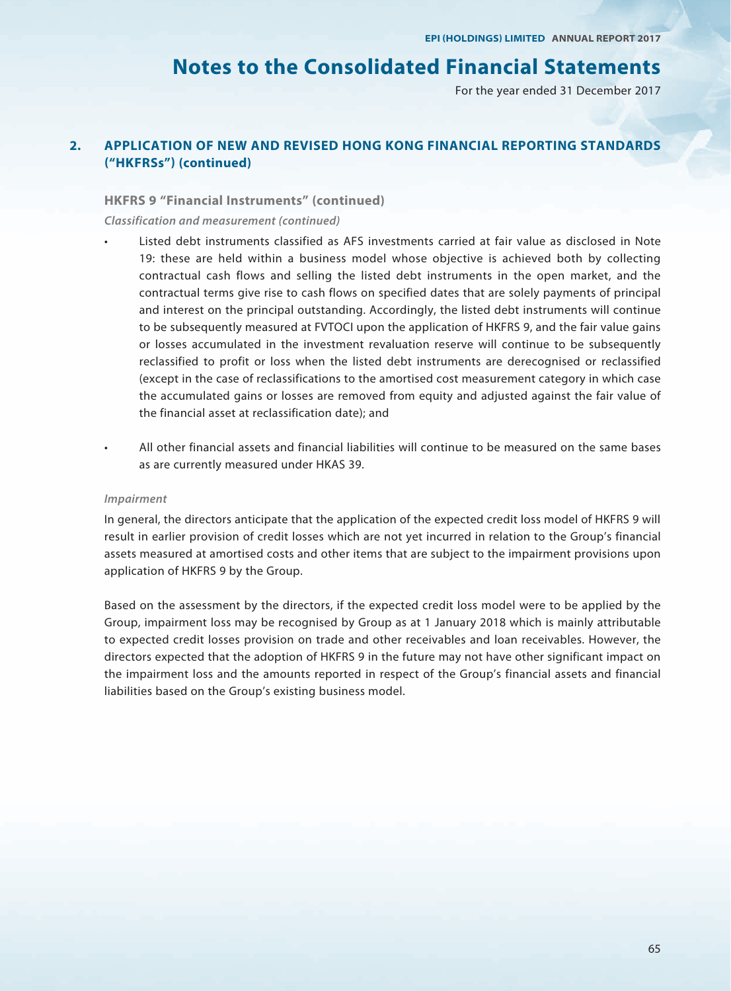For the year ended 31 December 2017

## **2. APPLICATION OF NEW AND REVISED HONG KONG FINANCIAL REPORTING STANDARDS ("HKFRSs") (continued)**

#### **HKFRS 9 "Financial Instruments" (continued)**

*Classification and measurement (continued)*

- Listed debt instruments classified as AFS investments carried at fair value as disclosed in Note 19: these are held within a business model whose objective is achieved both by collecting contractual cash flows and selling the listed debt instruments in the open market, and the contractual terms give rise to cash flows on specified dates that are solely payments of principal and interest on the principal outstanding. Accordingly, the listed debt instruments will continue to be subsequently measured at FVTOCI upon the application of HKFRS 9, and the fair value gains or losses accumulated in the investment revaluation reserve will continue to be subsequently reclassified to profit or loss when the listed debt instruments are derecognised or reclassified (except in the case of reclassifications to the amortised cost measurement category in which case the accumulated gains or losses are removed from equity and adjusted against the fair value of the financial asset at reclassification date); and
- All other financial assets and financial liabilities will continue to be measured on the same bases as are currently measured under HKAS 39.

#### *Impairment*

In general, the directors anticipate that the application of the expected credit loss model of HKFRS 9 will result in earlier provision of credit losses which are not yet incurred in relation to the Group's financial assets measured at amortised costs and other items that are subject to the impairment provisions upon application of HKFRS 9 by the Group.

Based on the assessment by the directors, if the expected credit loss model were to be applied by the Group, impairment loss may be recognised by Group as at 1 January 2018 which is mainly attributable to expected credit losses provision on trade and other receivables and loan receivables. However, the directors expected that the adoption of HKFRS 9 in the future may not have other significant impact on the impairment loss and the amounts reported in respect of the Group's financial assets and financial liabilities based on the Group's existing business model.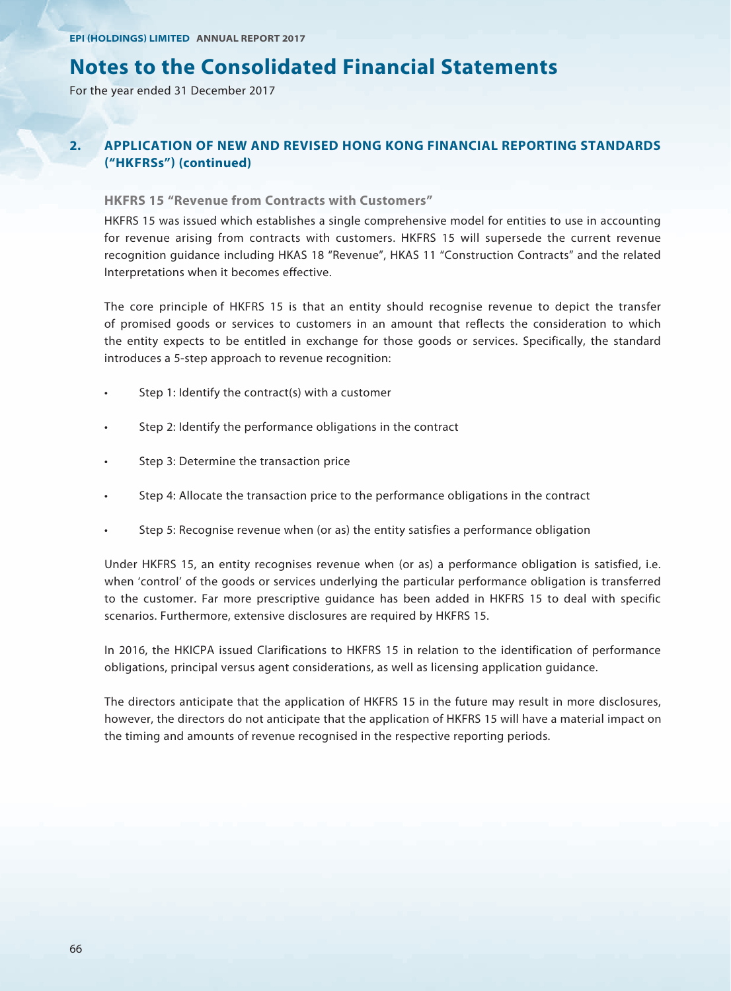For the year ended 31 December 2017

# **2. APPLICATION OF NEW AND REVISED HONG KONG FINANCIAL REPORTING STANDARDS ("HKFRSs") (continued)**

### **HKFRS 15 "Revenue from Contracts with Customers"**

HKFRS 15 was issued which establishes a single comprehensive model for entities to use in accounting for revenue arising from contracts with customers. HKFRS 15 will supersede the current revenue recognition guidance including HKAS 18 "Revenue", HKAS 11 "Construction Contracts" and the related Interpretations when it becomes effective.

The core principle of HKFRS 15 is that an entity should recognise revenue to depict the transfer of promised goods or services to customers in an amount that reflects the consideration to which the entity expects to be entitled in exchange for those goods or services. Specifically, the standard introduces a 5-step approach to revenue recognition:

- Step 1: Identify the contract(s) with a customer
- Step 2: Identify the performance obligations in the contract
- • Step 3: Determine the transaction price
- • Step 4: Allocate the transaction price to the performance obligations in the contract
- Step 5: Recognise revenue when (or as) the entity satisfies a performance obligation

Under HKFRS 15, an entity recognises revenue when (or as) a performance obligation is satisfied, i.e. when 'control' of the goods or services underlying the particular performance obligation is transferred to the customer. Far more prescriptive guidance has been added in HKFRS 15 to deal with specific scenarios. Furthermore, extensive disclosures are required by HKFRS 15.

In 2016, the HKICPA issued Clarifications to HKFRS 15 in relation to the identification of performance obligations, principal versus agent considerations, as well as licensing application guidance.

The directors anticipate that the application of HKFRS 15 in the future may result in more disclosures, however, the directors do not anticipate that the application of HKFRS 15 will have a material impact on the timing and amounts of revenue recognised in the respective reporting periods.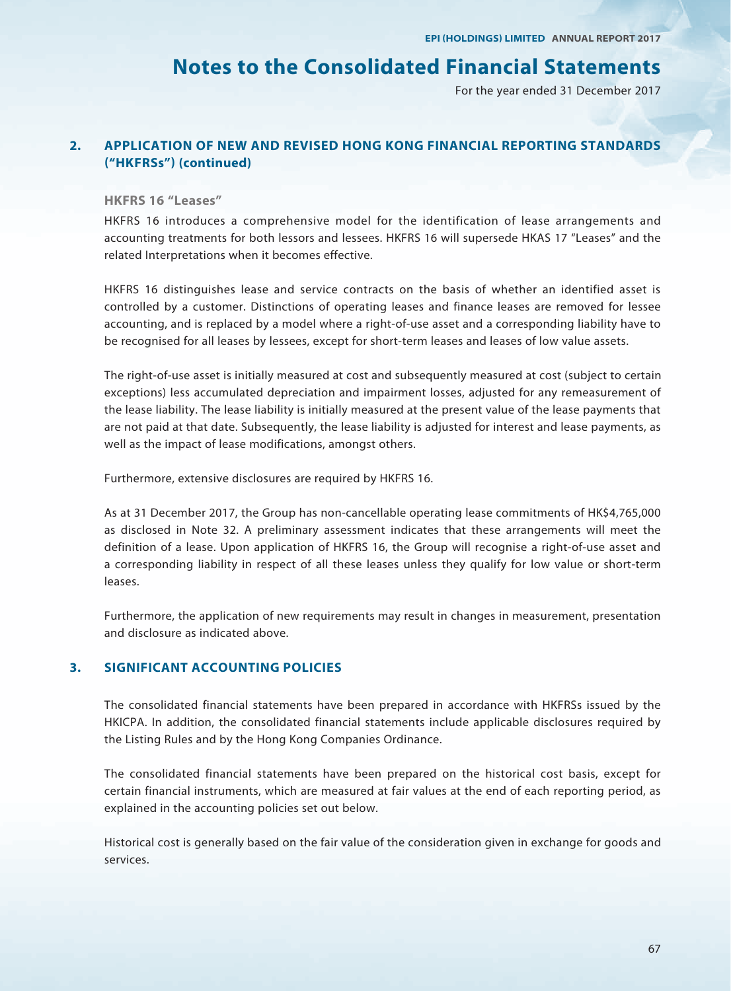For the year ended 31 December 2017

## **2. APPLICATION OF NEW AND REVISED HONG KONG FINANCIAL REPORTING STANDARDS ("HKFRSs") (continued)**

### **HKFRS 16 "Leases"**

HKFRS 16 introduces a comprehensive model for the identification of lease arrangements and accounting treatments for both lessors and lessees. HKFRS 16 will supersede HKAS 17 "Leases" and the related Interpretations when it becomes effective.

HKFRS 16 distinguishes lease and service contracts on the basis of whether an identified asset is controlled by a customer. Distinctions of operating leases and finance leases are removed for lessee accounting, and is replaced by a model where a right-of-use asset and a corresponding liability have to be recognised for all leases by lessees, except for short-term leases and leases of low value assets.

The right-of-use asset is initially measured at cost and subsequently measured at cost (subject to certain exceptions) less accumulated depreciation and impairment losses, adjusted for any remeasurement of the lease liability. The lease liability is initially measured at the present value of the lease payments that are not paid at that date. Subsequently, the lease liability is adjusted for interest and lease payments, as well as the impact of lease modifications, amongst others.

Furthermore, extensive disclosures are required by HKFRS 16.

As at 31 December 2017, the Group has non-cancellable operating lease commitments of HK\$4,765,000 as disclosed in Note 32. A preliminary assessment indicates that these arrangements will meet the definition of a lease. Upon application of HKFRS 16, the Group will recognise a right-of-use asset and a corresponding liability in respect of all these leases unless they qualify for low value or short-term leases.

Furthermore, the application of new requirements may result in changes in measurement, presentation and disclosure as indicated above.

### **3. SIGNIFICANT ACCOUNTING POLICIES**

The consolidated financial statements have been prepared in accordance with HKFRSs issued by the HKICPA. In addition, the consolidated financial statements include applicable disclosures required by the Listing Rules and by the Hong Kong Companies Ordinance.

The consolidated financial statements have been prepared on the historical cost basis, except for certain financial instruments, which are measured at fair values at the end of each reporting period, as explained in the accounting policies set out below.

Historical cost is generally based on the fair value of the consideration given in exchange for goods and services.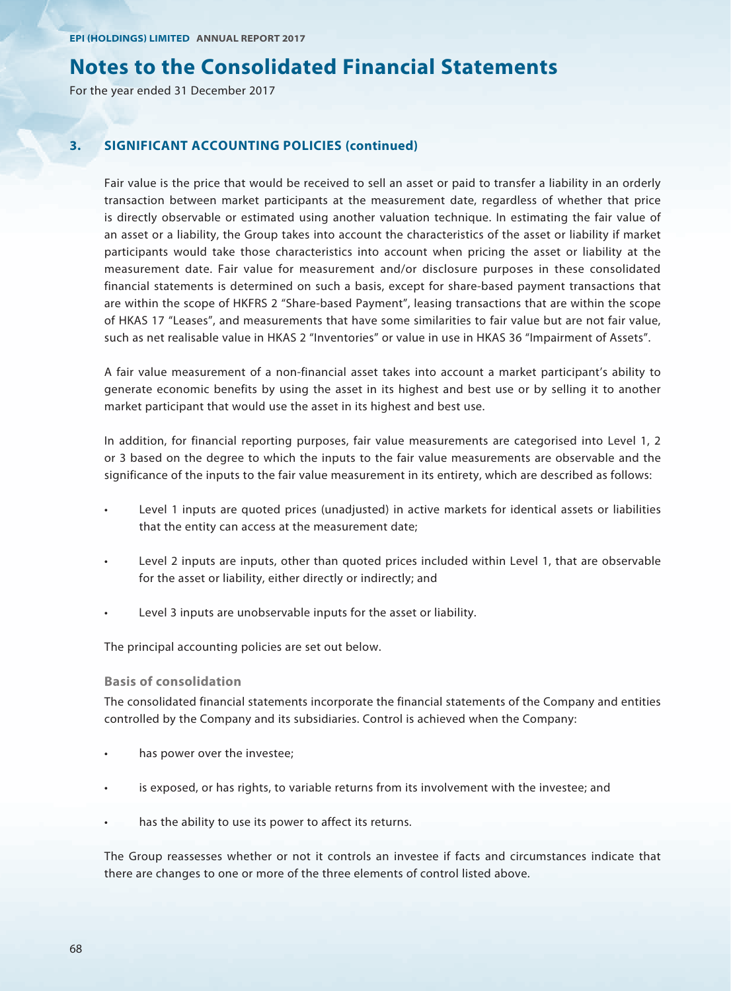For the year ended 31 December 2017

### **3. SIGNIFICANT ACCOUNTING POLICIES (continued)**

Fair value is the price that would be received to sell an asset or paid to transfer a liability in an orderly transaction between market participants at the measurement date, regardless of whether that price is directly observable or estimated using another valuation technique. In estimating the fair value of an asset or a liability, the Group takes into account the characteristics of the asset or liability if market participants would take those characteristics into account when pricing the asset or liability at the measurement date. Fair value for measurement and/or disclosure purposes in these consolidated financial statements is determined on such a basis, except for share-based payment transactions that are within the scope of HKFRS 2 "Share-based Payment", leasing transactions that are within the scope of HKAS 17 "Leases", and measurements that have some similarities to fair value but are not fair value, such as net realisable value in HKAS 2 "Inventories" or value in use in HKAS 36 "Impairment of Assets".

A fair value measurement of a non-financial asset takes into account a market participant's ability to generate economic benefits by using the asset in its highest and best use or by selling it to another market participant that would use the asset in its highest and best use.

In addition, for financial reporting purposes, fair value measurements are categorised into Level 1, 2 or 3 based on the degree to which the inputs to the fair value measurements are observable and the significance of the inputs to the fair value measurement in its entirety, which are described as follows:

- Level 1 inputs are quoted prices (unadjusted) in active markets for identical assets or liabilities that the entity can access at the measurement date;
- Level 2 inputs are inputs, other than quoted prices included within Level 1, that are observable for the asset or liability, either directly or indirectly; and
- Level 3 inputs are unobservable inputs for the asset or liability.

The principal accounting policies are set out below.

#### **Basis of consolidation**

The consolidated financial statements incorporate the financial statements of the Company and entities controlled by the Company and its subsidiaries. Control is achieved when the Company:

- has power over the investee;
- is exposed, or has rights, to variable returns from its involvement with the investee; and
- has the ability to use its power to affect its returns.

The Group reassesses whether or not it controls an investee if facts and circumstances indicate that there are changes to one or more of the three elements of control listed above.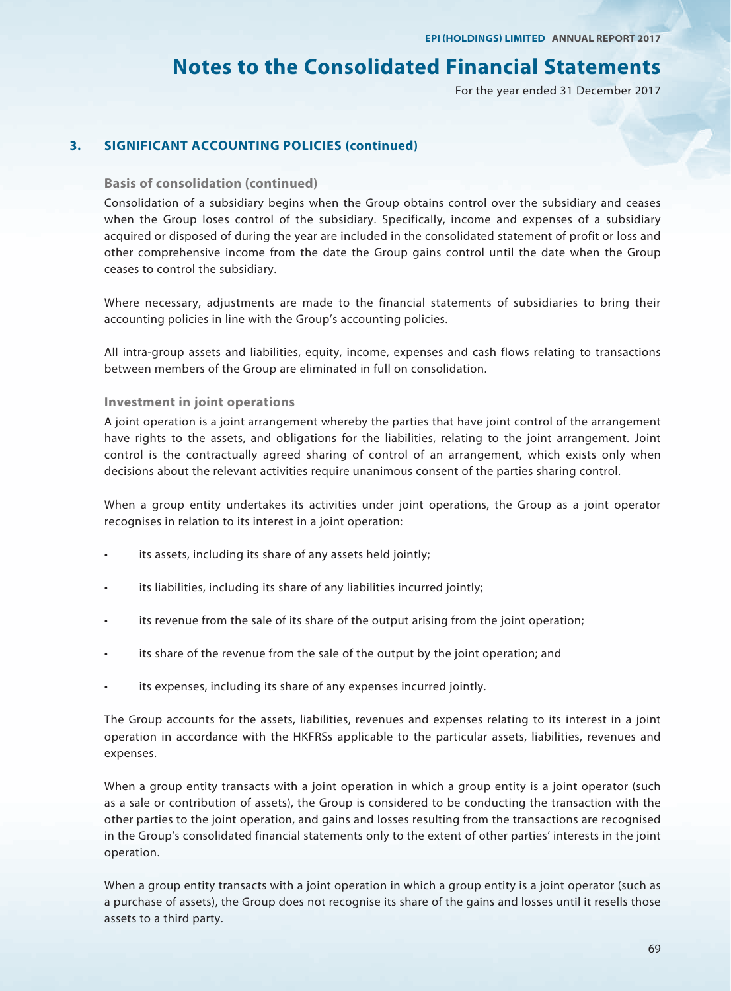For the year ended 31 December 2017

### **3. SIGNIFICANT ACCOUNTING POLICIES (continued)**

#### **Basis of consolidation (continued)**

Consolidation of a subsidiary begins when the Group obtains control over the subsidiary and ceases when the Group loses control of the subsidiary. Specifically, income and expenses of a subsidiary acquired or disposed of during the year are included in the consolidated statement of profit or loss and other comprehensive income from the date the Group gains control until the date when the Group ceases to control the subsidiary.

Where necessary, adjustments are made to the financial statements of subsidiaries to bring their accounting policies in line with the Group's accounting policies.

All intra-group assets and liabilities, equity, income, expenses and cash flows relating to transactions between members of the Group are eliminated in full on consolidation.

#### **Investment in joint operations**

A joint operation is a joint arrangement whereby the parties that have joint control of the arrangement have rights to the assets, and obligations for the liabilities, relating to the joint arrangement. Joint control is the contractually agreed sharing of control of an arrangement, which exists only when decisions about the relevant activities require unanimous consent of the parties sharing control.

When a group entity undertakes its activities under joint operations, the Group as a joint operator recognises in relation to its interest in a joint operation:

- its assets, including its share of any assets held jointly;
- its liabilities, including its share of any liabilities incurred jointly;
- its revenue from the sale of its share of the output arising from the joint operation;
- • its share of the revenue from the sale of the output by the joint operation; and
- its expenses, including its share of any expenses incurred jointly.

The Group accounts for the assets, liabilities, revenues and expenses relating to its interest in a joint operation in accordance with the HKFRSs applicable to the particular assets, liabilities, revenues and expenses.

When a group entity transacts with a joint operation in which a group entity is a joint operator (such as a sale or contribution of assets), the Group is considered to be conducting the transaction with the other parties to the joint operation, and gains and losses resulting from the transactions are recognised in the Group's consolidated financial statements only to the extent of other parties' interests in the joint operation.

When a group entity transacts with a joint operation in which a group entity is a joint operator (such as a purchase of assets), the Group does not recognise its share of the gains and losses until it resells those assets to a third party.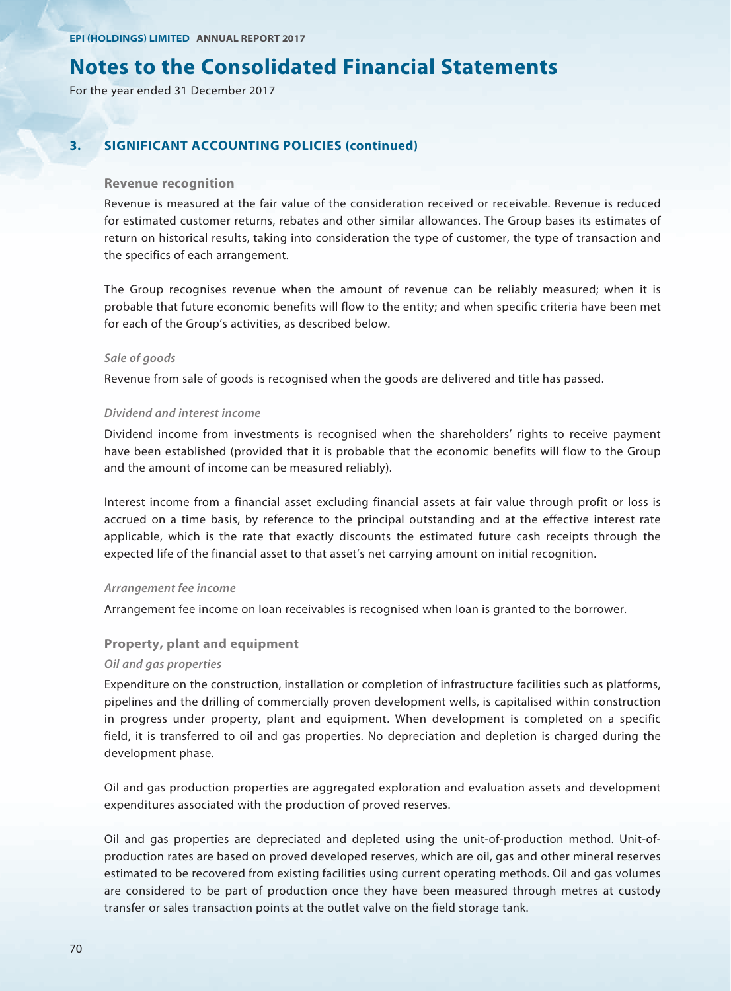For the year ended 31 December 2017

### **3. SIGNIFICANT ACCOUNTING POLICIES (continued)**

#### **Revenue recognition**

Revenue is measured at the fair value of the consideration received or receivable. Revenue is reduced for estimated customer returns, rebates and other similar allowances. The Group bases its estimates of return on historical results, taking into consideration the type of customer, the type of transaction and the specifics of each arrangement.

The Group recognises revenue when the amount of revenue can be reliably measured; when it is probable that future economic benefits will flow to the entity; and when specific criteria have been met for each of the Group's activities, as described below.

#### *Sale of goods*

Revenue from sale of goods is recognised when the goods are delivered and title has passed.

#### *Dividend and interest income*

Dividend income from investments is recognised when the shareholders' rights to receive payment have been established (provided that it is probable that the economic benefits will flow to the Group and the amount of income can be measured reliably).

Interest income from a financial asset excluding financial assets at fair value through profit or loss is accrued on a time basis, by reference to the principal outstanding and at the effective interest rate applicable, which is the rate that exactly discounts the estimated future cash receipts through the expected life of the financial asset to that asset's net carrying amount on initial recognition.

#### *Arrangement fee income*

Arrangement fee income on loan receivables is recognised when loan is granted to the borrower.

#### **Property, plant and equipment**

#### *Oil and gas properties*

Expenditure on the construction, installation or completion of infrastructure facilities such as platforms, pipelines and the drilling of commercially proven development wells, is capitalised within construction in progress under property, plant and equipment. When development is completed on a specific field, it is transferred to oil and gas properties. No depreciation and depletion is charged during the development phase.

Oil and gas production properties are aggregated exploration and evaluation assets and development expenditures associated with the production of proved reserves.

Oil and gas properties are depreciated and depleted using the unit-of-production method. Unit-ofproduction rates are based on proved developed reserves, which are oil, gas and other mineral reserves estimated to be recovered from existing facilities using current operating methods. Oil and gas volumes are considered to be part of production once they have been measured through metres at custody transfer or sales transaction points at the outlet valve on the field storage tank.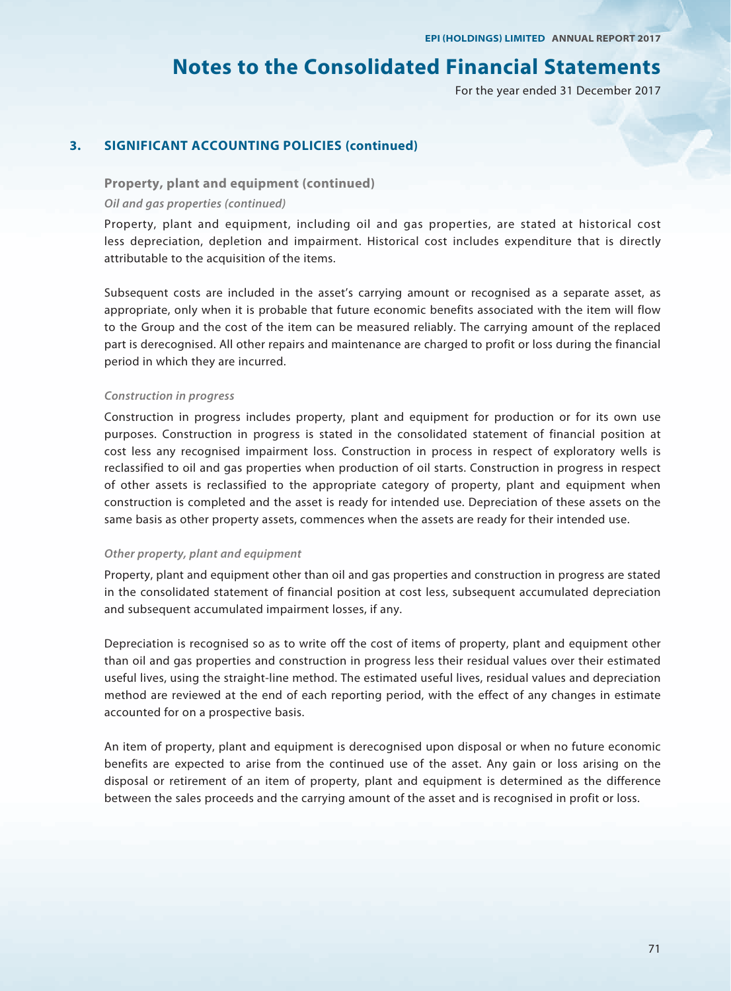For the year ended 31 December 2017

### **3. SIGNIFICANT ACCOUNTING POLICIES (continued)**

### **Property, plant and equipment (continued)**

#### *Oil and gas properties (continued)*

Property, plant and equipment, including oil and gas properties, are stated at historical cost less depreciation, depletion and impairment. Historical cost includes expenditure that is directly attributable to the acquisition of the items.

Subsequent costs are included in the asset's carrying amount or recognised as a separate asset, as appropriate, only when it is probable that future economic benefits associated with the item will flow to the Group and the cost of the item can be measured reliably. The carrying amount of the replaced part is derecognised. All other repairs and maintenance are charged to profit or loss during the financial period in which they are incurred.

#### *Construction in progress*

Construction in progress includes property, plant and equipment for production or for its own use purposes. Construction in progress is stated in the consolidated statement of financial position at cost less any recognised impairment loss. Construction in process in respect of exploratory wells is reclassified to oil and gas properties when production of oil starts. Construction in progress in respect of other assets is reclassified to the appropriate category of property, plant and equipment when construction is completed and the asset is ready for intended use. Depreciation of these assets on the same basis as other property assets, commences when the assets are ready for their intended use.

#### *Other property, plant and equipment*

Property, plant and equipment other than oil and gas properties and construction in progress are stated in the consolidated statement of financial position at cost less, subsequent accumulated depreciation and subsequent accumulated impairment losses, if any.

Depreciation is recognised so as to write off the cost of items of property, plant and equipment other than oil and gas properties and construction in progress less their residual values over their estimated useful lives, using the straight-line method. The estimated useful lives, residual values and depreciation method are reviewed at the end of each reporting period, with the effect of any changes in estimate accounted for on a prospective basis.

An item of property, plant and equipment is derecognised upon disposal or when no future economic benefits are expected to arise from the continued use of the asset. Any gain or loss arising on the disposal or retirement of an item of property, plant and equipment is determined as the difference between the sales proceeds and the carrying amount of the asset and is recognised in profit or loss.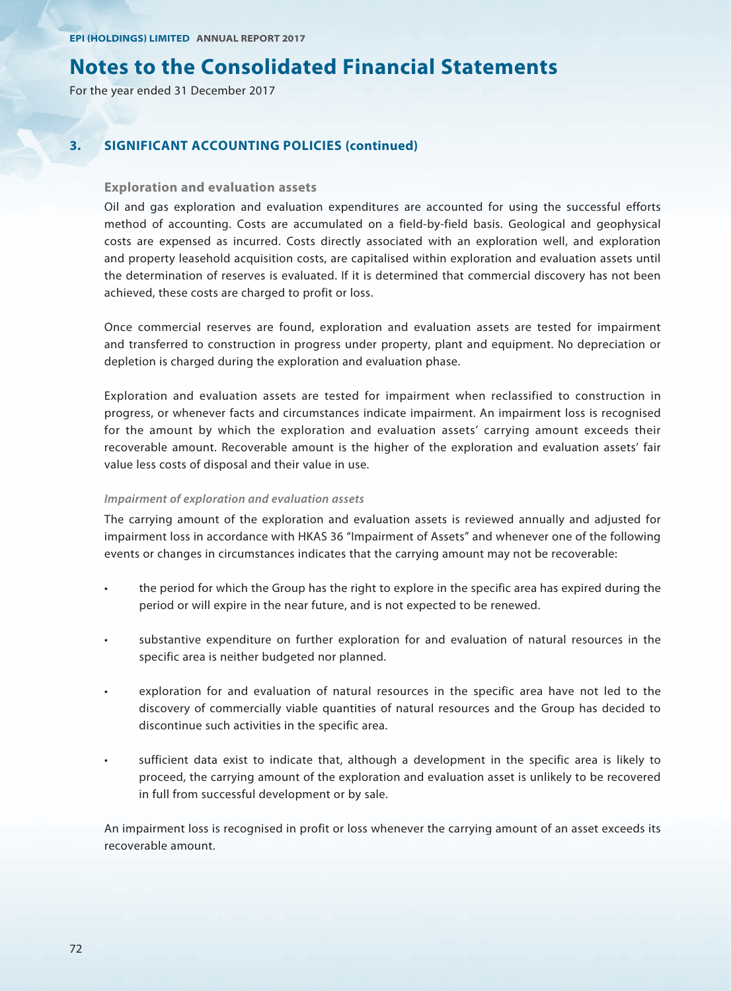For the year ended 31 December 2017

### **3. SIGNIFICANT ACCOUNTING POLICIES (continued)**

### **Exploration and evaluation assets**

Oil and gas exploration and evaluation expenditures are accounted for using the successful efforts method of accounting. Costs are accumulated on a field-by-field basis. Geological and geophysical costs are expensed as incurred. Costs directly associated with an exploration well, and exploration and property leasehold acquisition costs, are capitalised within exploration and evaluation assets until the determination of reserves is evaluated. If it is determined that commercial discovery has not been achieved, these costs are charged to profit or loss.

Once commercial reserves are found, exploration and evaluation assets are tested for impairment and transferred to construction in progress under property, plant and equipment. No depreciation or depletion is charged during the exploration and evaluation phase.

Exploration and evaluation assets are tested for impairment when reclassified to construction in progress, or whenever facts and circumstances indicate impairment. An impairment loss is recognised for the amount by which the exploration and evaluation assets' carrying amount exceeds their recoverable amount. Recoverable amount is the higher of the exploration and evaluation assets' fair value less costs of disposal and their value in use.

#### *Impairment of exploration and evaluation assets*

The carrying amount of the exploration and evaluation assets is reviewed annually and adjusted for impairment loss in accordance with HKAS 36 "Impairment of Assets" and whenever one of the following events or changes in circumstances indicates that the carrying amount may not be recoverable:

- the period for which the Group has the right to explore in the specific area has expired during the period or will expire in the near future, and is not expected to be renewed.
- substantive expenditure on further exploration for and evaluation of natural resources in the specific area is neither budgeted nor planned.
- exploration for and evaluation of natural resources in the specific area have not led to the discovery of commercially viable quantities of natural resources and the Group has decided to discontinue such activities in the specific area.
- sufficient data exist to indicate that, although a development in the specific area is likely to proceed, the carrying amount of the exploration and evaluation asset is unlikely to be recovered in full from successful development or by sale.

An impairment loss is recognised in profit or loss whenever the carrying amount of an asset exceeds its recoverable amount.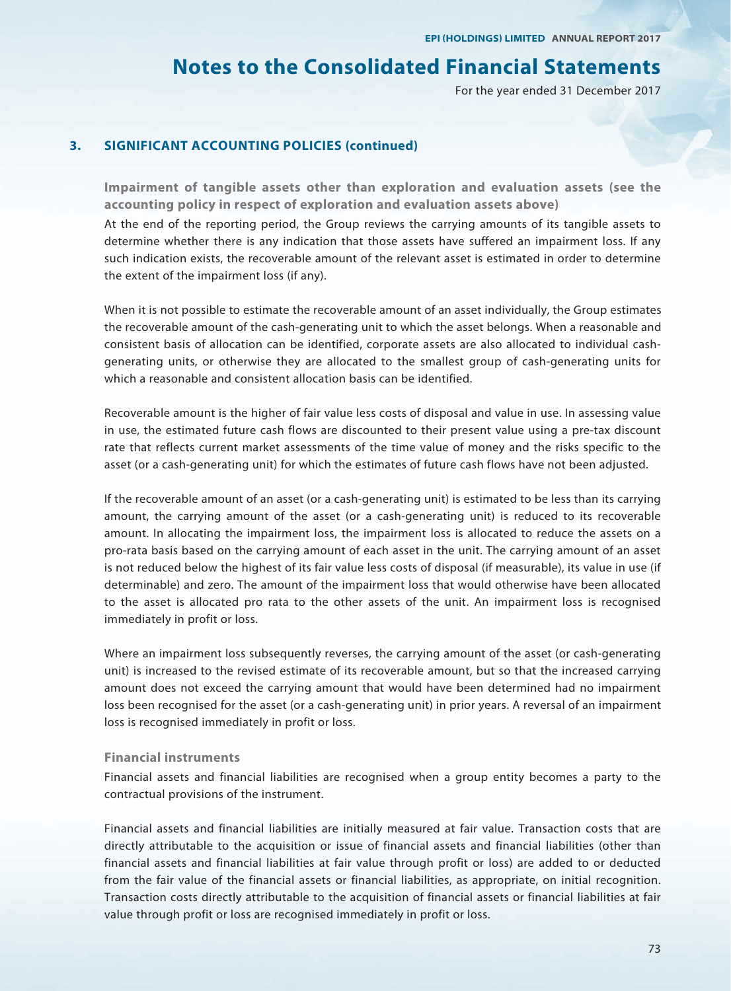For the year ended 31 December 2017

## **3. SIGNIFICANT ACCOUNTING POLICIES (continued)**

**Impairment of tangible assets other than exploration and evaluation assets (see the accounting policy in respect of exploration and evaluation assets above)**

At the end of the reporting period, the Group reviews the carrying amounts of its tangible assets to determine whether there is any indication that those assets have suffered an impairment loss. If any such indication exists, the recoverable amount of the relevant asset is estimated in order to determine the extent of the impairment loss (if any).

When it is not possible to estimate the recoverable amount of an asset individually, the Group estimates the recoverable amount of the cash-generating unit to which the asset belongs. When a reasonable and consistent basis of allocation can be identified, corporate assets are also allocated to individual cashgenerating units, or otherwise they are allocated to the smallest group of cash-generating units for which a reasonable and consistent allocation basis can be identified.

Recoverable amount is the higher of fair value less costs of disposal and value in use. In assessing value in use, the estimated future cash flows are discounted to their present value using a pre-tax discount rate that reflects current market assessments of the time value of money and the risks specific to the asset (or a cash-generating unit) for which the estimates of future cash flows have not been adjusted.

If the recoverable amount of an asset (or a cash-generating unit) is estimated to be less than its carrying amount, the carrying amount of the asset (or a cash-generating unit) is reduced to its recoverable amount. In allocating the impairment loss, the impairment loss is allocated to reduce the assets on a pro-rata basis based on the carrying amount of each asset in the unit. The carrying amount of an asset is not reduced below the highest of its fair value less costs of disposal (if measurable), its value in use (if determinable) and zero. The amount of the impairment loss that would otherwise have been allocated to the asset is allocated pro rata to the other assets of the unit. An impairment loss is recognised immediately in profit or loss.

Where an impairment loss subsequently reverses, the carrying amount of the asset (or cash-generating unit) is increased to the revised estimate of its recoverable amount, but so that the increased carrying amount does not exceed the carrying amount that would have been determined had no impairment loss been recognised for the asset (or a cash-generating unit) in prior years. A reversal of an impairment loss is recognised immediately in profit or loss.

### **Financial instruments**

Financial assets and financial liabilities are recognised when a group entity becomes a party to the contractual provisions of the instrument.

Financial assets and financial liabilities are initially measured at fair value. Transaction costs that are directly attributable to the acquisition or issue of financial assets and financial liabilities (other than financial assets and financial liabilities at fair value through profit or loss) are added to or deducted from the fair value of the financial assets or financial liabilities, as appropriate, on initial recognition. Transaction costs directly attributable to the acquisition of financial assets or financial liabilities at fair value through profit or loss are recognised immediately in profit or loss.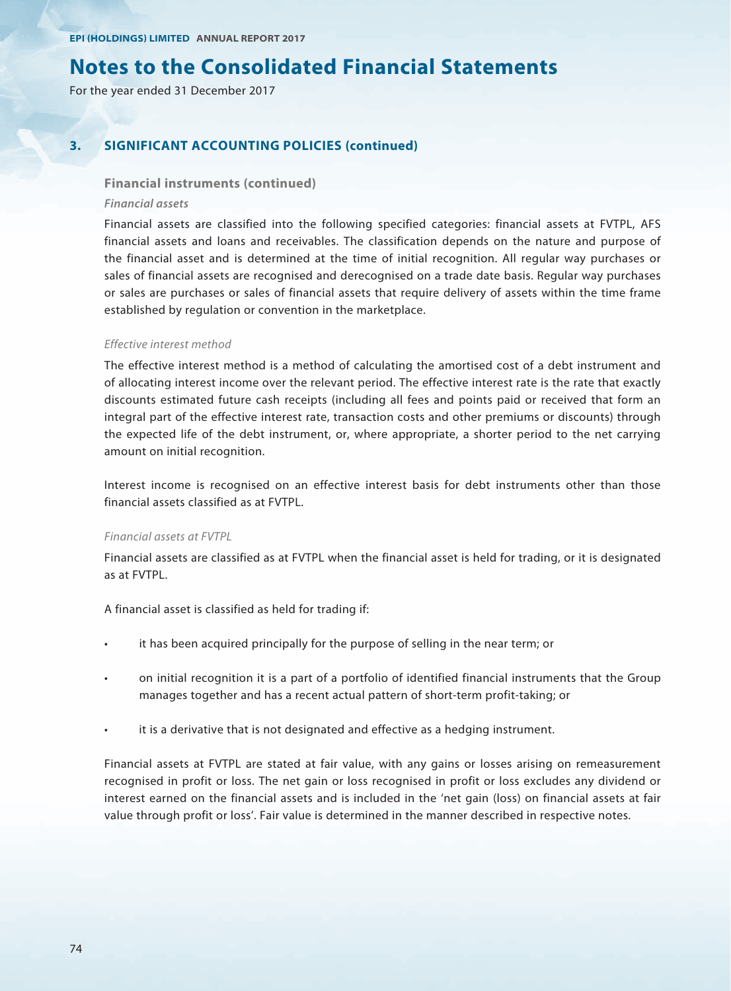For the year ended 31 December 2017

### **3. SIGNIFICANT ACCOUNTING POLICIES (continued)**

### **Financial instruments (continued)**

#### *Financial assets*

Financial assets are classified into the following specified categories: financial assets at FVTPL, AFS financial assets and loans and receivables. The classification depends on the nature and purpose of the financial asset and is determined at the time of initial recognition. All regular way purchases or sales of financial assets are recognised and derecognised on a trade date basis. Regular way purchases or sales are purchases or sales of financial assets that require delivery of assets within the time frame established by regulation or convention in the marketplace.

#### *Effective interest method*

The effective interest method is a method of calculating the amortised cost of a debt instrument and of allocating interest income over the relevant period. The effective interest rate is the rate that exactly discounts estimated future cash receipts (including all fees and points paid or received that form an integral part of the effective interest rate, transaction costs and other premiums or discounts) through the expected life of the debt instrument, or, where appropriate, a shorter period to the net carrying amount on initial recognition.

Interest income is recognised on an effective interest basis for debt instruments other than those financial assets classified as at FVTPL.

#### *Financial assets at FVTPL*

Financial assets are classified as at FVTPL when the financial asset is held for trading, or it is designated as at FVTPL.

A financial asset is classified as held for trading if:

- it has been acquired principally for the purpose of selling in the near term; or
- on initial recognition it is a part of a portfolio of identified financial instruments that the Group manages together and has a recent actual pattern of short-term profit-taking; or
- it is a derivative that is not designated and effective as a hedging instrument.

Financial assets at FVTPL are stated at fair value, with any gains or losses arising on remeasurement recognised in profit or loss. The net gain or loss recognised in profit or loss excludes any dividend or interest earned on the financial assets and is included in the 'net gain (loss) on financial assets at fair value through profit or loss'. Fair value is determined in the manner described in respective notes.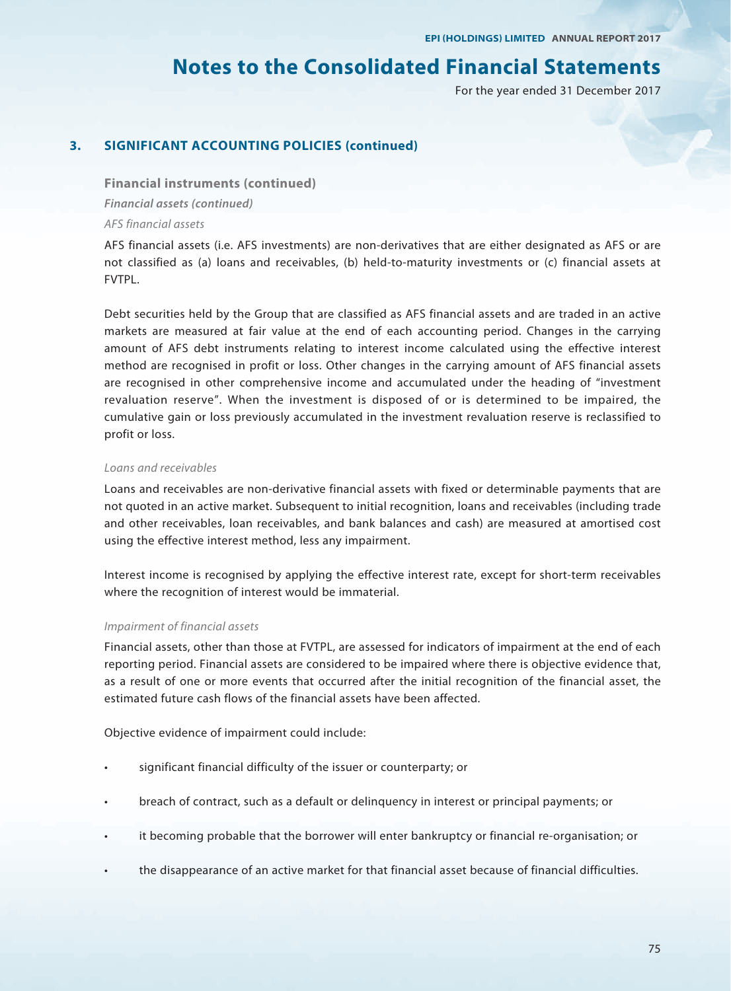For the year ended 31 December 2017

## **3. SIGNIFICANT ACCOUNTING POLICIES (continued)**

**Financial instruments (continued)** *Financial assets (continued)*

### *AFS financial assets*

AFS financial assets (i.e. AFS investments) are non-derivatives that are either designated as AFS or are not classified as (a) loans and receivables, (b) held-to-maturity investments or (c) financial assets at FVTPL.

Debt securities held by the Group that are classified as AFS financial assets and are traded in an active markets are measured at fair value at the end of each accounting period. Changes in the carrying amount of AFS debt instruments relating to interest income calculated using the effective interest method are recognised in profit or loss. Other changes in the carrying amount of AFS financial assets are recognised in other comprehensive income and accumulated under the heading of "investment revaluation reserve". When the investment is disposed of or is determined to be impaired, the cumulative gain or loss previously accumulated in the investment revaluation reserve is reclassified to profit or loss.

### *Loans and receivables*

Loans and receivables are non-derivative financial assets with fixed or determinable payments that are not quoted in an active market. Subsequent to initial recognition, loans and receivables (including trade and other receivables, loan receivables, and bank balances and cash) are measured at amortised cost using the effective interest method, less any impairment.

Interest income is recognised by applying the effective interest rate, except for short-term receivables where the recognition of interest would be immaterial.

### *Impairment of financial assets*

Financial assets, other than those at FVTPL, are assessed for indicators of impairment at the end of each reporting period. Financial assets are considered to be impaired where there is objective evidence that, as a result of one or more events that occurred after the initial recognition of the financial asset, the estimated future cash flows of the financial assets have been affected.

Objective evidence of impairment could include:

- significant financial difficulty of the issuer or counterparty; or
- breach of contract, such as a default or delinquency in interest or principal payments; or
- it becoming probable that the borrower will enter bankruptcy or financial re-organisation; or
- the disappearance of an active market for that financial asset because of financial difficulties.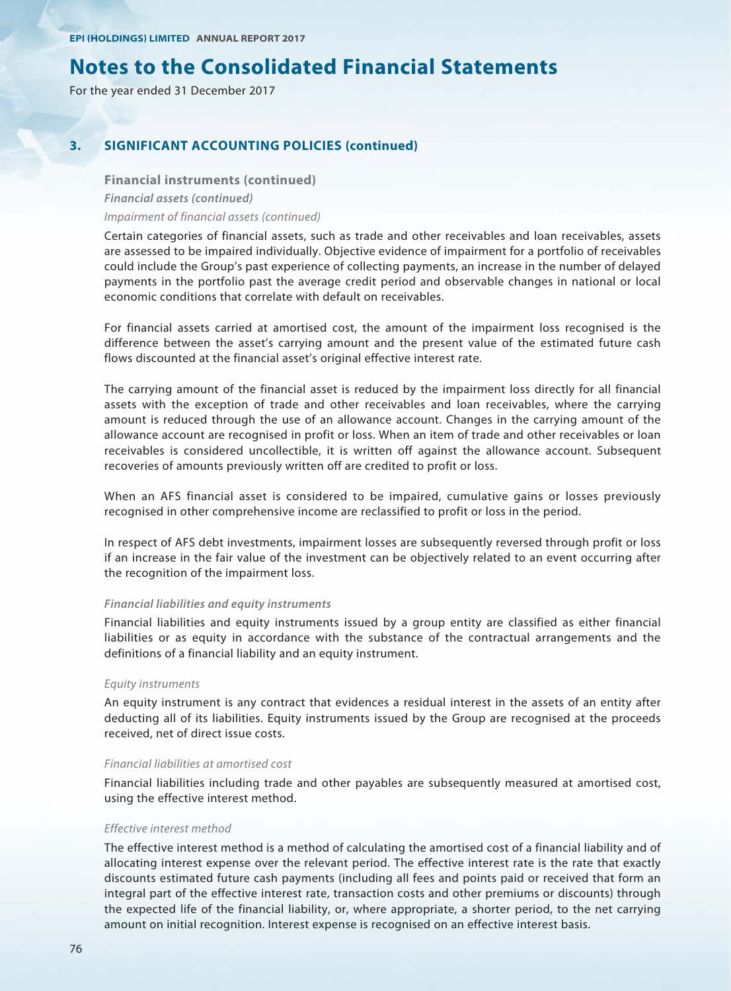For the year ended 31 December 2017

## **3. SIGNIFICANT ACCOUNTING POLICIES (continued)**

**Financial instruments (continued)** *Financial assets (continued)*

*Impairment of financial assets (continued)*

Certain categories of financial assets, such as trade and other receivables and loan receivables, assets are assessed to be impaired individually. Objective evidence of impairment for a portfolio of receivables could include the Group's past experience of collecting payments, an increase in the number of delayed payments in the portfolio past the average credit period and observable changes in national or local economic conditions that correlate with default on receivables.

For financial assets carried at amortised cost, the amount of the impairment loss recognised is the difference between the asset's carrying amount and the present value of the estimated future cash flows discounted at the financial asset's original effective interest rate.

The carrying amount of the financial asset is reduced by the impairment loss directly for all financial assets with the exception of trade and other receivables and loan receivables, where the carrying amount is reduced through the use of an allowance account. Changes in the carrying amount of the allowance account are recognised in profit or loss. When an item of trade and other receivables or loan receivables is considered uncollectible, it is written off against the allowance account. Subsequent recoveries of amounts previously written off are credited to profit or loss.

When an AFS financial asset is considered to be impaired, cumulative gains or losses previously recognised in other comprehensive income are reclassified to profit or loss in the period.

In respect of AFS debt investments, impairment losses are subsequently reversed through profit or loss if an increase in the fair value of the investment can be objectively related to an event occurring after the recognition of the impairment loss.

#### *Financial liabilities and equity instruments*

Financial liabilities and equity instruments issued by a group entity are classified as either financial liabilities or as equity in accordance with the substance of the contractual arrangements and the definitions of a financial liability and an equity instrument.

#### *Equity instruments*

An equity instrument is any contract that evidences a residual interest in the assets of an entity after deducting all of its liabilities. Equity instruments issued by the Group are recognised at the proceeds received, net of direct issue costs.

### *Financial liabilities at amortised cost*

Financial liabilities including trade and other payables are subsequently measured at amortised cost, using the effective interest method.

### *Effective interest method*

The effective interest method is a method of calculating the amortised cost of a financial liability and of allocating interest expense over the relevant period. The effective interest rate is the rate that exactly discounts estimated future cash payments (including all fees and points paid or received that form an integral part of the effective interest rate, transaction costs and other premiums or discounts) through the expected life of the financial liability, or, where appropriate, a shorter period, to the net carrying amount on initial recognition. Interest expense is recognised on an effective interest basis.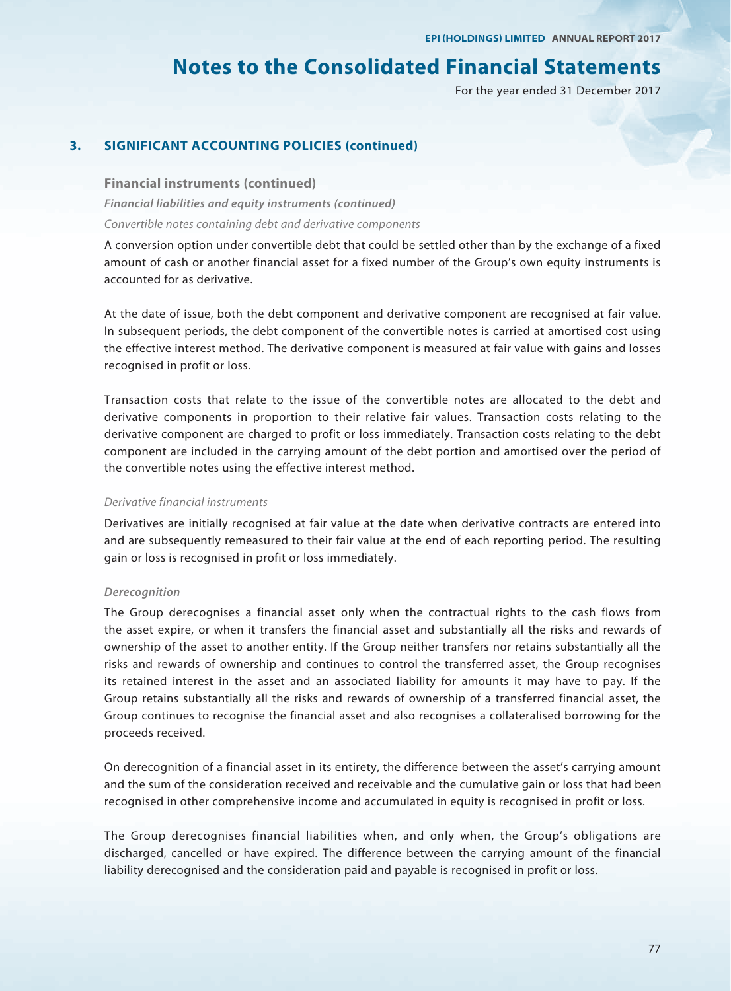For the year ended 31 December 2017

## **3. SIGNIFICANT ACCOUNTING POLICIES (continued)**

### **Financial instruments (continued)**

*Financial liabilities and equity instruments (continued)*

*Convertible notes containing debt and derivative components*

A conversion option under convertible debt that could be settled other than by the exchange of a fixed amount of cash or another financial asset for a fixed number of the Group's own equity instruments is accounted for as derivative.

At the date of issue, both the debt component and derivative component are recognised at fair value. In subsequent periods, the debt component of the convertible notes is carried at amortised cost using the effective interest method. The derivative component is measured at fair value with gains and losses recognised in profit or loss.

Transaction costs that relate to the issue of the convertible notes are allocated to the debt and derivative components in proportion to their relative fair values. Transaction costs relating to the derivative component are charged to profit or loss immediately. Transaction costs relating to the debt component are included in the carrying amount of the debt portion and amortised over the period of the convertible notes using the effective interest method.

### *Derivative financial instruments*

Derivatives are initially recognised at fair value at the date when derivative contracts are entered into and are subsequently remeasured to their fair value at the end of each reporting period. The resulting gain or loss is recognised in profit or loss immediately.

#### *Derecognition*

The Group derecognises a financial asset only when the contractual rights to the cash flows from the asset expire, or when it transfers the financial asset and substantially all the risks and rewards of ownership of the asset to another entity. If the Group neither transfers nor retains substantially all the risks and rewards of ownership and continues to control the transferred asset, the Group recognises its retained interest in the asset and an associated liability for amounts it may have to pay. If the Group retains substantially all the risks and rewards of ownership of a transferred financial asset, the Group continues to recognise the financial asset and also recognises a collateralised borrowing for the proceeds received.

On derecognition of a financial asset in its entirety, the difference between the asset's carrying amount and the sum of the consideration received and receivable and the cumulative gain or loss that had been recognised in other comprehensive income and accumulated in equity is recognised in profit or loss.

The Group derecognises financial liabilities when, and only when, the Group's obligations are discharged, cancelled or have expired. The difference between the carrying amount of the financial liability derecognised and the consideration paid and payable is recognised in profit or loss.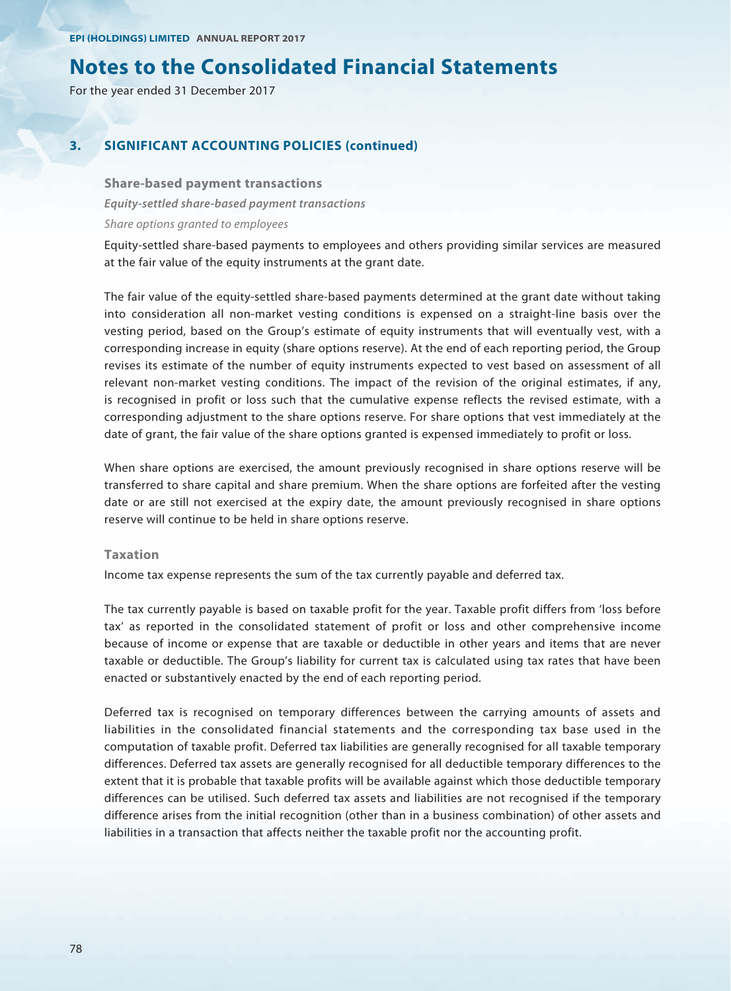For the year ended 31 December 2017

### **3. SIGNIFICANT ACCOUNTING POLICIES (continued)**

#### **Share-based payment transactions**

*Equity-settled share-based payment transactions*

*Share options granted to employees*

Equity-settled share-based payments to employees and others providing similar services are measured at the fair value of the equity instruments at the grant date.

The fair value of the equity-settled share-based payments determined at the grant date without taking into consideration all non-market vesting conditions is expensed on a straight-line basis over the vesting period, based on the Group's estimate of equity instruments that will eventually vest, with a corresponding increase in equity (share options reserve). At the end of each reporting period, the Group revises its estimate of the number of equity instruments expected to vest based on assessment of all relevant non-market vesting conditions. The impact of the revision of the original estimates, if any, is recognised in profit or loss such that the cumulative expense reflects the revised estimate, with a corresponding adjustment to the share options reserve. For share options that vest immediately at the date of grant, the fair value of the share options granted is expensed immediately to profit or loss.

When share options are exercised, the amount previously recognised in share options reserve will be transferred to share capital and share premium. When the share options are forfeited after the vesting date or are still not exercised at the expiry date, the amount previously recognised in share options reserve will continue to be held in share options reserve.

#### **Taxation**

Income tax expense represents the sum of the tax currently payable and deferred tax.

The tax currently payable is based on taxable profit for the year. Taxable profit differs from 'loss before tax' as reported in the consolidated statement of profit or loss and other comprehensive income because of income or expense that are taxable or deductible in other years and items that are never taxable or deductible. The Group's liability for current tax is calculated using tax rates that have been enacted or substantively enacted by the end of each reporting period.

Deferred tax is recognised on temporary differences between the carrying amounts of assets and liabilities in the consolidated financial statements and the corresponding tax base used in the computation of taxable profit. Deferred tax liabilities are generally recognised for all taxable temporary differences. Deferred tax assets are generally recognised for all deductible temporary differences to the extent that it is probable that taxable profits will be available against which those deductible temporary differences can be utilised. Such deferred tax assets and liabilities are not recognised if the temporary difference arises from the initial recognition (other than in a business combination) of other assets and liabilities in a transaction that affects neither the taxable profit nor the accounting profit.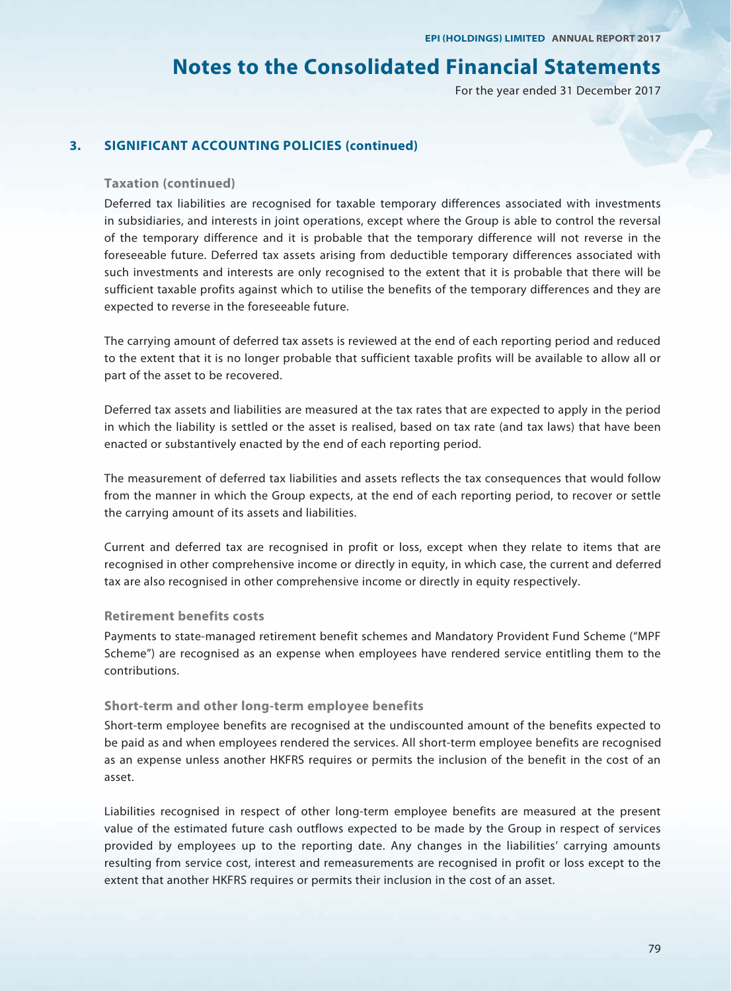For the year ended 31 December 2017

## **3. SIGNIFICANT ACCOUNTING POLICIES (continued)**

### **Taxation (continued)**

Deferred tax liabilities are recognised for taxable temporary differences associated with investments in subsidiaries, and interests in joint operations, except where the Group is able to control the reversal of the temporary difference and it is probable that the temporary difference will not reverse in the foreseeable future. Deferred tax assets arising from deductible temporary differences associated with such investments and interests are only recognised to the extent that it is probable that there will be sufficient taxable profits against which to utilise the benefits of the temporary differences and they are expected to reverse in the foreseeable future.

The carrying amount of deferred tax assets is reviewed at the end of each reporting period and reduced to the extent that it is no longer probable that sufficient taxable profits will be available to allow all or part of the asset to be recovered.

Deferred tax assets and liabilities are measured at the tax rates that are expected to apply in the period in which the liability is settled or the asset is realised, based on tax rate (and tax laws) that have been enacted or substantively enacted by the end of each reporting period.

The measurement of deferred tax liabilities and assets reflects the tax consequences that would follow from the manner in which the Group expects, at the end of each reporting period, to recover or settle the carrying amount of its assets and liabilities.

Current and deferred tax are recognised in profit or loss, except when they relate to items that are recognised in other comprehensive income or directly in equity, in which case, the current and deferred tax are also recognised in other comprehensive income or directly in equity respectively.

### **Retirement benefits costs**

Payments to state-managed retirement benefit schemes and Mandatory Provident Fund Scheme ("MPF Scheme") are recognised as an expense when employees have rendered service entitling them to the contributions.

### **Short-term and other long-term employee benefits**

Short-term employee benefits are recognised at the undiscounted amount of the benefits expected to be paid as and when employees rendered the services. All short-term employee benefits are recognised as an expense unless another HKFRS requires or permits the inclusion of the benefit in the cost of an asset.

Liabilities recognised in respect of other long-term employee benefits are measured at the present value of the estimated future cash outflows expected to be made by the Group in respect of services provided by employees up to the reporting date. Any changes in the liabilities' carrying amounts resulting from service cost, interest and remeasurements are recognised in profit or loss except to the extent that another HKFRS requires or permits their inclusion in the cost of an asset.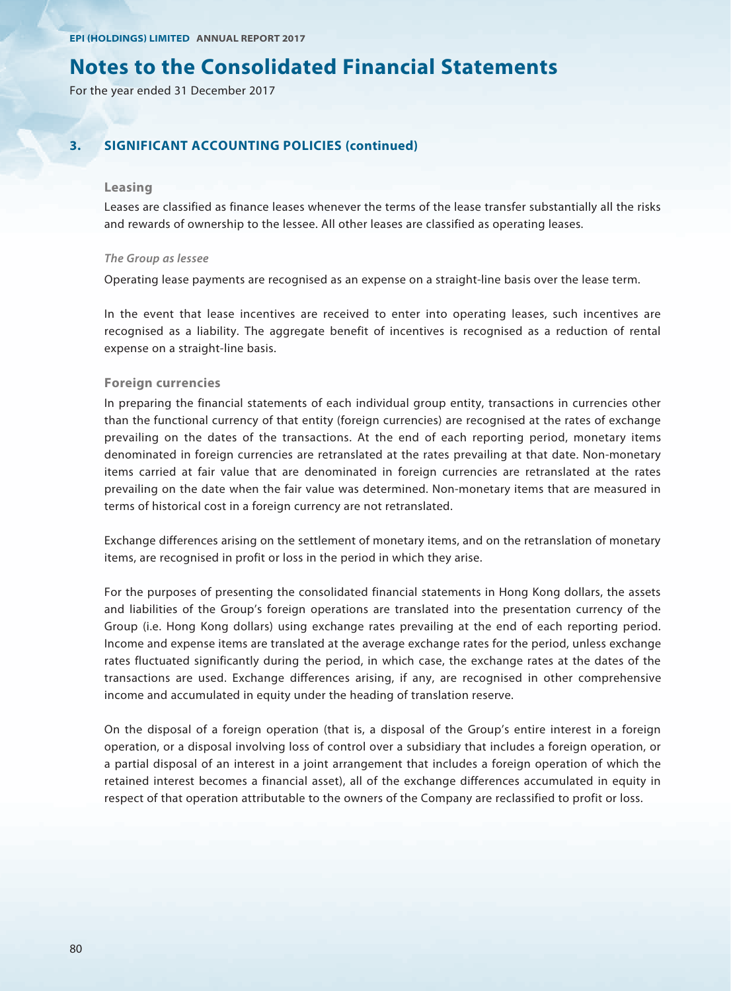For the year ended 31 December 2017

### **3. SIGNIFICANT ACCOUNTING POLICIES (continued)**

#### **Leasing**

Leases are classified as finance leases whenever the terms of the lease transfer substantially all the risks and rewards of ownership to the lessee. All other leases are classified as operating leases.

### *The Group as lessee*

Operating lease payments are recognised as an expense on a straight-line basis over the lease term.

In the event that lease incentives are received to enter into operating leases, such incentives are recognised as a liability. The aggregate benefit of incentives is recognised as a reduction of rental expense on a straight-line basis.

### **Foreign currencies**

In preparing the financial statements of each individual group entity, transactions in currencies other than the functional currency of that entity (foreign currencies) are recognised at the rates of exchange prevailing on the dates of the transactions. At the end of each reporting period, monetary items denominated in foreign currencies are retranslated at the rates prevailing at that date. Non-monetary items carried at fair value that are denominated in foreign currencies are retranslated at the rates prevailing on the date when the fair value was determined. Non-monetary items that are measured in terms of historical cost in a foreign currency are not retranslated.

Exchange differences arising on the settlement of monetary items, and on the retranslation of monetary items, are recognised in profit or loss in the period in which they arise.

For the purposes of presenting the consolidated financial statements in Hong Kong dollars, the assets and liabilities of the Group's foreign operations are translated into the presentation currency of the Group (i.e. Hong Kong dollars) using exchange rates prevailing at the end of each reporting period. Income and expense items are translated at the average exchange rates for the period, unless exchange rates fluctuated significantly during the period, in which case, the exchange rates at the dates of the transactions are used. Exchange differences arising, if any, are recognised in other comprehensive income and accumulated in equity under the heading of translation reserve.

On the disposal of a foreign operation (that is, a disposal of the Group's entire interest in a foreign operation, or a disposal involving loss of control over a subsidiary that includes a foreign operation, or a partial disposal of an interest in a joint arrangement that includes a foreign operation of which the retained interest becomes a financial asset), all of the exchange differences accumulated in equity in respect of that operation attributable to the owners of the Company are reclassified to profit or loss.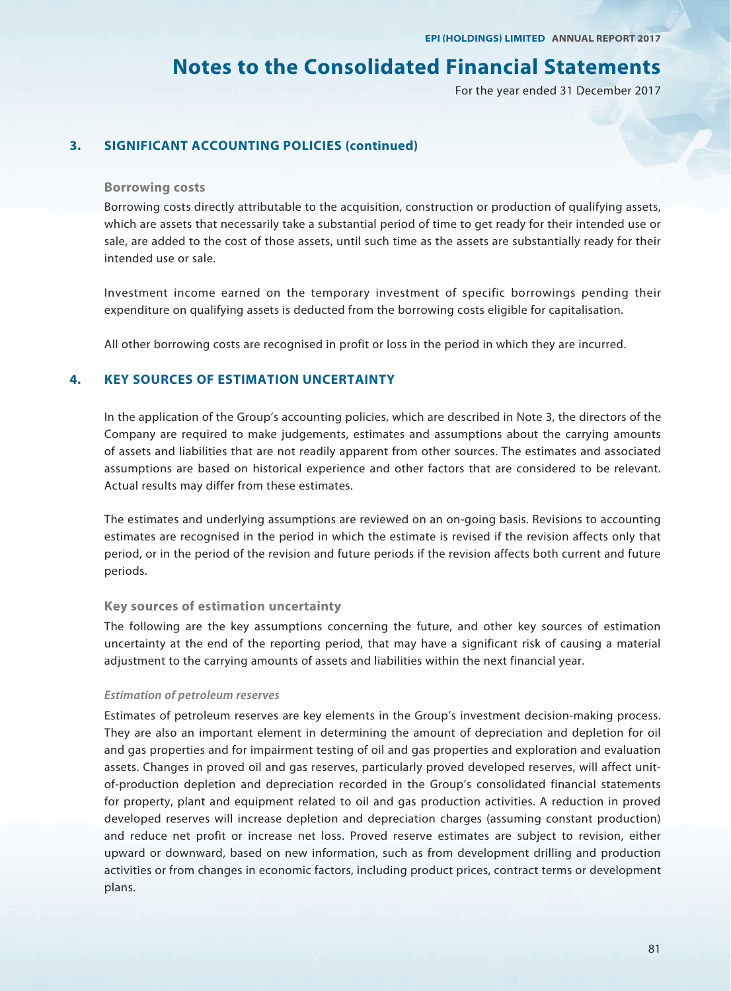For the year ended 31 December 2017

## **3. SIGNIFICANT ACCOUNTING POLICIES (continued)**

#### **Borrowing costs**

Borrowing costs directly attributable to the acquisition, construction or production of qualifying assets, which are assets that necessarily take a substantial period of time to get ready for their intended use or sale, are added to the cost of those assets, until such time as the assets are substantially ready for their intended use or sale.

Investment income earned on the temporary investment of specific borrowings pending their expenditure on qualifying assets is deducted from the borrowing costs eligible for capitalisation.

All other borrowing costs are recognised in profit or loss in the period in which they are incurred.

## **4. KEY SOURCES OF ESTIMATION UNCERTAINTY**

In the application of the Group's accounting policies, which are described in Note 3, the directors of the Company are required to make judgements, estimates and assumptions about the carrying amounts of assets and liabilities that are not readily apparent from other sources. The estimates and associated assumptions are based on historical experience and other factors that are considered to be relevant. Actual results may differ from these estimates.

The estimates and underlying assumptions are reviewed on an on-going basis. Revisions to accounting estimates are recognised in the period in which the estimate is revised if the revision affects only that period, or in the period of the revision and future periods if the revision affects both current and future periods.

### **Key sources of estimation uncertainty**

The following are the key assumptions concerning the future, and other key sources of estimation uncertainty at the end of the reporting period, that may have a significant risk of causing a material adjustment to the carrying amounts of assets and liabilities within the next financial year.

#### *Estimation of petroleum reserves*

Estimates of petroleum reserves are key elements in the Group's investment decision-making process. They are also an important element in determining the amount of depreciation and depletion for oil and gas properties and for impairment testing of oil and gas properties and exploration and evaluation assets. Changes in proved oil and gas reserves, particularly proved developed reserves, will affect unitof-production depletion and depreciation recorded in the Group's consolidated financial statements for property, plant and equipment related to oil and gas production activities. A reduction in proved developed reserves will increase depletion and depreciation charges (assuming constant production) and reduce net profit or increase net loss. Proved reserve estimates are subject to revision, either upward or downward, based on new information, such as from development drilling and production activities or from changes in economic factors, including product prices, contract terms or development plans.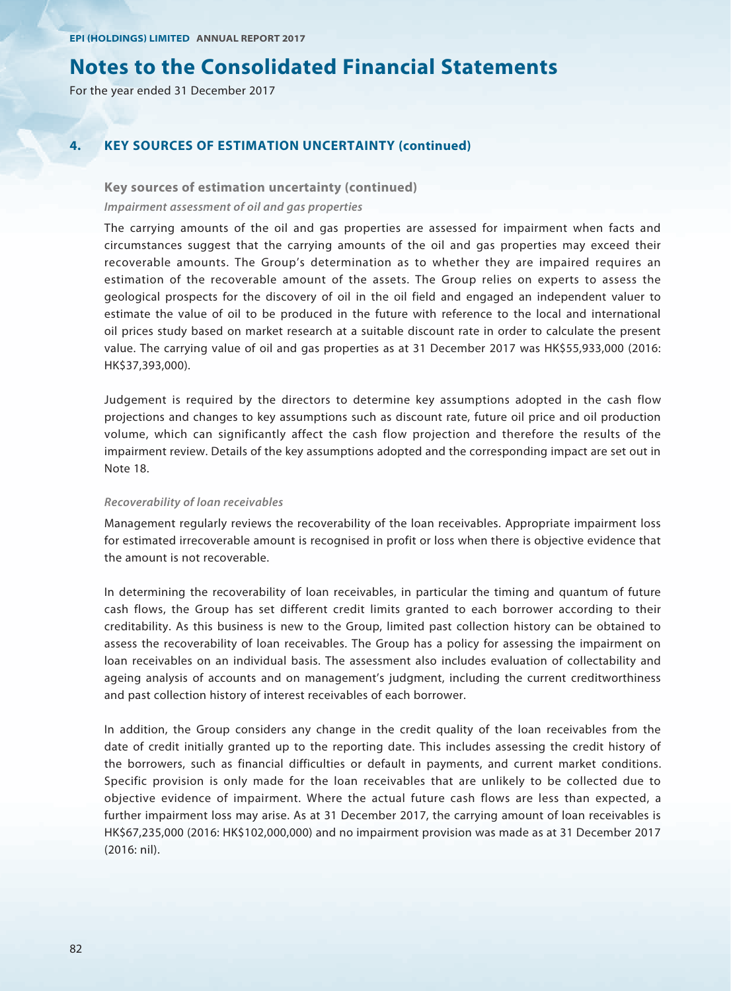For the year ended 31 December 2017

### **4. KEY SOURCES OF ESTIMATION UNCERTAINTY (continued)**

## **Key sources of estimation uncertainty (continued)** *Impairment assessment of oil and gas properties*

The carrying amounts of the oil and gas properties are assessed for impairment when facts and circumstances suggest that the carrying amounts of the oil and gas properties may exceed their recoverable amounts. The Group's determination as to whether they are impaired requires an estimation of the recoverable amount of the assets. The Group relies on experts to assess the geological prospects for the discovery of oil in the oil field and engaged an independent valuer to estimate the value of oil to be produced in the future with reference to the local and international oil prices study based on market research at a suitable discount rate in order to calculate the present value. The carrying value of oil and gas properties as at 31 December 2017 was HK\$55,933,000 (2016: HK\$37,393,000).

Judgement is required by the directors to determine key assumptions adopted in the cash flow projections and changes to key assumptions such as discount rate, future oil price and oil production volume, which can significantly affect the cash flow projection and therefore the results of the impairment review. Details of the key assumptions adopted and the corresponding impact are set out in Note 18.

### *Recoverability of loan receivables*

Management regularly reviews the recoverability of the loan receivables. Appropriate impairment loss for estimated irrecoverable amount is recognised in profit or loss when there is objective evidence that the amount is not recoverable.

In determining the recoverability of loan receivables, in particular the timing and quantum of future cash flows, the Group has set different credit limits granted to each borrower according to their creditability. As this business is new to the Group, limited past collection history can be obtained to assess the recoverability of loan receivables. The Group has a policy for assessing the impairment on loan receivables on an individual basis. The assessment also includes evaluation of collectability and ageing analysis of accounts and on management's judgment, including the current creditworthiness and past collection history of interest receivables of each borrower.

In addition, the Group considers any change in the credit quality of the loan receivables from the date of credit initially granted up to the reporting date. This includes assessing the credit history of the borrowers, such as financial difficulties or default in payments, and current market conditions. Specific provision is only made for the loan receivables that are unlikely to be collected due to objective evidence of impairment. Where the actual future cash flows are less than expected, a further impairment loss may arise. As at 31 December 2017, the carrying amount of loan receivables is HK\$67,235,000 (2016: HK\$102,000,000) and no impairment provision was made as at 31 December 2017 (2016: nil).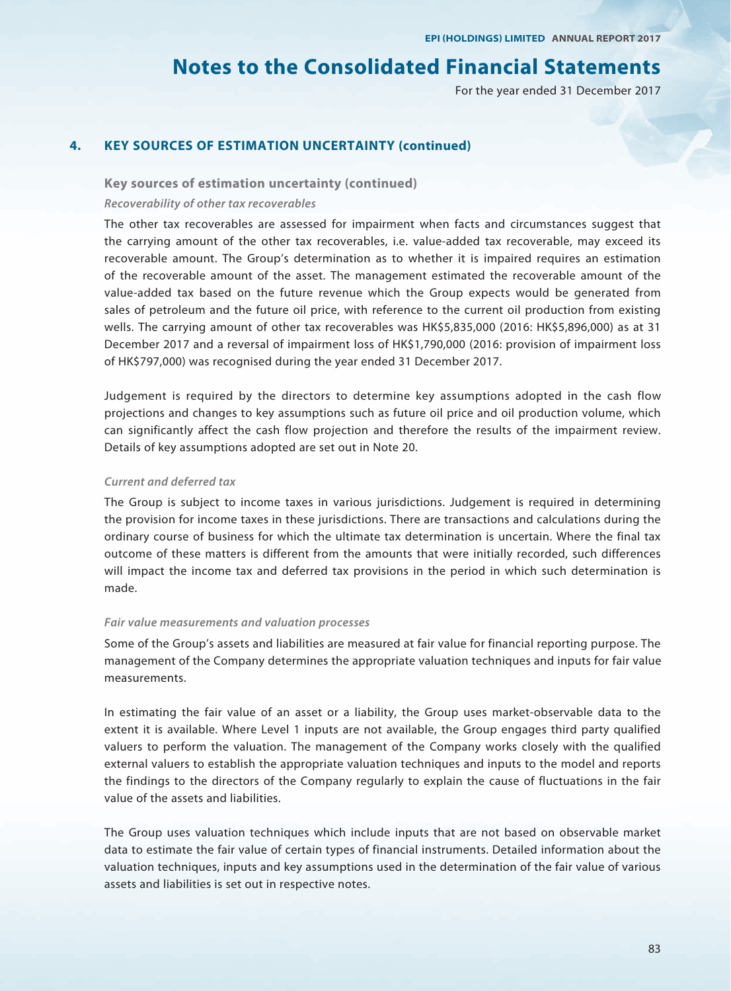For the year ended 31 December 2017

## **4. KEY SOURCES OF ESTIMATION UNCERTAINTY (continued)**

### **Key sources of estimation uncertainty (continued)**

### *Recoverability of other tax recoverables*

The other tax recoverables are assessed for impairment when facts and circumstances suggest that the carrying amount of the other tax recoverables, i.e. value-added tax recoverable, may exceed its recoverable amount. The Group's determination as to whether it is impaired requires an estimation of the recoverable amount of the asset. The management estimated the recoverable amount of the value-added tax based on the future revenue which the Group expects would be generated from sales of petroleum and the future oil price, with reference to the current oil production from existing wells. The carrying amount of other tax recoverables was HK\$5,835,000 (2016: HK\$5,896,000) as at 31 December 2017 and a reversal of impairment loss of HK\$1,790,000 (2016: provision of impairment loss of HK\$797,000) was recognised during the year ended 31 December 2017.

Judgement is required by the directors to determine key assumptions adopted in the cash flow projections and changes to key assumptions such as future oil price and oil production volume, which can significantly affect the cash flow projection and therefore the results of the impairment review. Details of key assumptions adopted are set out in Note 20.

#### *Current and deferred tax*

The Group is subject to income taxes in various jurisdictions. Judgement is required in determining the provision for income taxes in these jurisdictions. There are transactions and calculations during the ordinary course of business for which the ultimate tax determination is uncertain. Where the final tax outcome of these matters is different from the amounts that were initially recorded, such differences will impact the income tax and deferred tax provisions in the period in which such determination is made.

#### *Fair value measurements and valuation processes*

Some of the Group's assets and liabilities are measured at fair value for financial reporting purpose. The management of the Company determines the appropriate valuation techniques and inputs for fair value measurements.

In estimating the fair value of an asset or a liability, the Group uses market-observable data to the extent it is available. Where Level 1 inputs are not available, the Group engages third party qualified valuers to perform the valuation. The management of the Company works closely with the qualified external valuers to establish the appropriate valuation techniques and inputs to the model and reports the findings to the directors of the Company regularly to explain the cause of fluctuations in the fair value of the assets and liabilities.

The Group uses valuation techniques which include inputs that are not based on observable market data to estimate the fair value of certain types of financial instruments. Detailed information about the valuation techniques, inputs and key assumptions used in the determination of the fair value of various assets and liabilities is set out in respective notes.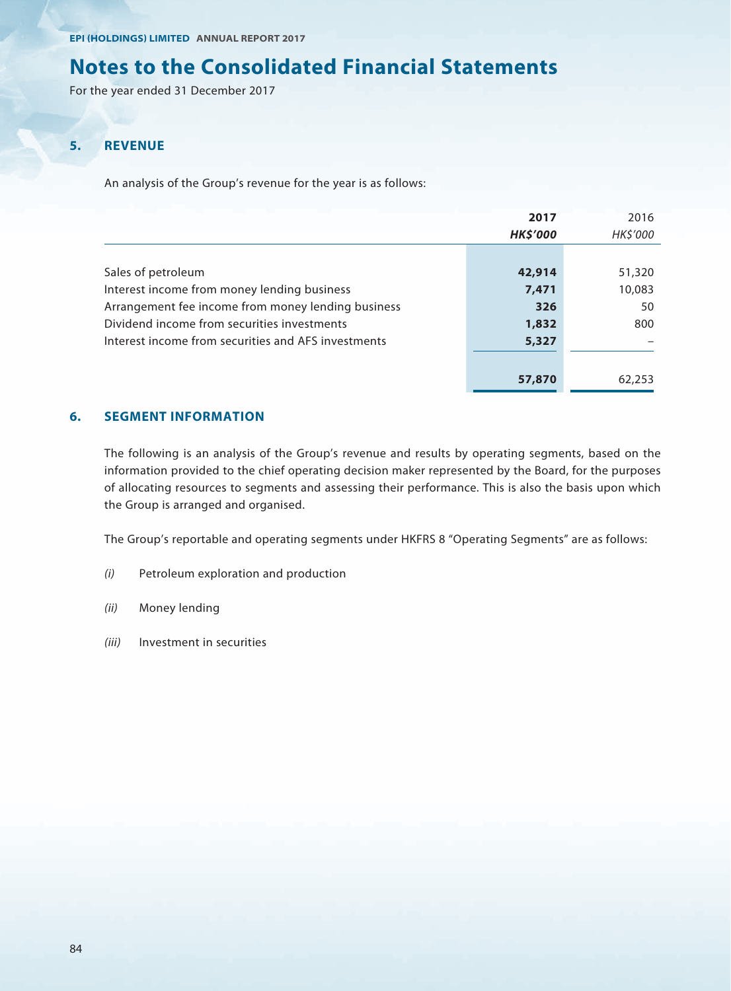For the year ended 31 December 2017

## **5. REVENUE**

An analysis of the Group's revenue for the year is as follows:

|                                                     | 2017            | 2016            |
|-----------------------------------------------------|-----------------|-----------------|
|                                                     | <b>HK\$'000</b> | <b>HK\$'000</b> |
|                                                     |                 |                 |
| Sales of petroleum                                  | 42,914          | 51,320          |
| Interest income from money lending business         | 7,471           | 10,083          |
| Arrangement fee income from money lending business  | 326             | 50              |
| Dividend income from securities investments         | 1,832           | 800             |
| Interest income from securities and AFS investments | 5,327           |                 |
|                                                     |                 |                 |
|                                                     | 57,870          | 62.253          |

### **6. SEGMENT INFORMATION**

The following is an analysis of the Group's revenue and results by operating segments, based on the information provided to the chief operating decision maker represented by the Board, for the purposes of allocating resources to segments and assessing their performance. This is also the basis upon which the Group is arranged and organised.

The Group's reportable and operating segments under HKFRS 8 "Operating Segments" are as follows:

- *(i)* Petroleum exploration and production
- *(ii)* Money lending
- *(iii)* Investment in securities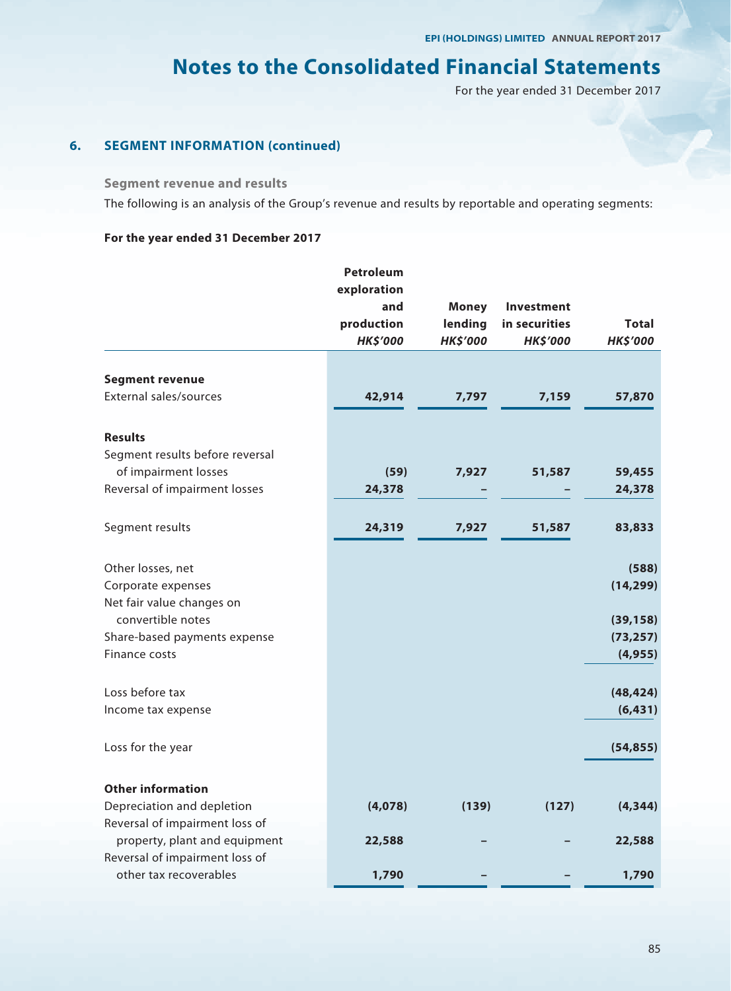For the year ended 31 December 2017

# **6. SEGMENT INFORMATION (continued)**

# **Segment revenue and results**

The following is an analysis of the Group's revenue and results by reportable and operating segments:

### **For the year ended 31 December 2017**

|                                 | Petroleum<br>exploration<br>and<br>production<br><b>HK\$'000</b> | <b>Money</b><br>lending<br><b>HK\$'000</b> | <b>Investment</b><br>in securities<br><b>HK\$'000</b> | <b>Total</b><br><b>HK\$'000</b> |
|---------------------------------|------------------------------------------------------------------|--------------------------------------------|-------------------------------------------------------|---------------------------------|
|                                 |                                                                  |                                            |                                                       |                                 |
| <b>Segment revenue</b>          |                                                                  |                                            |                                                       |                                 |
| External sales/sources          | 42,914                                                           | 7,797                                      | 7,159                                                 | 57,870                          |
| <b>Results</b>                  |                                                                  |                                            |                                                       |                                 |
| Segment results before reversal |                                                                  |                                            |                                                       |                                 |
| of impairment losses            | (59)                                                             | 7,927                                      | 51,587                                                | 59,455                          |
| Reversal of impairment losses   | 24,378                                                           |                                            |                                                       | 24,378                          |
| Segment results                 | 24,319                                                           | 7,927                                      | 51,587                                                | 83,833                          |
| Other losses, net               |                                                                  |                                            |                                                       | (588)                           |
| Corporate expenses              |                                                                  |                                            |                                                       | (14, 299)                       |
| Net fair value changes on       |                                                                  |                                            |                                                       |                                 |
| convertible notes               |                                                                  |                                            |                                                       | (39, 158)                       |
| Share-based payments expense    |                                                                  |                                            |                                                       | (73, 257)                       |
| Finance costs                   |                                                                  |                                            |                                                       | (4, 955)                        |
| Loss before tax                 |                                                                  |                                            |                                                       | (48, 424)                       |
| Income tax expense              |                                                                  |                                            |                                                       | (6, 431)                        |
| Loss for the year               |                                                                  |                                            |                                                       | (54, 855)                       |
| <b>Other information</b>        |                                                                  |                                            |                                                       |                                 |
| Depreciation and depletion      | (4,078)                                                          | (139)                                      | (127)                                                 | (4, 344)                        |
| Reversal of impairment loss of  |                                                                  |                                            |                                                       |                                 |
| property, plant and equipment   | 22,588                                                           |                                            |                                                       | 22,588                          |
| Reversal of impairment loss of  |                                                                  |                                            |                                                       |                                 |
| other tax recoverables          | 1,790                                                            |                                            |                                                       | 1,790                           |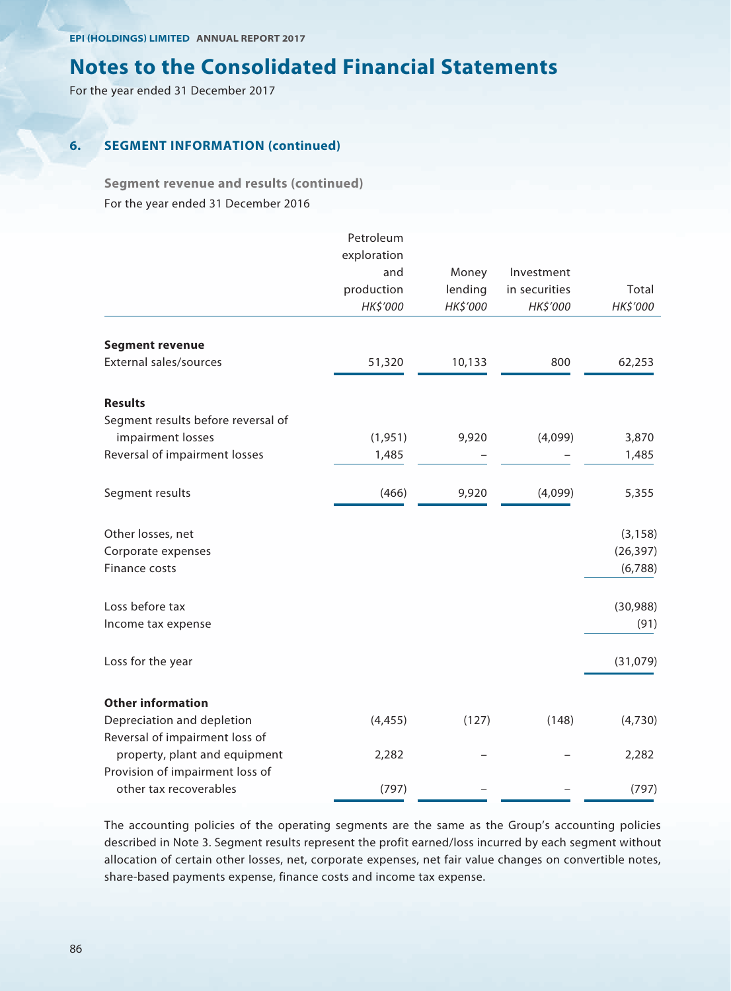**EPI (Holdings) Limited ANNUAL REPORT 2017**

# **Notes to the Consolidated Financial Statements**

For the year ended 31 December 2017

## **6. SEGMENT INFORMATION (continued)**

**Segment revenue and results (continued)** For the year ended 31 December 2016

|                                    | Petroleum   |          |               |           |
|------------------------------------|-------------|----------|---------------|-----------|
|                                    | exploration |          |               |           |
|                                    | and         | Money    | Investment    |           |
|                                    | production  | lending  | in securities | Total     |
|                                    | HK\$'000    | HK\$'000 | HK\$'000      | HK\$'000  |
| <b>Segment revenue</b>             |             |          |               |           |
| External sales/sources             | 51,320      | 10,133   | 800           | 62,253    |
| <b>Results</b>                     |             |          |               |           |
| Segment results before reversal of |             |          |               |           |
| impairment losses                  | (1,951)     | 9,920    | (4,099)       | 3,870     |
| Reversal of impairment losses      | 1,485       |          |               | 1,485     |
| Segment results                    | (466)       | 9,920    | (4,099)       | 5,355     |
| Other losses, net                  |             |          |               | (3, 158)  |
| Corporate expenses                 |             |          |               | (26, 397) |
| Finance costs                      |             |          |               | (6,788)   |
| Loss before tax                    |             |          |               | (30, 988) |
| Income tax expense                 |             |          |               | (91)      |
| Loss for the year                  |             |          |               | (31,079)  |
| <b>Other information</b>           |             |          |               |           |
| Depreciation and depletion         | (4, 455)    | (127)    | (148)         | (4,730)   |
| Reversal of impairment loss of     |             |          |               |           |
| property, plant and equipment      | 2,282       |          |               | 2,282     |
| Provision of impairment loss of    |             |          |               |           |
| other tax recoverables             | (797)       |          |               | (797)     |

The accounting policies of the operating segments are the same as the Group's accounting policies described in Note 3. Segment results represent the profit earned/loss incurred by each segment without allocation of certain other losses, net, corporate expenses, net fair value changes on convertible notes, share-based payments expense, finance costs and income tax expense.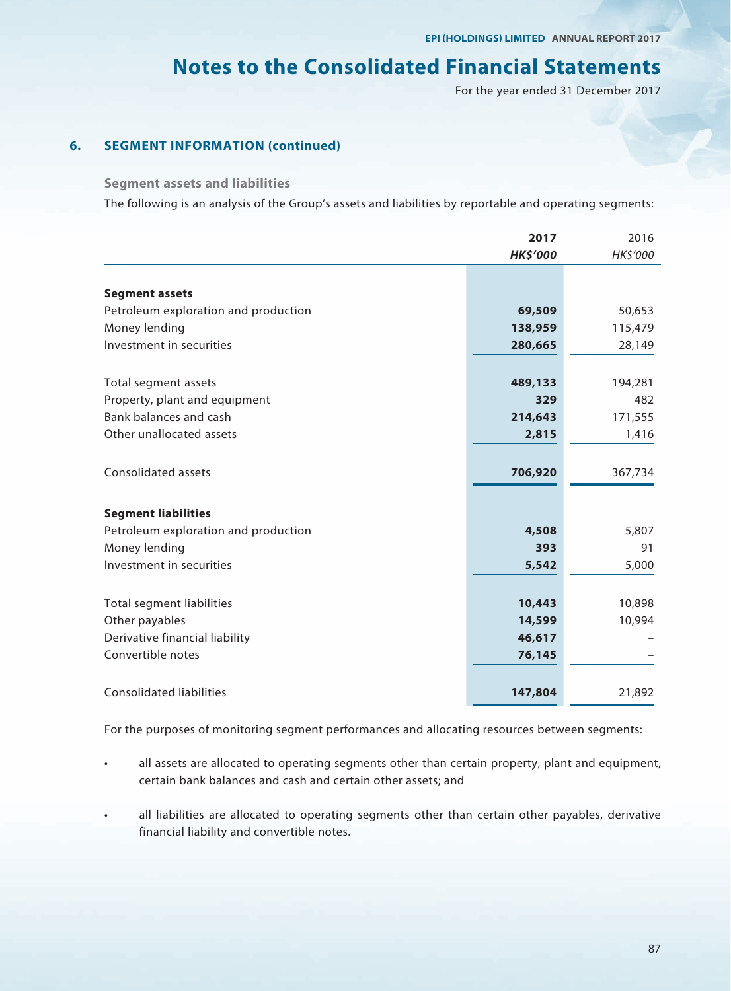For the year ended 31 December 2017

## **6. SEGMENT INFORMATION (continued)**

### **Segment assets and liabilities**

The following is an analysis of the Group's assets and liabilities by reportable and operating segments:

|                                      | 2017            | 2016     |
|--------------------------------------|-----------------|----------|
|                                      | <b>HK\$'000</b> | HK\$'000 |
|                                      |                 |          |
| <b>Segment assets</b>                |                 |          |
| Petroleum exploration and production | 69,509          | 50,653   |
| Money lending                        | 138,959         | 115,479  |
| Investment in securities             | 280,665         | 28,149   |
|                                      |                 |          |
| Total segment assets                 | 489,133         | 194,281  |
| Property, plant and equipment        | 329             | 482      |
| Bank balances and cash               | 214,643         | 171,555  |
| Other unallocated assets             | 2,815           | 1,416    |
|                                      |                 |          |
| Consolidated assets                  | 706,920         | 367,734  |
|                                      |                 |          |
| <b>Segment liabilities</b>           |                 |          |
| Petroleum exploration and production | 4,508           | 5,807    |
| Money lending                        | 393             | 91       |
| Investment in securities             | 5,542           | 5,000    |
|                                      |                 |          |
| <b>Total segment liabilities</b>     | 10,443          | 10,898   |
| Other payables                       | 14,599          | 10,994   |
| Derivative financial liability       | 46,617          |          |
| Convertible notes                    | 76,145          |          |
|                                      |                 |          |
| <b>Consolidated liabilities</b>      | 147,804         | 21,892   |
|                                      |                 |          |

For the purposes of monitoring segment performances and allocating resources between segments:

- all assets are allocated to operating segments other than certain property, plant and equipment, certain bank balances and cash and certain other assets; and
- all liabilities are allocated to operating segments other than certain other payables, derivative financial liability and convertible notes.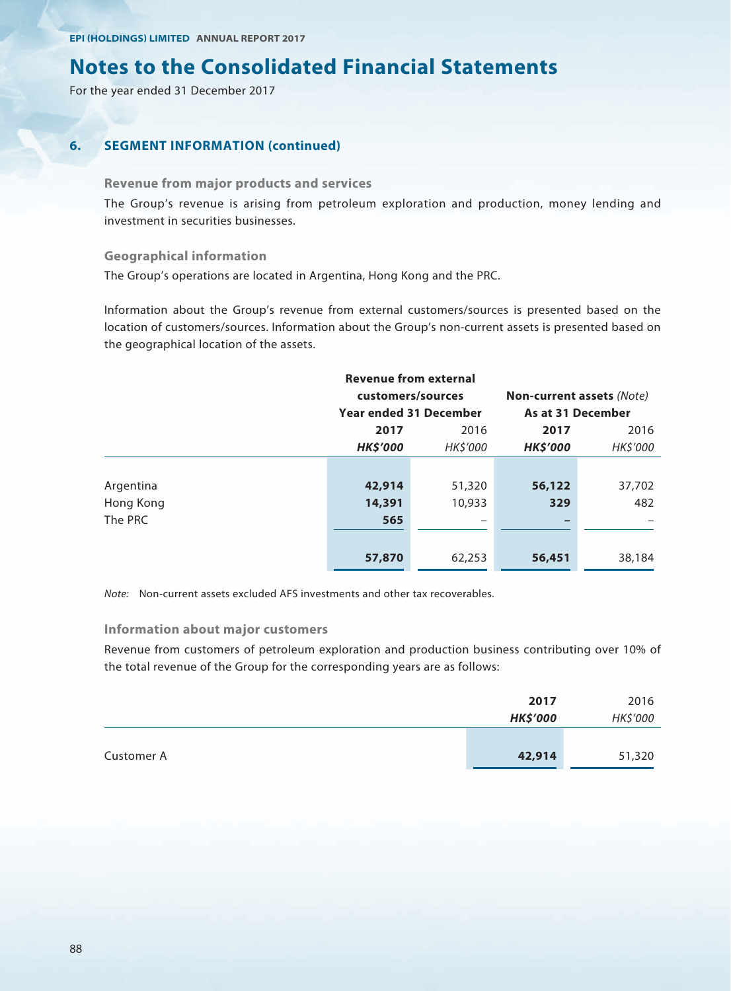For the year ended 31 December 2017

### **6. SEGMENT INFORMATION (continued)**

**Revenue from major products and services**

The Group's revenue is arising from petroleum exploration and production, money lending and investment in securities businesses.

### **Geographical information**

The Group's operations are located in Argentina, Hong Kong and the PRC.

Information about the Group's revenue from external customers/sources is presented based on the location of customers/sources. Information about the Group's non-current assets is presented based on the geographical location of the assets.

|           | <b>Revenue from external</b>  |                 |                                  |                 |
|-----------|-------------------------------|-----------------|----------------------------------|-----------------|
|           | customers/sources             |                 | <b>Non-current assets (Note)</b> |                 |
|           | <b>Year ended 31 December</b> |                 | As at 31 December                |                 |
|           | 2017                          | 2016            | 2017                             | 2016            |
|           | <b>HK\$'000</b>               | <b>HK\$'000</b> | <b>HK\$'000</b>                  | <b>HK\$'000</b> |
|           |                               |                 |                                  |                 |
| Argentina | 42,914                        | 51,320          | 56,122                           | 37,702          |
| Hong Kong | 14,391                        | 10,933          | 329                              | 482             |
| The PRC   | 565                           |                 | -                                |                 |
|           |                               |                 |                                  |                 |
|           | 57,870                        | 62,253          | 56,451                           | 38,184          |

*Note:* Non-current assets excluded AFS investments and other tax recoverables.

### **Information about major customers**

Revenue from customers of petroleum exploration and production business contributing over 10% of the total revenue of the Group for the corresponding years are as follows:

|            | 2017            | 2016     |
|------------|-----------------|----------|
|            | <b>HK\$'000</b> | HK\$'000 |
|            |                 |          |
| Customer A | 42,914          | 51,320   |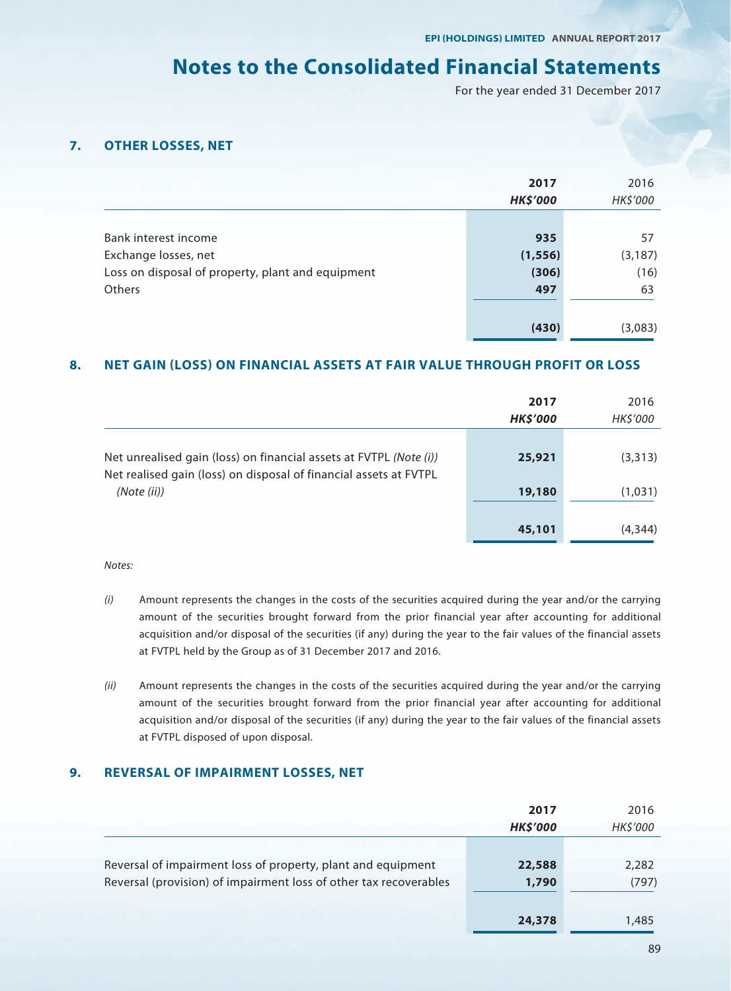For the year ended 31 December 2017

## **7. OTHER LOSSES, NET**

|                                                                                                                    | 2017<br><b>HK\$'000</b>         | 2016<br>HK\$'000             |
|--------------------------------------------------------------------------------------------------------------------|---------------------------------|------------------------------|
| Bank interest income<br>Exchange losses, net<br>Loss on disposal of property, plant and equipment<br><b>Others</b> | 935<br>(1, 556)<br>(306)<br>497 | 57<br>(3, 187)<br>(16)<br>63 |
|                                                                                                                    | (430)                           | (3,083)                      |

## **8. NET GAIN (LOSS) ON FINANCIAL ASSETS AT FAIR VALUE THROUGH PROFIT OR LOSS**

|                                                                                                                                         | 2017<br><b>HK\$'000</b> | 2016<br>HK\$'000 |
|-----------------------------------------------------------------------------------------------------------------------------------------|-------------------------|------------------|
| Net unrealised gain (loss) on financial assets at FVTPL (Note (i))<br>Net realised gain (loss) on disposal of financial assets at FVTPL | 25,921                  | (3, 313)         |
| (Note (ii))                                                                                                                             | 19,180                  | (1,031)          |
|                                                                                                                                         | 45,101                  | (4,344)          |

*Notes:*

- *(i)* Amount represents the changes in the costs of the securities acquired during the year and/or the carrying amount of the securities brought forward from the prior financial year after accounting for additional acquisition and/or disposal of the securities (if any) during the year to the fair values of the financial assets at FVTPL held by the Group as of 31 December 2017 and 2016.
- *(ii)* Amount represents the changes in the costs of the securities acquired during the year and/or the carrying amount of the securities brought forward from the prior financial year after accounting for additional acquisition and/or disposal of the securities (if any) during the year to the fair values of the financial assets at FVTPL disposed of upon disposal.

### **9. REVERSAL OF IMPAIRMENT LOSSES, NET**

|                                                                                                                                   | 2017<br><b>HK\$'000</b> | 2016<br>HK\$'000 |
|-----------------------------------------------------------------------------------------------------------------------------------|-------------------------|------------------|
| Reversal of impairment loss of property, plant and equipment<br>Reversal (provision) of impairment loss of other tax recoverables | 22,588<br>1,790         | 2,282<br>(797)   |
|                                                                                                                                   | 24,378                  | 1,485            |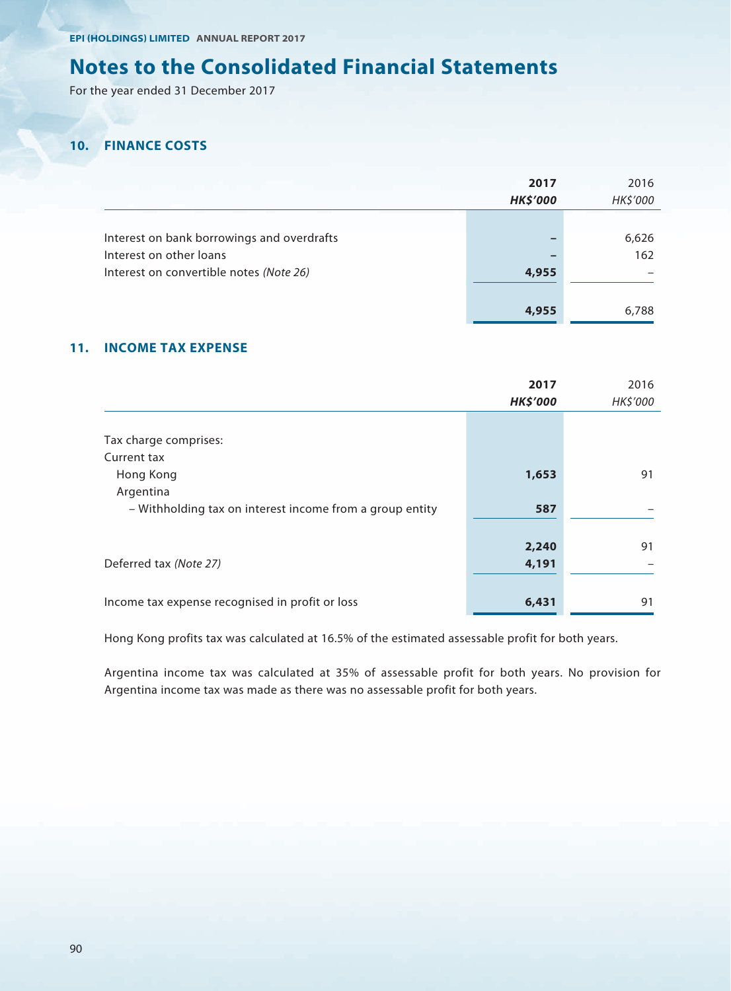For the year ended 31 December 2017

# **10. FINANCE COSTS**

|                                                                       | 2017<br><b>HK\$'000</b> | 2016<br>HK\$'000 |
|-----------------------------------------------------------------------|-------------------------|------------------|
| Interest on bank borrowings and overdrafts<br>Interest on other loans |                         | 6,626<br>162     |
| Interest on convertible notes (Note 26)                               | -<br>4,955              |                  |
|                                                                       | 4,955                   | 6,788            |

### **11. INCOME TAX EXPENSE**

|                                                          | 2017<br><b>HK\$'000</b> | 2016<br>HK\$'000 |
|----------------------------------------------------------|-------------------------|------------------|
|                                                          |                         |                  |
| Tax charge comprises:                                    |                         |                  |
| Current tax                                              |                         |                  |
| Hong Kong                                                | 1,653                   | 91               |
| Argentina                                                |                         |                  |
| - Withholding tax on interest income from a group entity | 587                     |                  |
|                                                          |                         |                  |
|                                                          | 2,240                   | 91               |
| Deferred tax (Note 27)                                   | 4,191                   |                  |
|                                                          |                         |                  |
| Income tax expense recognised in profit or loss          | 6,431                   | 91               |

Hong Kong profits tax was calculated at 16.5% of the estimated assessable profit for both years.

Argentina income tax was calculated at 35% of assessable profit for both years. No provision for Argentina income tax was made as there was no assessable profit for both years.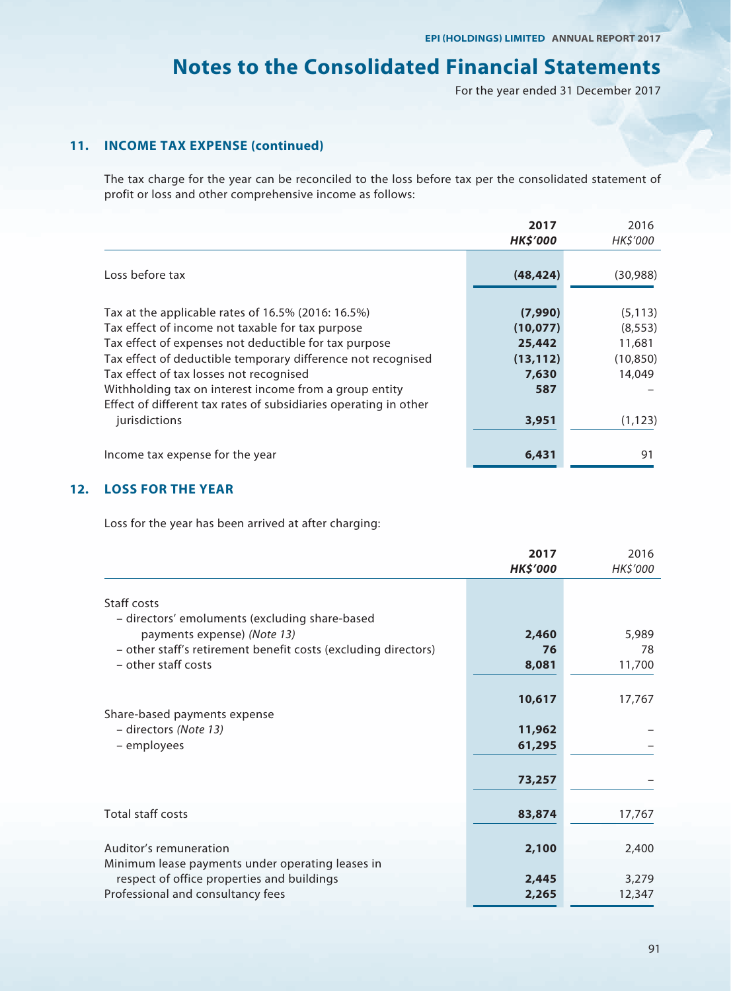For the year ended 31 December 2017

## **11. INCOME TAX EXPENSE (continued)**

The tax charge for the year can be reconciled to the loss before tax per the consolidated statement of profit or loss and other comprehensive income as follows:

|                                                                                                                                                                                                                                                                                                                                                                                                                           | 2017<br><b>HKS'000</b>                                               | 2016<br><b>HK\$'000</b>                                           |
|---------------------------------------------------------------------------------------------------------------------------------------------------------------------------------------------------------------------------------------------------------------------------------------------------------------------------------------------------------------------------------------------------------------------------|----------------------------------------------------------------------|-------------------------------------------------------------------|
| Loss before tax                                                                                                                                                                                                                                                                                                                                                                                                           | (48, 424)                                                            | (30, 988)                                                         |
| Tax at the applicable rates of 16.5% (2016: 16.5%)<br>Tax effect of income not taxable for tax purpose<br>Tax effect of expenses not deductible for tax purpose<br>Tax effect of deductible temporary difference not recognised<br>Tax effect of tax losses not recognised<br>Withholding tax on interest income from a group entity<br>Effect of different tax rates of subsidiaries operating in other<br>jurisdictions | (7,990)<br>(10, 077)<br>25,442<br>(13, 112)<br>7,630<br>587<br>3,951 | (5, 113)<br>(8, 553)<br>11,681<br>(10, 850)<br>14,049<br>(1, 123) |
| Income tax expense for the year                                                                                                                                                                                                                                                                                                                                                                                           | 6,431                                                                | 91                                                                |

## **12. LOSS FOR THE YEAR**

Loss for the year has been arrived at after charging:

|                                                                | 2017            | 2016            |
|----------------------------------------------------------------|-----------------|-----------------|
|                                                                | <b>HK\$'000</b> | <b>HK\$'000</b> |
| Staff costs<br>- directors' emoluments (excluding share-based  |                 |                 |
| payments expense) (Note 13)                                    | 2,460           | 5,989           |
| - other staff's retirement benefit costs (excluding directors) | 76              | 78              |
| - other staff costs                                            | 8,081           | 11,700          |
|                                                                | 10,617          | 17,767          |
| Share-based payments expense                                   |                 |                 |
| - directors (Note 13)                                          | 11,962          |                 |
| - employees                                                    | 61,295          |                 |
|                                                                | 73,257          |                 |
| Total staff costs                                              | 83,874          | 17,767          |
|                                                                |                 |                 |
| Auditor's remuneration                                         | 2,100           | 2,400           |
| Minimum lease payments under operating leases in               |                 |                 |
| respect of office properties and buildings                     | 2,445           | 3,279           |
| Professional and consultancy fees                              | 2,265           | 12,347          |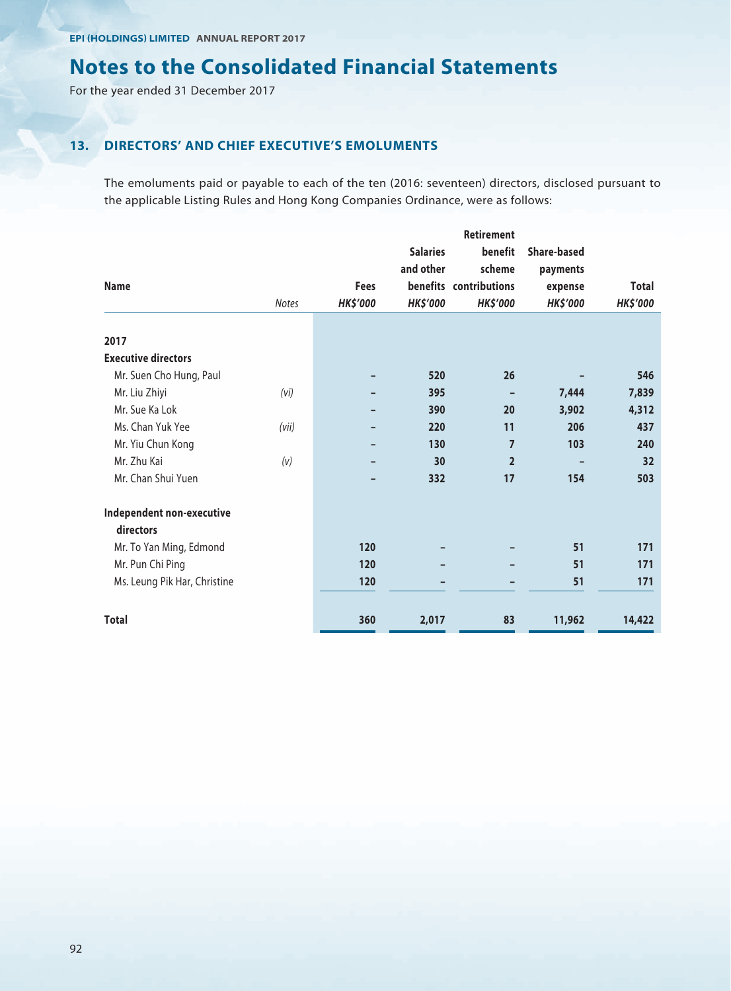For the year ended 31 December 2017

# **13. DIRECTORS' AND CHIEF EXECUTIVE's EMOLUMENTS**

The emoluments paid or payable to each of the ten (2016: seventeen) directors, disclosed pursuant to the applicable Listing Rules and Hong Kong Companies Ordinance, were as follows:

|                              |              |                 |                 | <b>Retirement</b>      |                    |                 |
|------------------------------|--------------|-----------------|-----------------|------------------------|--------------------|-----------------|
|                              |              |                 | <b>Salaries</b> | benefit                | <b>Share-based</b> |                 |
|                              |              |                 | and other       | scheme                 | payments           |                 |
| <b>Name</b>                  |              | <b>Fees</b>     |                 | benefits contributions | expense            | <b>Total</b>    |
|                              | <b>Notes</b> | <b>HK\$'000</b> | <b>HK\$'000</b> | <b>HK\$'000</b>        | <b>HK\$'000</b>    | <b>HK\$'000</b> |
|                              |              |                 |                 |                        |                    |                 |
| 2017                         |              |                 |                 |                        |                    |                 |
| <b>Executive directors</b>   |              |                 |                 |                        |                    |                 |
| Mr. Suen Cho Hung, Paul      |              |                 | 520             | 26                     |                    | 546             |
| Mr. Liu Zhiyi                | (vi)         |                 | 395             | -                      | 7,444              | 7,839           |
| Mr. Sue Ka Lok               |              |                 | 390             | 20                     | 3,902              | 4,312           |
| Ms. Chan Yuk Yee             | (vii)        |                 | 220             | 11                     | 206                | 437             |
| Mr. Yiu Chun Kong            |              |                 | 130             | $\overline{7}$         | 103                | 240             |
| Mr. Zhu Kai                  | (v)          |                 | 30              | $\overline{2}$         |                    | 32              |
| Mr. Chan Shui Yuen           |              | -               | 332             | 17                     | 154                | 503             |
| Independent non-executive    |              |                 |                 |                        |                    |                 |
| directors                    |              |                 |                 |                        |                    |                 |
| Mr. To Yan Ming, Edmond      |              | 120             |                 |                        | 51                 | 171             |
| Mr. Pun Chi Ping             |              | 120             |                 |                        | 51                 | 171             |
| Ms. Leung Pik Har, Christine |              | 120             |                 |                        | 51                 | 171             |
| <b>Total</b>                 |              | 360             | 2,017           | 83                     | 11,962             | 14,422          |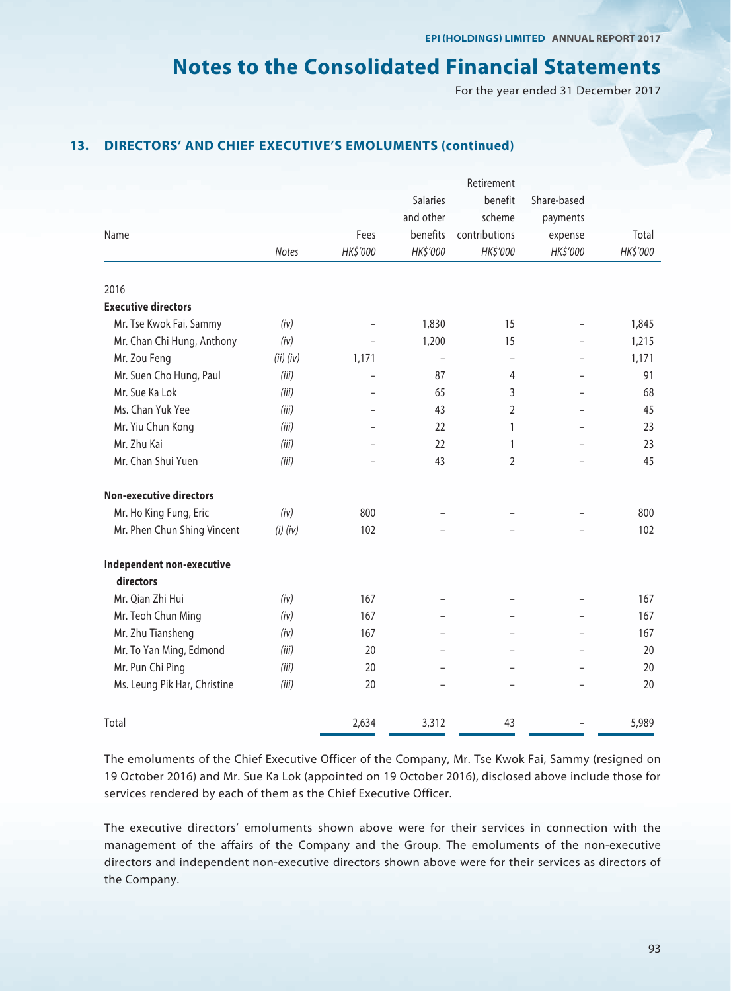For the year ended 31 December 2017

## **13. DIRECTORS' AND CHIEF EXECUTIVE's EMOLUMENTS (continued)**

|                                |               |          |                   | Retirement     |             |          |
|--------------------------------|---------------|----------|-------------------|----------------|-------------|----------|
|                                |               |          | <b>Salaries</b>   | benefit        | Share-based |          |
|                                |               |          | and other         | scheme         | payments    |          |
| Name                           |               | Fees     | benefits          | contributions  | expense     | Total    |
|                                | <b>Notes</b>  | HK\$'000 | HK\$'000          | HK\$'000       | HK\$'000    | HK\$'000 |
| 2016                           |               |          |                   |                |             |          |
| <b>Executive directors</b>     |               |          |                   |                |             |          |
| Mr. Tse Kwok Fai, Sammy        | (iv)          |          | 1,830             | 15             |             | 1,845    |
| Mr. Chan Chi Hung, Anthony     | (iv)          |          | 1,200             | 15             |             | 1,215    |
| Mr. Zou Feng                   | $(ii)$ $(iv)$ | 1,171    | $\qquad \qquad -$ |                |             | 1,171    |
| Mr. Suen Cho Hung, Paul        | (iii)         |          | 87                | 4              |             | 91       |
| Mr. Sue Ka Lok                 | (iii)         |          | 65                | 3              |             | 68       |
| Ms. Chan Yuk Yee               | (iii)         |          | 43                | $\overline{2}$ |             | 45       |
| Mr. Yiu Chun Kong              | (iii)         |          | 22                | 1              |             | 23       |
| Mr. Zhu Kai                    | (iii)         |          | 22                | 1              |             | 23       |
| Mr. Chan Shui Yuen             | (iii)         |          | 43                | $\overline{2}$ |             | 45       |
| <b>Non-executive directors</b> |               |          |                   |                |             |          |
| Mr. Ho King Fung, Eric         | (iv)          | 800      |                   |                |             | 800      |
| Mr. Phen Chun Shing Vincent    | $(i)$ $(iv)$  | 102      |                   |                |             | 102      |
| Independent non-executive      |               |          |                   |                |             |          |
| directors                      |               |          |                   |                |             |          |
| Mr. Qian Zhi Hui               | (iv)          | 167      |                   |                |             | 167      |
| Mr. Teoh Chun Ming             | (iv)          | 167      |                   |                |             | 167      |
| Mr. Zhu Tiansheng              | (iv)          | 167      |                   |                |             | 167      |
| Mr. To Yan Ming, Edmond        | (iii)         | 20       |                   |                |             | 20       |
| Mr. Pun Chi Ping               | (iii)         | 20       |                   | $\equiv$       |             | 20       |
| Ms. Leung Pik Har, Christine   | (iii)         | 20       |                   |                |             | 20       |
| Total                          |               | 2,634    | 3,312             | 43             |             | 5,989    |

The emoluments of the Chief Executive Officer of the Company, Mr. Tse Kwok Fai, Sammy (resigned on 19 October 2016) and Mr. Sue Ka Lok (appointed on 19 October 2016), disclosed above include those for services rendered by each of them as the Chief Executive Officer.

The executive directors' emoluments shown above were for their services in connection with the management of the affairs of the Company and the Group. The emoluments of the non-executive directors and independent non-executive directors shown above were for their services as directors of the Company.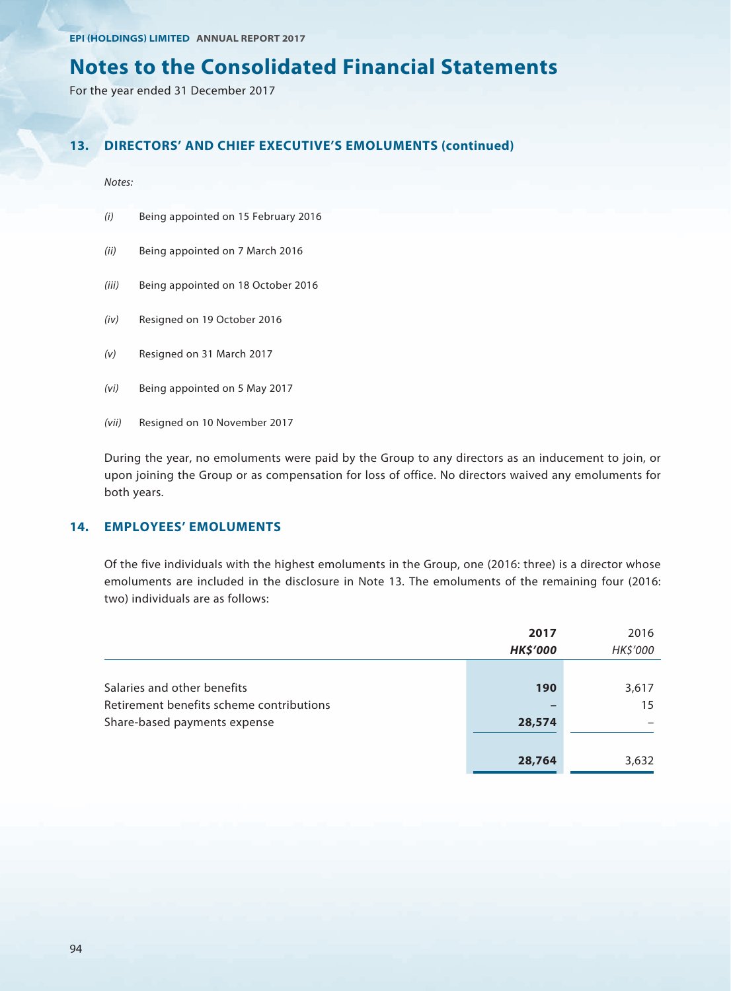**EPI (Holdings) Limited ANNUAL REPORT 2017**

# **Notes to the Consolidated Financial Statements**

For the year ended 31 December 2017

## **13. DIRECTORS' AND CHIEF EXECUTIVE's EMOLUMENTS (continued)**

#### *Notes:*

| (i) |  | Being appointed on 15 February 2016 |  |  |  |
|-----|--|-------------------------------------|--|--|--|
|-----|--|-------------------------------------|--|--|--|

- *(ii)* Being appointed on 7 March 2016
- *(iii)* Being appointed on 18 October 2016
- *(iv)* Resigned on 19 October 2016
- *(v)* Resigned on 31 March 2017
- *(vi)* Being appointed on 5 May 2017
- *(vii)* Resigned on 10 November 2017

During the year, no emoluments were paid by the Group to any directors as an inducement to join, or upon joining the Group or as compensation for loss of office. No directors waived any emoluments for both years.

## **14. EMPLOYEES' EMOLUMENTS**

Of the five individuals with the highest emoluments in the Group, one (2016: three) is a director whose emoluments are included in the disclosure in Note 13. The emoluments of the remaining four (2016: two) individuals are as follows:

|                                          | 2017            | 2016            |
|------------------------------------------|-----------------|-----------------|
|                                          | <b>HK\$'000</b> | <b>HK\$'000</b> |
| Salaries and other benefits              | 190             | 3,617           |
| Retirement benefits scheme contributions | -               | 15              |
| Share-based payments expense             | 28,574          |                 |
|                                          | 28,764          | 3,632           |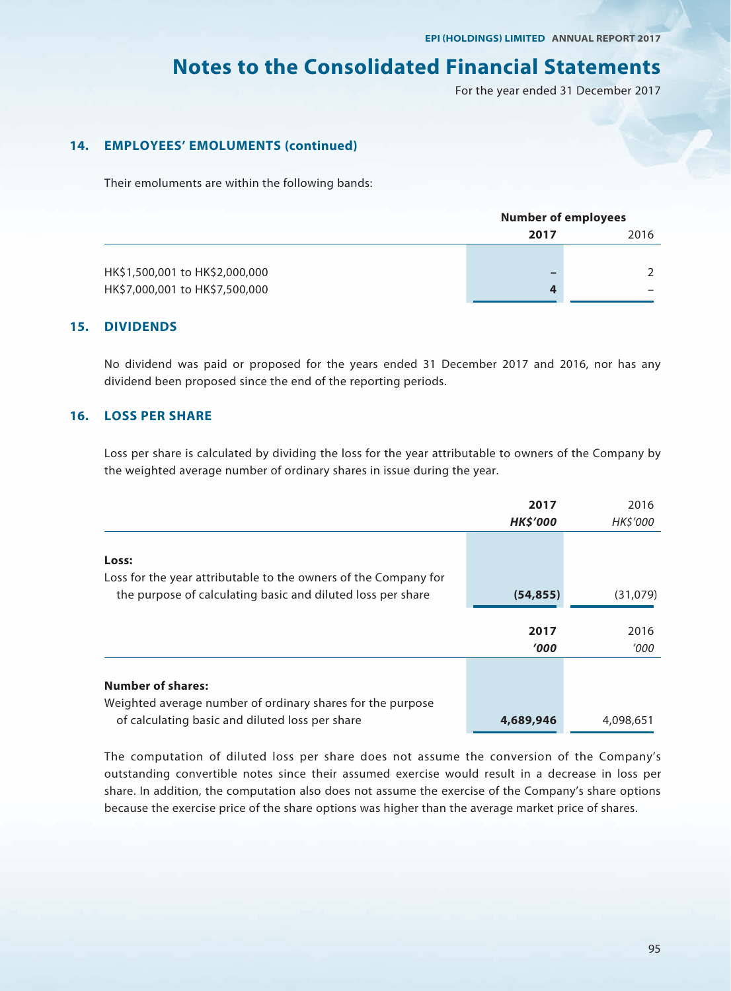For the year ended 31 December 2017

## **14. EMPLOYEES' EMOLUMENTS (continued)**

Their emoluments are within the following bands:

|                | <b>Number of employees</b> |  |  |
|----------------|----------------------------|--|--|
| 2016<br>2017   |                            |  |  |
|                |                            |  |  |
|                |                            |  |  |
| $\overline{a}$ |                            |  |  |
|                |                            |  |  |

### **15. DIVIDENDS**

No dividend was paid or proposed for the years ended 31 December 2017 and 2016, nor has any dividend been proposed since the end of the reporting periods.

## **16. LOSS PER SHARE**

Loss per share is calculated by dividing the loss for the year attributable to owners of the Company by the weighted average number of ordinary shares in issue during the year.

|                                                                 | 2017            | 2016           |
|-----------------------------------------------------------------|-----------------|----------------|
|                                                                 | <b>HK\$'000</b> | <b>HKS'000</b> |
|                                                                 |                 |                |
| Loss:                                                           |                 |                |
| Loss for the year attributable to the owners of the Company for |                 |                |
| the purpose of calculating basic and diluted loss per share     | (54, 855)       | (31,079)       |
|                                                                 |                 |                |
|                                                                 | 2017            | 2016           |
|                                                                 | '000            | '000'          |
|                                                                 |                 |                |
| <b>Number of shares:</b>                                        |                 |                |
| Weighted average number of ordinary shares for the purpose      |                 |                |
| of calculating basic and diluted loss per share                 | 4,689,946       | 4,098,651      |

The computation of diluted loss per share does not assume the conversion of the Company's outstanding convertible notes since their assumed exercise would result in a decrease in loss per share. In addition, the computation also does not assume the exercise of the Company's share options because the exercise price of the share options was higher than the average market price of shares.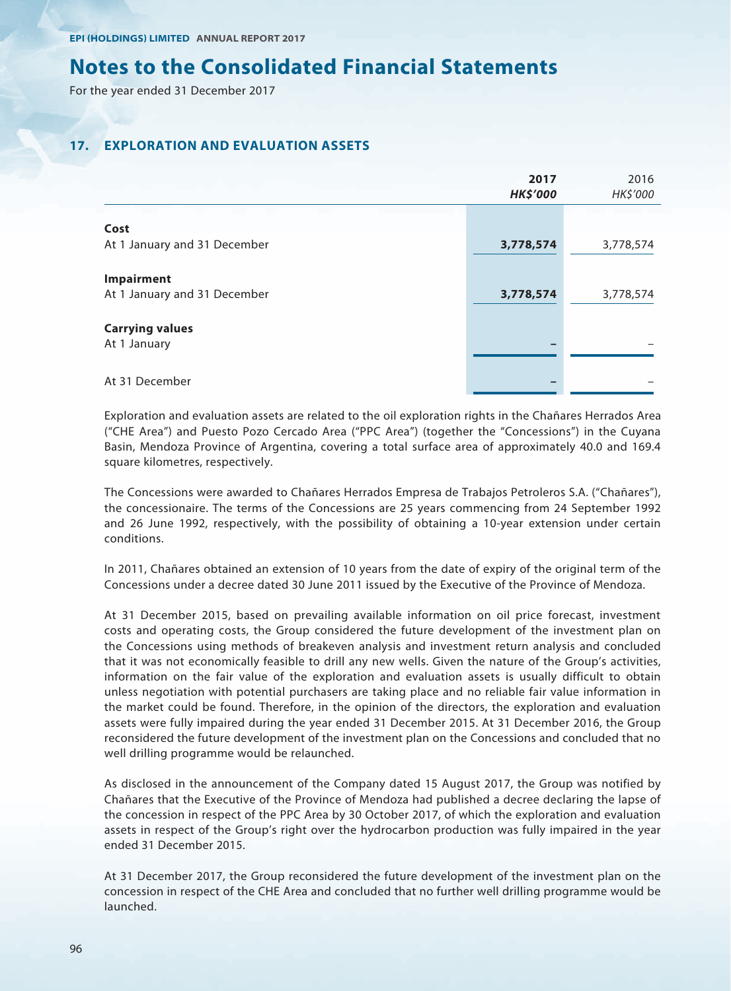For the year ended 31 December 2017

## **17. EXPLORATION AND EVALUATION ASSETS**

|                                            | 2017<br><b>HK\$'000</b> | 2016<br>HK\$'000 |
|--------------------------------------------|-------------------------|------------------|
| Cost                                       |                         |                  |
| At 1 January and 31 December               | 3,778,574               | 3,778,574        |
| Impairment<br>At 1 January and 31 December | 3,778,574               | 3,778,574        |
| <b>Carrying values</b><br>At 1 January     |                         |                  |
| At 31 December                             |                         |                  |

Exploration and evaluation assets are related to the oil exploration rights in the Chañares Herrados Area ("CHE Area") and Puesto Pozo Cercado Area ("PPC Area") (together the "Concessions") in the Cuyana Basin, Mendoza Province of Argentina, covering a total surface area of approximately 40.0 and 169.4 square kilometres, respectively.

The Concessions were awarded to Chañares Herrados Empresa de Trabajos Petroleros S.A. ("Chañares"), the concessionaire. The terms of the Concessions are 25 years commencing from 24 September 1992 and 26 June 1992, respectively, with the possibility of obtaining a 10-year extension under certain conditions.

In 2011, Chañares obtained an extension of 10 years from the date of expiry of the original term of the Concessions under a decree dated 30 June 2011 issued by the Executive of the Province of Mendoza.

At 31 December 2015, based on prevailing available information on oil price forecast, investment costs and operating costs, the Group considered the future development of the investment plan on the Concessions using methods of breakeven analysis and investment return analysis and concluded that it was not economically feasible to drill any new wells. Given the nature of the Group's activities, information on the fair value of the exploration and evaluation assets is usually difficult to obtain unless negotiation with potential purchasers are taking place and no reliable fair value information in the market could be found. Therefore, in the opinion of the directors, the exploration and evaluation assets were fully impaired during the year ended 31 December 2015. At 31 December 2016, the Group reconsidered the future development of the investment plan on the Concessions and concluded that no well drilling programme would be relaunched.

As disclosed in the announcement of the Company dated 15 August 2017, the Group was notified by Chañares that the Executive of the Province of Mendoza had published a decree declaring the lapse of the concession in respect of the PPC Area by 30 October 2017, of which the exploration and evaluation assets in respect of the Group's right over the hydrocarbon production was fully impaired in the year ended 31 December 2015.

At 31 December 2017, the Group reconsidered the future development of the investment plan on the concession in respect of the CHE Area and concluded that no further well drilling programme would be launched.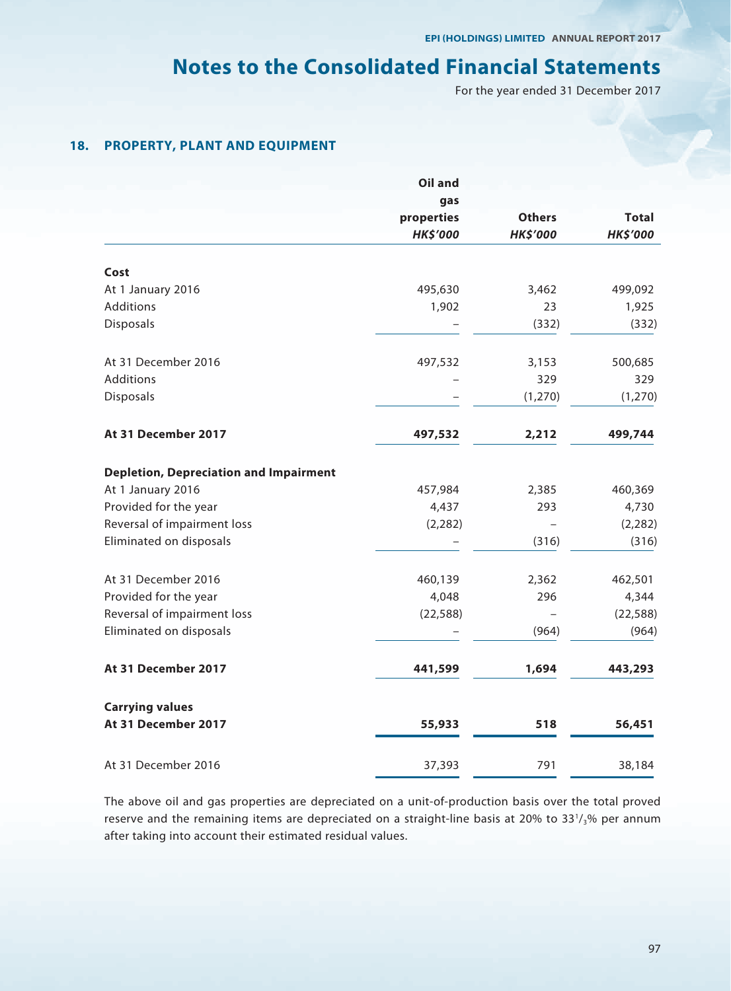For the year ended 31 December 2017

## **18. PROPERTY, PLANT AND EQUIPMENT**

|                                               | Oil and         |                 |                 |
|-----------------------------------------------|-----------------|-----------------|-----------------|
|                                               | gas             |                 |                 |
|                                               | properties      | <b>Others</b>   | <b>Total</b>    |
|                                               | <b>HK\$'000</b> | <b>HK\$'000</b> | <b>HK\$'000</b> |
| Cost                                          |                 |                 |                 |
| At 1 January 2016                             | 495,630         | 3,462           | 499,092         |
| <b>Additions</b>                              | 1,902           | 23              | 1,925           |
| Disposals                                     |                 | (332)           | (332)           |
| At 31 December 2016                           | 497,532         | 3,153           | 500,685         |
| <b>Additions</b>                              |                 | 329             | 329             |
| Disposals                                     |                 | (1, 270)        | (1, 270)        |
| At 31 December 2017                           | 497,532         | 2,212           | 499,744         |
| <b>Depletion, Depreciation and Impairment</b> |                 |                 |                 |
| At 1 January 2016                             | 457,984         | 2,385           | 460,369         |
| Provided for the year                         | 4,437           | 293             | 4,730           |
| Reversal of impairment loss                   | (2, 282)        |                 | (2, 282)        |
| Eliminated on disposals                       |                 | (316)           | (316)           |
| At 31 December 2016                           | 460,139         | 2,362           | 462,501         |
| Provided for the year                         | 4,048           | 296             | 4,344           |
| Reversal of impairment loss                   | (22, 588)       |                 | (22, 588)       |
| Eliminated on disposals                       |                 | (964)           | (964)           |
| At 31 December 2017                           | 441,599         | 1,694           | 443,293         |
| <b>Carrying values</b>                        |                 |                 |                 |
| At 31 December 2017                           | 55,933          | 518             | 56,451          |
| At 31 December 2016                           | 37,393          | 791             | 38,184          |

The above oil and gas properties are depreciated on a unit-of-production basis over the total proved reserve and the remaining items are depreciated on a straight-line basis at 20% to 33<sup>1</sup>/<sub>3</sub>% per annum after taking into account their estimated residual values.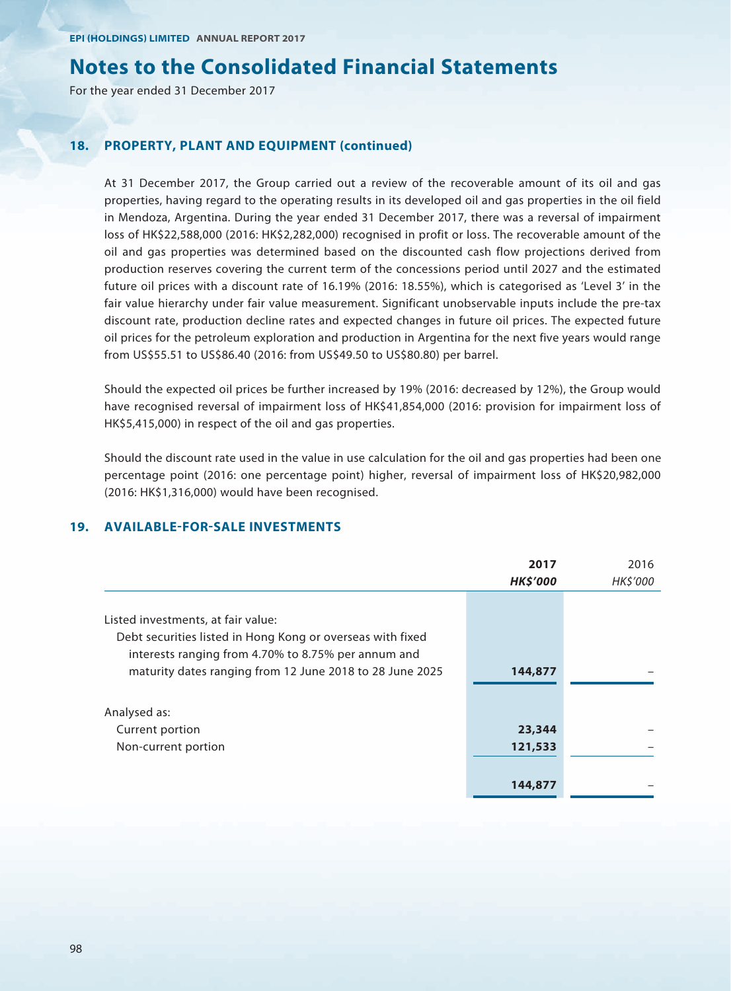For the year ended 31 December 2017

### **18. PROPERTY, PLANT AND EQUIPMENT (continued)**

At 31 December 2017, the Group carried out a review of the recoverable amount of its oil and gas properties, having regard to the operating results in its developed oil and gas properties in the oil field in Mendoza, Argentina. During the year ended 31 December 2017, there was a reversal of impairment loss of HK\$22,588,000 (2016: HK\$2,282,000) recognised in profit or loss. The recoverable amount of the oil and gas properties was determined based on the discounted cash flow projections derived from production reserves covering the current term of the concessions period until 2027 and the estimated future oil prices with a discount rate of 16.19% (2016: 18.55%), which is categorised as 'Level 3' in the fair value hierarchy under fair value measurement. Significant unobservable inputs include the pre-tax discount rate, production decline rates and expected changes in future oil prices. The expected future oil prices for the petroleum exploration and production in Argentina for the next five years would range from US\$55.51 to US\$86.40 (2016: from US\$49.50 to US\$80.80) per barrel.

Should the expected oil prices be further increased by 19% (2016: decreased by 12%), the Group would have recognised reversal of impairment loss of HK\$41,854,000 (2016: provision for impairment loss of HK\$5,415,000) in respect of the oil and gas properties.

Should the discount rate used in the value in use calculation for the oil and gas properties had been one percentage point (2016: one percentage point) higher, reversal of impairment loss of HK\$20,982,000 (2016: HK\$1,316,000) would have been recognised.

|                                                                                                                                                                                                                     | 2017            | 2016            |
|---------------------------------------------------------------------------------------------------------------------------------------------------------------------------------------------------------------------|-----------------|-----------------|
|                                                                                                                                                                                                                     | <b>HK\$'000</b> | <b>HK\$'000</b> |
| Listed investments, at fair value:<br>Debt securities listed in Hong Kong or overseas with fixed<br>interests ranging from 4.70% to 8.75% per annum and<br>maturity dates ranging from 12 June 2018 to 28 June 2025 | 144,877         |                 |
| Analysed as:                                                                                                                                                                                                        |                 |                 |
| Current portion                                                                                                                                                                                                     | 23,344          |                 |
| Non-current portion                                                                                                                                                                                                 | 121,533         |                 |
|                                                                                                                                                                                                                     | 144,877         |                 |

## **19. AVAILABLE-FOR-SALE INVESTMENTS**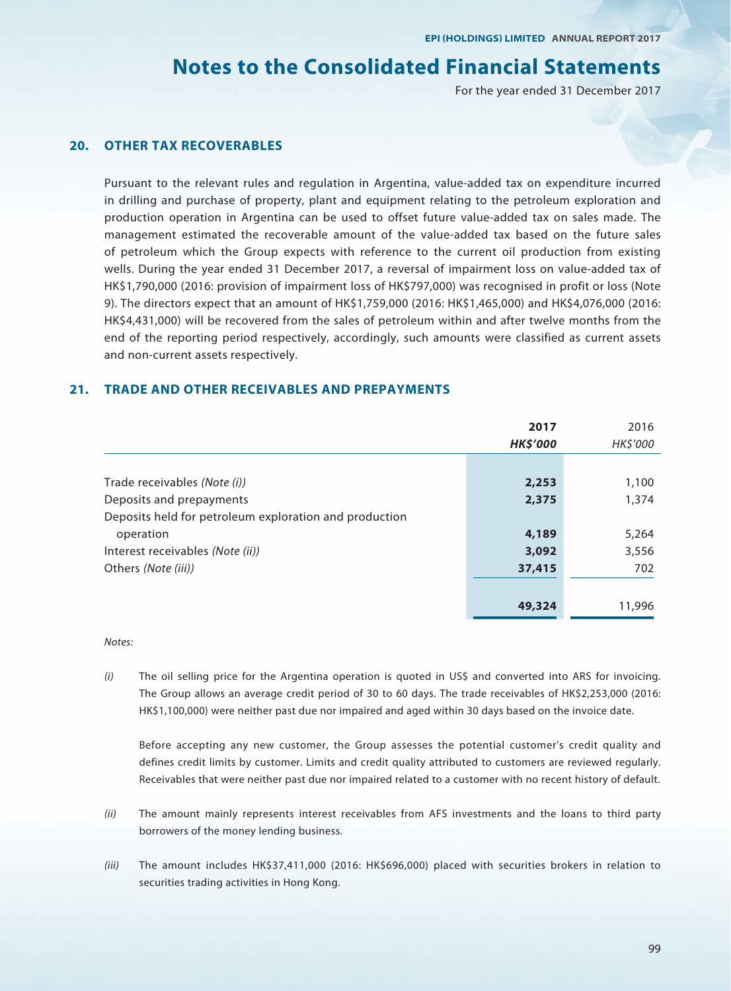For the year ended 31 December 2017

## **20. OTHER TAX RECOVERABLES**

Pursuant to the relevant rules and regulation in Argentina, value-added tax on expenditure incurred in drilling and purchase of property, plant and equipment relating to the petroleum exploration and production operation in Argentina can be used to offset future value-added tax on sales made. The management estimated the recoverable amount of the value-added tax based on the future sales of petroleum which the Group expects with reference to the current oil production from existing wells. During the year ended 31 December 2017, a reversal of impairment loss on value-added tax of HK\$1,790,000 (2016: provision of impairment loss of HK\$797,000) was recognised in profit or loss (Note 9). The directors expect that an amount of HK\$1,759,000 (2016: HK\$1,465,000) and HK\$4,076,000 (2016: HK\$4,431,000) will be recovered from the sales of petroleum within and after twelve months from the end of the reporting period respectively, accordingly, such amounts were classified as current assets and non-current assets respectively.

## **21. TRADE AND OTHER RECEIVABLES AND PREPAYMENTS**

|                                                        | 2017            | 2016            |
|--------------------------------------------------------|-----------------|-----------------|
|                                                        | <b>HK\$'000</b> | <b>HK\$'000</b> |
|                                                        |                 |                 |
| Trade receivables (Note (i))                           | 2,253           | 1,100           |
| Deposits and prepayments                               | 2,375           | 1,374           |
| Deposits held for petroleum exploration and production |                 |                 |
| operation                                              | 4,189           | 5,264           |
| Interest receivables (Note (ii))                       | 3,092           | 3,556           |
| Others (Note (iii))                                    | 37,415          | 702             |
|                                                        |                 |                 |
|                                                        | 49,324          | 11,996          |

### *Notes:*

*(i)* The oil selling price for the Argentina operation is quoted in US\$ and converted into ARS for invoicing. The Group allows an average credit period of 30 to 60 days. The trade receivables of HK\$2,253,000 (2016: HK\$1,100,000) were neither past due nor impaired and aged within 30 days based on the invoice date.

Before accepting any new customer, the Group assesses the potential customer's credit quality and defines credit limits by customer. Limits and credit quality attributed to customers are reviewed regularly. Receivables that were neither past due nor impaired related to a customer with no recent history of default.

- *(ii)* The amount mainly represents interest receivables from AFS investments and the loans to third party borrowers of the money lending business.
- *(iii)* The amount includes HK\$37,411,000 (2016: HK\$696,000) placed with securities brokers in relation to securities trading activities in Hong Kong.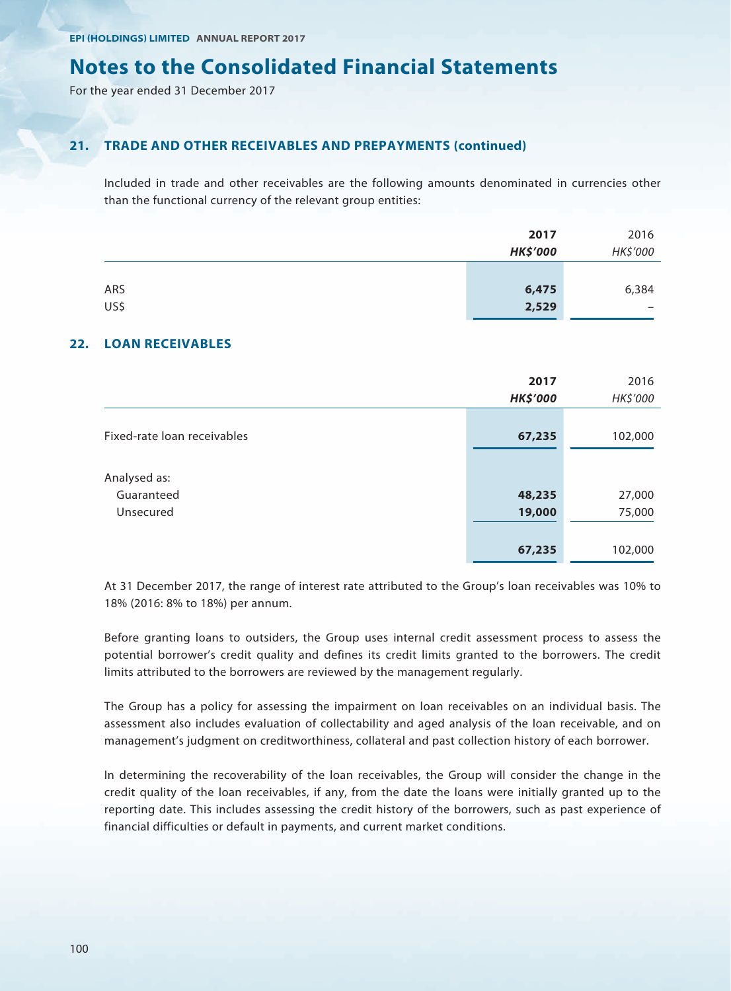For the year ended 31 December 2017

### **21. TRADE AND OTHER RECEIVABLES AND PREPAYMENTS (continued)**

Included in trade and other receivables are the following amounts denominated in currencies other than the functional currency of the relevant group entities:

|             | 2017            | 2016                     |
|-------------|-----------------|--------------------------|
|             | <b>HK\$'000</b> | HK\$'000                 |
|             |                 |                          |
|             | 6,475           | 6,384                    |
| ARS<br>US\$ | 2,529           | $\overline{\phantom{0}}$ |

### **22. LOAN RECEIVABLES**

|                             | 2017            | 2016            |
|-----------------------------|-----------------|-----------------|
|                             | <b>HK\$'000</b> | <b>HK\$'000</b> |
|                             |                 |                 |
| Fixed-rate loan receivables | 67,235          | 102,000         |
|                             |                 |                 |
| Analysed as:                |                 |                 |
| Guaranteed                  | 48,235          | 27,000          |
| Unsecured                   | 19,000          | 75,000          |
|                             |                 |                 |
|                             | 67,235          | 102,000         |

At 31 December 2017, the range of interest rate attributed to the Group's loan receivables was 10% to 18% (2016: 8% to 18%) per annum.

Before granting loans to outsiders, the Group uses internal credit assessment process to assess the potential borrower's credit quality and defines its credit limits granted to the borrowers. The credit limits attributed to the borrowers are reviewed by the management regularly.

The Group has a policy for assessing the impairment on loan receivables on an individual basis. The assessment also includes evaluation of collectability and aged analysis of the loan receivable, and on management's judgment on creditworthiness, collateral and past collection history of each borrower.

In determining the recoverability of the loan receivables, the Group will consider the change in the credit quality of the loan receivables, if any, from the date the loans were initially granted up to the reporting date. This includes assessing the credit history of the borrowers, such as past experience of financial difficulties or default in payments, and current market conditions.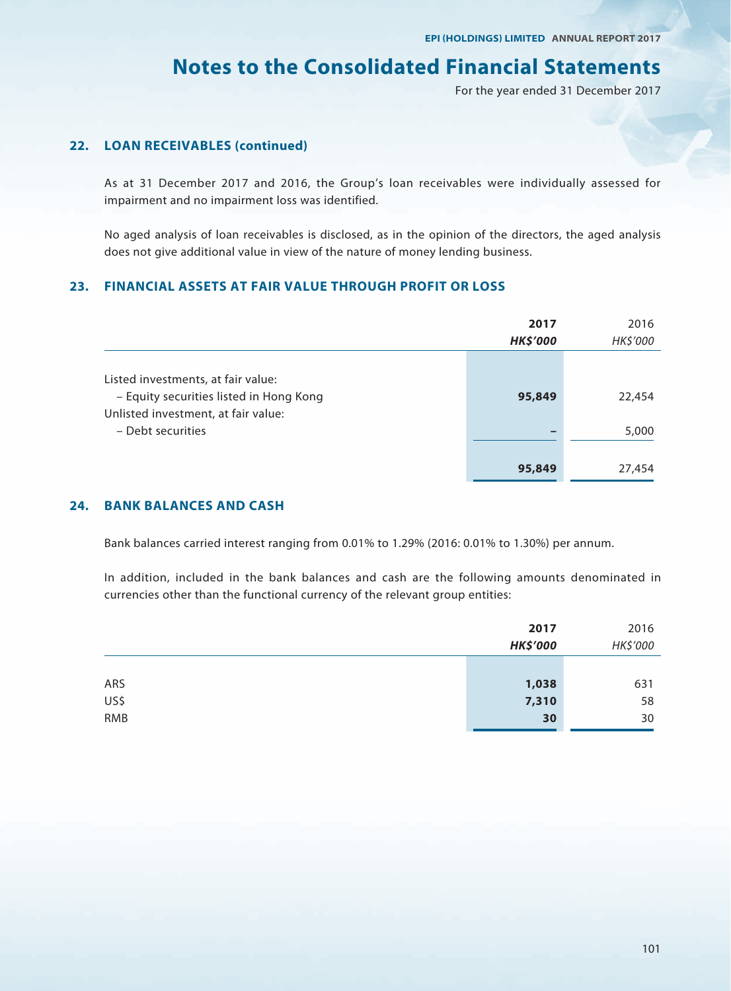For the year ended 31 December 2017

## **22. LOAN RECEIVABLES (continued)**

As at 31 December 2017 and 2016, the Group's loan receivables were individually assessed for impairment and no impairment loss was identified.

No aged analysis of loan receivables is disclosed, as in the opinion of the directors, the aged analysis does not give additional value in view of the nature of money lending business.

## **23. FINANCIAL ASSETS AT FAIR VALUE THROUGH PROFIT OR LOSS**

|                                         | 2017            | 2016     |
|-----------------------------------------|-----------------|----------|
|                                         | <b>HK\$'000</b> | HK\$'000 |
|                                         |                 |          |
| Listed investments, at fair value:      |                 |          |
| - Equity securities listed in Hong Kong | 95,849          | 22,454   |
| Unlisted investment, at fair value:     |                 |          |
| - Debt securities                       | -               | 5,000    |
|                                         |                 |          |
|                                         | 95,849          | 27,454   |

## **24. BANK BALANCES AND CASH**

Bank balances carried interest ranging from 0.01% to 1.29% (2016: 0.01% to 1.30%) per annum.

In addition, included in the bank balances and cash are the following amounts denominated in currencies other than the functional currency of the relevant group entities:

|            | 2017            | 2016     |
|------------|-----------------|----------|
|            | <b>HK\$'000</b> | HK\$'000 |
|            |                 |          |
| ARS        | 1,038           | 631      |
| US\$       | 7,310           | 58       |
| <b>RMB</b> | 30              | 30       |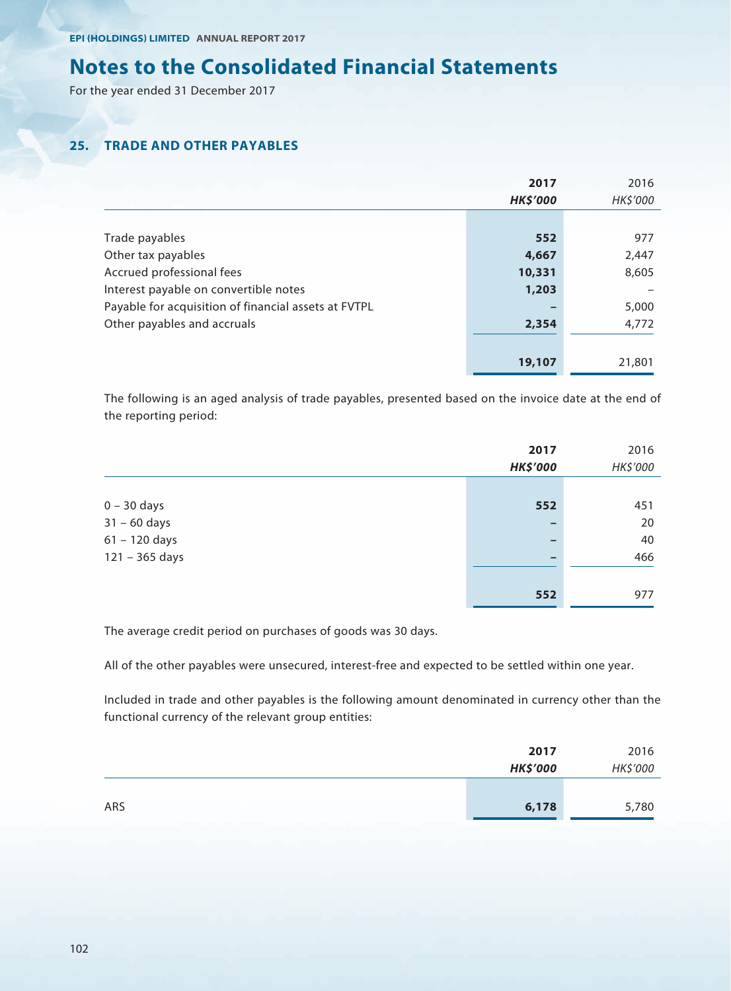For the year ended 31 December 2017

# **25. TRADE AND OTHER PAYABLES**

|                                                      | 2017            | 2016     |
|------------------------------------------------------|-----------------|----------|
|                                                      | <b>HK\$'000</b> | HK\$'000 |
|                                                      |                 |          |
| Trade payables                                       | 552             | 977      |
| Other tax payables                                   | 4,667           | 2,447    |
| Accrued professional fees                            | 10,331          | 8,605    |
| Interest payable on convertible notes                | 1,203           |          |
| Payable for acquisition of financial assets at FVTPL |                 | 5,000    |
| Other payables and accruals                          | 2,354           | 4,772    |
|                                                      |                 |          |
|                                                      | 19,107          | 21,801   |

The following is an aged analysis of trade payables, presented based on the invoice date at the end of the reporting period:

|                  | 2017<br><b>HK\$'000</b>  | 2016<br>HK\$'000 |
|------------------|--------------------------|------------------|
|                  |                          |                  |
| $0 - 30$ days    | 552                      | 451              |
| $31 - 60$ days   | -                        | 20               |
| $61 - 120$ days  | $\overline{\phantom{0}}$ | 40               |
| $121 - 365$ days | $\overline{\phantom{0}}$ | 466              |
|                  |                          |                  |
|                  | 552                      | 977              |

The average credit period on purchases of goods was 30 days.

All of the other payables were unsecured, interest-free and expected to be settled within one year.

Included in trade and other payables is the following amount denominated in currency other than the functional currency of the relevant group entities:

| 2017            | 2016     |
|-----------------|----------|
| <b>HK\$'000</b> | HK\$'000 |
|                 |          |
| 6,178           | 5,780    |
|                 |          |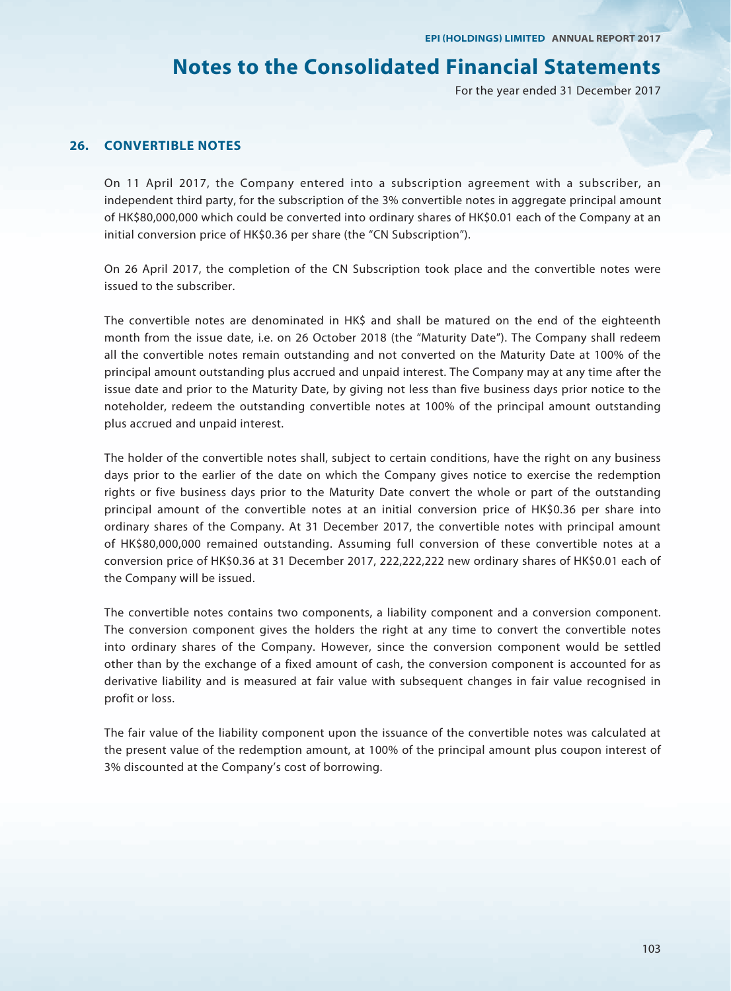For the year ended 31 December 2017

## **26. CONVERTIBLE NOTES**

On 11 April 2017, the Company entered into a subscription agreement with a subscriber, an independent third party, for the subscription of the 3% convertible notes in aggregate principal amount of HK\$80,000,000 which could be converted into ordinary shares of HK\$0.01 each of the Company at an initial conversion price of HK\$0.36 per share (the "CN Subscription").

On 26 April 2017, the completion of the CN Subscription took place and the convertible notes were issued to the subscriber.

The convertible notes are denominated in HK\$ and shall be matured on the end of the eighteenth month from the issue date, i.e. on 26 October 2018 (the "Maturity Date"). The Company shall redeem all the convertible notes remain outstanding and not converted on the Maturity Date at 100% of the principal amount outstanding plus accrued and unpaid interest. The Company may at any time after the issue date and prior to the Maturity Date, by giving not less than five business days prior notice to the noteholder, redeem the outstanding convertible notes at 100% of the principal amount outstanding plus accrued and unpaid interest.

The holder of the convertible notes shall, subject to certain conditions, have the right on any business days prior to the earlier of the date on which the Company gives notice to exercise the redemption rights or five business days prior to the Maturity Date convert the whole or part of the outstanding principal amount of the convertible notes at an initial conversion price of HK\$0.36 per share into ordinary shares of the Company. At 31 December 2017, the convertible notes with principal amount of HK\$80,000,000 remained outstanding. Assuming full conversion of these convertible notes at a conversion price of HK\$0.36 at 31 December 2017, 222,222,222 new ordinary shares of HK\$0.01 each of the Company will be issued.

The convertible notes contains two components, a liability component and a conversion component. The conversion component gives the holders the right at any time to convert the convertible notes into ordinary shares of the Company. However, since the conversion component would be settled other than by the exchange of a fixed amount of cash, the conversion component is accounted for as derivative liability and is measured at fair value with subsequent changes in fair value recognised in profit or loss.

The fair value of the liability component upon the issuance of the convertible notes was calculated at the present value of the redemption amount, at 100% of the principal amount plus coupon interest of 3% discounted at the Company's cost of borrowing.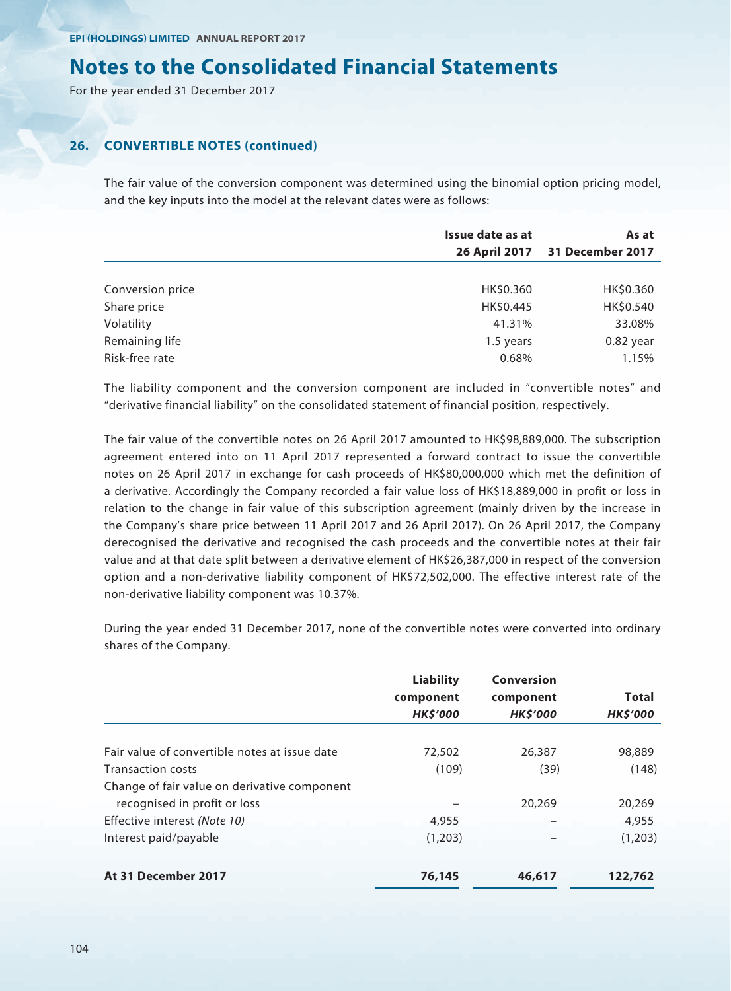For the year ended 31 December 2017

## **26. CONVERTIBLE NOTES (continued)**

The fair value of the conversion component was determined using the binomial option pricing model, and the key inputs into the model at the relevant dates were as follows:

|                  | Issue date as at | As at<br>26 April 2017 31 December 2017 |
|------------------|------------------|-----------------------------------------|
|                  |                  |                                         |
| Conversion price | HK\$0.360        | HK\$0.360                               |
| Share price      | HK\$0.445        | HK\$0.540                               |
| Volatility       | 41.31%           | 33.08%                                  |
| Remaining life   | 1.5 years        | $0.82$ year                             |
| Risk-free rate   | 0.68%            | 1.15%                                   |

The liability component and the conversion component are included in "convertible notes" and "derivative financial liability" on the consolidated statement of financial position, respectively.

The fair value of the convertible notes on 26 April 2017 amounted to HK\$98,889,000. The subscription agreement entered into on 11 April 2017 represented a forward contract to issue the convertible notes on 26 April 2017 in exchange for cash proceeds of HK\$80,000,000 which met the definition of a derivative. Accordingly the Company recorded a fair value loss of HK\$18,889,000 in profit or loss in relation to the change in fair value of this subscription agreement (mainly driven by the increase in the Company's share price between 11 April 2017 and 26 April 2017). On 26 April 2017, the Company derecognised the derivative and recognised the cash proceeds and the convertible notes at their fair value and at that date split between a derivative element of HK\$26,387,000 in respect of the conversion option and a non-derivative liability component of HK\$72,502,000. The effective interest rate of the non-derivative liability component was 10.37%.

During the year ended 31 December 2017, none of the convertible notes were converted into ordinary shares of the Company.

|                                               | <b>Liability</b><br>component<br><b>HK\$'000</b> | Conversion<br>component<br><b>HK\$'000</b> | <b>Total</b><br><b>HK\$'000</b> |
|-----------------------------------------------|--------------------------------------------------|--------------------------------------------|---------------------------------|
| Fair value of convertible notes at issue date | 72,502                                           | 26,387                                     | 98,889                          |
| <b>Transaction costs</b>                      | (109)                                            | (39)                                       | (148)                           |
| Change of fair value on derivative component  |                                                  |                                            |                                 |
| recognised in profit or loss                  |                                                  | 20,269                                     | 20,269                          |
| Effective interest (Note 10)                  | 4,955                                            |                                            | 4,955                           |
| Interest paid/payable                         | (1,203)                                          |                                            | (1,203)                         |
| At 31 December 2017                           | 76,145                                           | 46,617                                     | 122,762                         |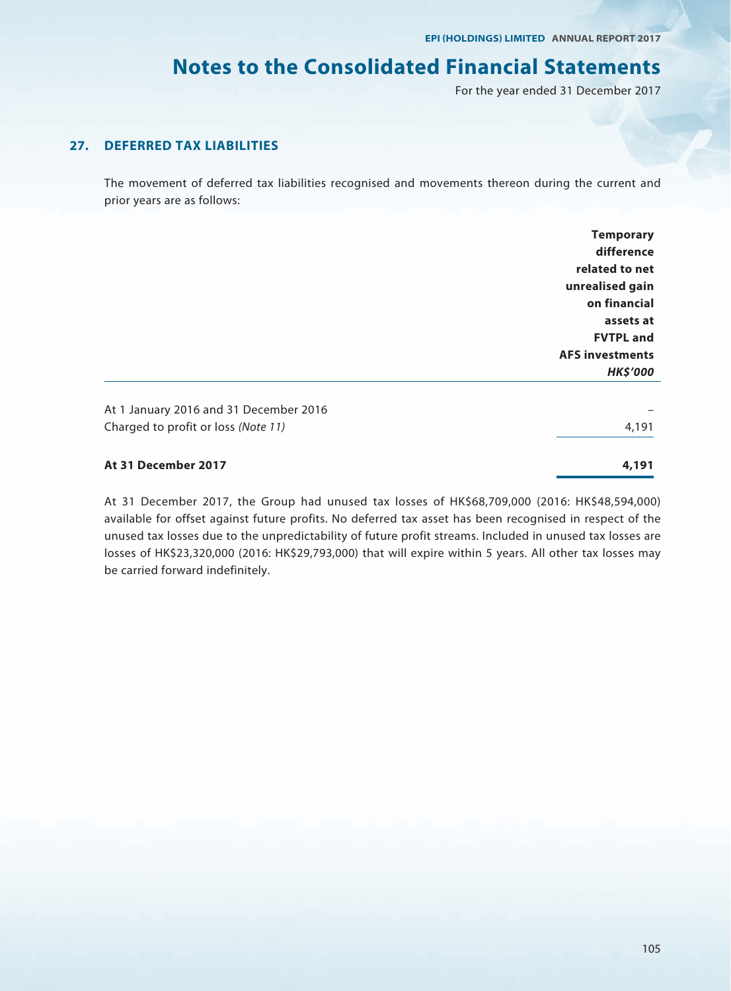For the year ended 31 December 2017

# **27. DEFERRED TAX LIABILITIES**

The movement of deferred tax liabilities recognised and movements thereon during the current and prior years are as follows:

|                                        | <b>Temporary</b>       |
|----------------------------------------|------------------------|
|                                        | difference             |
|                                        | related to net         |
|                                        | unrealised gain        |
|                                        | on financial           |
|                                        | assets at              |
|                                        | <b>FVTPL and</b>       |
|                                        | <b>AFS investments</b> |
|                                        | <b>HK\$'000</b>        |
|                                        |                        |
| At 1 January 2016 and 31 December 2016 |                        |
| Charged to profit or loss (Note 11)    | 4,191                  |
| At 31 December 2017                    | 4,191                  |
|                                        |                        |

At 31 December 2017, the Group had unused tax losses of HK\$68,709,000 (2016: HK\$48,594,000) available for offset against future profits. No deferred tax asset has been recognised in respect of the unused tax losses due to the unpredictability of future profit streams. Included in unused tax losses are losses of HK\$23,320,000 (2016: HK\$29,793,000) that will expire within 5 years. All other tax losses may be carried forward indefinitely.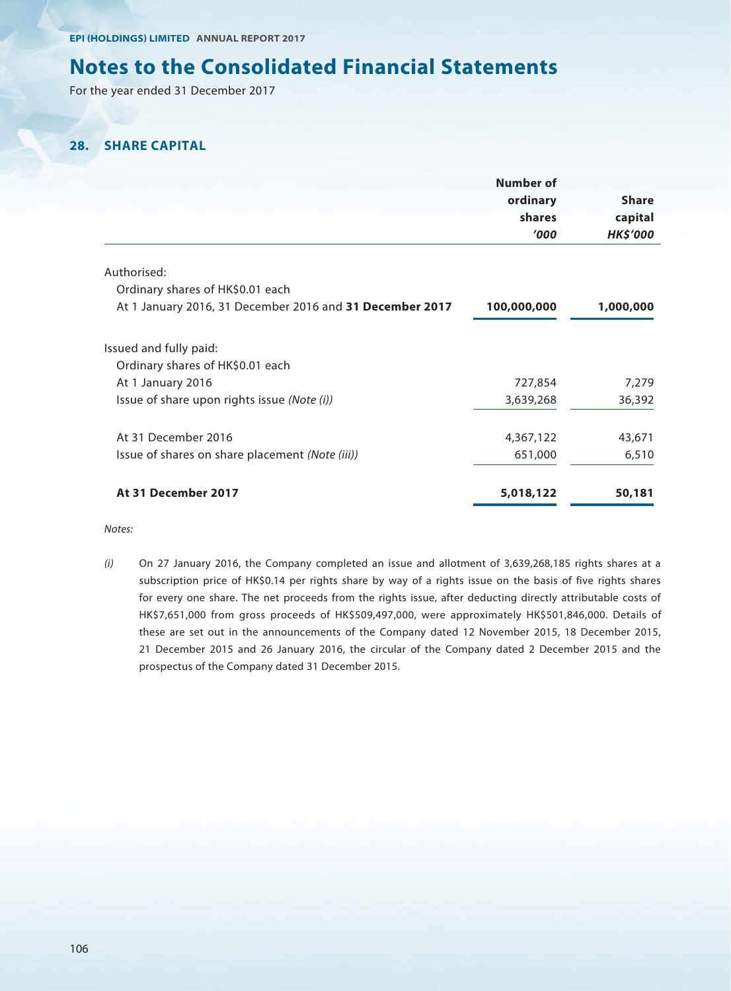For the year ended 31 December 2017

## **28. SHARE CAPITAL**

|                                                          | Number of   |                 |
|----------------------------------------------------------|-------------|-----------------|
|                                                          | ordinary    | <b>Share</b>    |
|                                                          | shares      | capital         |
|                                                          | <b>'000</b> | <b>HK\$'000</b> |
| Authorised:                                              |             |                 |
| Ordinary shares of HK\$0.01 each                         |             |                 |
| At 1 January 2016, 31 December 2016 and 31 December 2017 | 100,000,000 | 1,000,000       |
| Issued and fully paid:                                   |             |                 |
| Ordinary shares of HK\$0.01 each                         |             |                 |
| At 1 January 2016                                        | 727,854     | 7,279           |
| Issue of share upon rights issue (Note (i))              | 3,639,268   | 36,392          |
| At 31 December 2016                                      | 4,367,122   | 43,671          |
| Issue of shares on share placement (Note (iii))          | 651,000     | 6,510           |
| At 31 December 2017                                      | 5,018,122   | 50,181          |

*Notes:*

*(i)* On 27 January 2016, the Company completed an issue and allotment of 3,639,268,185 rights shares at a subscription price of HK\$0.14 per rights share by way of a rights issue on the basis of five rights shares for every one share. The net proceeds from the rights issue, after deducting directly attributable costs of HK\$7,651,000 from gross proceeds of HK\$509,497,000, were approximately HK\$501,846,000. Details of these are set out in the announcements of the Company dated 12 November 2015, 18 December 2015, 21 December 2015 and 26 January 2016, the circular of the Company dated 2 December 2015 and the prospectus of the Company dated 31 December 2015.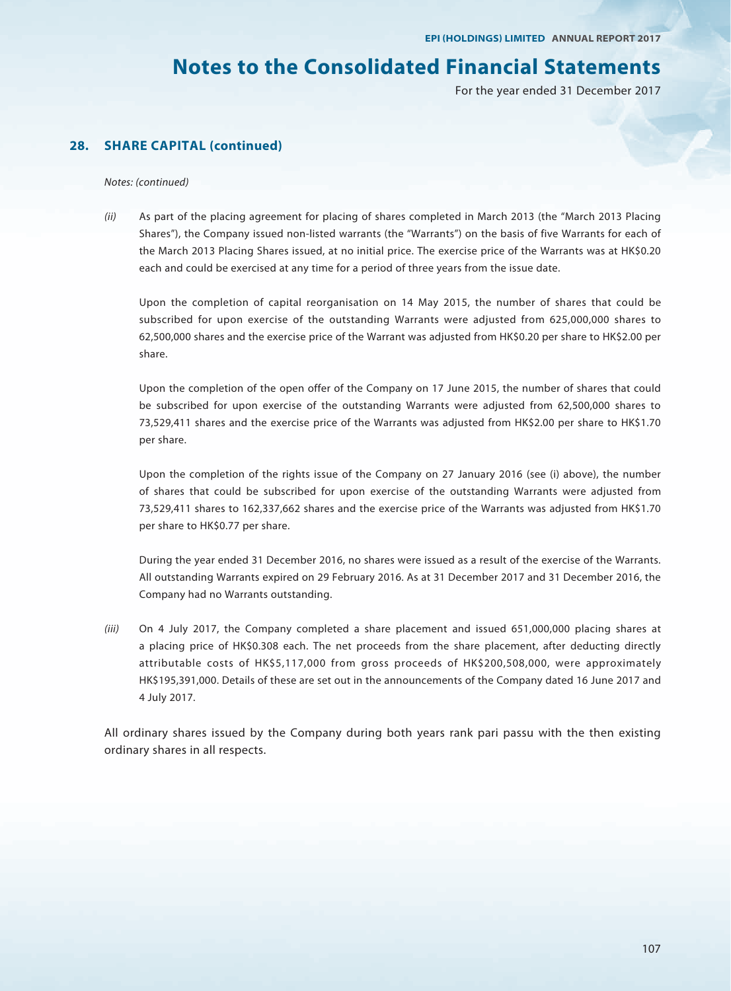For the year ended 31 December 2017

## **28. SHARE CAPITAL (continued)**

*Notes: (continued)*

*(ii)* As part of the placing agreement for placing of shares completed in March 2013 (the "March 2013 Placing Shares"), the Company issued non-listed warrants (the "Warrants") on the basis of five Warrants for each of the March 2013 Placing Shares issued, at no initial price. The exercise price of the Warrants was at HK\$0.20 each and could be exercised at any time for a period of three years from the issue date.

Upon the completion of capital reorganisation on 14 May 2015, the number of shares that could be subscribed for upon exercise of the outstanding Warrants were adjusted from 625,000,000 shares to 62,500,000 shares and the exercise price of the Warrant was adjusted from HK\$0.20 per share to HK\$2.00 per share.

Upon the completion of the open offer of the Company on 17 June 2015, the number of shares that could be subscribed for upon exercise of the outstanding Warrants were adjusted from 62,500,000 shares to 73,529,411 shares and the exercise price of the Warrants was adjusted from HK\$2.00 per share to HK\$1.70 per share.

Upon the completion of the rights issue of the Company on 27 January 2016 (see (i) above), the number of shares that could be subscribed for upon exercise of the outstanding Warrants were adjusted from 73,529,411 shares to 162,337,662 shares and the exercise price of the Warrants was adjusted from HK\$1.70 per share to HK\$0.77 per share.

During the year ended 31 December 2016, no shares were issued as a result of the exercise of the Warrants. All outstanding Warrants expired on 29 February 2016. As at 31 December 2017 and 31 December 2016, the Company had no Warrants outstanding.

*(iii)* On 4 July 2017, the Company completed a share placement and issued 651,000,000 placing shares at a placing price of HK\$0.308 each. The net proceeds from the share placement, after deducting directly attributable costs of HK\$5,117,000 from gross proceeds of HK\$200,508,000, were approximately HK\$195,391,000. Details of these are set out in the announcements of the Company dated 16 June 2017 and 4 July 2017.

All ordinary shares issued by the Company during both years rank pari passu with the then existing ordinary shares in all respects.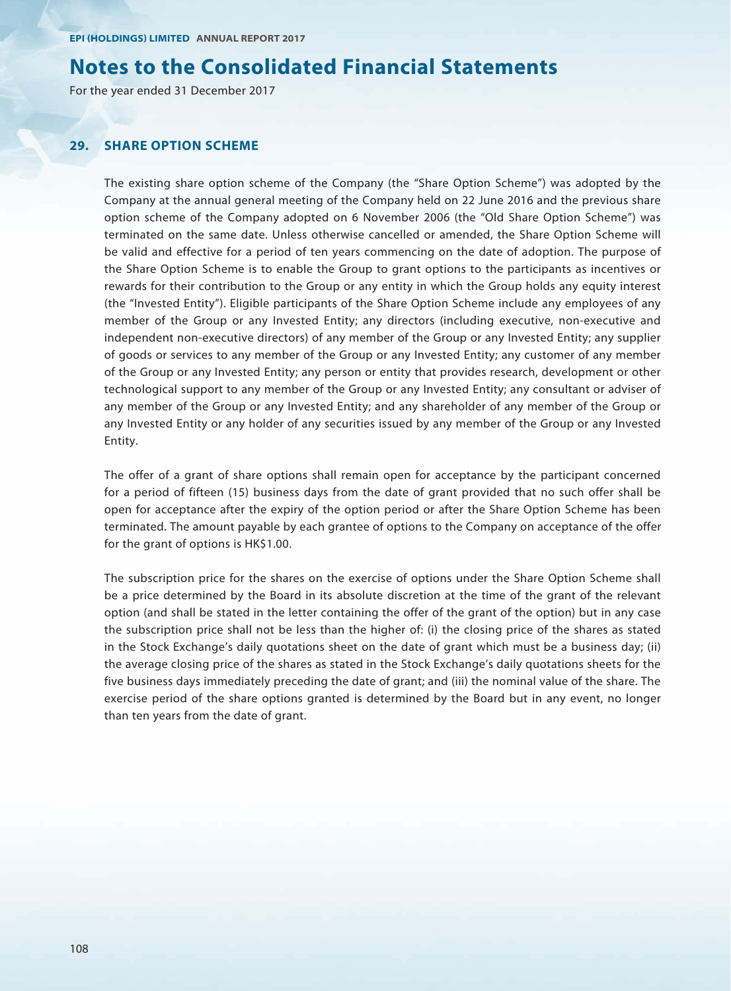# **Notes to the Consolidated Financial Statements**

For the year ended 31 December 2017

### **29. SHARE OPTION SCHEME**

The existing share option scheme of the Company (the "Share Option Scheme") was adopted by the Company at the annual general meeting of the Company held on 22 June 2016 and the previous share option scheme of the Company adopted on 6 November 2006 (the "Old Share Option Scheme") was terminated on the same date. Unless otherwise cancelled or amended, the Share Option Scheme will be valid and effective for a period of ten years commencing on the date of adoption. The purpose of the Share Option Scheme is to enable the Group to grant options to the participants as incentives or rewards for their contribution to the Group or any entity in which the Group holds any equity interest (the "Invested Entity"). Eligible participants of the Share Option Scheme include any employees of any member of the Group or any Invested Entity; any directors (including executive, non-executive and independent non-executive directors) of any member of the Group or any Invested Entity; any supplier of goods or services to any member of the Group or any Invested Entity; any customer of any member of the Group or any Invested Entity; any person or entity that provides research, development or other technological support to any member of the Group or any Invested Entity; any consultant or adviser of any member of the Group or any Invested Entity; and any shareholder of any member of the Group or any Invested Entity or any holder of any securities issued by any member of the Group or any Invested Entity.

The offer of a grant of share options shall remain open for acceptance by the participant concerned for a period of fifteen (15) business days from the date of grant provided that no such offer shall be open for acceptance after the expiry of the option period or after the Share Option Scheme has been terminated. The amount payable by each grantee of options to the Company on acceptance of the offer for the grant of options is HK\$1.00.

The subscription price for the shares on the exercise of options under the Share Option Scheme shall be a price determined by the Board in its absolute discretion at the time of the grant of the relevant option (and shall be stated in the letter containing the offer of the grant of the option) but in any case the subscription price shall not be less than the higher of: (i) the closing price of the shares as stated in the Stock Exchange's daily quotations sheet on the date of grant which must be a business day; (ii) the average closing price of the shares as stated in the Stock Exchange's daily quotations sheets for the five business days immediately preceding the date of grant; and (iii) the nominal value of the share. The exercise period of the share options granted is determined by the Board but in any event, no longer than ten years from the date of grant.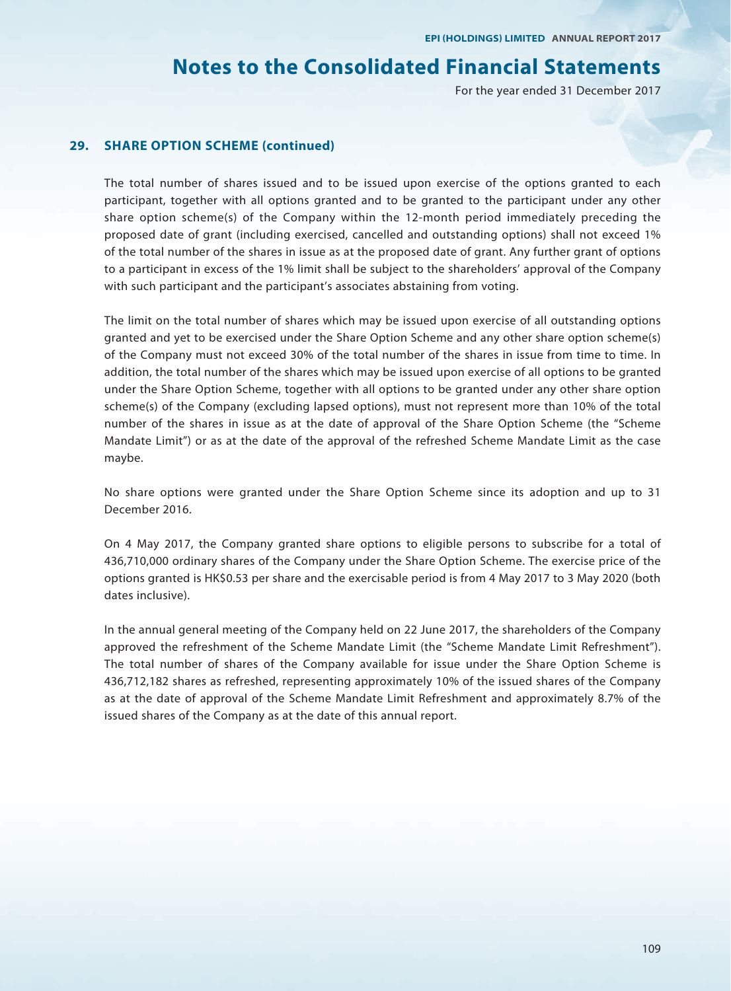For the year ended 31 December 2017

### **29. SHARE OPTION SCHEME (continued)**

The total number of shares issued and to be issued upon exercise of the options granted to each participant, together with all options granted and to be granted to the participant under any other share option scheme(s) of the Company within the 12-month period immediately preceding the proposed date of grant (including exercised, cancelled and outstanding options) shall not exceed 1% of the total number of the shares in issue as at the proposed date of grant. Any further grant of options to a participant in excess of the 1% limit shall be subject to the shareholders' approval of the Company with such participant and the participant's associates abstaining from voting.

The limit on the total number of shares which may be issued upon exercise of all outstanding options granted and yet to be exercised under the Share Option Scheme and any other share option scheme(s) of the Company must not exceed 30% of the total number of the shares in issue from time to time. In addition, the total number of the shares which may be issued upon exercise of all options to be granted under the Share Option Scheme, together with all options to be granted under any other share option scheme(s) of the Company (excluding lapsed options), must not represent more than 10% of the total number of the shares in issue as at the date of approval of the Share Option Scheme (the "Scheme Mandate Limit") or as at the date of the approval of the refreshed Scheme Mandate Limit as the case maybe.

No share options were granted under the Share Option Scheme since its adoption and up to 31 December 2016.

On 4 May 2017, the Company granted share options to eligible persons to subscribe for a total of 436,710,000 ordinary shares of the Company under the Share Option Scheme. The exercise price of the options granted is HK\$0.53 per share and the exercisable period is from 4 May 2017 to 3 May 2020 (both dates inclusive).

In the annual general meeting of the Company held on 22 June 2017, the shareholders of the Company approved the refreshment of the Scheme Mandate Limit (the "Scheme Mandate Limit Refreshment"). The total number of shares of the Company available for issue under the Share Option Scheme is 436,712,182 shares as refreshed, representing approximately 10% of the issued shares of the Company as at the date of approval of the Scheme Mandate Limit Refreshment and approximately 8.7% of the issued shares of the Company as at the date of this annual report.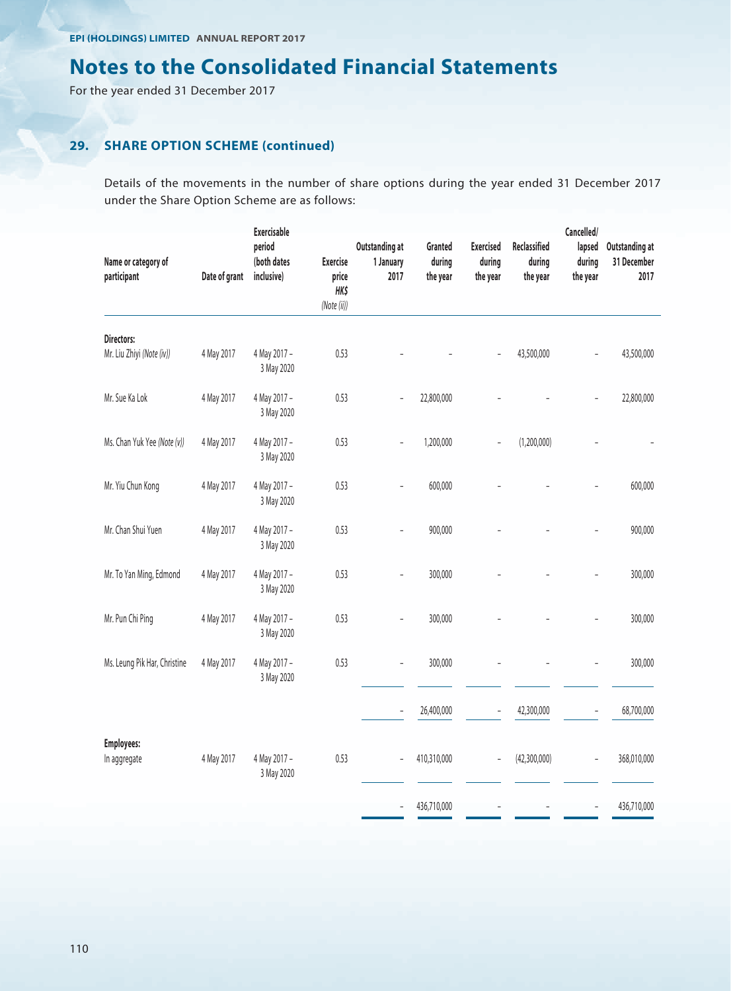For the year ended 31 December 2017

## **29. SHARE OPTION SCHEME (continued)**

Details of the movements in the number of share options during the year ended 31 December 2017 under the Share Option Scheme are as follows:

| Name or category of<br>participant | Date of grant | <b>Exercisable</b><br>period<br>(both dates<br>inclusive) | <b>Exercise</b><br>price<br><b>HK\$</b><br>(Note (ii)) | <b>Outstanding at</b><br>1 January<br>2017 | Granted<br>during<br>the year | <b>Exercised</b><br>during<br>the year | Reclassified<br>during<br>the year | Cancelled/<br>lapsed<br>during<br>the year | <b>Outstanding at</b><br>31 December<br>2017 |
|------------------------------------|---------------|-----------------------------------------------------------|--------------------------------------------------------|--------------------------------------------|-------------------------------|----------------------------------------|------------------------------------|--------------------------------------------|----------------------------------------------|
| <b>Directors:</b>                  |               |                                                           |                                                        |                                            |                               |                                        |                                    |                                            |                                              |
| Mr. Liu Zhiyi (Note (iv))          | 4 May 2017    | 4 May 2017 -<br>3 May 2020                                | 0.53                                                   |                                            |                               |                                        | 43,500,000                         |                                            | 43,500,000                                   |
| Mr. Sue Ka Lok                     | 4 May 2017    | 4 May 2017 -<br>3 May 2020                                | 0.53                                                   | $\overline{a}$                             | 22,800,000                    |                                        |                                    | $\overline{a}$                             | 22,800,000                                   |
| Ms. Chan Yuk Yee (Note (v))        | 4 May 2017    | 4 May 2017 -<br>3 May 2020                                | 0.53                                                   | $\qquad \qquad -$                          | 1,200,000                     | $\overline{a}$                         | (1,200,000)                        |                                            |                                              |
| Mr. Yiu Chun Kong                  | 4 May 2017    | 4 May 2017 -<br>3 May 2020                                | 0.53                                                   | $\qquad \qquad \blacksquare$               | 600,000                       |                                        |                                    |                                            | 600,000                                      |
| Mr. Chan Shui Yuen                 | 4 May 2017    | 4 May 2017 -<br>3 May 2020                                | 0.53                                                   |                                            | 900,000                       |                                        |                                    |                                            | 900,000                                      |
| Mr. To Yan Ming, Edmond            | 4 May 2017    | 4 May 2017 -<br>3 May 2020                                | 0.53                                                   |                                            | 300,000                       |                                        |                                    |                                            | 300,000                                      |
| Mr. Pun Chi Ping                   | 4 May 2017    | 4 May 2017 -<br>3 May 2020                                | 0.53                                                   | $\overline{a}$                             | 300,000                       |                                        |                                    |                                            | 300,000                                      |
| Ms. Leung Pik Har, Christine       | 4 May 2017    | 4 May 2017 -<br>3 May 2020                                | 0.53                                                   | $\overline{\phantom{0}}$                   | 300,000                       |                                        |                                    |                                            | 300,000                                      |
|                                    |               |                                                           |                                                        | $\qquad \qquad -$                          | 26,400,000                    | $\overline{a}$                         | 42,300,000                         | $\overline{\phantom{m}}$                   | 68,700,000                                   |
| <b>Employees:</b><br>In aggregate  | 4 May 2017    | 4 May 2017 -<br>3 May 2020                                | 0.53                                                   | $\qquad \qquad -$                          | 410,310,000                   | -                                      | (42,300,000)                       |                                            | 368,010,000                                  |
|                                    |               |                                                           |                                                        |                                            | 436,710,000                   |                                        |                                    |                                            | 436,710,000                                  |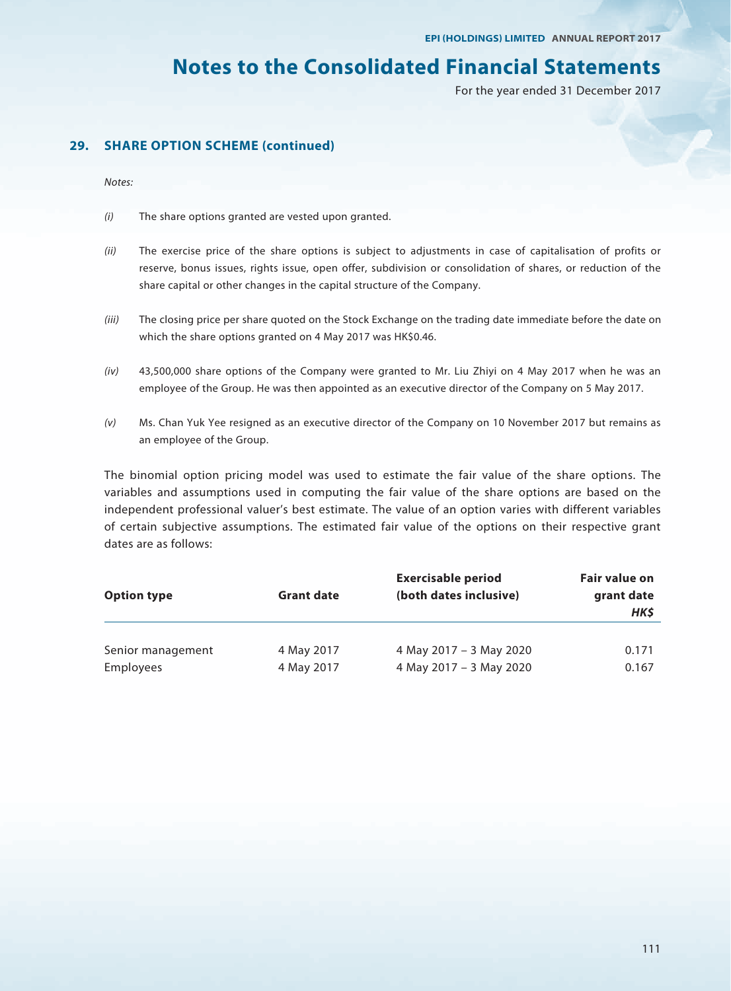For the year ended 31 December 2017

### **29. SHARE OPTION SCHEME (continued)**

#### *Notes:*

- *(i)* The share options granted are vested upon granted.
- *(ii)* The exercise price of the share options is subject to adjustments in case of capitalisation of profits or reserve, bonus issues, rights issue, open offer, subdivision or consolidation of shares, or reduction of the share capital or other changes in the capital structure of the Company.
- *(iii)* The closing price per share quoted on the Stock Exchange on the trading date immediate before the date on which the share options granted on 4 May 2017 was HK\$0.46.
- *(iv)* 43,500,000 share options of the Company were granted to Mr. Liu Zhiyi on 4 May 2017 when he was an employee of the Group. He was then appointed as an executive director of the Company on 5 May 2017.
- *(v)* Ms. Chan Yuk Yee resigned as an executive director of the Company on 10 November 2017 but remains as an employee of the Group.

The binomial option pricing model was used to estimate the fair value of the share options. The variables and assumptions used in computing the fair value of the share options are based on the independent professional valuer's best estimate. The value of an option varies with different variables of certain subjective assumptions. The estimated fair value of the options on their respective grant dates are as follows:

| <b>Option type</b> | <b>Grant date</b> | <b>Exercisable period</b><br>(both dates inclusive) | Fair value on<br>grant date<br>HK\$ |  |
|--------------------|-------------------|-----------------------------------------------------|-------------------------------------|--|
| Senior management  | 4 May 2017        | 4 May 2017 - 3 May 2020                             | 0.171                               |  |
| Employees          | 4 May 2017        | 4 May 2017 - 3 May 2020                             | 0.167                               |  |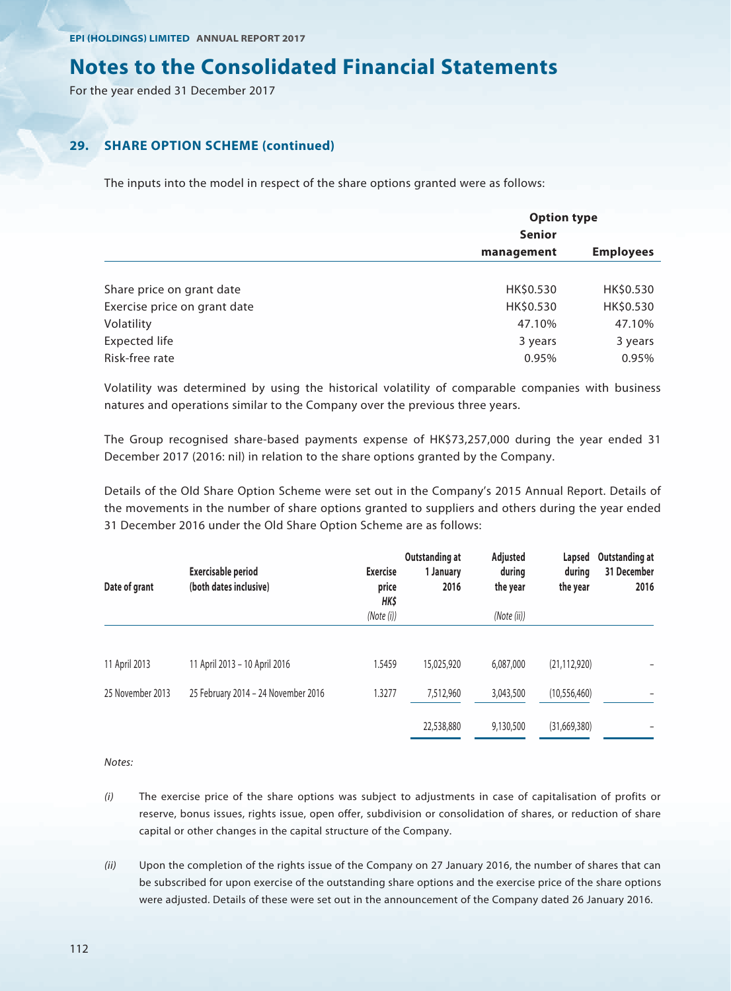For the year ended 31 December 2017

### **29. SHARE OPTION SCHEME (continued)**

The inputs into the model in respect of the share options granted were as follows:

|                              | <b>Option type</b><br><b>Senior</b> |           |  |
|------------------------------|-------------------------------------|-----------|--|
|                              | <b>Employees</b><br>management      |           |  |
|                              |                                     |           |  |
| Share price on grant date    | HK\$0.530                           | HK\$0.530 |  |
| Exercise price on grant date | HK\$0.530                           | HK\$0.530 |  |
| Volatility                   | 47.10%                              | 47.10%    |  |
| <b>Expected life</b>         | 3 years                             | 3 years   |  |
| Risk-free rate               | 0.95%                               | 0.95%     |  |

Volatility was determined by using the historical volatility of comparable companies with business natures and operations similar to the Company over the previous three years.

The Group recognised share-based payments expense of HK\$73,257,000 during the year ended 31 December 2017 (2016: nil) in relation to the share options granted by the Company.

Details of the Old Share Option Scheme were set out in the Company's 2015 Annual Report. Details of the movements in the number of share options granted to suppliers and others during the year ended 31 December 2016 under the Old Share Option Scheme are as follows:

| Date of grant    | <b>Exercisable period</b><br>(both dates inclusive) | <b>Exercise</b><br>price<br>HK\$ | Outstanding at<br>1 January<br>2016 | Adjusted<br>during<br>the year | Lapsed<br>during<br>the year | Outstanding at<br>31 December<br>2016 |
|------------------|-----------------------------------------------------|----------------------------------|-------------------------------------|--------------------------------|------------------------------|---------------------------------------|
|                  |                                                     | (Note (i))                       |                                     | (Note (ii))                    |                              |                                       |
| 11 April 2013    | 11 April 2013 - 10 April 2016                       | 1.5459                           | 15,025,920                          | 6,087,000                      | (21, 112, 920)               |                                       |
| 25 November 2013 | 25 February 2014 - 24 November 2016                 | 1.3277                           | 7,512,960                           | 3,043,500                      | (10, 556, 460)               |                                       |
|                  |                                                     |                                  | 22,538,880                          | 9,130,500                      | (31,669,380)                 |                                       |

*Notes:*

- *(i)* The exercise price of the share options was subject to adjustments in case of capitalisation of profits or reserve, bonus issues, rights issue, open offer, subdivision or consolidation of shares, or reduction of share capital or other changes in the capital structure of the Company.
- *(ii)* Upon the completion of the rights issue of the Company on 27 January 2016, the number of shares that can be subscribed for upon exercise of the outstanding share options and the exercise price of the share options were adjusted. Details of these were set out in the announcement of the Company dated 26 January 2016.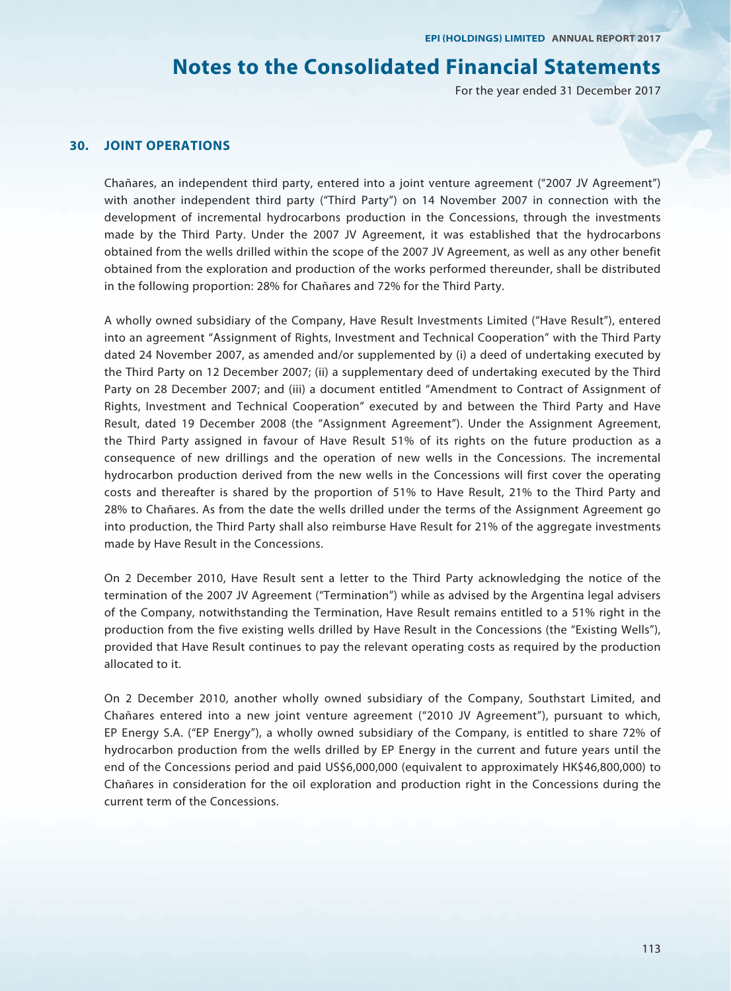For the year ended 31 December 2017

### **30. JOINT OPERATIONS**

Chañares, an independent third party, entered into a joint venture agreement ("2007 JV Agreement") with another independent third party ("Third Party") on 14 November 2007 in connection with the development of incremental hydrocarbons production in the Concessions, through the investments made by the Third Party. Under the 2007 JV Agreement, it was established that the hydrocarbons obtained from the wells drilled within the scope of the 2007 JV Agreement, as well as any other benefit obtained from the exploration and production of the works performed thereunder, shall be distributed in the following proportion: 28% for Chañares and 72% for the Third Party.

A wholly owned subsidiary of the Company, Have Result Investments Limited ("Have Result"), entered into an agreement "Assignment of Rights, Investment and Technical Cooperation" with the Third Party dated 24 November 2007, as amended and/or supplemented by (i) a deed of undertaking executed by the Third Party on 12 December 2007; (ii) a supplementary deed of undertaking executed by the Third Party on 28 December 2007; and (iii) a document entitled "Amendment to Contract of Assignment of Rights, Investment and Technical Cooperation" executed by and between the Third Party and Have Result, dated 19 December 2008 (the "Assignment Agreement"). Under the Assignment Agreement, the Third Party assigned in favour of Have Result 51% of its rights on the future production as a consequence of new drillings and the operation of new wells in the Concessions. The incremental hydrocarbon production derived from the new wells in the Concessions will first cover the operating costs and thereafter is shared by the proportion of 51% to Have Result, 21% to the Third Party and 28% to Chañares. As from the date the wells drilled under the terms of the Assignment Agreement go into production, the Third Party shall also reimburse Have Result for 21% of the aggregate investments made by Have Result in the Concessions.

On 2 December 2010, Have Result sent a letter to the Third Party acknowledging the notice of the termination of the 2007 JV Agreement ("Termination") while as advised by the Argentina legal advisers of the Company, notwithstanding the Termination, Have Result remains entitled to a 51% right in the production from the five existing wells drilled by Have Result in the Concessions (the "Existing Wells"), provided that Have Result continues to pay the relevant operating costs as required by the production allocated to it.

On 2 December 2010, another wholly owned subsidiary of the Company, Southstart Limited, and Chañares entered into a new joint venture agreement ("2010 JV Agreement"), pursuant to which, EP Energy S.A. ("EP Energy"), a wholly owned subsidiary of the Company, is entitled to share 72% of hydrocarbon production from the wells drilled by EP Energy in the current and future years until the end of the Concessions period and paid US\$6,000,000 (equivalent to approximately HK\$46,800,000) to Chañares in consideration for the oil exploration and production right in the Concessions during the current term of the Concessions.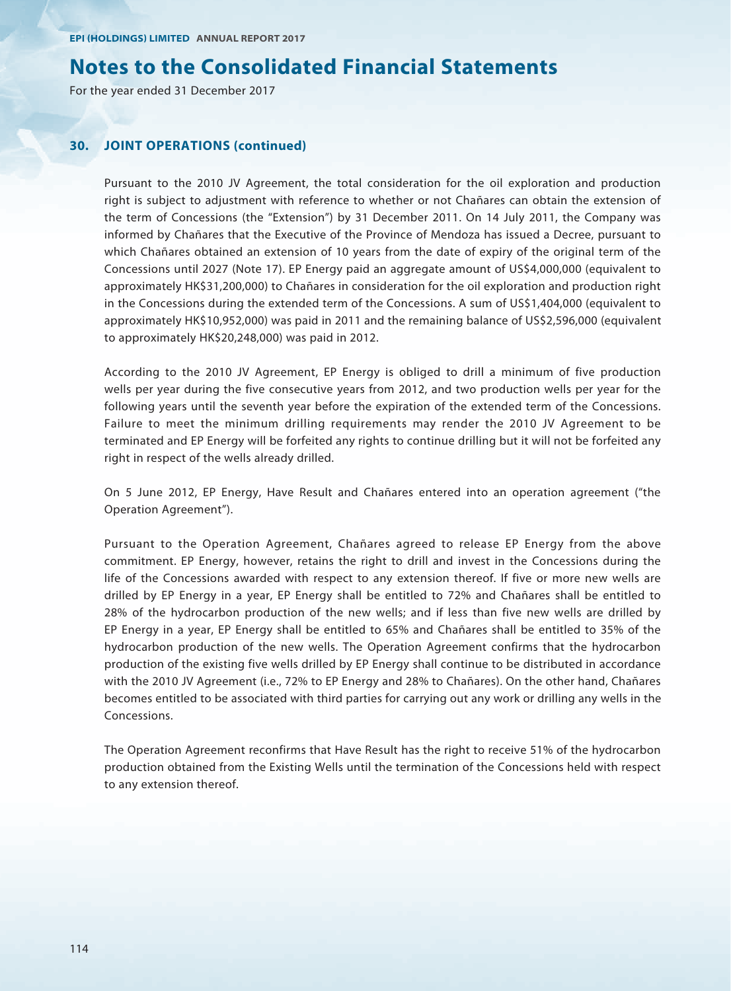For the year ended 31 December 2017

### **30. JOINT OPERATIONS (continued)**

Pursuant to the 2010 JV Agreement, the total consideration for the oil exploration and production right is subject to adjustment with reference to whether or not Chañares can obtain the extension of the term of Concessions (the "Extension") by 31 December 2011. On 14 July 2011, the Company was informed by Chañares that the Executive of the Province of Mendoza has issued a Decree, pursuant to which Chañares obtained an extension of 10 years from the date of expiry of the original term of the Concessions until 2027 (Note 17). EP Energy paid an aggregate amount of US\$4,000,000 (equivalent to approximately HK\$31,200,000) to Chañares in consideration for the oil exploration and production right in the Concessions during the extended term of the Concessions. A sum of US\$1,404,000 (equivalent to approximately HK\$10,952,000) was paid in 2011 and the remaining balance of US\$2,596,000 (equivalent to approximately HK\$20,248,000) was paid in 2012.

According to the 2010 JV Agreement, EP Energy is obliged to drill a minimum of five production wells per year during the five consecutive years from 2012, and two production wells per year for the following years until the seventh year before the expiration of the extended term of the Concessions. Failure to meet the minimum drilling requirements may render the 2010 JV Agreement to be terminated and EP Energy will be forfeited any rights to continue drilling but it will not be forfeited any right in respect of the wells already drilled.

On 5 June 2012, EP Energy, Have Result and Chañares entered into an operation agreement ("the Operation Agreement").

Pursuant to the Operation Agreement, Chañares agreed to release EP Energy from the above commitment. EP Energy, however, retains the right to drill and invest in the Concessions during the life of the Concessions awarded with respect to any extension thereof. If five or more new wells are drilled by EP Energy in a year, EP Energy shall be entitled to 72% and Chañares shall be entitled to 28% of the hydrocarbon production of the new wells; and if less than five new wells are drilled by EP Energy in a year, EP Energy shall be entitled to 65% and Chañares shall be entitled to 35% of the hydrocarbon production of the new wells. The Operation Agreement confirms that the hydrocarbon production of the existing five wells drilled by EP Energy shall continue to be distributed in accordance with the 2010 JV Agreement (i.e., 72% to EP Energy and 28% to Chañares). On the other hand, Chañares becomes entitled to be associated with third parties for carrying out any work or drilling any wells in the Concessions.

The Operation Agreement reconfirms that Have Result has the right to receive 51% of the hydrocarbon production obtained from the Existing Wells until the termination of the Concessions held with respect to any extension thereof.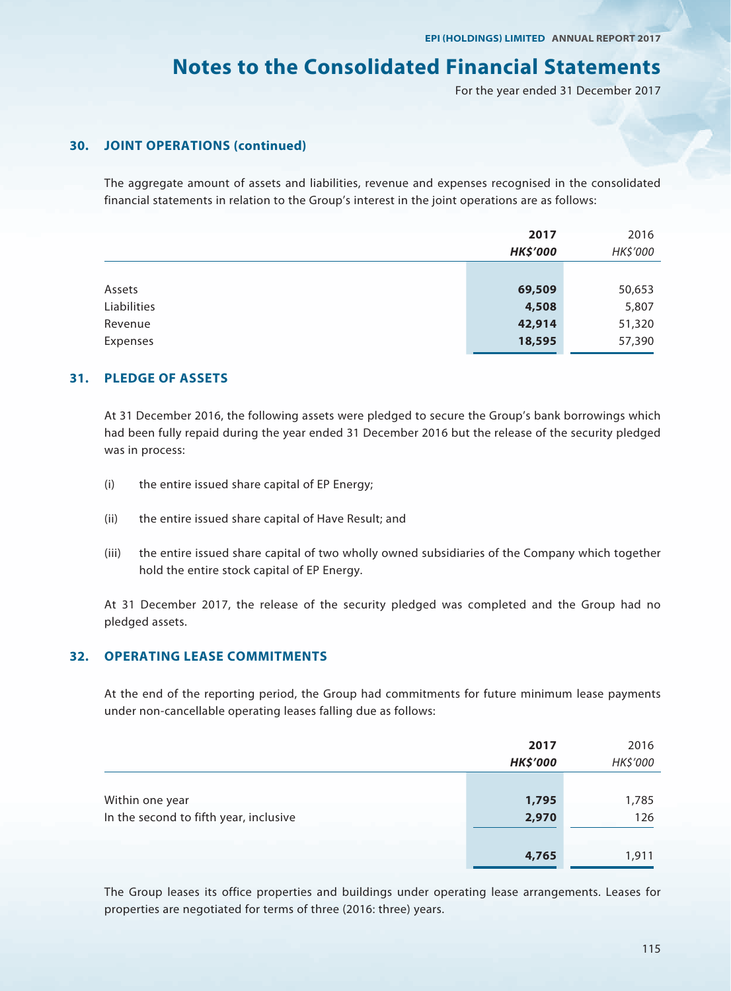For the year ended 31 December 2017

### **30. JOINT OPERATIONS (continued)**

The aggregate amount of assets and liabilities, revenue and expenses recognised in the consolidated financial statements in relation to the Group's interest in the joint operations are as follows:

|             | 2017            | 2016     |
|-------------|-----------------|----------|
|             | <b>HK\$'000</b> | HK\$'000 |
|             |                 |          |
| Assets      | 69,509          | 50,653   |
| Liabilities | 4,508           | 5,807    |
| Revenue     | 42,914          | 51,320   |
| Expenses    | 18,595          | 57,390   |

### **31. PLEDGE OF ASSETS**

At 31 December 2016, the following assets were pledged to secure the Group's bank borrowings which had been fully repaid during the year ended 31 December 2016 but the release of the security pledged was in process:

- (i) the entire issued share capital of EP Energy;
- (ii) the entire issued share capital of Have Result; and
- (iii) the entire issued share capital of two wholly owned subsidiaries of the Company which together hold the entire stock capital of EP Energy.

At 31 December 2017, the release of the security pledged was completed and the Group had no pledged assets.

## **32. OPERATING LEASE COMMITMENTS**

At the end of the reporting period, the Group had commitments for future minimum lease payments under non-cancellable operating leases falling due as follows:

| 2017            | 2016     |
|-----------------|----------|
| <b>HK\$'000</b> | HK\$'000 |
|                 |          |
| 1,795           | 1,785    |
| 2,970           | 126      |
|                 |          |
| 4,765           | 1,911    |
|                 |          |

The Group leases its office properties and buildings under operating lease arrangements. Leases for properties are negotiated for terms of three (2016: three) years.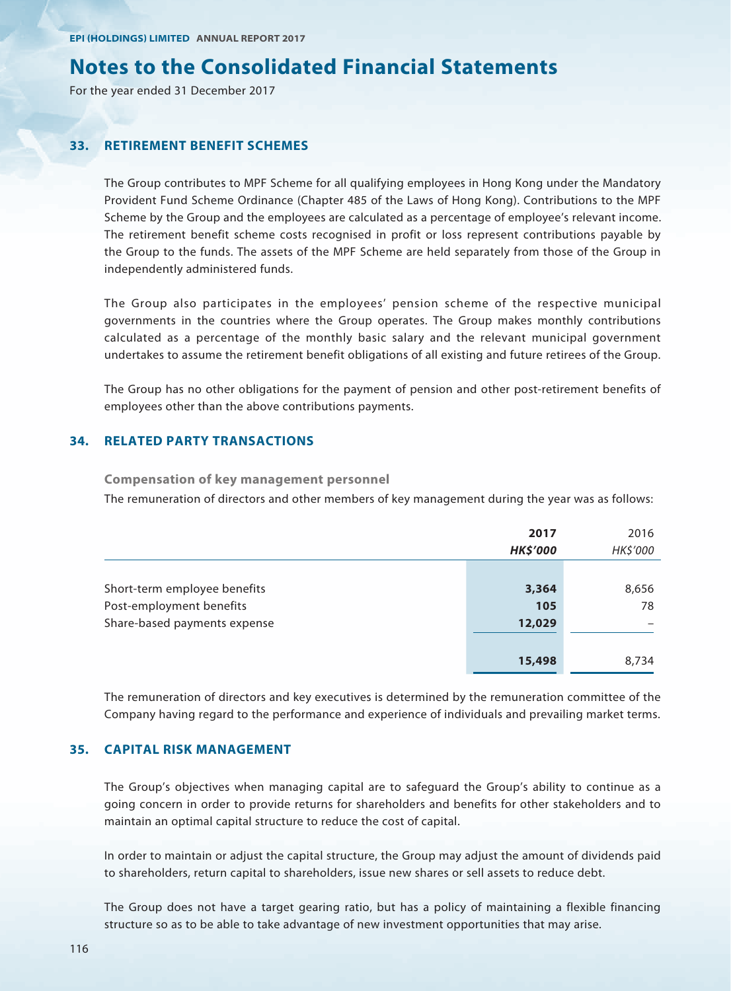# **Notes to the Consolidated Financial Statements**

For the year ended 31 December 2017

### **33. RETIREMENT BENEFIT SCHEMES**

The Group contributes to MPF Scheme for all qualifying employees in Hong Kong under the Mandatory Provident Fund Scheme Ordinance (Chapter 485 of the Laws of Hong Kong). Contributions to the MPF Scheme by the Group and the employees are calculated as a percentage of employee's relevant income. The retirement benefit scheme costs recognised in profit or loss represent contributions payable by the Group to the funds. The assets of the MPF Scheme are held separately from those of the Group in independently administered funds.

The Group also participates in the employees' pension scheme of the respective municipal governments in the countries where the Group operates. The Group makes monthly contributions calculated as a percentage of the monthly basic salary and the relevant municipal government undertakes to assume the retirement benefit obligations of all existing and future retirees of the Group.

The Group has no other obligations for the payment of pension and other post-retirement benefits of employees other than the above contributions payments.

### **34. RELATED PARTY TRANSACTIONS**

**Compensation of key management personnel** The remuneration of directors and other members of key management during the year was as follows:

|                              | 2017            | 2016     |
|------------------------------|-----------------|----------|
|                              | <b>HK\$'000</b> | HK\$'000 |
|                              |                 |          |
| Short-term employee benefits | 3,364           | 8,656    |
| Post-employment benefits     | 105             | 78       |
| Share-based payments expense | 12,029          |          |
|                              |                 |          |
|                              | 15,498          | 8,734    |

The remuneration of directors and key executives is determined by the remuneration committee of the Company having regard to the performance and experience of individuals and prevailing market terms.

### **35. CAPITAL RISK MANAGEMENT**

The Group's objectives when managing capital are to safeguard the Group's ability to continue as a going concern in order to provide returns for shareholders and benefits for other stakeholders and to maintain an optimal capital structure to reduce the cost of capital.

In order to maintain or adjust the capital structure, the Group may adjust the amount of dividends paid to shareholders, return capital to shareholders, issue new shares or sell assets to reduce debt.

The Group does not have a target gearing ratio, but has a policy of maintaining a flexible financing structure so as to be able to take advantage of new investment opportunities that may arise.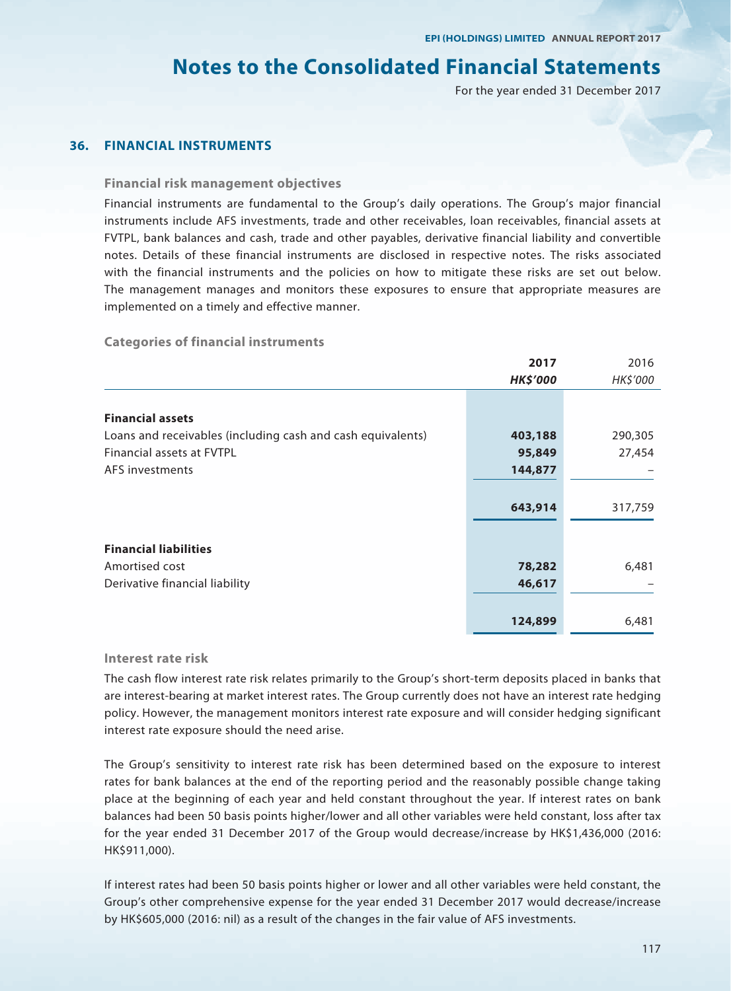For the year ended 31 December 2017

## **36. FINANCIAL INSTRUMENTS**

#### **Financial risk management objectives**

Financial instruments are fundamental to the Group's daily operations. The Group's major financial instruments include AFS investments, trade and other receivables, loan receivables, financial assets at FVTPL, bank balances and cash, trade and other payables, derivative financial liability and convertible notes. Details of these financial instruments are disclosed in respective notes. The risks associated with the financial instruments and the policies on how to mitigate these risks are set out below. The management manages and monitors these exposures to ensure that appropriate measures are implemented on a timely and effective manner.

**Categories of financial instruments**

|                                                             | 2017            | 2016            |
|-------------------------------------------------------------|-----------------|-----------------|
|                                                             | <b>HK\$'000</b> | <b>HK\$'000</b> |
|                                                             |                 |                 |
| <b>Financial assets</b>                                     |                 |                 |
| Loans and receivables (including cash and cash equivalents) | 403,188         | 290,305         |
| Financial assets at FVTPL                                   | 95,849          | 27,454          |
| AFS investments                                             | 144,877         |                 |
|                                                             |                 |                 |
|                                                             | 643,914         | 317,759         |
|                                                             |                 |                 |
| <b>Financial liabilities</b>                                |                 |                 |
| Amortised cost                                              | 78,282          | 6,481           |
| Derivative financial liability                              | 46,617          |                 |
|                                                             |                 |                 |
|                                                             | 124,899         | 6,481           |

#### **Interest rate risk**

The cash flow interest rate risk relates primarily to the Group's short-term deposits placed in banks that are interest-bearing at market interest rates. The Group currently does not have an interest rate hedging policy. However, the management monitors interest rate exposure and will consider hedging significant interest rate exposure should the need arise.

The Group's sensitivity to interest rate risk has been determined based on the exposure to interest rates for bank balances at the end of the reporting period and the reasonably possible change taking place at the beginning of each year and held constant throughout the year. If interest rates on bank balances had been 50 basis points higher/lower and all other variables were held constant, loss after tax for the year ended 31 December 2017 of the Group would decrease/increase by HK\$1,436,000 (2016: HK\$911,000).

If interest rates had been 50 basis points higher or lower and all other variables were held constant, the Group's other comprehensive expense for the year ended 31 December 2017 would decrease/increase by HK\$605,000 (2016: nil) as a result of the changes in the fair value of AFS investments.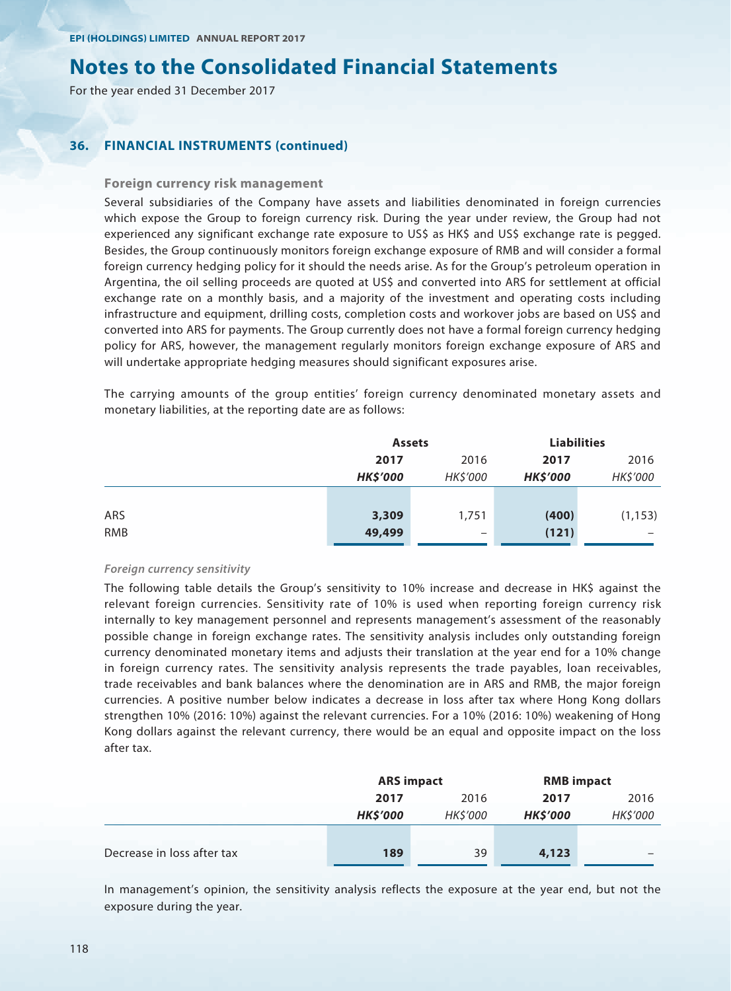For the year ended 31 December 2017

### **36. FINANCIAL INSTRUMENTS (continued)**

#### **Foreign currency risk management**

Several subsidiaries of the Company have assets and liabilities denominated in foreign currencies which expose the Group to foreign currency risk. During the year under review, the Group had not experienced any significant exchange rate exposure to US\$ as HK\$ and US\$ exchange rate is pegged. Besides, the Group continuously monitors foreign exchange exposure of RMB and will consider a formal foreign currency hedging policy for it should the needs arise. As for the Group's petroleum operation in Argentina, the oil selling proceeds are quoted at US\$ and converted into ARS for settlement at official exchange rate on a monthly basis, and a majority of the investment and operating costs including infrastructure and equipment, drilling costs, completion costs and workover jobs are based on US\$ and converted into ARS for payments. The Group currently does not have a formal foreign currency hedging policy for ARS, however, the management regularly monitors foreign exchange exposure of ARS and will undertake appropriate hedging measures should significant exposures arise.

The carrying amounts of the group entities' foreign currency denominated monetary assets and monetary liabilities, at the reporting date are as follows:

|            | <b>Assets</b>   |                          | <b>Liabilities</b> |                          |  |
|------------|-----------------|--------------------------|--------------------|--------------------------|--|
|            | 2017<br>2016    |                          | 2017               | 2016                     |  |
|            | <b>HK\$'000</b> | HK\$'000                 | <b>HK\$'000</b>    | HK\$'000                 |  |
|            |                 |                          |                    |                          |  |
| ARS        | 3,309           | 1,751                    | (400)              | (1, 153)                 |  |
| <b>RMB</b> | 49,499          | $\overline{\phantom{0}}$ | (121)              | $\overline{\phantom{0}}$ |  |
|            |                 |                          |                    |                          |  |

#### *Foreign currency sensitivity*

The following table details the Group's sensitivity to 10% increase and decrease in HK\$ against the relevant foreign currencies. Sensitivity rate of 10% is used when reporting foreign currency risk internally to key management personnel and represents management's assessment of the reasonably possible change in foreign exchange rates. The sensitivity analysis includes only outstanding foreign currency denominated monetary items and adjusts their translation at the year end for a 10% change in foreign currency rates. The sensitivity analysis represents the trade payables, loan receivables, trade receivables and bank balances where the denomination are in ARS and RMB, the major foreign currencies. A positive number below indicates a decrease in loss after tax where Hong Kong dollars strengthen 10% (2016: 10%) against the relevant currencies. For a 10% (2016: 10%) weakening of Hong Kong dollars against the relevant currency, there would be an equal and opposite impact on the loss after tax.

|                            | <b>ARS</b> impact |                 | <b>RMB</b> impact |                 |  |
|----------------------------|-------------------|-----------------|-------------------|-----------------|--|
|                            | 2017              | 2016            | 2017              | 2016            |  |
|                            | <b>HK\$'000</b>   | <b>HK\$'000</b> | <b>HK\$'000</b>   | <b>HK\$'000</b> |  |
|                            |                   |                 |                   |                 |  |
| Decrease in loss after tax | 189               | 39              | 4,123             |                 |  |

In management's opinion, the sensitivity analysis reflects the exposure at the year end, but not the exposure during the year.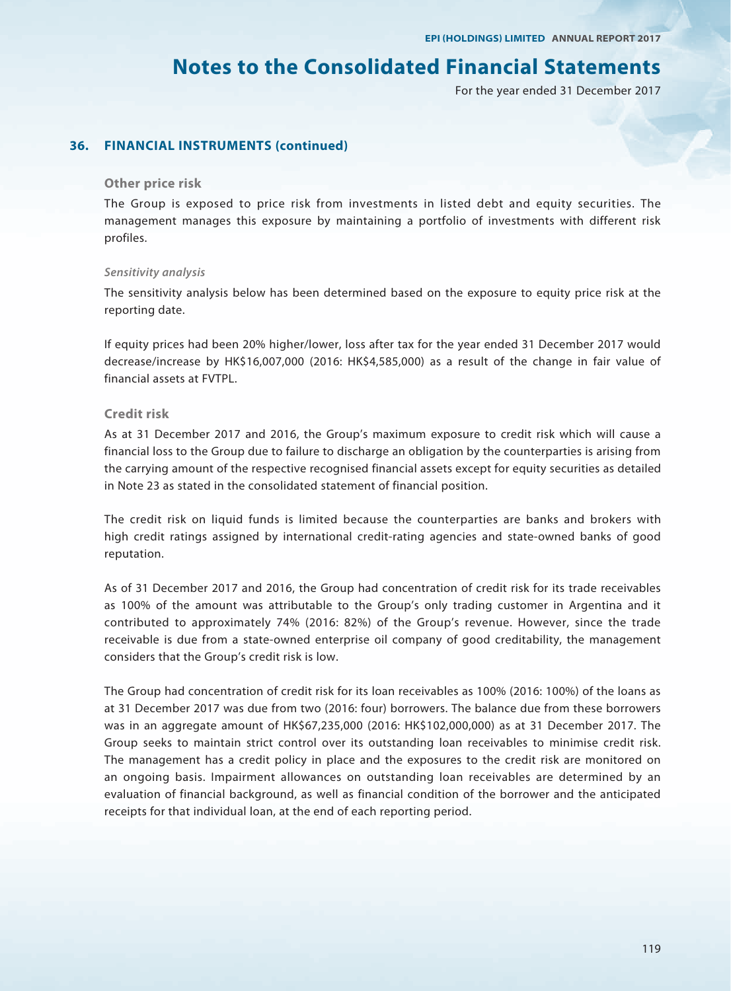For the year ended 31 December 2017

### **36. FINANCIAL INSTRUMENTS (continued)**

#### **Other price risk**

The Group is exposed to price risk from investments in listed debt and equity securities. The management manages this exposure by maintaining a portfolio of investments with different risk profiles.

#### *Sensitivity analysis*

The sensitivity analysis below has been determined based on the exposure to equity price risk at the reporting date.

If equity prices had been 20% higher/lower, loss after tax for the year ended 31 December 2017 would decrease/increase by HK\$16,007,000 (2016: HK\$4,585,000) as a result of the change in fair value of financial assets at FVTPL.

### **Credit risk**

As at 31 December 2017 and 2016, the Group's maximum exposure to credit risk which will cause a financial loss to the Group due to failure to discharge an obligation by the counterparties is arising from the carrying amount of the respective recognised financial assets except for equity securities as detailed in Note 23 as stated in the consolidated statement of financial position.

The credit risk on liquid funds is limited because the counterparties are banks and brokers with high credit ratings assigned by international credit-rating agencies and state-owned banks of good reputation.

As of 31 December 2017 and 2016, the Group had concentration of credit risk for its trade receivables as 100% of the amount was attributable to the Group's only trading customer in Argentina and it contributed to approximately 74% (2016: 82%) of the Group's revenue. However, since the trade receivable is due from a state-owned enterprise oil company of good creditability, the management considers that the Group's credit risk is low.

The Group had concentration of credit risk for its loan receivables as 100% (2016: 100%) of the loans as at 31 December 2017 was due from two (2016: four) borrowers. The balance due from these borrowers was in an aggregate amount of HK\$67,235,000 (2016: HK\$102,000,000) as at 31 December 2017. The Group seeks to maintain strict control over its outstanding loan receivables to minimise credit risk. The management has a credit policy in place and the exposures to the credit risk are monitored on an ongoing basis. Impairment allowances on outstanding loan receivables are determined by an evaluation of financial background, as well as financial condition of the borrower and the anticipated receipts for that individual loan, at the end of each reporting period.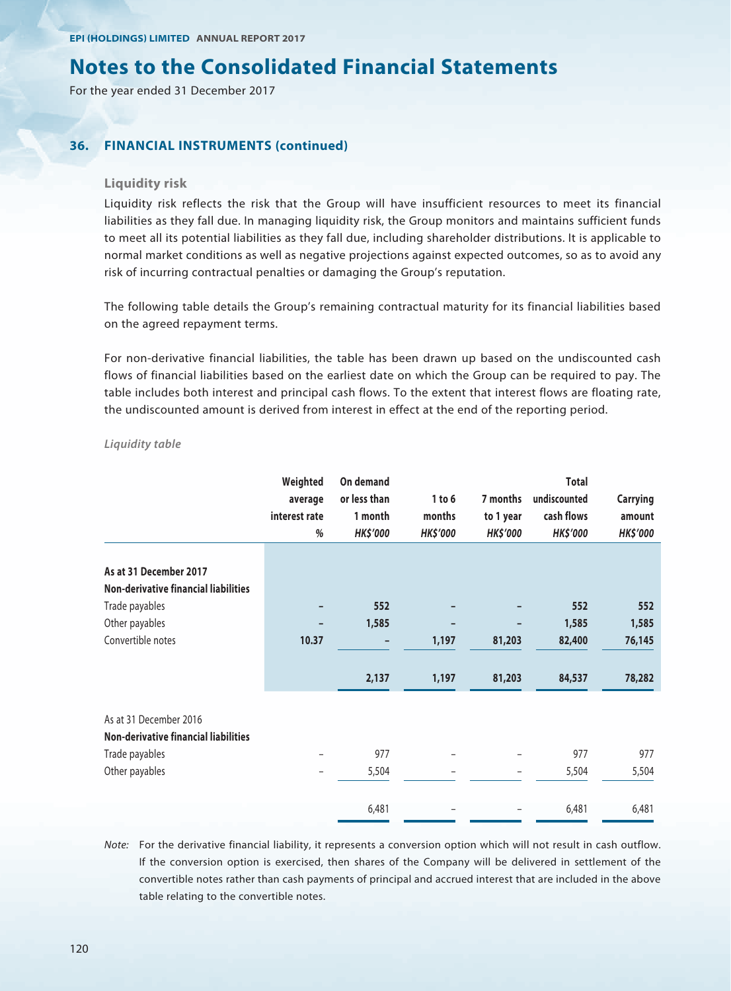For the year ended 31 December 2017

### **36. FINANCIAL INSTRUMENTS (continued)**

#### **Liquidity risk**

Liquidity risk reflects the risk that the Group will have insufficient resources to meet its financial liabilities as they fall due. In managing liquidity risk, the Group monitors and maintains sufficient funds to meet all its potential liabilities as they fall due, including shareholder distributions. It is applicable to normal market conditions as well as negative projections against expected outcomes, so as to avoid any risk of incurring contractual penalties or damaging the Group's reputation.

The following table details the Group's remaining contractual maturity for its financial liabilities based on the agreed repayment terms.

For non-derivative financial liabilities, the table has been drawn up based on the undiscounted cash flows of financial liabilities based on the earliest date on which the Group can be required to pay. The table includes both interest and principal cash flows. To the extent that interest flows are floating rate, the undiscounted amount is derived from interest in effect at the end of the reporting period.

|                                                                       | Weighted<br>average<br>interest rate<br>% | On demand<br>or less than<br>1 month<br><b>HK\$'000</b> | 1 to 6<br>months<br><b>HK\$'000</b> | 7 months<br>to 1 year<br><b>HK\$'000</b> | <b>Total</b><br>undiscounted<br>cash flows<br><b>HK\$'000</b> | <b>Carrying</b><br>amount<br><b>HK\$'000</b> |
|-----------------------------------------------------------------------|-------------------------------------------|---------------------------------------------------------|-------------------------------------|------------------------------------------|---------------------------------------------------------------|----------------------------------------------|
| As at 31 December 2017<br><b>Non-derivative financial liabilities</b> |                                           |                                                         |                                     |                                          |                                                               |                                              |
| Trade payables                                                        |                                           | 552                                                     |                                     |                                          | 552                                                           | 552                                          |
| Other payables                                                        |                                           | 1,585                                                   |                                     |                                          | 1,585                                                         | 1,585                                        |
| Convertible notes                                                     | 10.37                                     | -                                                       | 1,197                               | 81,203                                   | 82,400                                                        | 76,145                                       |
|                                                                       |                                           | 2,137                                                   | 1,197                               | 81,203                                   | 84,537                                                        | 78,282                                       |
| As at 31 December 2016<br>Non-derivative financial liabilities        |                                           |                                                         |                                     |                                          |                                                               |                                              |
| Trade payables                                                        |                                           | 977                                                     | -                                   |                                          | 977                                                           | 977                                          |
| Other payables                                                        |                                           | 5,504                                                   |                                     |                                          | 5,504                                                         | 5,504                                        |
|                                                                       |                                           | 6,481                                                   |                                     |                                          | 6,481                                                         | 6,481                                        |

*Liquidity table*

*Note:* For the derivative financial liability, it represents a conversion option which will not result in cash outflow. If the conversion option is exercised, then shares of the Company will be delivered in settlement of the convertible notes rather than cash payments of principal and accrued interest that are included in the above table relating to the convertible notes.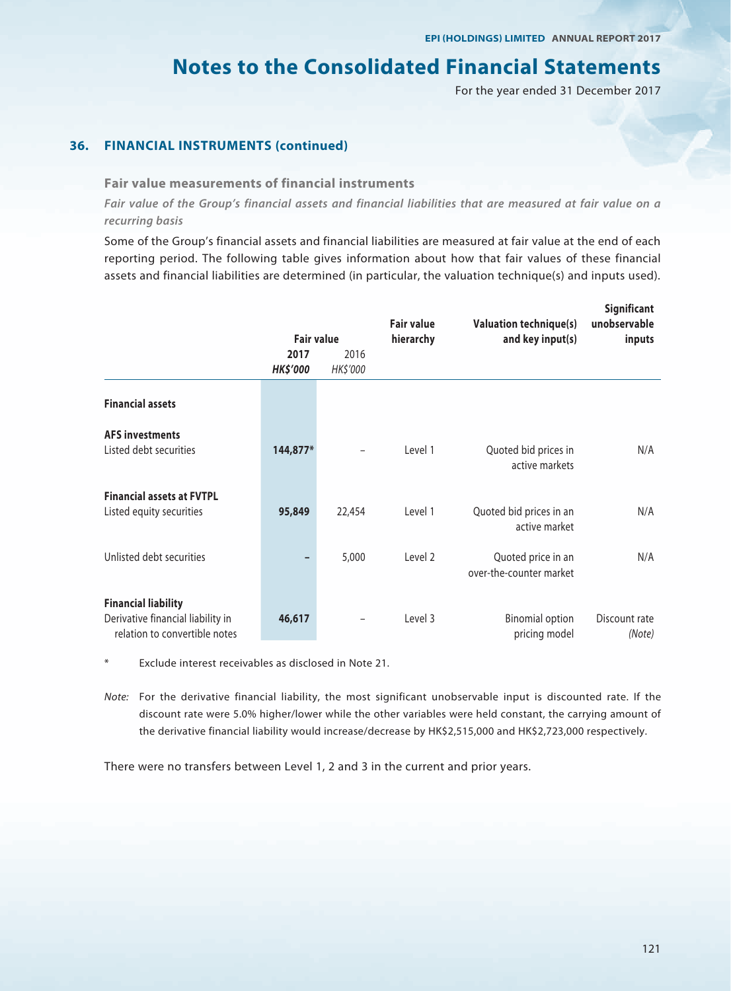For the year ended 31 December 2017

### **36. FINANCIAL INSTRUMENTS (continued)**

### **Fair value measurements of financial instruments**

*Fair value of the Group's financial assets and financial liabilities that are measured at fair value on a recurring basis*

Some of the Group's financial assets and financial liabilities are measured at fair value at the end of each reporting period. The following table gives information about how that fair values of these financial assets and financial liabilities are determined (in particular, the valuation technique(s) and inputs used).

|                                                                                                  | <b>Fair value</b>       |                  | <b>Fair value</b><br>hierarchy | <b>Valuation technique(s)</b><br>and key input(s) | Significant<br>unobservable<br>inputs |
|--------------------------------------------------------------------------------------------------|-------------------------|------------------|--------------------------------|---------------------------------------------------|---------------------------------------|
|                                                                                                  | 2017<br><b>HK\$'000</b> | 2016<br>HK\$'000 |                                |                                                   |                                       |
| <b>Financial assets</b>                                                                          |                         |                  |                                |                                                   |                                       |
| <b>AFS investments</b>                                                                           |                         |                  |                                |                                                   |                                       |
| Listed debt securities                                                                           | 144,877*                |                  | Level 1                        | Quoted bid prices in<br>active markets            | N/A                                   |
| <b>Financial assets at FVTPL</b>                                                                 |                         |                  |                                |                                                   |                                       |
| Listed equity securities                                                                         | 95,849                  | 22,454           | Level 1                        | Quoted bid prices in an<br>active market          | N/A                                   |
| Unlisted debt securities                                                                         | -                       | 5,000            | Level 2                        | Quoted price in an<br>over-the-counter market     | N/A                                   |
| <b>Financial liability</b><br>Derivative financial liability in<br>relation to convertible notes | 46,617                  |                  | Level 3                        | <b>Binomial option</b><br>pricing model           | Discount rate<br>(Note)               |

Exclude interest receivables as disclosed in Note 21.

*Note:* For the derivative financial liability, the most significant unobservable input is discounted rate. If the discount rate were 5.0% higher/lower while the other variables were held constant, the carrying amount of the derivative financial liability would increase/decrease by HK\$2,515,000 and HK\$2,723,000 respectively.

There were no transfers between Level 1, 2 and 3 in the current and prior years.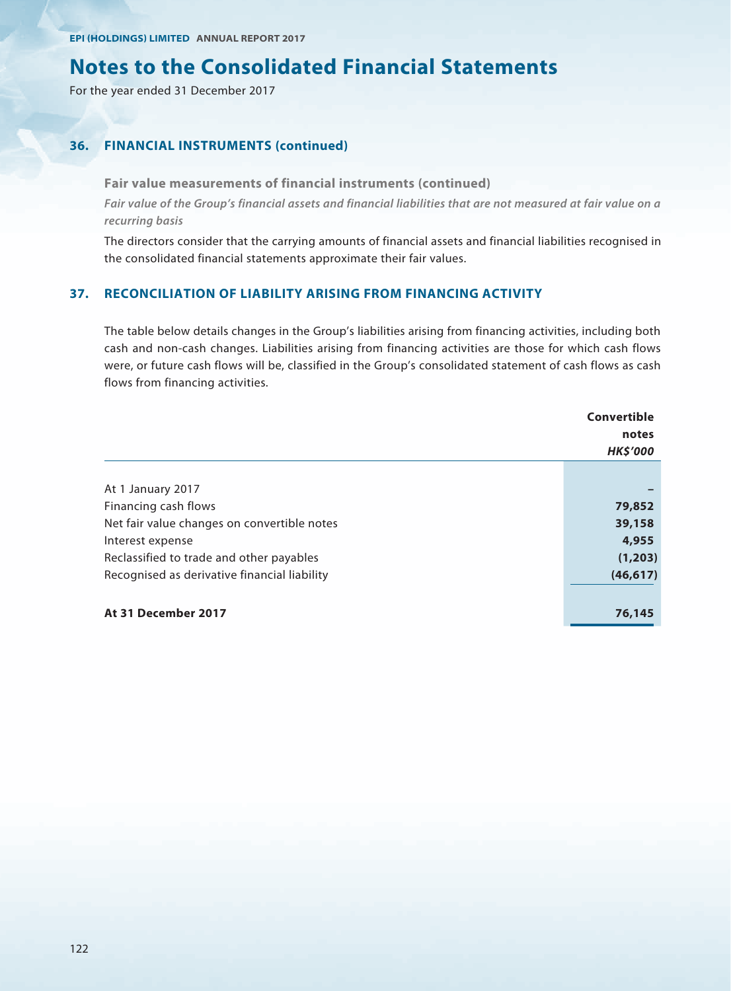For the year ended 31 December 2017

### **36. FINANCIAL INSTRUMENTS (continued)**

**Fair value measurements of financial instruments (continued)**

*Fair value of the Group's financial assets and financial liabilities that are not measured at fair value on a recurring basis*

The directors consider that the carrying amounts of financial assets and financial liabilities recognised in the consolidated financial statements approximate their fair values.

## **37. RECONCILIATION OF LIABILITY ARISING FROM FINANCING ACTIVITY**

The table below details changes in the Group's liabilities arising from financing activities, including both cash and non-cash changes. Liabilities arising from financing activities are those for which cash flows were, or future cash flows will be, classified in the Group's consolidated statement of cash flows as cash flows from financing activities.

|                                              | Convertible<br>notes<br><b>HK\$'000</b> |
|----------------------------------------------|-----------------------------------------|
|                                              |                                         |
| At 1 January 2017                            |                                         |
| Financing cash flows                         | 79,852                                  |
| Net fair value changes on convertible notes  | 39,158                                  |
| Interest expense                             | 4,955                                   |
| Reclassified to trade and other payables     | (1, 203)                                |
| Recognised as derivative financial liability | (46, 617)                               |
|                                              |                                         |
| At 31 December 2017                          | 76,145                                  |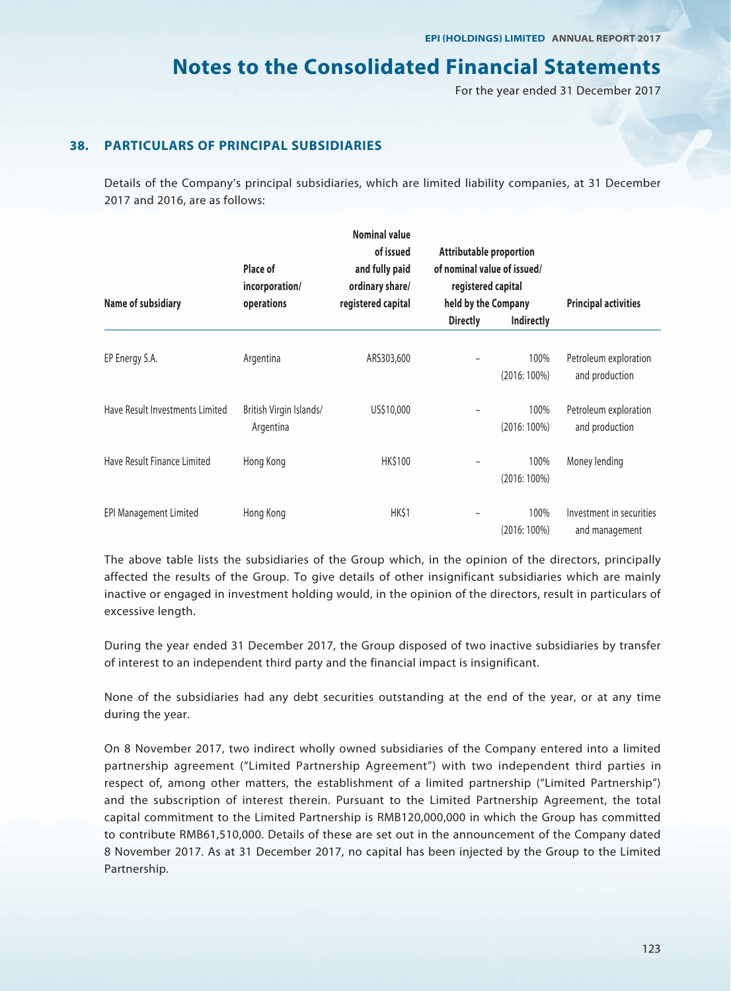For the year ended 31 December 2017

### **38. PARTICULARS OF PRINCIPAL SUBSIDIARIES**

Details of the Company's principal subsidiaries, which are limited liability companies, at 31 December 2017 and 2016, are as follows:

| Name of subsidiary              | Place of<br>incorporation/<br>operations | <b>Nominal value</b><br>of issued<br>and fully paid<br>ordinary share/<br>registered capital | <b>Attributable proportion</b><br>of nominal value of issued/<br>registered capital<br>held by the Company |                        | <b>Principal activities</b>                |  |
|---------------------------------|------------------------------------------|----------------------------------------------------------------------------------------------|------------------------------------------------------------------------------------------------------------|------------------------|--------------------------------------------|--|
|                                 |                                          |                                                                                              | <b>Directly</b>                                                                                            | Indirectly             |                                            |  |
| EP Energy S.A.                  | Argentina                                | ARS303,600                                                                                   |                                                                                                            | 100%<br>$(2016:100\%)$ | Petroleum exploration<br>and production    |  |
| Have Result Investments Limited | British Virgin Islands/<br>Argentina     | US\$10,000                                                                                   |                                                                                                            | 100%<br>$(2016:100\%)$ | Petroleum exploration<br>and production    |  |
| Have Result Finance Limited     | Hong Kong                                | HK\$100                                                                                      |                                                                                                            | 100%<br>$(2016:100\%)$ | Money lending                              |  |
| <b>EPI Management Limited</b>   | Hong Kong                                | HK\$1                                                                                        |                                                                                                            | 100%<br>$(2016:100\%)$ | Investment in securities<br>and management |  |

The above table lists the subsidiaries of the Group which, in the opinion of the directors, principally affected the results of the Group. To give details of other insignificant subsidiaries which are mainly inactive or engaged in investment holding would, in the opinion of the directors, result in particulars of excessive length.

During the year ended 31 December 2017, the Group disposed of two inactive subsidiaries by transfer of interest to an independent third party and the financial impact is insignificant.

None of the subsidiaries had any debt securities outstanding at the end of the year, or at any time during the year.

On 8 November 2017, two indirect wholly owned subsidiaries of the Company entered into a limited partnership agreement ("Limited Partnership Agreement") with two independent third parties in respect of, among other matters, the establishment of a limited partnership ("Limited Partnership") and the subscription of interest therein. Pursuant to the Limited Partnership Agreement, the total capital commitment to the Limited Partnership is RMB120,000,000 in which the Group has committed to contribute RMB61,510,000. Details of these are set out in the announcement of the Company dated 8 November 2017. As at 31 December 2017, no capital has been injected by the Group to the Limited Partnership.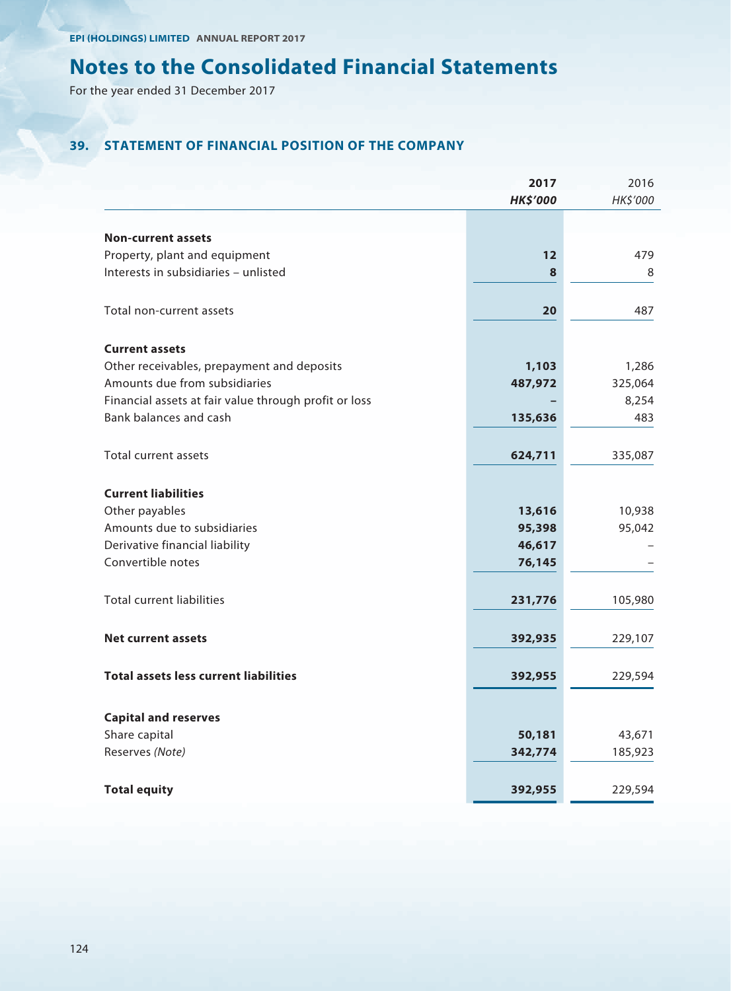# **Notes to the Consolidated Financial Statements**

For the year ended 31 December 2017

## **39. STATEMENT OF FINANCIAL POSITION OF THE COMPANY**

|                                                       | 2017            | 2016     |
|-------------------------------------------------------|-----------------|----------|
|                                                       | <b>HK\$'000</b> | HK\$'000 |
|                                                       |                 |          |
| <b>Non-current assets</b>                             |                 |          |
| Property, plant and equipment                         | 12              | 479      |
| Interests in subsidiaries - unlisted                  | 8               | 8        |
| Total non-current assets                              | 20              | 487      |
|                                                       |                 |          |
| <b>Current assets</b>                                 |                 |          |
| Other receivables, prepayment and deposits            | 1,103           | 1,286    |
| Amounts due from subsidiaries                         | 487,972         | 325,064  |
| Financial assets at fair value through profit or loss |                 | 8,254    |
| Bank balances and cash                                | 135,636         | 483      |
|                                                       |                 |          |
| <b>Total current assets</b>                           | 624,711         | 335,087  |
|                                                       |                 |          |
| <b>Current liabilities</b>                            |                 |          |
| Other payables                                        | 13,616          | 10,938   |
| Amounts due to subsidiaries                           | 95,398          | 95,042   |
| Derivative financial liability                        | 46,617          |          |
| Convertible notes                                     | 76,145          |          |
|                                                       |                 |          |
| <b>Total current liabilities</b>                      | 231,776         | 105,980  |
|                                                       |                 |          |
| <b>Net current assets</b>                             | 392,935         | 229,107  |
|                                                       |                 |          |
| <b>Total assets less current liabilities</b>          | 392,955         | 229,594  |
|                                                       |                 |          |
| <b>Capital and reserves</b>                           |                 |          |
| Share capital                                         | 50,181          | 43,671   |
| Reserves (Note)                                       | 342,774         | 185,923  |
| <b>Total equity</b>                                   | 392,955         | 229,594  |
|                                                       |                 |          |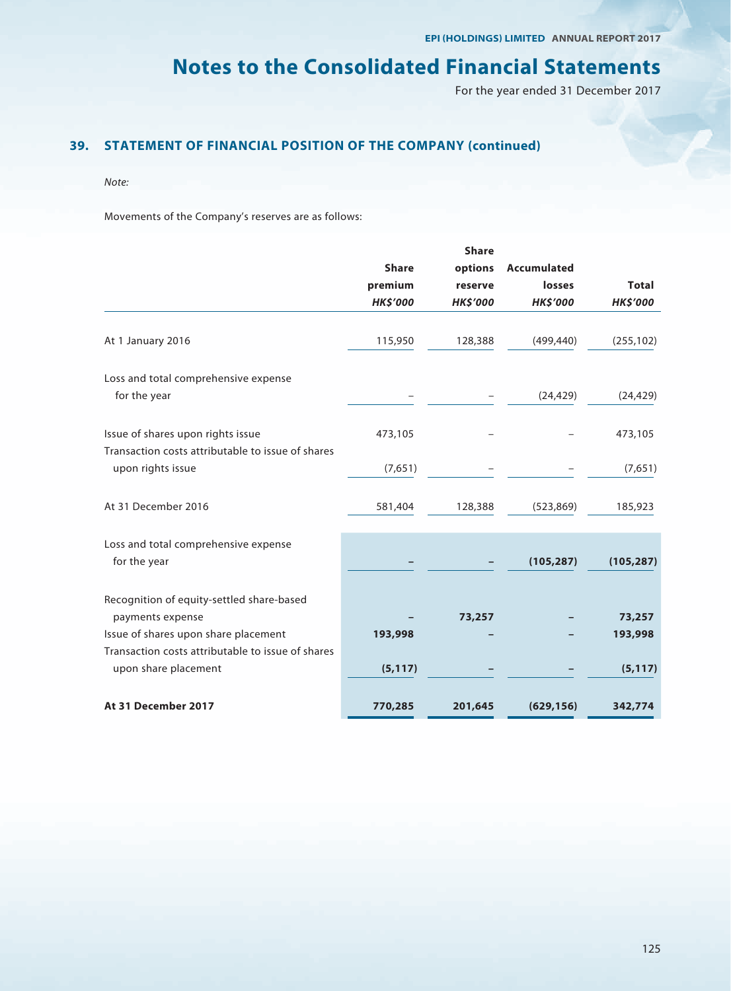For the year ended 31 December 2017

## **39. STATEMENT OF FINANCIAL POSITION OF THE COMPANY (continued)**

#### *Note:*

Movements of the Company's reserves are as follows:

|                                                                        |                 | <b>Share</b>    |                 |                 |
|------------------------------------------------------------------------|-----------------|-----------------|-----------------|-----------------|
|                                                                        | <b>Share</b>    | options         | Accumulated     |                 |
|                                                                        | premium         | reserve         | losses          | <b>Total</b>    |
|                                                                        | <b>HK\$'000</b> | <b>HK\$'000</b> | <b>HK\$'000</b> | <b>HK\$'000</b> |
| At 1 January 2016                                                      | 115,950         | 128,388         | (499, 440)      | (255, 102)      |
| Loss and total comprehensive expense                                   |                 |                 |                 |                 |
| for the year                                                           |                 |                 | (24, 429)       | (24, 429)       |
| Issue of shares upon rights issue                                      | 473,105         |                 |                 | 473,105         |
| Transaction costs attributable to issue of shares<br>upon rights issue | (7,651)         |                 |                 | (7,651)         |
| At 31 December 2016                                                    | 581,404         | 128,388         | (523, 869)      | 185,923         |
| Loss and total comprehensive expense                                   |                 |                 |                 |                 |
| for the year                                                           |                 |                 | (105, 287)      | (105, 287)      |
| Recognition of equity-settled share-based                              |                 |                 |                 |                 |
| payments expense                                                       |                 | 73,257          |                 | 73,257          |
| Issue of shares upon share placement                                   | 193,998         |                 |                 | 193,998         |
| Transaction costs attributable to issue of shares                      |                 |                 |                 |                 |
| upon share placement                                                   | (5, 117)        |                 |                 | (5, 117)        |
| At 31 December 2017                                                    | 770,285         | 201,645         | (629, 156)      | 342,774         |